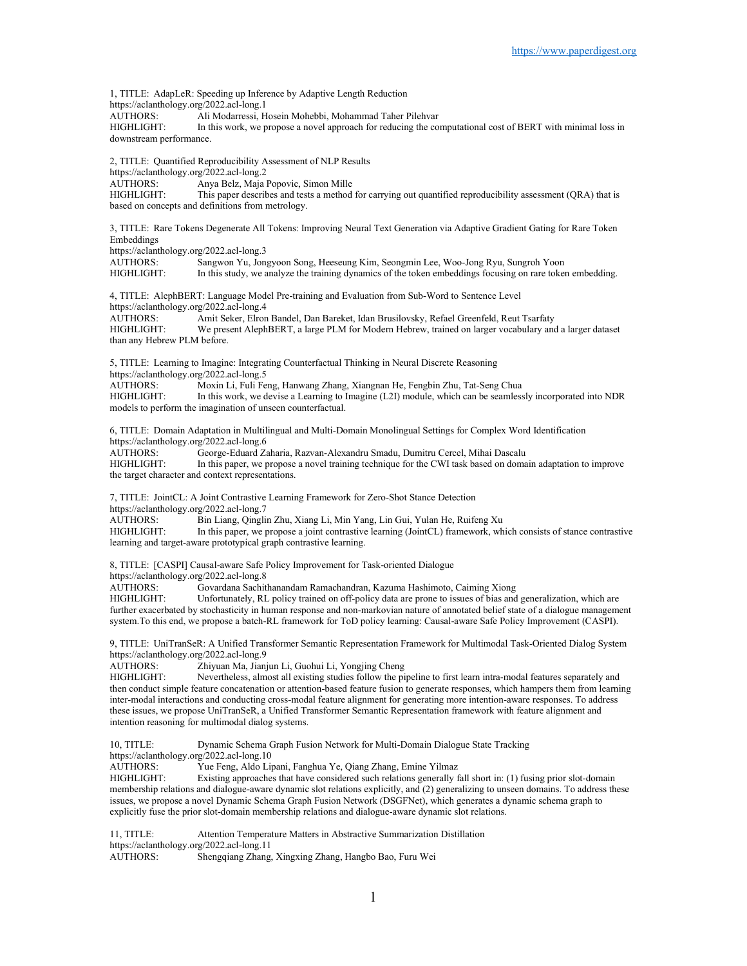1, TITLE: AdapLeR: Speeding up Inference by Adaptive Length Reduction https://aclanthology.org/2022.acl-long.1 AUTHORS: Ali Modarressi, Hosein Mohebbi, Mohammad Taher Pilehvar HIGHLIGHT: In this work, we propose a novel approach for reducing the computational cost of BERT with minimal loss in downstream performance.

2, TITLE: Quantified Reproducibility Assessment of NLP Results

https://aclanthology.org/2022.acl-long.2

AUTHORS: Anya Belz, Maja Popovic, Simon Mille<br>HIGHLIGHT: This paper describes and tests a method This paper describes and tests a method for carrying out quantified reproducibility assessment (QRA) that is

based on concepts and definitions from metrology.

3, TITLE: Rare Tokens Degenerate All Tokens: Improving Neural Text Generation via Adaptive Gradient Gating for Rare Token Embeddings

https://aclanthology.org/2022.acl-long.3<br>AUTHORS: Sangwon Yu, Jon

AUTHORS: Sangwon Yu, Jongyoon Song, Heeseung Kim, Seongmin Lee, Woo-Jong Ryu, Sungroh Yoon<br>HIGHLIGHT: In this study, we analyze the training dynamics of the token embeddings focusing on rare token In this study, we analyze the training dynamics of the token embeddings focusing on rare token embedding.

4, TITLE: AlephBERT: Language Model Pre-training and Evaluation from Sub-Word to Sentence Level https://aclanthology.org/2022.acl-long.4<br>AUTHORS: Amit Seker. Elron

AUTHORS: Amit Seker, Elron Bandel, Dan Bareket, Idan Brusilovsky, Refael Greenfeld, Reut Tsarfaty<br>HIGHLIGHT: We present AlephBERT, a large PLM for Modern Hebrew, trained on larger vocabulary and We present AlephBERT, a large PLM for Modern Hebrew, trained on larger vocabulary and a larger dataset than any Hebrew PLM before.

5, TITLE: Learning to Imagine: Integrating Counterfactual Thinking in Neural Discrete Reasoning

https://aclanthology.org/2022.acl-long.5

AUTHORS: Moxin Li, Fuli Feng, Hanwang Zhang, Xiangnan He, Fengbin Zhu, Tat-Seng Chua<br>HIGHLIGHT: In this work, we devise a Learning to Imagine (L2I) module, which can be seamless In this work, we devise a Learning to Imagine (L2I) module, which can be seamlessly incorporated into NDR models to perform the imagination of unseen counterfactual.

6, TITLE: Domain Adaptation in Multilingual and Multi-Domain Monolingual Settings for Complex Word Identification https://aclanthology.org/2022.acl-long.6<br>AUTHORS: George-Eduard Za

George-Eduard Zaharia, Razvan-Alexandru Smadu, Dumitru Cercel, Mihai Dascalu HIGHLIGHT: In this paper, we propose a novel training technique for the CWI task based on domain adaptation to improve the target character and context representations.

7, TITLE: JointCL: A Joint Contrastive Learning Framework for Zero-Shot Stance Detection https://aclanthology.org/2022.acl-long.7

AUTHORS: Bin Liang, Qinglin Zhu, Xiang Li, Min Yang, Lin Gui, Yulan He, Ruifeng Xu<br>HIGHLIGHT: In this paper, we propose a joint contrastive learning (JointCL) framework, wh In this paper, we propose a joint contrastive learning (JointCL) framework, which consists of stance contrastive learning and target-aware prototypical graph contrastive learning.

8, TITLE: [CASPI] Causal-aware Safe Policy Improvement for Task-oriented Dialogue

https://aclanthology.org/2022.acl-long.8<br>AUTHORS: Govardana Sachit

Govardana Sachithanandam Ramachandran, Kazuma Hashimoto, Caiming Xiong

HIGHLIGHT: Unfortunately, RL policy trained on off-policy data are prone to issues of bias and generalization, which are further exacerbated by stochasticity in human response and non-markovian nature of annotated belief state of a dialogue management system.To this end, we propose a batch-RL framework for ToD policy learning: Causal-aware Safe Policy Improvement (CASPI).

9, TITLE: UniTranSeR: A Unified Transformer Semantic Representation Framework for Multimodal Task-Oriented Dialog System https://aclanthology.org/2022.acl-long.9

AUTHORS: Zhiyuan Ma, Jianjun Li, Guohui Li, Yongjing Cheng

Nevertheless, almost all existing studies follow the pipeline to first learn intra-modal features separately and then conduct simple feature concatenation or attention-based feature fusion to generate responses, which hampers them from learning inter-modal interactions and conducting cross-modal feature alignment for generating more intention-aware responses. To address these issues, we propose UniTranSeR, a Unified Transformer Semantic Representation framework with feature alignment and intention reasoning for multimodal dialog systems.

10, TITLE: Dynamic Schema Graph Fusion Network for Multi-Domain Dialogue State Tracking https://aclanthology.org/2022.acl-long.10

AUTHORS: Yue Feng, Aldo Lipani, Fanghua Ye, Qiang Zhang, Emine Yilmaz<br>HIGHLIGHT: Existing approaches that have considered such relations generally f

Existing approaches that have considered such relations generally fall short in: (1) fusing prior slot-domain membership relations and dialogue-aware dynamic slot relations explicitly, and (2) generalizing to unseen domains. To address these issues, we propose a novel Dynamic Schema Graph Fusion Network (DSGFNet), which generates a dynamic schema graph to explicitly fuse the prior slot-domain membership relations and dialogue-aware dynamic slot relations.

11, TITLE: Attention Temperature Matters in Abstractive Summarization Distillation https://aclanthology.org/2022.acl-long.11 AUTHORS: Shengqiang Zhang, Xingxing Zhang, Hangbo Bao, Furu Wei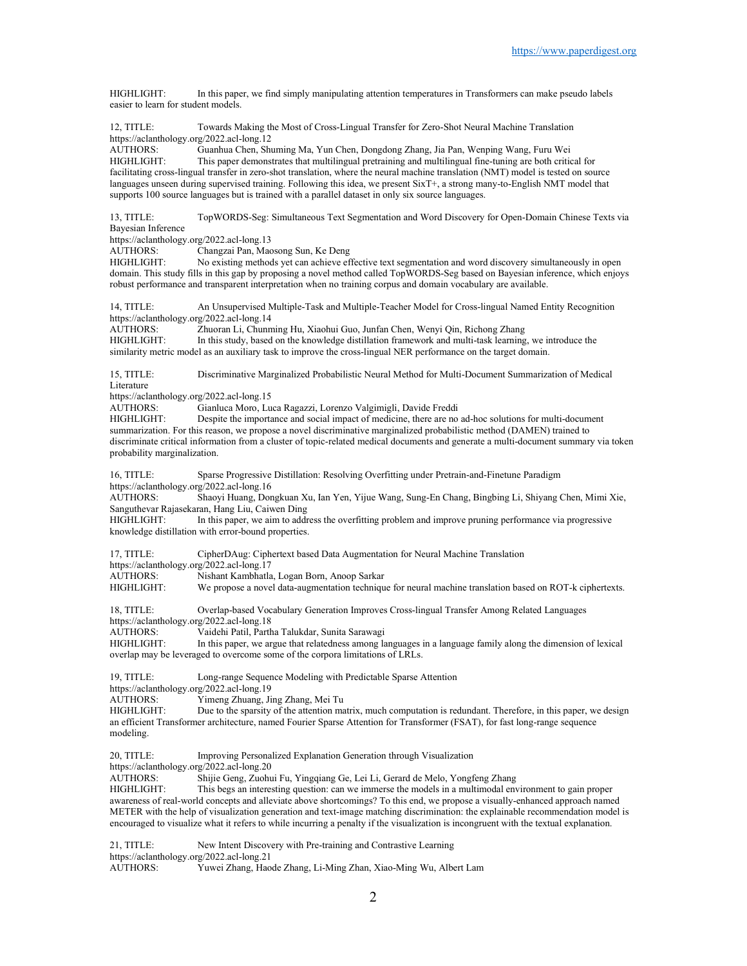HIGHLIGHT: In this paper, we find simply manipulating attention temperatures in Transformers can make pseudo labels easier to learn for student models.

12, TITLE: Towards Making the Most of Cross-Lingual Transfer for Zero-Shot Neural Machine Translation https://aclanthology.org/2022.acl-long.12<br>AUTHORS: Guanhua Chen, Shu

AUTHORS: Guanhua Chen, Shuming Ma, Yun Chen, Dongdong Zhang, Jia Pan, Wenping Wang, Furu Wei This paper demonstrates that multilingual pretraining and multilingual fine-tuning are both critical for facilitating cross-lingual transfer in zero-shot translation, where the neural machine translation (NMT) model is tested on source languages unseen during supervised training. Following this idea, we present SixT+, a strong many-to-English NMT model that supports 100 source languages but is trained with a parallel dataset in only six source languages.

13, TITLE: TopWORDS-Seg: Simultaneous Text Segmentation and Word Discovery for Open-Domain Chinese Texts via Bayesian Inference

https://aclanthology.org/2022.acl-long.13

AUTHORS: Changzai Pan, Maosong Sun, Ke Deng<br>HIGHLIGHT: No existing methods vet can achieve ef

No existing methods yet can achieve effective text segmentation and word discovery simultaneously in open domain. This study fills in this gap by proposing a novel method called TopWORDS-Seg based on Bayesian inference, which enjoys robust performance and transparent interpretation when no training corpus and domain vocabulary are available.

14, TITLE: An Unsupervised Multiple-Task and Multiple-Teacher Model for Cross-lingual Named Entity Recognition https://aclanthology.org/2022.acl-long.14<br>AUTHORS: Zhuoran Li, Chunn

Zhuoran Li, Chunming Hu, Xiaohui Guo, Junfan Chen, Wenyi Qin, Richong Zhang HIGHLIGHT: In this study, based on the knowledge distillation framework and multi-task learning, we introduce the similarity metric model as an auxiliary task to improve the cross-lingual NER performance on the target domain.

15, TITLE: Discriminative Marginalized Probabilistic Neural Method for Multi-Document Summarization of Medical Literature

https://aclanthology.org/2022.acl-long.15<br>AUTHORS: Gianluca Moro. Lu

Gianluca Moro, Luca Ragazzi, Lorenzo Valgimigli, Davide Freddi

HIGHLIGHT: Despite the importance and social impact of medicine, there are no ad-hoc solutions for multi-document summarization. For this reason, we propose a novel discriminative marginalized probabilistic method (DAMEN) trained to discriminate critical information from a cluster of topic-related medical documents and generate a multi-document summary via token probability marginalization.

16, TITLE: Sparse Progressive Distillation: Resolving Overfitting under Pretrain-and-Finetune Paradigm https://aclanthology.org/2022.acl-long.16

AUTHORS: Shaoyi Huang, Dongkuan Xu, Ian Yen, Yijue Wang, Sung-En Chang, Bingbing Li, Shiyang Chen, Mimi Xie, Sanguthevar Rajasekaran, Hang Liu, Caiwen Ding

HIGHLIGHT: In this paper, we aim to address the overfitting problem and improve pruning performance via progressive knowledge distillation with error-bound properties.

17, TITLE: CipherDAug: Ciphertext based Data Augmentation for Neural Machine Translation https://aclanthology.org/2022.acl-long.17<br>AUTHORS: Nishant Kambhatla AUTHORS: Nishant Kambhatla, Logan Born, Anoop Sarkar We propose a novel data-augmentation technique for neural machine translation based on ROT-k ciphertexts. 18, TITLE: Overlap-based Vocabulary Generation Improves Cross-lingual Transfer Among Related Languages https://aclanthology.org/2022.acl-long.18<br>AUTHORS: Vaidehi Patil, Parth Vaidehi Patil, Partha Talukdar, Sunita Sarawagi HIGHLIGHT: In this paper, we argue that relatedness among languages in a language family along the dimension of lexical

overlap may be leveraged to overcome some of the corpora limitations of LRLs.

19, TITLE: Long-range Sequence Modeling with Predictable Sparse Attention https://aclanthology.org/2022.acl-long.19<br>AUTHORS: Yimeng Zhuang, Ji Yimeng Zhuang, Jing Zhang, Mei Tu

HIGHLIGHT: Due to the sparsity of the attention matrix, much computation is redundant. Therefore, in this paper, we design an efficient Transformer architecture, named Fourier Sparse Attention for Transformer (FSAT), for fast long-range sequence modeling.

20, TITLE: Improving Personalized Explanation Generation through Visualization https://aclanthology.org/2022.acl-long.20<br>AUTHORS: Shijie Geng, Zuohu Shijie Geng, Zuohui Fu, Yingqiang Ge, Lei Li, Gerard de Melo, Yongfeng Zhang HIGHLIGHT: This begs an interesting question: can we immerse the models in a multimodal environment to gain proper awareness of real-world concepts and alleviate above shortcomings? To this end, we propose a visually-enhanced approach named METER with the help of visualization generation and text-image matching discrimination: the explainable recommendation model is encouraged to visualize what it refers to while incurring a penalty if the visualization is incongruent with the textual explanation.

21, TITLE: New Intent Discovery with Pre-training and Contrastive Learning https://aclanthology.org/2022.acl-long.21<br>AUTHORS: Yuwei Zhang, Hao Yuwei Zhang, Haode Zhang, Li-Ming Zhan, Xiao-Ming Wu, Albert Lam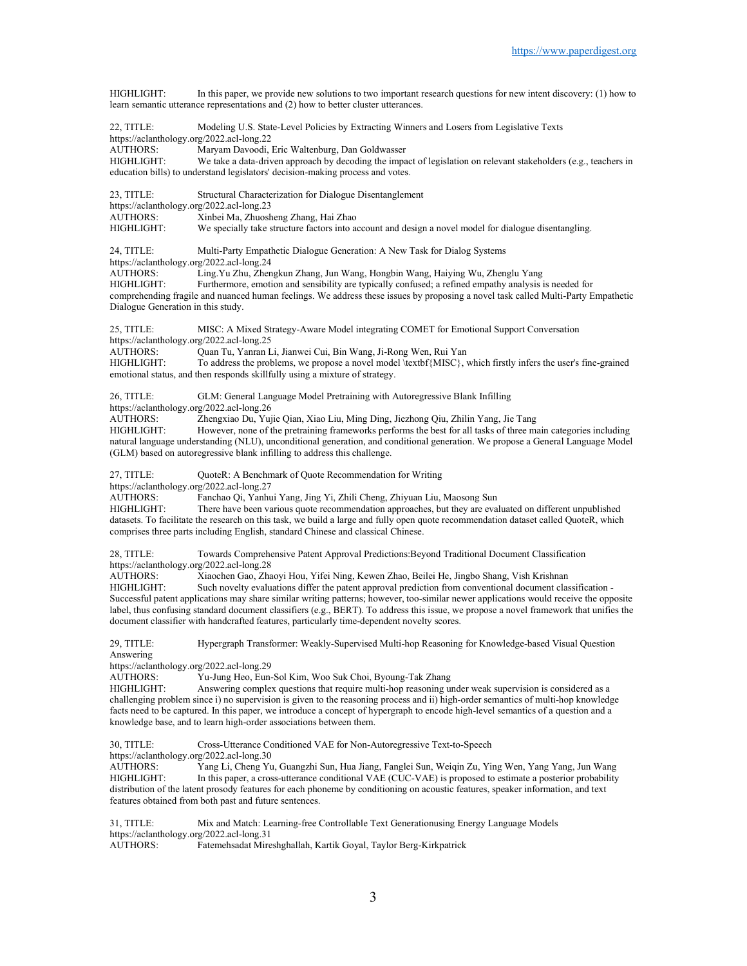HIGHLIGHT: In this paper, we provide new solutions to two important research questions for new intent discovery: (1) how to learn semantic utterance representations and (2) how to better cluster utterances.

22, TITLE: Modeling U.S. State-Level Policies by Extracting Winners and Losers from Legislative Texts https://aclanthology.org/2022.acl-long.22<br>AUTHORS: Maryam Davoodi, AUTHORS: Maryam Davoodi, Eric Waltenburg, Dan Goldwasser<br>HIGHLIGHT: We take a data-driven approach by decoding the impa We take a data-driven approach by decoding the impact of legislation on relevant stakeholders (e.g., teachers in education bills) to understand legislators' decision-making process and votes.

23, TITLE: Structural Characterization for Dialogue Disentanglement https://aclanthology.org/2022.acl-long.23<br>AUTHORS: Xinbei Ma, Zhuosh AUTHORS: Xinbei Ma, Zhuosheng Zhang, Hai Zhao<br>HIGHLIGHT: We specially take structure factors into a

We specially take structure factors into account and design a novel model for dialogue disentangling.

24, TITLE: Multi-Party Empathetic Dialogue Generation: A New Task for Dialog Systems https://aclanthology.org/2022.acl-long.24<br>AUTHORS: Ling.Yu Zhu, Zhen AUTHORS: Ling.Yu Zhu, Zhengkun Zhang, Jun Wang, Hongbin Wang, Haiying Wu, Zhenglu Yang<br>HIGHLIGHT: Furthermore, emotion and sensibility are typically confused; a refined empathy analysis i Furthermore, emotion and sensibility are typically confused; a refined empathy analysis is needed for comprehending fragile and nuanced human feelings. We address these issues by proposing a novel task called Multi-Party Empathetic Dialogue Generation in this study.

25, TITLE: MISC: A Mixed Strategy-Aware Model integrating COMET for Emotional Support Conversation https://aclanthology.org/2022.acl-long.25

AUTHORS: Quan Tu, Yanran Li, Jianwei Cui, Bin Wang, Ji-Rong Wen, Rui Yan HIGHLIGHT: To address the problems, we propose a novel model \textbf{MISC}, To address the problems, we propose a novel model  $\text{MISC}$ , which firstly infers the user's fine-grained emotional status, and then responds skillfully using a mixture of strategy.

26, TITLE: GLM: General Language Model Pretraining with Autoregressive Blank Infilling https://aclanthology.org/2022.acl-long.26 AUTHORS: Zhengxiao Du, Yujie Qian, Xiao Liu, Ming Ding, Jiezhong Qiu, Zhilin Yang, Jie Tang HIGHLIGHT: However, none of the pretraining frameworks performs the best for all tasks of three main categories including

natural language understanding (NLU), unconditional generation, and conditional generation. We propose a General Language Model (GLM) based on autoregressive blank infilling to address this challenge.

27, TITLE: QuoteR: A Benchmark of Quote Recommendation for Writing

https://aclanthology.org/2022.acl-long.27<br>AUTHORS: Fanchao Qi, Yanhu

Fanchao Qi, Yanhui Yang, Jing Yi, Zhili Cheng, Zhiyuan Liu, Maosong Sun

HIGHLIGHT: There have been various quote recommendation approaches, but they are evaluated on different unpublished datasets. To facilitate the research on this task, we build a large and fully open quote recommendation dataset called QuoteR, which comprises three parts including English, standard Chinese and classical Chinese.

28, TITLE: Towards Comprehensive Patent Approval Predictions:Beyond Traditional Document Classification https://aclanthology.org/2022.acl-long.28<br>AUTHORS: Xiaochen Gao, Zha

Xiaochen Gao, Zhaoyi Hou, Yifei Ning, Kewen Zhao, Beilei He, Jingbo Shang, Vish Krishnan HIGHLIGHT: Such novelty evaluations differ the patent approval prediction from conventional document classification - Successful patent applications may share similar writing patterns; however, too-similar newer applications would receive the opposite label, thus confusing standard document classifiers (e.g., BERT). To address this issue, we propose a novel framework that unifies the document classifier with handcrafted features, particularly time-dependent novelty scores.

29, TITLE: Hypergraph Transformer: Weakly-Supervised Multi-hop Reasoning for Knowledge-based Visual Question Answering

https://aclanthology.org/2022.acl-long.29<br>AUTHORS: Yu-Jung Heo. Eun-

Yu-Jung Heo, Eun-Sol Kim, Woo Suk Choi, Byoung-Tak Zhang

HIGHLIGHT: Answering complex questions that require multi-hop reasoning under weak supervision is considered as a challenging problem since i) no supervision is given to the reasoning process and ii) high-order semantics of multi-hop knowledge facts need to be captured. In this paper, we introduce a concept of hypergraph to encode high-level semantics of a question and a knowledge base, and to learn high-order associations between them.

30, TITLE: Cross-Utterance Conditioned VAE for Non-Autoregressive Text-to-Speech

https://aclanthology.org/2022.acl-long.30

AUTHORS: Yang Li, Cheng Yu, Guangzhi Sun, Hua Jiang, Fanglei Sun, Weiqin Zu, Ying Wen, Yang Yang, Jun Wang HIGHLIGHT: In this paper, a cross-utterance conditional VAE (CUC-VAE) is proposed to estimate a posterior probability distribution of the latent prosody features for each phoneme by conditioning on acoustic features, speaker information, and text features obtained from both past and future sentences.

31, TITLE: Mix and Match: Learning-free Controllable Text Generationusing Energy Language Models https://aclanthology.org/2022.acl-long.31 AUTHORS: Fatemehsadat Mireshghallah, Kartik Goyal, Taylor Berg-Kirkpatrick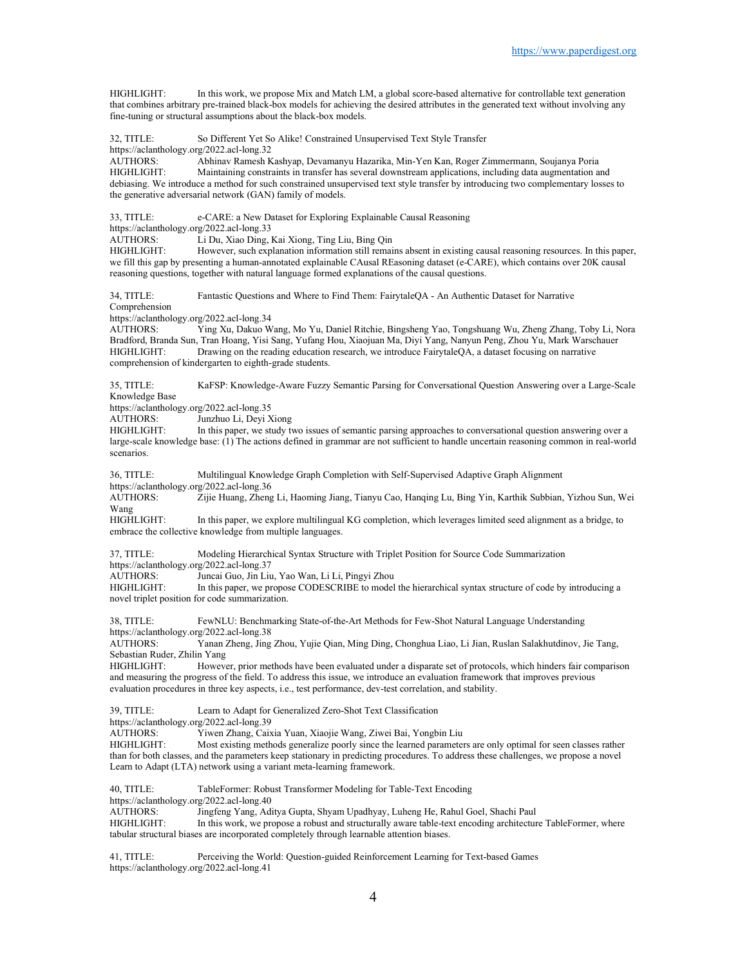HIGHLIGHT: In this work, we propose Mix and Match LM, a global score-based alternative for controllable text generation that combines arbitrary pre-trained black-box models for achieving the desired attributes in the generated text without involving any fine-tuning or structural assumptions about the black-box models.

32, TITLE: So Different Yet So Alike! Constrained Unsupervised Text Style Transfer https://aclanthology.org/2022.acl-long.32<br>AUTHORS: Abhinav Ramesh K Abhinav Ramesh Kashyap, Devamanyu Hazarika, Min-Yen Kan, Roger Zimmermann, Soujanya Poria HIGHLIGHT: Maintaining constraints in transfer has several downstream applications, including data augmentation and debiasing. We introduce a method for such constrained unsupervised text style transfer by introducing two complementary losses to the generative adversarial network (GAN) family of models.

33, TITLE: e-CARE: a New Dataset for Exploring Explainable Causal Reasoning

https://aclanthology.org/2022.acl-long.33<br>AUTHORS: Li Du. Xiao Ding. Li Du, Xiao Ding, Kai Xiong, Ting Liu, Bing Qin

HIGHLIGHT: However, such explanation information still remains absent in existing causal reasoning resources. In this paper, we fill this gap by presenting a human-annotated explainable CAusal REasoning dataset (e-CARE), which contains over 20K causal reasoning questions, together with natural language formed explanations of the causal questions.

34, TITLE: Fantastic Questions and Where to Find Them: FairytaleQA - An Authentic Dataset for Narrative Comprehension

https://aclanthology.org/2022.acl-long.34<br>AUTHORS: Ying Xu, Dakuo W

Ying Xu, Dakuo Wang, Mo Yu, Daniel Ritchie, Bingsheng Yao, Tongshuang Wu, Zheng Zhang, Toby Li, Nora Bradford, Branda Sun, Tran Hoang, Yisi Sang, Yufang Hou, Xiaojuan Ma, Diyi Yang, Nanyun Peng, Zhou Yu, Mark Warschauer HIGHLIGHT: Drawing on the reading education research, we introduce FairytaleQA, a dataset focusing on narrative comprehension of kindergarten to eighth-grade students.

35, TITLE: KaFSP: Knowledge-Aware Fuzzy Semantic Parsing for Conversational Question Answering over a Large-Scale Knowledge Base

https://aclanthology.org/2022.acl-long.35

AUTHORS: Junzhuo Li, Deyi Xiong

HIGHLIGHT: In this paper, we study two issues of semantic parsing approaches to conversational question answering over a large-scale knowledge base: (1) The actions defined in grammar are not sufficient to handle uncertain reasoning common in real-world scenarios.

36, TITLE: Multilingual Knowledge Graph Completion with Self-Supervised Adaptive Graph Alignment https://aclanthology.org/2022.acl-long.36

AUTHORS: Zijie Huang, Zheng Li, Haoming Jiang, Tianyu Cao, Hanqing Lu, Bing Yin, Karthik Subbian, Yizhou Sun, Wei

Wang<br>HIGHLIGHT: In this paper, we explore multilingual KG completion, which leverages limited seed alignment as a bridge, to embrace the collective knowledge from multiple languages.

37, TITLE: Modeling Hierarchical Syntax Structure with Triplet Position for Source Code Summarization https://aclanthology.org/2022.acl-long.37<br>AUTHORS: Juncai Guo, Jin Liu AUTHORS: Juncai Guo, Jin Liu, Yao Wan, Li Li, Pingyi Zhou<br>HIGHLIGHT: In this paper, we propose CODESCRIBE to model In this paper, we propose CODESCRIBE to model the hierarchical syntax structure of code by introducing a

novel triplet position for code summarization.

38, TITLE: FewNLU: Benchmarking State-of-the-Art Methods for Few-Shot Natural Language Understanding https://aclanthology.org/2022.acl-long.38

AUTHORS: Yanan Zheng, Jing Zhou, Yujie Qian, Ming Ding, Chonghua Liao, Li Jian, Ruslan Salakhutdinov, Jie Tang, Sebastian Ruder, Zhilin Yang

HIGHLIGHT: However, prior methods have been evaluated under a disparate set of protocols, which hinders fair comparison and measuring the progress of the field. To address this issue, we introduce an evaluation framework that improves previous evaluation procedures in three key aspects, i.e., test performance, dev-test correlation, and stability.

39, TITLE: Learn to Adapt for Generalized Zero-Shot Text Classification https://aclanthology.org/2022.acl-long.39 AUTHORS: Yiwen Zhang, Caixia Yuan, Xiaojie Wang, Ziwei Bai, Yongbin Liu Most existing methods generalize poorly since the learned parameters are only optimal for seen classes rather than for both classes, and the parameters keep stationary in predicting procedures. To address these challenges, we propose a novel Learn to Adapt (LTA) network using a variant meta-learning framework.

40, TITLE: TableFormer: Robust Transformer Modeling for Table-Text Encoding https://aclanthology.org/2022.acl-long.40 AUTHORS: Jingfeng Yang, Aditya Gupta, Shyam Upadhyay, Luheng He, Rahul Goel, Shachi Paul<br>HIGHLIGHT: In this work, we propose a robust and structurally aware table-text encoding architectur In this work, we propose a robust and structurally aware table-text encoding architecture TableFormer, where tabular structural biases are incorporated completely through learnable attention biases.

41, TITLE: Perceiving the World: Question-guided Reinforcement Learning for Text-based Games https://aclanthology.org/2022.acl-long.41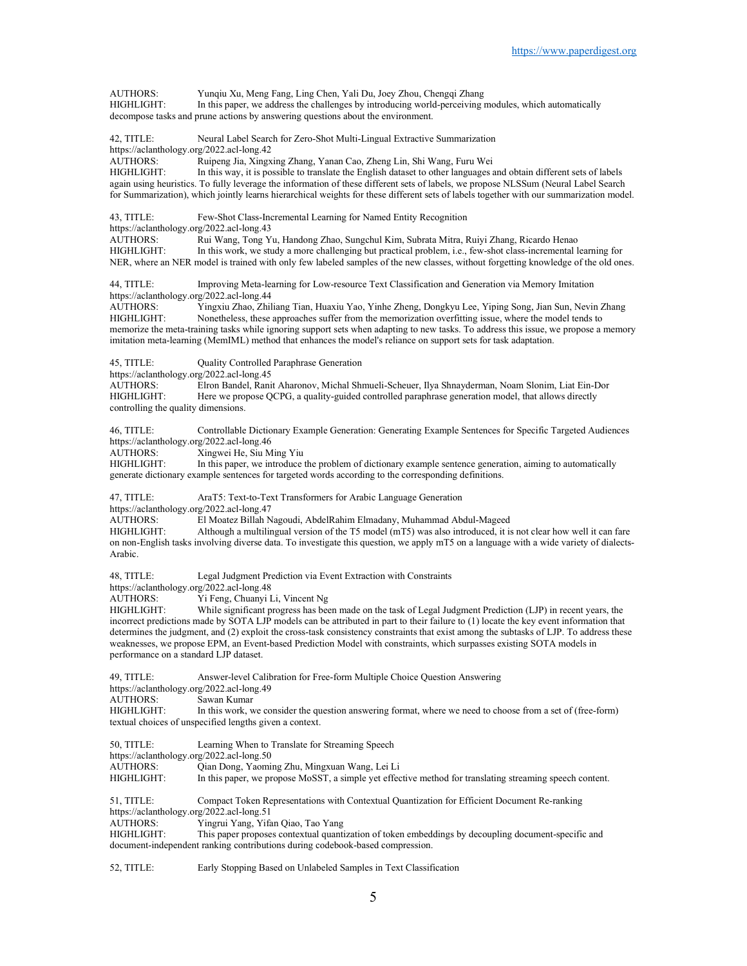AUTHORS: Yunqiu Xu, Meng Fang, Ling Chen, Yali Du, Joey Zhou, Chengqi Zhang<br>HIGHLIGHT: In this paper, we address the challenges by introducing world-perceiving i In this paper, we address the challenges by introducing world-perceiving modules, which automatically decompose tasks and prune actions by answering questions about the environment. 42, TITLE: Neural Label Search for Zero-Shot Multi-Lingual Extractive Summarization https://aclanthology.org/2022.acl-long.42<br>AUTHORS: Ruipeng Jia, Xingx Ruipeng Jia, Xingxing Zhang, Yanan Cao, Zheng Lin, Shi Wang, Furu Wei HIGHLIGHT: In this way, it is possible to translate the English dataset to other languages and obtain different sets of labels again using heuristics. To fully leverage the information of these different sets of labels, we propose NLSSum (Neural Label Search for Summarization), which jointly learns hierarchical weights for these different sets of labels together with our summarization model. 43, TITLE: Few-Shot Class-Incremental Learning for Named Entity Recognition https://aclanthology.org/2022.acl-long.43<br>AUTHORS: Rui Wang. Tong Y Rui Wang, Tong Yu, Handong Zhao, Sungchul Kim, Subrata Mitra, Ruiyi Zhang, Ricardo Henao HIGHLIGHT: In this work, we study a more challenging but practical problem, i.e., few-shot class-incremental learning for NER, where an NER model is trained with only few labeled samples of the new classes, without forgetting knowledge of the old ones. 44, TITLE: Improving Meta-learning for Low-resource Text Classification and Generation via Memory Imitation https://aclanthology.org/2022.acl-long.44<br>AUTHORS: Yingxiu Zhao, Zhil AUTHORS: Yingxiu Zhao, Zhiliang Tian, Huaxiu Yao, Yinhe Zheng, Dongkyu Lee, Yiping Song, Jian Sun, Nevin Zhang<br>HIGHLIGHT: Nonetheless, these approaches suffer from the memorization overfitting issue, where the model tends Nonetheless, these approaches suffer from the memorization overfitting issue, where the model tends to memorize the meta-training tasks while ignoring support sets when adapting to new tasks. To address this issue, we propose a memory imitation meta-learning (MemIML) method that enhances the model's reliance on support sets for task adaptation. 45, TITLE: Quality Controlled Paraphrase Generation https://aclanthology.org/2022.acl-long.45 AUTHORS: Elron Bandel, Ranit Aharonov, Michal Shmueli-Scheuer, Ilya Shnayderman, Noam Slonim, Liat Ein-Dor Here we propose QCPG, a quality-guided controlled paraphrase generation model, that allows directly controlling the quality dimensions. 46, TITLE: Controllable Dictionary Example Generation: Generating Example Sentences for Specific Targeted Audiences https://aclanthology.org/2022.acl-long.46<br>AUTHORS: Xingwei He, Siu M Xingwei He, Siu Ming Yiu HIGHLIGHT: In this paper, we introduce the problem of dictionary example sentence generation, aiming to automatically generate dictionary example sentences for targeted words according to the corresponding definitions. 47, TITLE: AraT5: Text-to-Text Transformers for Arabic Language Generation https://aclanthology.org/2022.acl-long.47 AUTHORS: El Moatez Billah Nagoudi, AbdelRahim Elmadany, Muhammad Abdul-Mageed Although a multilingual version of the T5 model ( $mT5$ ) was also introduced, it is not clear how well it can fare on non-English tasks involving diverse data. To investigate this question, we apply mT5 on a language with a wide variety of dialects-Arabic. 48, TITLE: Legal Judgment Prediction via Event Extraction with Constraints https://aclanthology.org/2022.acl-long.48 AUTHORS: Yi Feng, Chuanyi Li, Vincent Ng<br>HIGHLIGHT: While significant progress has been While significant progress has been made on the task of Legal Judgment Prediction (LJP) in recent years, the incorrect predictions made by SOTA LJP models can be attributed in part to their failure to (1) locate the key event information that determines the judgment, and (2) exploit the cross-task consistency constraints that exist among the subtasks of LJP. To address these weaknesses, we propose EPM, an Event-based Prediction Model with constraints, which surpasses existing SOTA models in performance on a standard LJP dataset. 49, TITLE: Answer-level Calibration for Free-form Multiple Choice Question Answering https://aclanthology.org/2022.acl-long.49<br>AUTHORS: Sawan Kumar Sawan Kumar HIGHLIGHT: In this work, we consider the question answering format, where we need to choose from a set of (free-form) textual choices of unspecified lengths given a context. 50, TITLE: Learning When to Translate for Streaming Speech https://aclanthology.org/2022.acl-long.50 AUTHORS: Qian Dong, Yaoming Zhu, Mingxuan Wang, Lei Li In this paper, we propose MoSST, a simple yet effective method for translating streaming speech content. 51, TITLE: Compact Token Representations with Contextual Quantization for Efficient Document Re-ranking https://aclanthology.org/2022.acl-long.51 Yingrui Yang, Yifan Qiao, Tao Yang HIGHLIGHT: This paper proposes contextual quantization of token embeddings by decoupling document-specific and document-independent ranking contributions during codebook-based compression.

52, TITLE: Early Stopping Based on Unlabeled Samples in Text Classification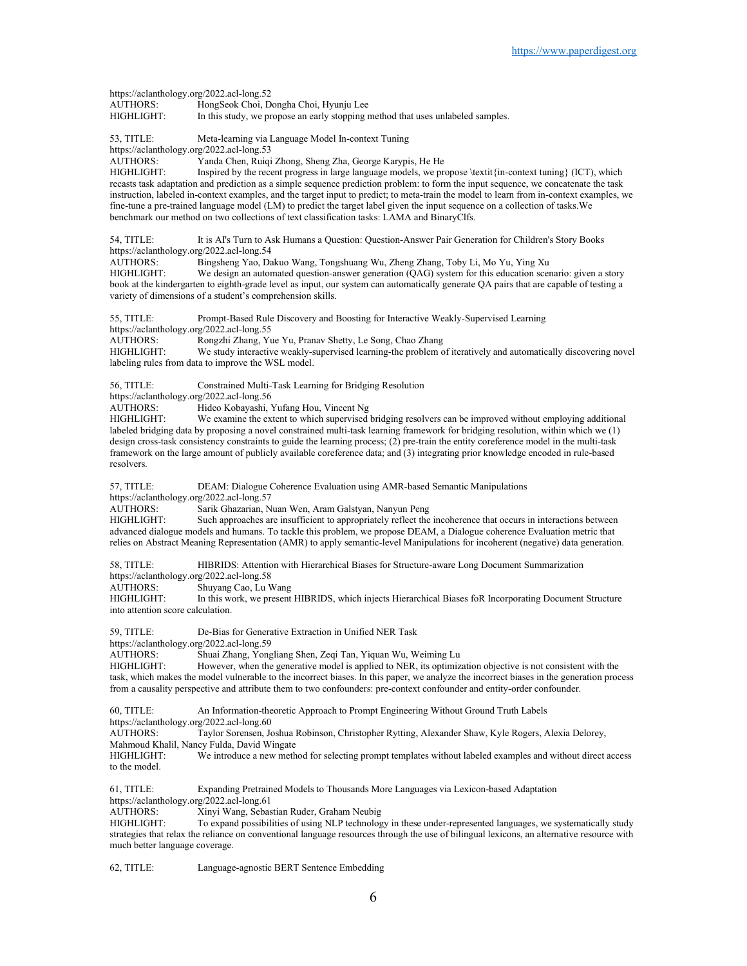https://aclanthology.org/2022.acl-long.52<br>AUTHORS: HongSeok Choi. Do AUTHORS: HongSeok Choi, Dongha Choi, Hyunju Lee<br>HIGHLIGHT: In this study, we propose an early stopping r In this study, we propose an early stopping method that uses unlabeled samples.

53, TITLE: Meta-learning via Language Model In-context Tuning

https://aclanthology.org/2022.acl-long.53<br>AUTHORS: Yanda Chen, Ruigi

Yanda Chen, Ruiqi Zhong, Sheng Zha, George Karypis, He He

HIGHLIGHT: Inspired by the recent progress in large language models, we propose \textit{in-context tuning} (ICT), which recasts task adaptation and prediction as a simple sequence prediction problem: to form the input sequence, we concatenate the task instruction, labeled in-context examples, and the target input to predict; to meta-train the model to learn from in-context examples, we fine-tune a pre-trained language model (LM) to predict the target label given the input sequence on a collection of tasks.We benchmark our method on two collections of text classification tasks: LAMA and BinaryClfs.

54, TITLE: It is AI's Turn to Ask Humans a Question: Question-Answer Pair Generation for Children's Story Books https://aclanthology.org/2022.acl-long.54

AUTHORS: Bingsheng Yao, Dakuo Wang, Tongshuang Wu, Zheng Zhang, Toby Li, Mo Yu, Ying Xu We design an automated question-answer generation (QAG) system for this education scenario: given a story book at the kindergarten to eighth-grade level as input, our system can automatically generate QA pairs that are capable of testing a variety of dimensions of a student's comprehension skills.

55, TITLE: Prompt-Based Rule Discovery and Boosting for Interactive Weakly-Supervised Learning https://aclanthology.org/2022.acl-long.55

AUTHORS: Rongzhi Zhang, Yue Yu, Pranav Shetty, Le Song, Chao Zhang

HIGHLIGHT: We study interactive weakly-supervised learning-the problem of iteratively and automatically discovering novel labeling rules from data to improve the WSL model.

56, TITLE: Constrained Multi-Task Learning for Bridging Resolution

https://aclanthology.org/2022.acl-long.56<br>AUTHORS: Hideo Kobayashi.

Hideo Kobayashi, Yufang Hou, Vincent Ng

HIGHLIGHT: We examine the extent to which supervised bridging resolvers can be improved without employing additional labeled bridging data by proposing a novel constrained multi-task learning framework for bridging resolution, within which we (1) design cross-task consistency constraints to guide the learning process; (2) pre-train the entity coreference model in the multi-task framework on the large amount of publicly available coreference data; and (3) integrating prior knowledge encoded in rule-based resolvers.

57, TITLE: DEAM: Dialogue Coherence Evaluation using AMR-based Semantic Manipulations

https://aclanthology.org/2022.acl-long.57<br>AUTHORS: Sarik Ghazarian. N

Sarik Ghazarian, Nuan Wen, Aram Galstyan, Nanyun Peng

HIGHLIGHT: Such approaches are insufficient to appropriately reflect the incoherence that occurs in interactions between advanced dialogue models and humans. To tackle this problem, we propose DEAM, a Dialogue coherence Evaluation metric that relies on Abstract Meaning Representation (AMR) to apply semantic-level Manipulations for incoherent (negative) data generation.

58, TITLE: HIBRIDS: Attention with Hierarchical Biases for Structure-aware Long Document Summarization

https://aclanthology.org/2022.acl-long.58<br>AUTHORS: Shuvang Cao, Lu V Shuyang Cao, Lu Wang

HIGHLIGHT: In this work, we present HIBRIDS, which injects Hierarchical Biases foR Incorporating Document Structure into attention score calculation.

59, TITLE: De-Bias for Generative Extraction in Unified NER Task

https://aclanthology.org/2022.acl-long.59<br>AUTHORS: Shuai Zhang, Yong

Shuai Zhang, Yongliang Shen, Zeqi Tan, Yiquan Wu, Weiming Lu

HIGHLIGHT: However, when the generative model is applied to NER, its optimization objective is not consistent with the task, which makes the model vulnerable to the incorrect biases. In this paper, we analyze the incorrect biases in the generation process from a causality perspective and attribute them to two confounders: pre-context confounder and entity-order confounder.

60, TITLE: An Information-theoretic Approach to Prompt Engineering Without Ground Truth Labels https://aclanthology.org/2022.acl-long.60<br>AUTHORS: Taylor Sorensen, Jo

Taylor Sorensen, Joshua Robinson, Christopher Rytting, Alexander Shaw, Kyle Rogers, Alexia Delorey, Mahmoud Khalil, Nancy Fulda, David Wingate

HIGHLIGHT: We introduce a new method for selecting prompt templates without labeled examples and without direct access to the model.

61, TITLE: Expanding Pretrained Models to Thousands More Languages via Lexicon-based Adaptation https://aclanthology.org/2022.acl-long.61

AUTHORS: Xinyi Wang, Sebastian Ruder, Graham Neubig<br>HIGHLIGHT: To expand possibilities of using NLP technology

To expand possibilities of using NLP technology in these under-represented languages, we systematically study strategies that relax the reliance on conventional language resources through the use of bilingual lexicons, an alternative resource with much better language coverage.

62, TITLE: Language-agnostic BERT Sentence Embedding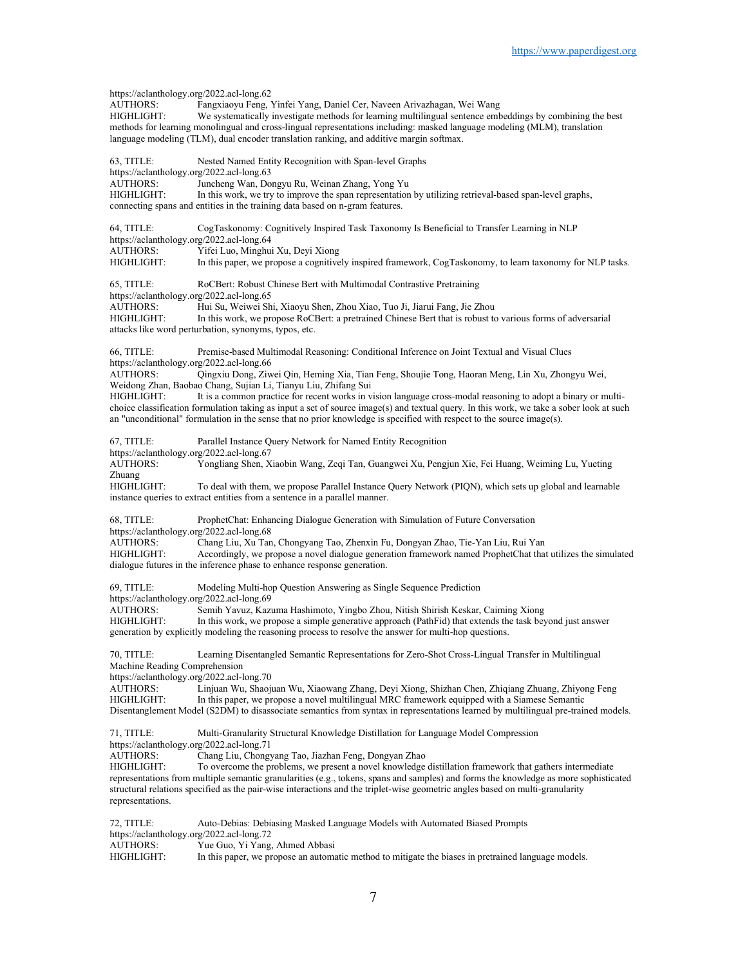https://aclanthology.org/2022.acl-long.62<br>AUTHORS: Fangxiaovu Feng. Fangxiaoyu Feng, Yinfei Yang, Daniel Cer, Naveen Arivazhagan, Wei Wang HIGHLIGHT: We systematically investigate methods for learning multilingual sentence embeddings by combining the best methods for learning monolingual and cross-lingual representations including: masked language modeling (MLM), translation language modeling (TLM), dual encoder translation ranking, and additive margin softmax. 63, TITLE: Nested Named Entity Recognition with Span-level Graphs https://aclanthology.org/2022.acl-long.63 AUTHORS: Juncheng Wan, Dongyu Ru, Weinan Zhang, Yong Yu<br>HIGHLIGHT: In this work, we try to improve the span representation In this work, we try to improve the span representation by utilizing retrieval-based span-level graphs, connecting spans and entities in the training data based on n-gram features. 64, TITLE: CogTaskonomy: Cognitively Inspired Task Taxonomy Is Beneficial to Transfer Learning in NLP https://aclanthology.org/2022.acl-long.64 AUTHORS: Yifei Luo, Minghui Xu, Deyi Xiong<br>HIGHLIGHT: In this paper, we propose a cognitive In this paper, we propose a cognitively inspired framework, CogTaskonomy, to learn taxonomy for NLP tasks. 65, TITLE: RoCBert: Robust Chinese Bert with Multimodal Contrastive Pretraining https://aclanthology.org/2022.acl-long.65 AUTHORS: Hui Su, Weiwei Shi, Xiaoyu Shen, Zhou Xiao, Tuo Ji, Jiarui Fang, Jie Zhou In this work, we propose RoCBert: a pretrained Chinese Bert that is robust to various forms of adversarial attacks like word perturbation, synonyms, typos, etc. 66, TITLE: Premise-based Multimodal Reasoning: Conditional Inference on Joint Textual and Visual Clues https://aclanthology.org/2022.acl-long.66<br>AUTHORS: Oingxiu Dong, Ziw Qingxiu Dong, Ziwei Qin, Heming Xia, Tian Feng, Shoujie Tong, Haoran Meng, Lin Xu, Zhongyu Wei, Weidong Zhan, Baobao Chang, Sujian Li, Tianyu Liu, Zhifang Sui It is a common practice for recent works in vision language cross-modal reasoning to adopt a binary or multichoice classification formulation taking as input a set of source image(s) and textual query. In this work, we take a sober look at such an "unconditional" formulation in the sense that no prior knowledge is specified with respect to the source image(s). 67, TITLE: Parallel Instance Query Network for Named Entity Recognition https://aclanthology.org/2022.acl-long.67 AUTHORS: Yongliang Shen, Xiaobin Wang, Zeqi Tan, Guangwei Xu, Pengjun Xie, Fei Huang, Weiming Lu, Yueting Zhuang<br>HIGHLIGHT: To deal with them, we propose Parallel Instance Query Network (PION), which sets up global and learnable instance queries to extract entities from a sentence in a parallel manner. 68, TITLE: ProphetChat: Enhancing Dialogue Generation with Simulation of Future Conversation https://aclanthology.org/2022.acl-long.68<br>AUTHORS: Chang Liu, Xu Tar Chang Liu, Xu Tan, Chongyang Tao, Zhenxin Fu, Dongyan Zhao, Tie-Yan Liu, Rui Yan HIGHLIGHT: Accordingly, we propose a novel dialogue generation framework named ProphetChat that utilizes the simulated dialogue futures in the inference phase to enhance response generation. 69, TITLE: Modeling Multi-hop Question Answering as Single Sequence Prediction https://aclanthology.org/2022.acl-long.69<br>AUTHORS: Semih Yavuz, Kaz Semih Yavuz, Kazuma Hashimoto, Yingbo Zhou, Nitish Shirish Keskar, Caiming Xiong HIGHLIGHT: In this work, we propose a simple generative approach (PathFid) that extends the task beyond just answer generation by explicitly modeling the reasoning process to resolve the answer for multi-hop questions. 70, TITLE: Learning Disentangled Semantic Representations for Zero-Shot Cross-Lingual Transfer in Multilingual Machine Reading Comprehension https://aclanthology.org/2022.acl-long.70 AUTHORS: Linjuan Wu, Shaojuan Wu, Xiaowang Zhang, Deyi Xiong, Shizhan Chen, Zhiqiang Zhuang, Zhiyong Feng<br>HIGHLIGHT: In this paper, we propose a novel multilingual MRC framework equipped with a Siamese Semantic In this paper, we propose a novel multilingual MRC framework equipped with a Siamese Semantic Disentanglement Model (S2DM) to disassociate semantics from syntax in representations learned by multilingual pre-trained models. 71, TITLE: Multi-Granularity Structural Knowledge Distillation for Language Model Compression https://aclanthology.org/2022.acl-long.71<br>AUTHORS: Chang Liu, Chongy Chang Liu, Chongyang Tao, Jiazhan Feng, Dongyan Zhao HIGHLIGHT: To overcome the problems, we present a novel knowledge distillation framework that gathers intermediate representations from multiple semantic granularities (e.g., tokens, spans and samples) and forms the knowledge as more sophisticated structural relations specified as the pair-wise interactions and the triplet-wise geometric angles based on multi-granularity representations. 72, TITLE: Auto-Debias: Debiasing Masked Language Models with Automated Biased Prompts https://aclanthology.org/2022.acl-long.72<br>AUTHORS: Yue Guo, Yi Yang, Yue Guo, Yi Yang, Ahmed Abbasi

HIGHLIGHT: In this paper, we propose an automatic method to mitigate the biases in pretrained language models.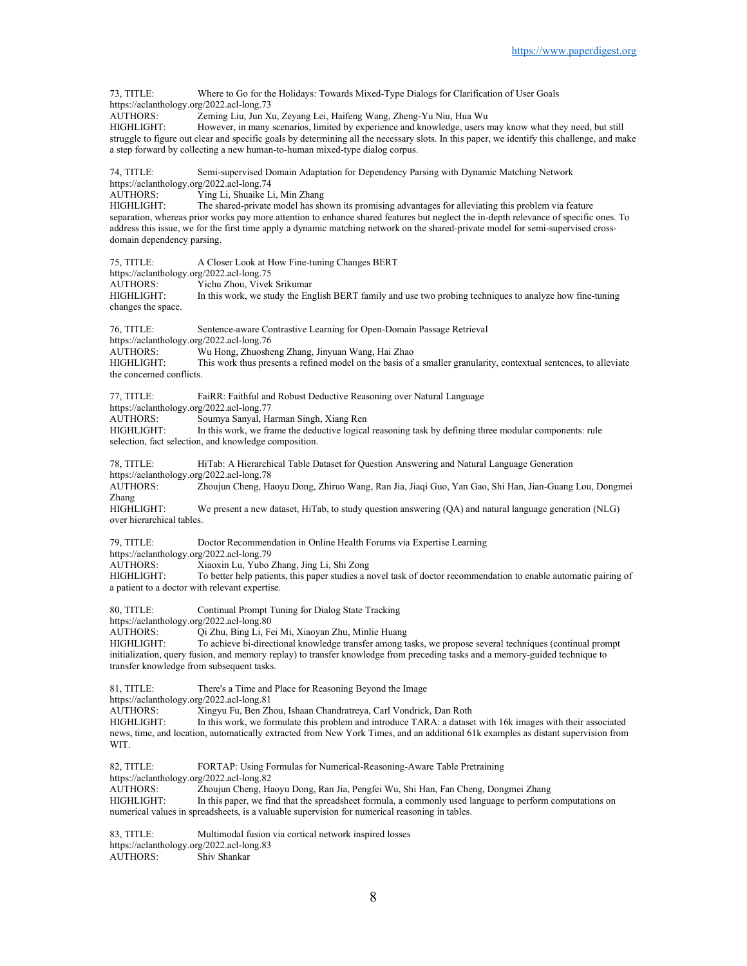73, TITLE: Where to Go for the Holidays: Towards Mixed-Type Dialogs for Clarification of User Goals https://aclanthology.org/2022.acl-long.73 AUTHORS: Zeming Liu, Jun Xu, Zeyang Lei, Haifeng Wang, Zheng-Yu Niu, Hua Wu HIGHLIGHT: However, in many scenarios, limited by experience and knowledge, users may know what they need, but still struggle to figure out clear and specific goals by determining all the necessary slots. In this paper, we identify this challenge, and make a step forward by collecting a new human-to-human mixed-type dialog corpus. 74, TITLE: Semi-supervised Domain Adaptation for Dependency Parsing with Dynamic Matching Network https://aclanthology.org/2022.acl-long.74<br>AUTHORS: Ying Li, Shuaike L Ying Li, Shuaike Li, Min Zhang HIGHLIGHT: The shared-private model has shown its promising advantages for alleviating this problem via feature separation, whereas prior works pay more attention to enhance shared features but neglect the in-depth relevance of specific ones. To address this issue, we for the first time apply a dynamic matching network on the shared-private model for semi-supervised crossdomain dependency parsing. 75, TITLE: A Closer Look at How Fine-tuning Changes BERT https://aclanthology.org/2022.acl-long.75<br>AUTHORS: Yichu Zhou. Vivek Yichu Zhou, Vivek Srikumar HIGHLIGHT: In this work, we study the English BERT family and use two probing techniques to analyze how fine-tuning changes the space. 76, TITLE: Sentence-aware Contrastive Learning for Open-Domain Passage Retrieval https://aclanthology.org/2022.acl-long.76 AUTHORS: Wu Hong, Zhuosheng Zhang, Jinyuan Wang, Hai Zhao This work thus presents a refined model on the basis of a smaller granularity, contextual sentences, to alleviate the concerned conflicts. 77, TITLE: FaiRR: Faithful and Robust Deductive Reasoning over Natural Language https://aclanthology.org/2022.acl-long.77 AUTHORS: Soumya Sanyal, Harman Singh, Xiang Ren HIGHLIGHT: In this work, we frame the deductive logical reasoning task by defining three modular components: rule selection, fact selection, and knowledge composition. 78, TITLE: HiTab: A Hierarchical Table Dataset for Question Answering and Natural Language Generation https://aclanthology.org/2022.acl-long.78<br>AUTHORS: Zhoujun Cheng, Ha Zhoujun Cheng, Haoyu Dong, Zhiruo Wang, Ran Jia, Jiaqi Guo, Yan Gao, Shi Han, Jian-Guang Lou, Dongmei Zhang<br>HIGHLIGHT: We present a new dataset, HiTab, to study question answering (QA) and natural language generation (NLG) over hierarchical tables. 79, TITLE: Doctor Recommendation in Online Health Forums via Expertise Learning https://aclanthology.org/2022.acl-long.79<br>AUTHORS: Xiaoxin Lu. Yubo AUTHORS: Xiaoxin Lu, Yubo Zhang, Jing Li, Shi Zong<br>HIGHLIGHT: To better help patients, this paper studies a n To better help patients, this paper studies a novel task of doctor recommendation to enable automatic pairing of a patient to a doctor with relevant expertise. 80, TITLE: Continual Prompt Tuning for Dialog State Tracking https://aclanthology.org/2022.acl-long.80<br>AUTHORS: Qi Zhu, Bing Li, Fe Qi Zhu, Bing Li, Fei Mi, Xiaoyan Zhu, Minlie Huang HIGHLIGHT: To achieve bi-directional knowledge transfer among tasks, we propose several techniques (continual prompt initialization, query fusion, and memory replay) to transfer knowledge from preceding tasks and a memory-guided technique to transfer knowledge from subsequent tasks. 81, TITLE: There's a Time and Place for Reasoning Beyond the Image https://aclanthology.org/2022.acl-long.81 AUTHORS: Xingyu Fu, Ben Zhou, Ishaan Chandratreya, Carl Vondrick, Dan Roth HIGHLIGHT: In this work, we formulate this problem and introduce TARA: a dataset with 16k images with their associated news, time, and location, automatically extracted from New York Times, and an additional 61k examples as distant supervision from WIT. 82, TITLE: FORTAP: Using Formulas for Numerical-Reasoning-Aware Table Pretraining https://aclanthology.org/2022.acl-long.82 AUTHORS: Zhoujun Cheng, Haoyu Dong, Ran Jia, Pengfei Wu, Shi Han, Fan Cheng, Dongmei Zhang HIGHLIGHT: In this paper, we find that the spreadsheet formula, a commonly used language to perform computations on numerical values in spreadsheets, is a valuable supervision for numerical reasoning in tables. 83, TITLE: Multimodal fusion via cortical network inspired losses https://aclanthology.org/2022.acl-long.83

AUTHORS: Shiv Shankar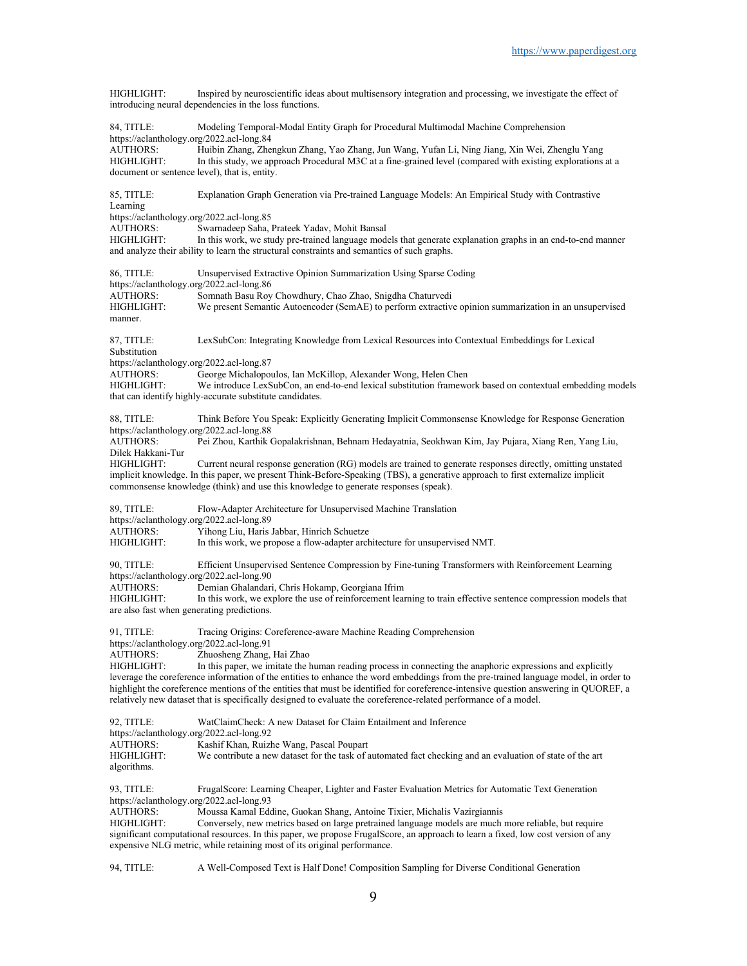HIGHLIGHT: Inspired by neuroscientific ideas about multisensory integration and processing, we investigate the effect of introducing neural dependencies in the loss functions. 84, TITLE: Modeling Temporal-Modal Entity Graph for Procedural Multimodal Machine Comprehension https://aclanthology.org/2022.acl-long.84<br>AUTHORS: Huibin Zhang. Zher AUTHORS: Huibin Zhang, Zhengkun Zhang, Yao Zhang, Jun Wang, Yufan Li, Ning Jiang, Xin Wei, Zhenglu Yang In this study, we approach Procedural M3C at a fine-grained level (compared with existing explorations at a document or sentence level), that is, entity. 85, TITLE: Explanation Graph Generation via Pre-trained Language Models: An Empirical Study with Contrastive Learning https://aclanthology.org/2022.acl-long.85<br>AUTHORS: Swarnadeep Saha, l AUTHORS: Swarnadeep Saha, Prateek Yadav, Mohit Bansal<br>HIGHLIGHT: In this work, we study pre-trained language mode In this work, we study pre-trained language models that generate explanation graphs in an end-to-end manner and analyze their ability to learn the structural constraints and semantics of such graphs. 86, TITLE: Unsupervised Extractive Opinion Summarization Using Sparse Coding https://aclanthology.org/2022.acl-long.86 AUTHORS: Somnath Basu Roy Chowdhury, Chao Zhao, Snigdha Chaturvedi HIGHLIGHT: We present Semantic Autoencoder (SemAE) to perform extractive opinion summarization in an unsupervised manner. 87, TITLE: LexSubCon: Integrating Knowledge from Lexical Resources into Contextual Embeddings for Lexical Substitution https://aclanthology.org/2022.acl-long.87<br>AUTHORS: George Michalopou George Michalopoulos, Ian McKillop, Alexander Wong, Helen Chen HIGHLIGHT: We introduce LexSubCon, an end-to-end lexical substitution framework based on contextual embedding models that can identify highly-accurate substitute candidates. 88, TITLE: Think Before You Speak: Explicitly Generating Implicit Commonsense Knowledge for Response Generation https://aclanthology.org/2022.acl-long.88<br>AUTHORS: Pei Zhou, Karthik Pei Zhou, Karthik Gopalakrishnan, Behnam Hedayatnia, Seokhwan Kim, Jay Pujara, Xiang Ren, Yang Liu, Dilek Hakkani-Tur HIGHLIGHT: Current neural response generation (RG) models are trained to generate responses directly, omitting unstated implicit knowledge. In this paper, we present Think-Before-Speaking (TBS), a generative approach to first externalize implicit commonsense knowledge (think) and use this knowledge to generate responses (speak). 89, TITLE: Flow-Adapter Architecture for Unsupervised Machine Translation https://aclanthology.org/2022.acl-long.89<br>AUTHORS: Yihong Liu, Haris AUTHORS: Yihong Liu, Haris Jabbar, Hinrich Schuetze<br>HIGHLIGHT: In this work, we propose a flow-adapter arch In this work, we propose a flow-adapter architecture for unsupervised NMT. 90, TITLE: Efficient Unsupervised Sentence Compression by Fine-tuning Transformers with Reinforcement Learning https://aclanthology.org/2022.acl-long.90<br>AUTHORS: Demian Ghalandari Demian Ghalandari, Chris Hokamp, Georgiana Ifrim HIGHLIGHT: In this work, we explore the use of reinforcement learning to train effective sentence compression models that are also fast when generating predictions. 91, TITLE: Tracing Origins: Coreference-aware Machine Reading Comprehension https://aclanthology.org/2022.acl-long.91<br>AUTHORS: Zhuosheng Zhang. Zhuosheng Zhang, Hai Zhao HIGHLIGHT: In this paper, we imitate the human reading process in connecting the anaphoric expressions and explicitly leverage the coreference information of the entities to enhance the word embeddings from the pre-trained language model, in order to highlight the coreference mentions of the entities that must be identified for coreference-intensive question answering in QUOREF, a relatively new dataset that is specifically designed to evaluate the coreference-related performance of a model. 92, TITLE: WatClaimCheck: A new Dataset for Claim Entailment and Inference https://aclanthology.org/2022.acl-long.92<br>AUTHORS: Kashif Khan, Ruizh Kashif Khan, Ruizhe Wang, Pascal Poupart HIGHLIGHT: We contribute a new dataset for the task of automated fact checking and an evaluation of state of the art algorithms. 93, TITLE: FrugalScore: Learning Cheaper, Lighter and Faster Evaluation Metrics for Automatic Text Generation https://aclanthology.org/2022.acl-long.93 AUTHORS: Moussa Kamal Eddine, Guokan Shang, Antoine Tixier, Michalis Vazirgiannis Conversely, new metrics based on large pretrained language models are much more reliable, but require significant computational resources. In this paper, we propose FrugalScore, an approach to learn a fixed, low cost version of any expensive NLG metric, while retaining most of its original performance.

94, TITLE: A Well-Composed Text is Half Done! Composition Sampling for Diverse Conditional Generation

9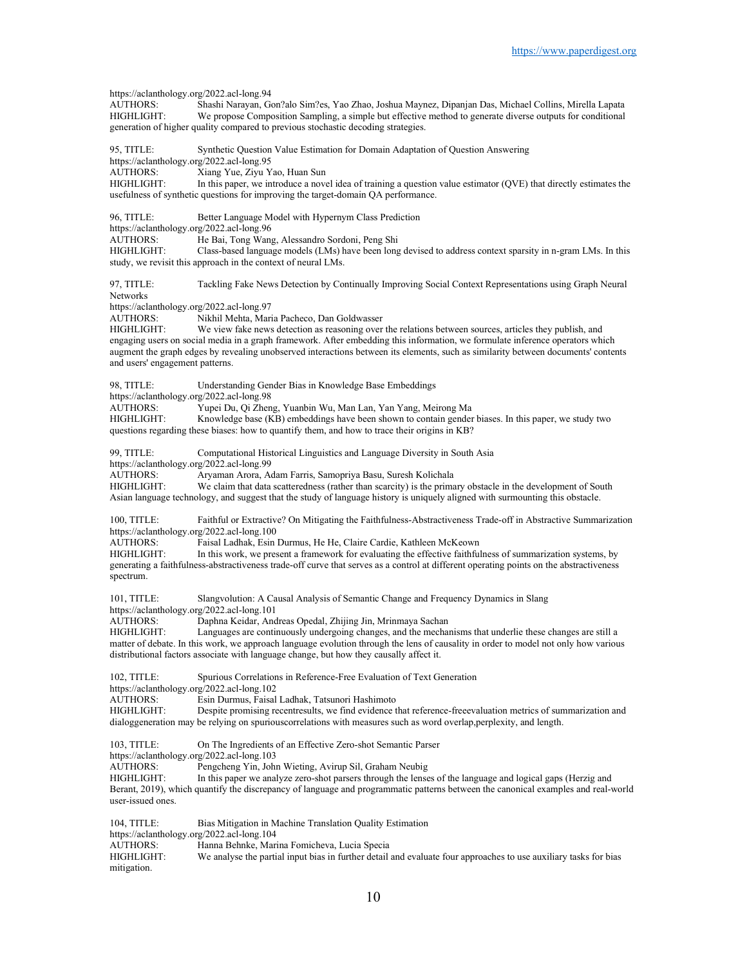https://aclanthology.org/2022.acl-long.94<br>AUTHORS: Shashi Naravan. Go AUTHORS: Shashi Narayan, Gon?alo Sim?es, Yao Zhao, Joshua Maynez, Dipanjan Das, Michael Collins, Mirella Lapata<br>HIGHLIGHT: We propose Composition Sampling, a simple but effective method to generate diverse outputs for cond We propose Composition Sampling, a simple but effective method to generate diverse outputs for conditional generation of higher quality compared to previous stochastic decoding strategies. 95, TITLE: Synthetic Question Value Estimation for Domain Adaptation of Question Answering https://aclanthology.org/2022.acl-long.95<br>AUTHORS: Xiang Yue. Zivu Y Xiang Yue, Ziyu Yao, Huan Sun HIGHLIGHT: In this paper, we introduce a novel idea of training a question value estimator (QVE) that directly estimates the usefulness of synthetic questions for improving the target-domain QA performance. 96, TITLE: Better Language Model with Hypernym Class Prediction https://aclanthology.org/2022.acl-long.96<br>AUTHORS: He Bai. Tong Wang He Bai, Tong Wang, Alessandro Sordoni, Peng Shi HIGHLIGHT: Class-based language models (LMs) have been long devised to address context sparsity in n-gram LMs. In this study, we revisit this approach in the context of neural LMs. 97, TITLE: Tackling Fake News Detection by Continually Improving Social Context Representations using Graph Neural Networks https://aclanthology.org/2022.acl-long.97<br>AUTHORS: Nikhil Mehta, Mar. AUTHORS: Nikhil Mehta, Maria Pacheco, Dan Goldwasser<br>HIGHLIGHT: We view fake news detection as reasoning over We view fake news detection as reasoning over the relations between sources, articles they publish, and engaging users on social media in a graph framework. After embedding this information, we formulate inference operators which augment the graph edges by revealing unobserved interactions between its elements, such as similarity between documents' contents and users' engagement patterns. 98, TITLE: Understanding Gender Bias in Knowledge Base Embeddings https://aclanthology.org/2022.acl-long.98<br>AUTHORS: Yupei Du. Oi Zhen Yupei Du, Qi Zheng, Yuanbin Wu, Man Lan, Yan Yang, Meirong Ma HIGHLIGHT: Knowledge base (KB) embeddings have been shown to contain gender biases. In this paper, we study two questions regarding these biases: how to quantify them, and how to trace their origins in KB? 99, TITLE: Computational Historical Linguistics and Language Diversity in South Asia https://aclanthology.org/2022.acl-long.99<br>AUTHORS: Aryaman Arora, A AUTHORS: Aryaman Arora, Adam Farris, Samopriya Basu, Suresh Kolichala<br>HIGHLIGHT: We claim that data scatteredness (rather than scarcity) is the prima We claim that data scatteredness (rather than scarcity) is the primary obstacle in the development of South Asian language technology, and suggest that the study of language history is uniquely aligned with surmounting this obstacle. 100, TITLE: Faithful or Extractive? On Mitigating the Faithfulness-Abstractiveness Trade-off in Abstractive Summarization https://aclanthology.org/2022.acl-long.100<br>AUTHORS: Faisal Ladhak, Esin Faisal Ladhak, Esin Durmus, He He, Claire Cardie, Kathleen McKeown HIGHLIGHT: In this work, we present a framework for evaluating the effective faithfulness of summarization systems, by generating a faithfulness-abstractiveness trade-off curve that serves as a control at different operating points on the abstractiveness spectrum. 101, TITLE: Slangvolution: A Causal Analysis of Semantic Change and Frequency Dynamics in Slang https://aclanthology.org/2022.acl-long.101 AUTHORS: Daphna Keidar, Andreas Opedal, Zhijing Jin, Mrinmaya Sachan HIGHLIGHT: Languages are continuously undergoing changes, and the mechan Languages are continuously undergoing changes, and the mechanisms that underlie these changes are still a matter of debate. In this work, we approach language evolution through the lens of causality in order to model not only how various distributional factors associate with language change, but how they causally affect it. 102, TITLE: Spurious Correlations in Reference-Free Evaluation of Text Generation https://aclanthology.org/2022.acl-long.102<br>AUTHORS: Esin Durmus, Faisal Esin Durmus, Faisal Ladhak, Tatsunori Hashimoto HIGHLIGHT: Despite promising recentresults, we find evidence that reference-freeevaluation metrics of summarization and dialoggeneration may be relying on spuriouscorrelations with measures such as word overlap,perplexity, and length. 103, TITLE: On The Ingredients of an Effective Zero-shot Semantic Parser https://aclanthology.org/2022.acl-long.103 AUTHORS: Pengcheng Yin, John Wieting, Avirup Sil, Graham Neubig<br>HIGHLIGHT: In this paper we analyze zero-shot parsers through the lense In this paper we analyze zero-shot parsers through the lenses of the language and logical gaps (Herzig and Berant, 2019), which quantify the discrepancy of language and programmatic patterns between the canonical examples and real-world user-issued ones. 104, TITLE: Bias Mitigation in Machine Translation Quality Estimation https://aclanthology.org/2022.acl-long.104<br>AUTHORS: Hanna Behnke, Mari Hanna Behnke, Marina Fomicheva, Lucia Specia HIGHLIGHT: We analyse the partial input bias in further detail and evaluate four approaches to use auxiliary tasks for bias

mitigation.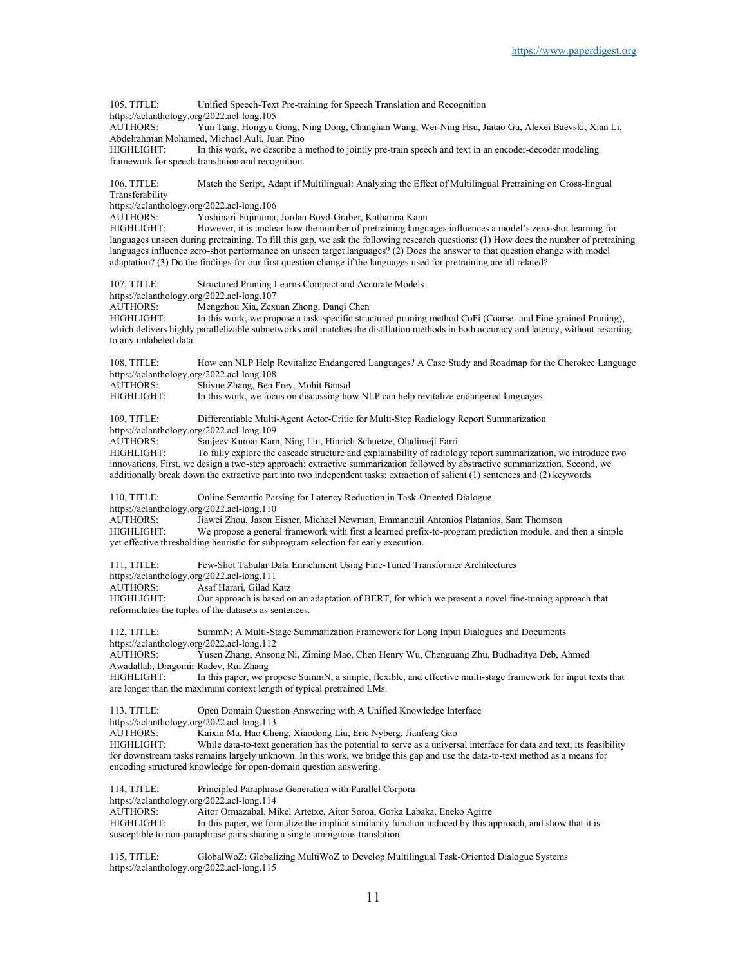105, TITLE: Unified Speech-Text Pre-training for Speech Translation and Recognition https://aclanthology.org/2022.acl-long.105<br>AUTHORS: Yun Tang, Hongyu Yun Tang, Hongyu Gong, Ning Dong, Changhan Wang, Wei-Ning Hsu, Jiatao Gu, Alexei Baevski, Xian Li, Abdelrahman Mohamed, Michael Auli, Juan Pino In this work, we describe a method to jointly pre-train speech and text in an encoder-decoder modeling framework for speech translation and recognition. 106, TITLE: Match the Script, Adapt if Multilingual: Analyzing the Effect of Multilingual Pretraining on Cross-lingual Transferability https://aclanthology.org/2022.acl-long.106 AUTHORS: Yoshinari Fujinuma, Jordan Boyd-Graber, Katharina Kann<br>HIGHLIGHT: However, it is unclear how the number of pretraining langu However, it is unclear how the number of pretraining languages influences a model's zero-shot learning for languages unseen during pretraining. To fill this gap, we ask the following research questions: (1) How does the number of pretraining languages influence zero-shot performance on unseen target languages? (2) Does the answer to that question change with model adaptation? (3) Do the findings for our first question change if the languages used for pretraining are all related? 107, TITLE: Structured Pruning Learns Compact and Accurate Models https://aclanthology.org/2022.acl-long.107 AUTHORS: Mengzhou Xia, Zexuan Zhong, Danqi Chen<br>HIGHLIGHT: In this work, we propose a task-specific stru In this work, we propose a task-specific structured pruning method CoFi (Coarse- and Fine-grained Pruning), which delivers highly parallelizable subnetworks and matches the distillation methods in both accuracy and latency, without resorting to any unlabeled data. 108, TITLE: How can NLP Help Revitalize Endangered Languages? A Case Study and Roadmap for the Cherokee Language https://aclanthology.org/2022.acl-long.108 AUTHORS: Shiyue Zhang, Ben Frey, Mohit Bansal<br>HIGHLIGHT: In this work, we focus on discussing ho In this work, we focus on discussing how NLP can help revitalize endangered languages. 109, TITLE: Differentiable Multi-Agent Actor-Critic for Multi-Step Radiology Report Summarization https://aclanthology.org/2022.acl-long.109<br>AUTHORS: Sanjeev Kumar Karr Sanjeev Kumar Karn, Ning Liu, Hinrich Schuetze, Oladimeji Farri HIGHLIGHT: To fully explore the cascade structure and explainability of radiology report summarization, we introduce two innovations. First, we design a two-step approach: extractive summarization followed by abstractive summarization. Second, we additionally break down the extractive part into two independent tasks: extraction of salient (1) sentences and (2) keywords. 110, TITLE: Online Semantic Parsing for Latency Reduction in Task-Oriented Dialogue https://aclanthology.org/2022.acl-long.110<br>AUTHORS: Jiawei Zhou. Jason F AUTHORS: Jiawei Zhou, Jason Eisner, Michael Newman, Emmanouil Antonios Platanios, Sam Thomson<br>HIGHLIGHT: We propose a general framework with first a learned prefix-to-program prediction module, an We propose a general framework with first a learned prefix-to-program prediction module, and then a simple yet effective thresholding heuristic for subprogram selection for early execution. 111, TITLE: Few-Shot Tabular Data Enrichment Using Fine-Tuned Transformer Architectures https://aclanthology.org/2022.acl-long.111<br>AUTHORS: Asaf Harari. Gilad K Asaf Harari, Gilad Katz HIGHLIGHT: Our approach is based on an adaptation of BERT, for which we present a novel fine-tuning approach that reformulates the tuples of the datasets as sentences. 112, TITLE: SummN: A Multi-Stage Summarization Framework for Long Input Dialogues and Documents https://aclanthology.org/2022.acl-long.112<br>AUTHORS: Yusen Zhang. Ansor Yusen Zhang, Ansong Ni, Ziming Mao, Chen Henry Wu, Chenguang Zhu, Budhaditya Deb, Ahmed Awadallah, Dragomir Radev, Rui Zhang In this paper, we propose SummN, a simple, flexible, and effective multi-stage framework for input texts that are longer than the maximum context length of typical pretrained LMs. 113, TITLE: Open Domain Question Answering with A Unified Knowledge Interface https://aclanthology.org/2022.acl-long.113 AUTHORS: Kaixin Ma, Hao Cheng, Xiaodong Liu, Eric Nyberg, Jianfeng Gao While data-to-text generation has the potential to serve as a universal interface for data and text, its feasibility for downstream tasks remains largely unknown. In this work, we bridge this gap and use the data-to-text method as a means for encoding structured knowledge for open-domain question answering. 114, TITLE: Principled Paraphrase Generation with Parallel Corpora https://aclanthology.org/2022.acl-long.114 AUTHORS: Aitor Ormazabal, Mikel Artetxe, Aitor Soroa, Gorka Labaka, Eneko Agirre In this paper, we formalize the implicit similarity function induced by this approach, and show that it is susceptible to non-paraphrase pairs sharing a single ambiguous translation.

115, TITLE: GlobalWoZ: Globalizing MultiWoZ to Develop Multilingual Task-Oriented Dialogue Systems https://aclanthology.org/2022.acl-long.115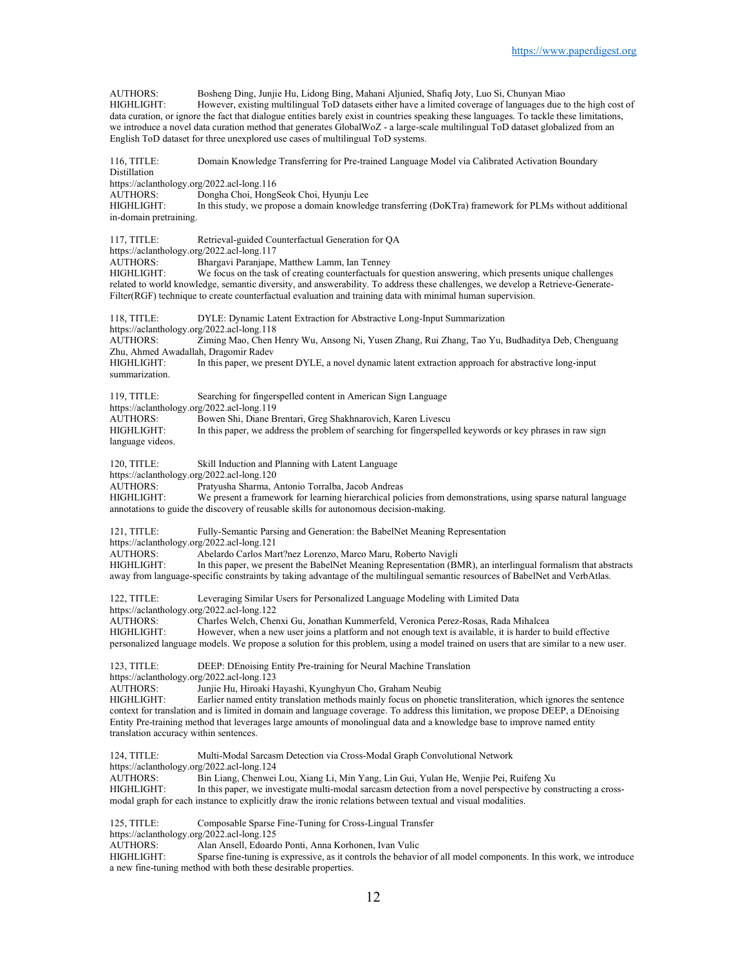AUTHORS: Bosheng Ding, Junjie Hu, Lidong Bing, Mahani Aljunied, Shafiq Joty, Luo Si, Chunyan Miao However, existing multilingual ToD datasets either have a limited coverage of languages due to the high cost of data curation, or ignore the fact that dialogue entities barely exist in countries speaking these languages. To tackle these limitations, we introduce a novel data curation method that generates GlobalWoZ - a large-scale multilingual ToD dataset globalized from an English ToD dataset for three unexplored use cases of multilingual ToD systems. 116, TITLE: Domain Knowledge Transferring for Pre-trained Language Model via Calibrated Activation Boundary **Distillation** https://aclanthology.org/2022.acl-long.116<br>AUTHORS: Dongha Choi, Hongs Dongha Choi, HongSeok Choi, Hyunju Lee HIGHLIGHT: In this study, we propose a domain knowledge transferring (DoKTra) framework for PLMs without additional in-domain pretraining. 117, TITLE: Retrieval-guided Counterfactual Generation for QA https://aclanthology.org/2022.acl-long.117 AUTHORS: Bhargavi Paranjape, Matthew Lamm, Ian Tenney We focus on the task of creating counterfactuals for question answering, which presents unique challenges related to world knowledge, semantic diversity, and answerability. To address these challenges, we develop a Retrieve-Generate-Filter(RGF) technique to create counterfactual evaluation and training data with minimal human supervision. 118, TITLE: DYLE: Dynamic Latent Extraction for Abstractive Long-Input Summarization https://aclanthology.org/2022.acl-long.118 AUTHORS: Ziming Mao, Chen Henry Wu, Ansong Ni, Yusen Zhang, Rui Zhang, Tao Yu, Budhaditya Deb, Chenguang Zhu, Ahmed Awadallah, Dragomir Radev In this paper, we present DYLE, a novel dynamic latent extraction approach for abstractive long-input summarization. 119, TITLE: Searching for fingerspelled content in American Sign Language https://aclanthology.org/2022.acl-long.119 AUTHORS: Bowen Shi, Diane Brentari, Greg Shakhnarovich, Karen Livescu HIGHLIGHT: In this paper, we address the problem of searching for fingerspelled keywords or key phrases in raw sign language videos. 120, TITLE: Skill Induction and Planning with Latent Language https://aclanthology.org/2022.acl-long.120<br>AUTHORS: Pratvusha Sharma. Pratyusha Sharma, Antonio Torralba, Jacob Andreas HIGHLIGHT: We present a framework for learning hierarchical policies from demonstrations, using sparse natural language annotations to guide the discovery of reusable skills for autonomous decision-making. 121, TITLE: Fully-Semantic Parsing and Generation: the BabelNet Meaning Representation https://aclanthology.org/2022.acl-long.121 AUTHORS: Abelardo Carlos Mart?nez Lorenzo, Marco Maru, Roberto Navigli<br>HIGHLIGHT: In this paper, we present the BabelNet Meaning Representation (B) In this paper, we present the BabelNet Meaning Representation (BMR), an interlingual formalism that abstracts away from language-specific constraints by taking advantage of the multilingual semantic resources of BabelNet and VerbAtlas. 122, TITLE: Leveraging Similar Users for Personalized Language Modeling with Limited Data https://aclanthology.org/2022.acl-long.122 AUTHORS: Charles Welch, Chenxi Gu, Jonathan Kummerfeld, Veronica Perez-Rosas, Rada Mihalcea However, when a new user joins a platform and not enough text is available, it is harder to build effective personalized language models. We propose a solution for this problem, using a model trained on users that are similar to a new user. 123, TITLE: DEEP: DEnoising Entity Pre-training for Neural Machine Translation https://aclanthology.org/2022.acl-long.123 AUTHORS: Junjie Hu, Hiroaki Hayashi, Kyunghyun Cho, Graham Neubig Earlier named entity translation methods mainly focus on phonetic transliteration, which ignores the sentence context for translation and is limited in domain and language coverage. To address this limitation, we propose DEEP, a DEnoising Entity Pre-training method that leverages large amounts of monolingual data and a knowledge base to improve named entity translation accuracy within sentences. 124, TITLE: Multi-Modal Sarcasm Detection via Cross-Modal Graph Convolutional Network https://aclanthology.org/2022.acl-long.124 AUTHORS: Bin Liang, Chenwei Lou, Xiang Li, Min Yang, Lin Gui, Yulan He, Wenjie Pei, Ruifeng Xu HIGHLIGHT: In this paper, we investigate multi-modal sarcasm detection from a novel perspective by constructing a crossmodal graph for each instance to explicitly draw the ironic relations between textual and visual modalities. 125, TITLE: Composable Sparse Fine-Tuning for Cross-Lingual Transfer https://aclanthology.org/2022.acl-long.125<br>AUTHORS: Alan Ansell, Edoard AUTHORS: Alan Ansell, Edoardo Ponti, Anna Korhonen, Ivan Vulic<br>HIGHLIGHT: Sparse fine-tuning is expressive, as it controls the behavior Sparse fine-tuning is expressive, as it controls the behavior of all model components. In this work, we introduce a new fine-tuning method with both these desirable properties.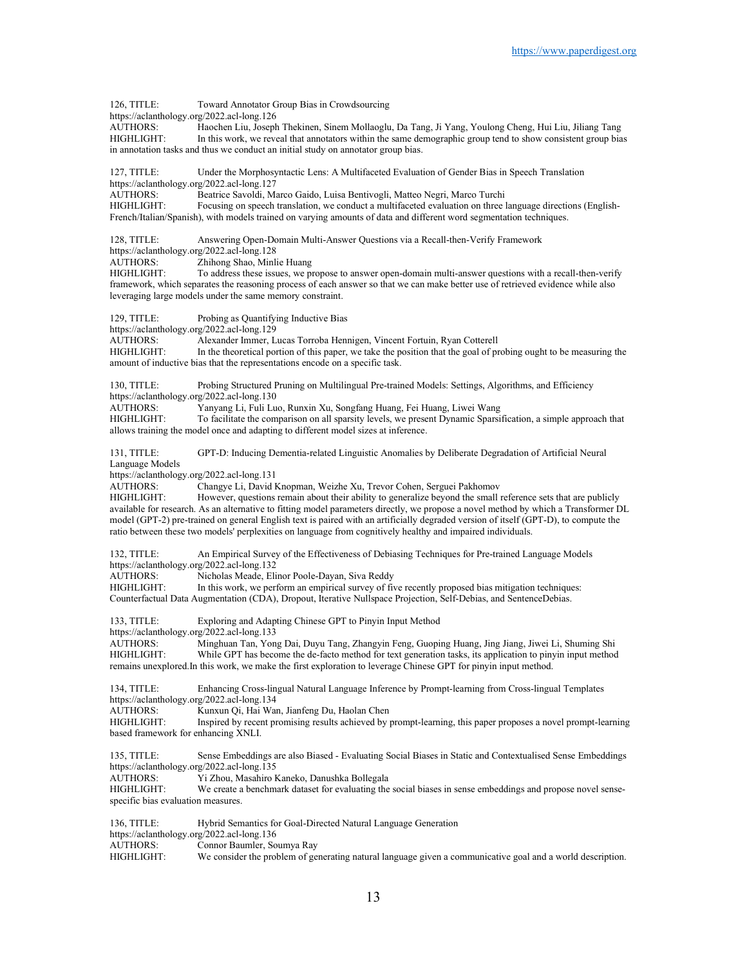126, TITLE: Toward Annotator Group Bias in Crowdsourcing https://aclanthology.org/2022.acl-long.126<br>AUTHORS: Haochen Liu, Joseph Haochen Liu, Joseph Thekinen, Sinem Mollaoglu, Da Tang, Ji Yang, Youlong Cheng, Hui Liu, Jiliang Tang HIGHLIGHT: In this work, we reveal that annotators within the same demographic group tend to show consistent group bias in annotation tasks and thus we conduct an initial study on annotator group bias. 127, TITLE: Under the Morphosyntactic Lens: A Multifaceted Evaluation of Gender Bias in Speech Translation https://aclanthology.org/2022.acl-long.127<br>AUTHORS: Beatrice Savoldi, Ma Beatrice Savoldi, Marco Gaido, Luisa Bentivogli, Matteo Negri, Marco Turchi HIGHLIGHT: Focusing on speech translation, we conduct a multifaceted evaluation on three language directions (English-French/Italian/Spanish), with models trained on varying amounts of data and different word segmentation techniques. 128, TITLE: Answering Open-Domain Multi-Answer Questions via a Recall-then-Verify Framework https://aclanthology.org/2022.acl-long.128 AUTHORS: Zhihong Shao, Minlie Huang<br>HIGHLIGHT: To address these issues, we p To address these issues, we propose to answer open-domain multi-answer questions with a recall-then-verify framework, which separates the reasoning process of each answer so that we can make better use of retrieved evidence while also leveraging large models under the same memory constraint. 129, TITLE: Probing as Quantifying Inductive Bias https://aclanthology.org/2022.acl-long.129 AUTHORS: Alexander Immer, Lucas Torroba Hennigen, Vincent Fortuin, Ryan Cotterell HIGHLIGHT: In the theoretical portion of this paper, we take the position that the goal of probing ought to be measuring the amount of inductive bias that the representations encode on a specific task. 130, TITLE: Probing Structured Pruning on Multilingual Pre-trained Models: Settings, Algorithms, and Efficiency https://aclanthology.org/2022.acl-long.130<br>AUTHORS: Yanyang Li. Fuli Lu Yanyang Li, Fuli Luo, Runxin Xu, Songfang Huang, Fei Huang, Liwei Wang HIGHLIGHT: To facilitate the comparison on all sparsity levels, we present Dynamic Sparsification, a simple approach that allows training the model once and adapting to different model sizes at inference. 131, TITLE: GPT-D: Inducing Dementia-related Linguistic Anomalies by Deliberate Degradation of Artificial Neural Language Models https://aclanthology.org/2022.acl-long.131<br>AUTHORS: Changye Li. David H Changye Li, David Knopman, Weizhe Xu, Trevor Cohen, Serguei Pakhomov HIGHLIGHT: However, questions remain about their ability to generalize beyond the small reference sets that are publicly available for research. As an alternative to fitting model parameters directly, we propose a novel method by which a Transformer DL model (GPT-2) pre-trained on general English text is paired with an artificially degraded version of itself (GPT-D), to compute the ratio between these two models' perplexities on language from cognitively healthy and impaired individuals. 132, TITLE: An Empirical Survey of the Effectiveness of Debiasing Techniques for Pre-trained Language Models https://aclanthology.org/2022.acl-long.132<br>AUTHORS: Nicholas Meade, Eli Nicholas Meade, Elinor Poole-Dayan, Siva Reddy HIGHLIGHT: In this work, we perform an empirical survey of five recently proposed bias mitigation techniques: Counterfactual Data Augmentation (CDA), Dropout, Iterative Nullspace Projection, Self-Debias, and SentenceDebias. 133, TITLE: Exploring and Adapting Chinese GPT to Pinyin Input Method https://aclanthology.org/2022.acl-long.133 AUTHORS: Minghuan Tan, Yong Dai, Duyu Tang, Zhangyin Feng, Guoping Huang, Jing Jiang, Jiwei Li, Shuming Shi While GPT has become the de-facto method for text generation tasks, its application to pinyin input method remains unexplored.In this work, we make the first exploration to leverage Chinese GPT for pinyin input method. 134, TITLE: Enhancing Cross-lingual Natural Language Inference by Prompt-learning from Cross-lingual Templates https://aclanthology.org/2022.acl-long.134 AUTHORS: Kunxun Qi, Hai Wan, Jianfeng Du, Haolan Chen HIGHLIGHT: Inspired by recent promising results achieved by prompt-learning, this paper proposes a novel prompt-learning based framework for enhancing XNLI. 135, TITLE: Sense Embeddings are also Biased - Evaluating Social Biases in Static and Contextualised Sense Embeddings https://aclanthology.org/2022.acl-long.135 AUTHORS: Yi Zhou, Masahiro Kaneko, Danushka Bollegala HIGHLIGHT: We create a benchmark dataset for evaluating the social biases in sense embeddings and propose novel sensespecific bias evaluation measures. 136, TITLE: Hybrid Semantics for Goal-Directed Natural Language Generation https://aclanthology.org/2022.acl-long.136<br>AUTHORS: Connor Baumler, So Connor Baumler, Soumya Ray HIGHLIGHT: We consider the problem of generating natural language given a communicative goal and a world description.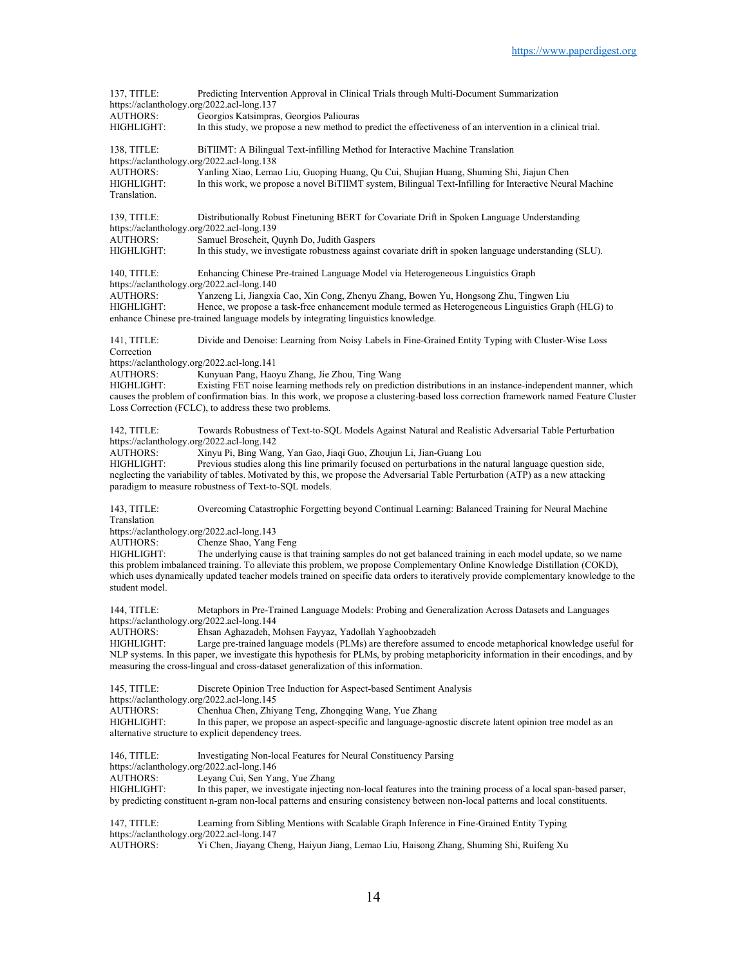137, TITLE: Predicting Intervention Approval in Clinical Trials through Multi-Document Summarization https://aclanthology.org/2022.acl-long.137 AUTHORS: Georgios Katsimpras, Georgios Paliouras HIGHLIGHT: In this study, we propose a new method to predict the effectiveness of an intervention in a clinical trial. 138, TITLE: BiTIIMT: A Bilingual Text-infilling Method for Interactive Machine Translation https://aclanthology.org/2022.acl-long.138 AUTHORS: Yanling Xiao, Lemao Liu, Guoping Huang, Qu Cui, Shujian Huang, Shuming Shi, Jiajun Chen HIGHLIGHT: In this work, we propose a novel BiTIIMT system, Bilingual Text-Infilling for Interactive Neural Machine Translation. 139, TITLE: Distributionally Robust Finetuning BERT for Covariate Drift in Spoken Language Understanding https://aclanthology.org/2022.acl-long.139<br>AUTHORS: Samuel Broscheit. C Samuel Broscheit, Quynh Do, Judith Gaspers HIGHLIGHT: In this study, we investigate robustness against covariate drift in spoken language understanding (SLU). 140, TITLE: Enhancing Chinese Pre-trained Language Model via Heterogeneous Linguistics Graph https://aclanthology.org/2022.acl-long.140 AUTHORS: Yanzeng Li, Jiangxia Cao, Xin Cong, Zhenyu Zhang, Bowen Yu, Hongsong Zhu, Tingwen Liu Hence, we propose a task-free enhancement module termed as Heterogeneous Linguistics Graph (HLG) to enhance Chinese pre-trained language models by integrating linguistics knowledge. 141, TITLE: Divide and Denoise: Learning from Noisy Labels in Fine-Grained Entity Typing with Cluster-Wise Loss Correction https://aclanthology.org/2022.acl-long.141<br>AUTHORS: Kunyuan Pang, Hao Kunyuan Pang, Haoyu Zhang, Jie Zhou, Ting Wang HIGHLIGHT: Existing FET noise learning methods rely on prediction distributions in an instance-independent manner, which causes the problem of confirmation bias. In this work, we propose a clustering-based loss correction framework named Feature Cluster Loss Correction (FCLC), to address these two problems. 142, TITLE: Towards Robustness of Text-to-SQL Models Against Natural and Realistic Adversarial Table Perturbation https://aclanthology.org/2022.acl-long.142<br>AUTHORS: Xinyu Pi, Bing Wan Xinyu Pi, Bing Wang, Yan Gao, Jiaqi Guo, Zhoujun Li, Jian-Guang Lou HIGHLIGHT: Previous studies along this line primarily focused on perturbations in the natural language question side, neglecting the variability of tables. Motivated by this, we propose the Adversarial Table Perturbation (ATP) as a new attacking paradigm to measure robustness of Text-to-SQL models. 143, TITLE: Overcoming Catastrophic Forgetting beyond Continual Learning: Balanced Training for Neural Machine Translation https://aclanthology.org/2022.acl-long.143<br>AUTHORS: Chenze Shao, Yang Chenze Shao, Yang Feng HIGHLIGHT: The underlying cause is that training samples do not get balanced training in each model update, so we name this problem imbalanced training. To alleviate this problem, we propose Complementary Online Knowledge Distillation (COKD), which uses dynamically updated teacher models trained on specific data orders to iteratively provide complementary knowledge to the student model. 144, TITLE: Metaphors in Pre-Trained Language Models: Probing and Generalization Across Datasets and Languages https://aclanthology.org/2022.acl-long.144<br>AUTHORS: Ehsan Aghazadeh, N Ehsan Aghazadeh, Mohsen Fayyaz, Yadollah Yaghoobzadeh HIGHLIGHT: Large pre-trained language models (PLMs) are therefore assumed to encode metaphorical knowledge useful for NLP systems. In this paper, we investigate this hypothesis for PLMs, by probing metaphoricity information in their encodings, and by measuring the cross-lingual and cross-dataset generalization of this information. 145, TITLE: Discrete Opinion Tree Induction for Aspect-based Sentiment Analysis https://aclanthology.org/2022.acl-long.145 AUTHORS: Chenhua Chen, Zhiyang Teng, Zhongqing Wang, Yue Zhang HIGHLIGHT: In this paper, we propose an aspect-specific and language-agnostic discrete latent opinion tree model as an alternative structure to explicit dependency trees. 146, TITLE: Investigating Non-local Features for Neural Constituency Parsing https://aclanthology.org/2022.acl-long.146 AUTHORS: Leyang Cui, Sen Yang, Yue Zhang HIGHLIGHT: In this paper, we investigate injecting non-local features into the training process of a local span-based parser, by predicting constituent n-gram non-local patterns and ensuring consistency between non-local patterns and local constituents. 147, TITLE: Learning from Sibling Mentions with Scalable Graph Inference in Fine-Grained Entity Typing https://aclanthology.org/2022.acl-long.147 AUTHORS: Yi Chen, Jiayang Cheng, Haiyun Jiang, Lemao Liu, Haisong Zhang, Shuming Shi, Ruifeng Xu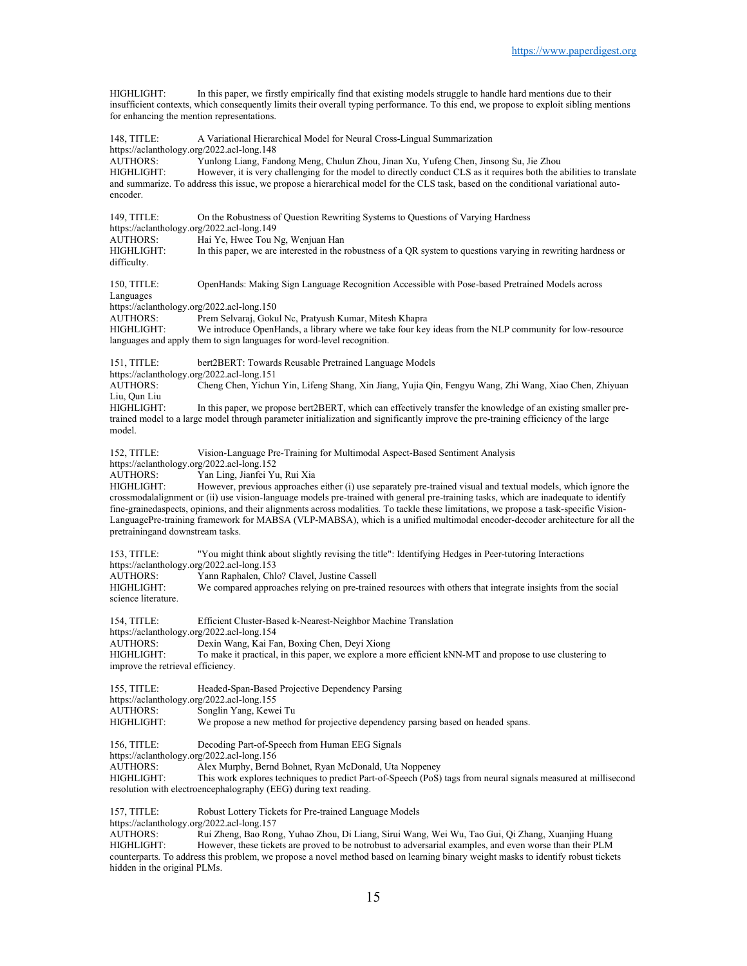HIGHLIGHT: In this paper, we firstly empirically find that existing models struggle to handle hard mentions due to their insufficient contexts, which consequently limits their overall typing performance. To this end, we propose to exploit sibling mentions for enhancing the mention representations.

| 148, TITLE:<br>https://aclanthology.org/2022.acl-long.148<br>AUTHORS:<br>HIGHLIGHT:<br>encoder.                                          | A Variational Hierarchical Model for Neural Cross-Lingual Summarization<br>Yunlong Liang, Fandong Meng, Chulun Zhou, Jinan Xu, Yufeng Chen, Jinsong Su, Jie Zhou<br>However, it is very challenging for the model to directly conduct CLS as it requires both the abilities to translate<br>and summarize. To address this issue, we propose a hierarchical model for the CLS task, based on the conditional variational auto-                                                                                                                                                                                                                   |
|------------------------------------------------------------------------------------------------------------------------------------------|--------------------------------------------------------------------------------------------------------------------------------------------------------------------------------------------------------------------------------------------------------------------------------------------------------------------------------------------------------------------------------------------------------------------------------------------------------------------------------------------------------------------------------------------------------------------------------------------------------------------------------------------------|
| 149, TITLE:<br>https://aclanthology.org/2022.acl-long.149<br><b>AUTHORS:</b><br><b>HIGHLIGHT:</b><br>difficulty.                         | On the Robustness of Question Rewriting Systems to Questions of Varying Hardness<br>Hai Ye, Hwee Tou Ng, Wenjuan Han<br>In this paper, we are interested in the robustness of a QR system to questions varying in rewriting hardness or                                                                                                                                                                                                                                                                                                                                                                                                          |
| 150, TITLE:<br>Languages<br>https://aclanthology.org/2022.acl-long.150<br>AUTHORS:<br>HIGHLIGHT:                                         | OpenHands: Making Sign Language Recognition Accessible with Pose-based Pretrained Models across<br>Prem Selvaraj, Gokul Nc, Pratyush Kumar, Mitesh Khapra<br>We introduce OpenHands, a library where we take four key ideas from the NLP community for low-resource<br>languages and apply them to sign languages for word-level recognition.                                                                                                                                                                                                                                                                                                    |
| 151, TITLE:<br>https://aclanthology.org/2022.acl-long.151<br><b>AUTHORS:</b><br>Liu, Qun Liu<br>HIGHLIGHT:<br>model.                     | bert2BERT: Towards Reusable Pretrained Language Models<br>Cheng Chen, Yichun Yin, Lifeng Shang, Xin Jiang, Yujia Qin, Fengyu Wang, Zhi Wang, Xiao Chen, Zhiyuan<br>In this paper, we propose bert2BERT, which can effectively transfer the knowledge of an existing smaller pre-<br>trained model to a large model through parameter initialization and significantly improve the pre-training efficiency of the large                                                                                                                                                                                                                           |
| $152$ , TITLE:<br>https://aclanthology.org/2022.acl-long.152<br><b>AUTHORS:</b><br><b>HIGHLIGHT:</b><br>pretrainingand downstream tasks. | Vision-Language Pre-Training for Multimodal Aspect-Based Sentiment Analysis<br>Yan Ling, Jianfei Yu, Rui Xia<br>However, previous approaches either (i) use separately pre-trained visual and textual models, which ignore the<br>crossmodalalignment or (ii) use vision-language models pre-trained with general pre-training tasks, which are inadequate to identify<br>fine-grainedaspects, opinions, and their alignments across modalities. To tackle these limitations, we propose a task-specific Vision-<br>LanguagePre-training framework for MABSA (VLP-MABSA), which is a unified multimodal encoder-decoder architecture for all the |
| 153, TITLE:<br>https://aclanthology.org/2022.acl-long.153<br><b>AUTHORS:</b><br>HIGHLIGHT:<br>science literature.                        | "You might think about slightly revising the title": Identifying Hedges in Peer-tutoring Interactions<br>Yann Raphalen, Chlo? Clavel, Justine Cassell<br>We compared approaches relying on pre-trained resources with others that integrate insights from the social                                                                                                                                                                                                                                                                                                                                                                             |
| 154, TITLE:<br>https://aclanthology.org/2022.acl-long.154<br><b>AUTHORS:</b><br><b>HIGHLIGHT:</b><br>improve the retrieval efficiency.   | Efficient Cluster-Based k-Nearest-Neighbor Machine Translation<br>Dexin Wang, Kai Fan, Boxing Chen, Deyi Xiong<br>To make it practical, in this paper, we explore a more efficient kNN-MT and propose to use clustering to                                                                                                                                                                                                                                                                                                                                                                                                                       |
| 155, TITLE:<br>https://aclanthology.org/2022.acl-long.155<br>AUTHORS:<br><b>HIGHLIGHT:</b>                                               | Headed-Span-Based Projective Dependency Parsing<br>Songlin Yang, Kewei Tu<br>We propose a new method for projective dependency parsing based on headed spans.                                                                                                                                                                                                                                                                                                                                                                                                                                                                                    |
| 156, TITLE:<br>https://aclanthology.org/2022.acl-long.156<br><b>AUTHORS:</b><br>HIGHLIGHT:                                               | Decoding Part-of-Speech from Human EEG Signals<br>Alex Murphy, Bernd Bohnet, Ryan McDonald, Uta Noppeney<br>This work explores techniques to predict Part-of-Speech (PoS) tags from neural signals measured at millisecond<br>resolution with electroencephalography (EEG) during text reading.                                                                                                                                                                                                                                                                                                                                                  |
| 157, TITLE:<br>https://aclanthology.org/2022.acl-long.157                                                                                | Robust Lottery Tickets for Pre-trained Language Models                                                                                                                                                                                                                                                                                                                                                                                                                                                                                                                                                                                           |

AUTHORS: Rui Zheng, Bao Rong, Yuhao Zhou, Di Liang, Sirui Wang, Wei Wu, Tao Gui, Qi Zhang, Xuanjing Huang HIGHLIGHT: However, these tickets are proved to be notrobust to adversarial examples, and even worse than their PLM counterparts. To address this problem, we propose a novel method based on learning binary weight masks to identify robust tickets hidden in the original PLMs.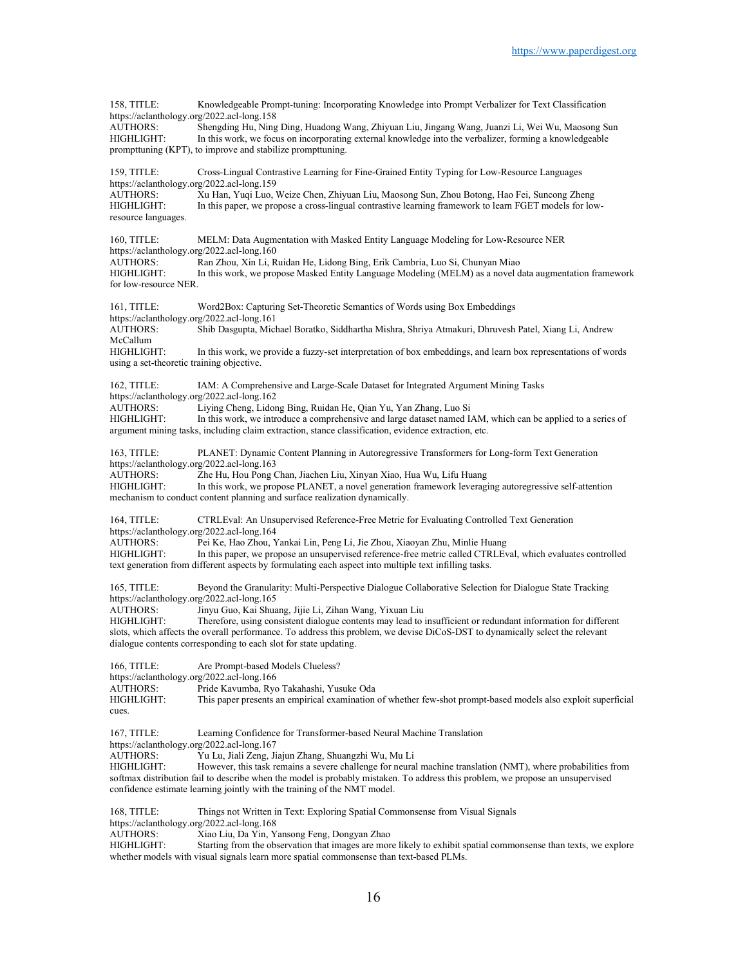158, TITLE: Knowledgeable Prompt-tuning: Incorporating Knowledge into Prompt Verbalizer for Text Classification https://aclanthology.org/2022.acl-long.158 AUTHORS: Shengding Hu, Ning Ding, Huadong Wang, Zhiyuan Liu, Jingang Wang, Juanzi Li, Wei Wu, Maosong Sun HIGHLIGHT: In this work, we focus on incorporating external knowledge into the verbalizer, forming a knowledgeable prompttuning (KPT), to improve and stabilize prompttuning. 159, TITLE: Cross-Lingual Contrastive Learning for Fine-Grained Entity Typing for Low-Resource Languages https://aclanthology.org/2022.acl-long.159<br>AUTHORS: Xu Han, Yuqi Luo, Xu Han, Yuqi Luo, Weize Chen, Zhiyuan Liu, Maosong Sun, Zhou Botong, Hao Fei, Suncong Zheng HIGHLIGHT: In this paper, we propose a cross-lingual contrastive learning framework to learn FGET models for lowresource languages. 160, TITLE: MELM: Data Augmentation with Masked Entity Language Modeling for Low-Resource NER https://aclanthology.org/2022.acl-long.160 AUTHORS: Ran Zhou, Xin Li, Ruidan He, Lidong Bing, Erik Cambria, Luo Si, Chunyan Miao In this work, we propose Masked Entity Language Modeling (MELM) as a novel data augmentation framework for low-resource NER. 161, TITLE: Word2Box: Capturing Set-Theoretic Semantics of Words using Box Embeddings https://aclanthology.org/2022.acl-long.161<br>AUTHORS: Shib Dasgupta, Micl Shib Dasgupta, Michael Boratko, Siddhartha Mishra, Shriya Atmakuri, Dhruvesh Patel, Xiang Li, Andrew McCallum HIGHLIGHT: In this work, we provide a fuzzy-set interpretation of box embeddings, and learn box representations of words using a set-theoretic training objective. 162, TITLE: IAM: A Comprehensive and Large-Scale Dataset for Integrated Argument Mining Tasks https://aclanthology.org/2022.acl-long.162<br>AUTHORS: Living Cheng. Lidor Liying Cheng, Lidong Bing, Ruidan He, Qian Yu, Yan Zhang, Luo Si HIGHLIGHT: In this work, we introduce a comprehensive and large dataset named IAM, which can be applied to a series of argument mining tasks, including claim extraction, stance classification, evidence extraction, etc. 163, TITLE: PLANET: Dynamic Content Planning in Autoregressive Transformers for Long-form Text Generation https://aclanthology.org/2022.acl-long.163<br>AUTHORS: Zhe Hu, Hou Pong C AUTHORS: Zhe Hu, Hou Pong Chan, Jiachen Liu, Xinyan Xiao, Hua Wu, Lifu Huang<br>HIGHLIGHT: In this work, we propose PLANET, a novel generation framework leveragi In this work, we propose PLANET, a novel generation framework leveraging autoregressive self-attention mechanism to conduct content planning and surface realization dynamically. 164, TITLE: CTRLEval: An Unsupervised Reference-Free Metric for Evaluating Controlled Text Generation https://aclanthology.org/2022.acl-long.164<br>AUTHORS: Pei Ke, Hao Zhou, Y Pei Ke, Hao Zhou, Yankai Lin, Peng Li, Jie Zhou, Xiaoyan Zhu, Minlie Huang HIGHLIGHT: In this paper, we propose an unsupervised reference-free metric called CTRLEval, which evaluates controlled text generation from different aspects by formulating each aspect into multiple text infilling tasks. 165, TITLE: Beyond the Granularity: Multi-Perspective Dialogue Collaborative Selection for Dialogue State Tracking https://aclanthology.org/2022.acl-long.165<br>AUTHORS: Jinyu Guo, Kai Shua Jinyu Guo, Kai Shuang, Jijie Li, Zihan Wang, Yixuan Liu HIGHLIGHT: Therefore, using consistent dialogue contents may lead to insufficient or redundant information for different slots, which affects the overall performance. To address this problem, we devise DiCoS-DST to dynamically select the relevant dialogue contents corresponding to each slot for state updating. 166, TITLE: Are Prompt-based Models Clueless? https://aclanthology.org/2022.acl-long.166 AUTHORS: Pride Kavumba, Ryo Takahashi, Yusuke Oda This paper presents an empirical examination of whether few-shot prompt-based models also exploit superficial cues. 167, TITLE: Learning Confidence for Transformer-based Neural Machine Translation https://aclanthology.org/2022.acl-long.167 AUTHORS: Yu Lu, Jiali Zeng, Jiajun Zhang, Shuangzhi Wu, Mu Li HIGHLIGHT: However, this task remains a severe challenge for neural machine translation (NMT), where probabilities from softmax distribution fail to describe when the model is probably mistaken. To address this problem, we propose an unsupervised confidence estimate learning jointly with the training of the NMT model. 168, TITLE: Things not Written in Text: Exploring Spatial Commonsense from Visual Signals https://aclanthology.org/2022.acl-long.168

AUTHORS: Xiao Liu, Da Yin, Yansong Feng, Dongyan Zhao

HIGHLIGHT: Starting from the observation that images are more likely to exhibit spatial commonsense than texts, we explore whether models with visual signals learn more spatial commonsense than text-based PLMs.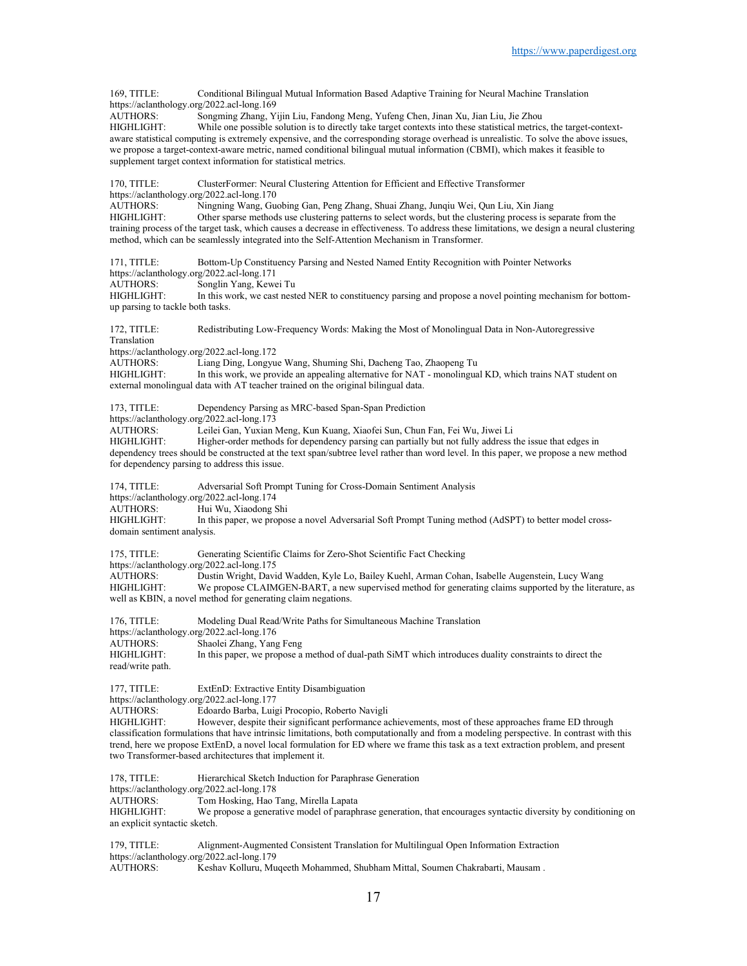https://aclanthology.org/2022.acl-long.169 AUTHORS: Songming Zhang, Yijin Liu, Fandong Meng, Yufeng Chen, Jinan Xu, Jian Liu, Jie Zhou HIGHLIGHT: While one possible solution is to directly take target contexts into these statistical metrics, the target-contextaware statistical computing is extremely expensive, and the corresponding storage overhead is unrealistic. To solve the above issues, we propose a target-context-aware metric, named conditional bilingual mutual information (CBMI), which makes it feasible to supplement target context information for statistical metrics. 170, TITLE: ClusterFormer: Neural Clustering Attention for Efficient and Effective Transformer https://aclanthology.org/2022.acl-long.170 AUTHORS: Ningning Wang, Guobing Gan, Peng Zhang, Shuai Zhang, Junqiu Wei, Qun Liu, Xin Jiang<br>HIGHLIGHT: Other sparse methods use clustering patterns to select words, but the clustering process is se Other sparse methods use clustering patterns to select words, but the clustering process is separate from the training process of the target task, which causes a decrease in effectiveness. To address these limitations, we design a neural clustering method, which can be seamlessly integrated into the Self-Attention Mechanism in Transformer. 171, TITLE: Bottom-Up Constituency Parsing and Nested Named Entity Recognition with Pointer Networks https://aclanthology.org/2022.acl-long.171<br>AUTHORS: Songlin Yang, Kewe Songlin Yang, Kewei Tu HIGHLIGHT: In this work, we cast nested NER to constituency parsing and propose a novel pointing mechanism for bottomup parsing to tackle both tasks. 172, TITLE: Redistributing Low-Frequency Words: Making the Most of Monolingual Data in Non-Autoregressive Translation https://aclanthology.org/2022.acl-long.172<br>AUTHORS: Liang Ding, Longyu AUTHORS: Liang Ding, Longyue Wang, Shuming Shi, Dacheng Tao, Zhaopeng Tu In this work, we provide an appealing alternative for NAT - monolingual KD, which trains NAT student on external monolingual data with AT teacher trained on the original bilingual data. 173, TITLE: Dependency Parsing as MRC-based Span-Span Prediction https://aclanthology.org/2022.acl-long.173 AUTHORS: Leilei Gan, Yuxian Meng, Kun Kuang, Xiaofei Sun, Chun Fan, Fei Wu, Jiwei Li Higher-order methods for dependency parsing can partially but not fully address the issue that edges in dependency trees should be constructed at the text span/subtree level rather than word level. In this paper, we propose a new method for dependency parsing to address this issue. 174, TITLE: Adversarial Soft Prompt Tuning for Cross-Domain Sentiment Analysis https://aclanthology.org/2022.acl-long.174<br>AUTHORS: Hui Wu, Xiaodong S Hui Wu, Xiaodong Shi HIGHLIGHT: In this paper, we propose a novel Adversarial Soft Prompt Tuning method (AdSPT) to better model crossdomain sentiment analysis. 175, TITLE: Generating Scientific Claims for Zero-Shot Scientific Fact Checking https://aclanthology.org/2022.acl-long.175<br>AUTHORS: Dustin Wright, Davi AUTHORS: Dustin Wright, David Wadden, Kyle Lo, Bailey Kuehl, Arman Cohan, Isabelle Augenstein, Lucy Wang We propose CLAIMGEN-BART, a new supervised method for generating claims supported by the literature, as well as KBIN, a novel method for generating claim negations. 176, TITLE: Modeling Dual Read/Write Paths for Simultaneous Machine Translation https://aclanthology.org/2022.acl-long.176 AUTHORS: Shaolei Zhang, Yang Feng<br>HIGHLIGHT: In this paper, we propose a In this paper, we propose a method of dual-path SiMT which introduces duality constraints to direct the read/write path. 177, TITLE: ExtEnD: Extractive Entity Disambiguation https://aclanthology.org/2022.acl-long.177 AUTHORS: Edoardo Barba, Luigi Procopio, Roberto Navigli HIGHLIGHT: However, despite their significant performance achievements, most of these approaches frame ED through classification formulations that have intrinsic limitations, both computationally and from a modeling perspective. In contrast with this trend, here we propose ExtEnD, a novel local formulation for ED where we frame this task as a text extraction problem, and present two Transformer-based architectures that implement it. 178, TITLE: Hierarchical Sketch Induction for Paraphrase Generation https://aclanthology.org/2022.acl-long.178<br>AUTHORS: Tom Hosking, Hao AUTHORS: Tom Hosking, Hao Tang, Mirella Lapata<br>HIGHLIGHT: We propose a generative model of paraph We propose a generative model of paraphrase generation, that encourages syntactic diversity by conditioning on an explicit syntactic sketch. 179, TITLE: Alignment-Augmented Consistent Translation for Multilingual Open Information Extraction https://aclanthology.org/2022.acl-long.179<br>AUTHORS: Keshav Kolluru, Mu Keshav Kolluru, Muqeeth Mohammed, Shubham Mittal, Soumen Chakrabarti, Mausam .

169, TITLE: Conditional Bilingual Mutual Information Based Adaptive Training for Neural Machine Translation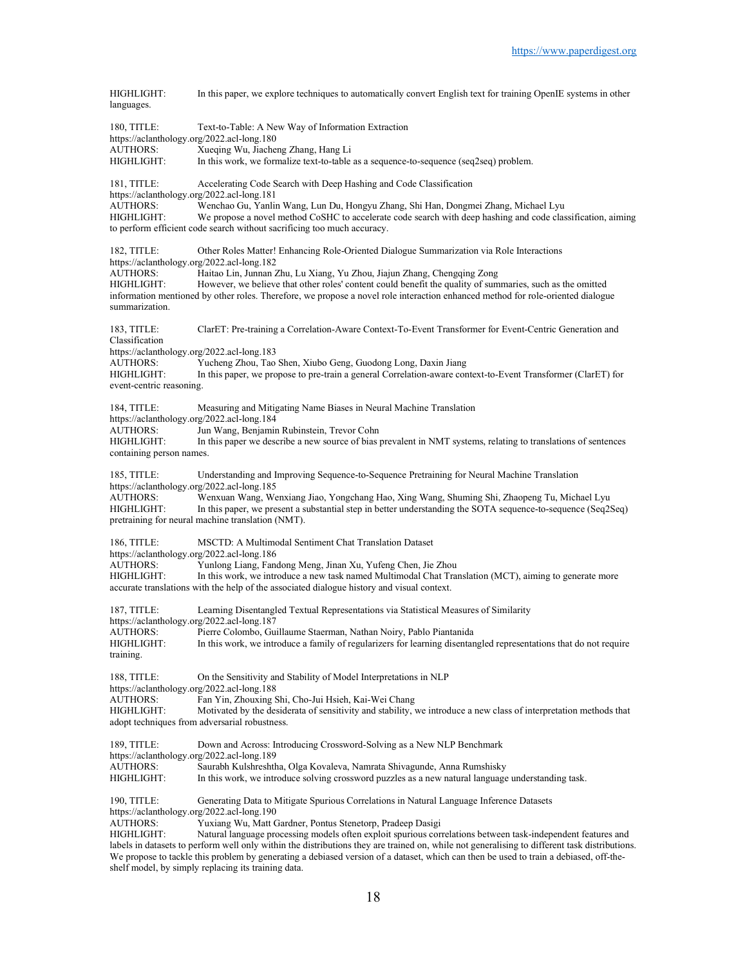| HIGHLIGHT:<br>languages.                                                                                                          | In this paper, we explore techniques to automatically convert English text for training OpenIE systems in other                                                                                                                                                                                                                                                                                                                                                                                                                                                  |
|-----------------------------------------------------------------------------------------------------------------------------------|------------------------------------------------------------------------------------------------------------------------------------------------------------------------------------------------------------------------------------------------------------------------------------------------------------------------------------------------------------------------------------------------------------------------------------------------------------------------------------------------------------------------------------------------------------------|
| 180, TITLE:<br>https://aclanthology.org/2022.acl-long.180<br><b>AUTHORS:</b><br>HIGHLIGHT:                                        | Text-to-Table: A New Way of Information Extraction<br>Xueqing Wu, Jiacheng Zhang, Hang Li<br>In this work, we formalize text-to-table as a sequence-to-sequence (seq2seq) problem.                                                                                                                                                                                                                                                                                                                                                                               |
| 181, TITLE:<br>https://aclanthology.org/2022.acl-long.181<br><b>AUTHORS:</b><br>HIGHLIGHT:                                        | Accelerating Code Search with Deep Hashing and Code Classification<br>Wenchao Gu, Yanlin Wang, Lun Du, Hongyu Zhang, Shi Han, Dongmei Zhang, Michael Lyu<br>We propose a novel method CoSHC to accelerate code search with deep hashing and code classification, aiming<br>to perform efficient code search without sacrificing too much accuracy.                                                                                                                                                                                                               |
| 182. TITLE:<br>https://aclanthology.org/2022.acl-long.182<br><b>AUTHORS:</b><br>HIGHLIGHT:<br>summarization.                      | Other Roles Matter! Enhancing Role-Oriented Dialogue Summarization via Role Interactions<br>Haitao Lin, Junnan Zhu, Lu Xiang, Yu Zhou, Jiajun Zhang, Chengqing Zong<br>However, we believe that other roles' content could benefit the quality of summaries, such as the omitted<br>information mentioned by other roles. Therefore, we propose a novel role interaction enhanced method for role-oriented dialogue                                                                                                                                              |
| 183, TITLE:<br>Classification<br>https://aclanthology.org/2022.acl-long.183<br>AUTHORS:<br>HIGHLIGHT:<br>event-centric reasoning. | ClarET: Pre-training a Correlation-Aware Context-To-Event Transformer for Event-Centric Generation and<br>Yucheng Zhou, Tao Shen, Xiubo Geng, Guodong Long, Daxin Jiang<br>In this paper, we propose to pre-train a general Correlation-aware context-to-Event Transformer (ClarET) for                                                                                                                                                                                                                                                                          |
| 184, TITLE:<br>https://aclanthology.org/2022.acl-long.184<br><b>AUTHORS:</b><br>HIGHLIGHT:<br>containing person names.            | Measuring and Mitigating Name Biases in Neural Machine Translation<br>Jun Wang, Benjamin Rubinstein, Trevor Cohn<br>In this paper we describe a new source of bias prevalent in NMT systems, relating to translations of sentences                                                                                                                                                                                                                                                                                                                               |
| $185$ , TITLE:<br>https://aclanthology.org/2022.acl-long.185<br>AUTHORS:<br>HIGHLIGHT:                                            | Understanding and Improving Sequence-to-Sequence Pretraining for Neural Machine Translation<br>Wenxuan Wang, Wenxiang Jiao, Yongchang Hao, Xing Wang, Shuming Shi, Zhaopeng Tu, Michael Lyu<br>In this paper, we present a substantial step in better understanding the SOTA sequence-to-sequence (Seq2Seq)<br>pretraining for neural machine translation (NMT).                                                                                                                                                                                                 |
| 186, TITLE:<br>https://aclanthology.org/2022.acl-long.186<br><b>AUTHORS:</b><br>HIGHLIGHT:                                        | MSCTD: A Multimodal Sentiment Chat Translation Dataset<br>Yunlong Liang, Fandong Meng, Jinan Xu, Yufeng Chen, Jie Zhou<br>In this work, we introduce a new task named Multimodal Chat Translation (MCT), aiming to generate more<br>accurate translations with the help of the associated dialogue history and visual context.                                                                                                                                                                                                                                   |
| 187, TITLE:<br>https://aclanthology.org/2022.acl-long.187<br><b>AUTHORS:</b><br>HIGHLIGHT:<br>training.                           | Learning Disentangled Textual Representations via Statistical Measures of Similarity<br>Pierre Colombo, Guillaume Staerman, Nathan Noiry, Pablo Piantanida<br>In this work, we introduce a family of regularizers for learning disentangled representations that do not require                                                                                                                                                                                                                                                                                  |
| 188, TITLE:<br>https://aclanthology.org/2022.acl-long.188<br><b>AUTHORS:</b><br>HIGHLIGHT:                                        | On the Sensitivity and Stability of Model Interpretations in NLP<br>Fan Yin, Zhouxing Shi, Cho-Jui Hsieh, Kai-Wei Chang<br>Motivated by the desiderata of sensitivity and stability, we introduce a new class of interpretation methods that<br>adopt techniques from adversarial robustness.                                                                                                                                                                                                                                                                    |
| 189, TITLE:<br>https://aclanthology.org/2022.acl-long.189<br>AUTHORS:<br>HIGHLIGHT:                                               | Down and Across: Introducing Crossword-Solving as a New NLP Benchmark<br>Saurabh Kulshreshtha, Olga Kovaleva, Namrata Shivagunde, Anna Rumshisky<br>In this work, we introduce solving crossword puzzles as a new natural language understanding task.                                                                                                                                                                                                                                                                                                           |
| 190, TITLE:<br>https://aclanthology.org/2022.acl-long.190<br>AUTHORS:<br>HIGHLIGHT:                                               | Generating Data to Mitigate Spurious Correlations in Natural Language Inference Datasets<br>Yuxiang Wu, Matt Gardner, Pontus Stenetorp, Pradeep Dasigi<br>Natural language processing models often exploit spurious correlations between task-independent features and<br>labels in datasets to perform well only within the distributions they are trained on, while not generalising to different task distributions.<br>We propose to tackle this problem by generating a debiased version of a dataset, which can then be used to train a debiased, off-the- |

shelf model, by simply replacing its training data.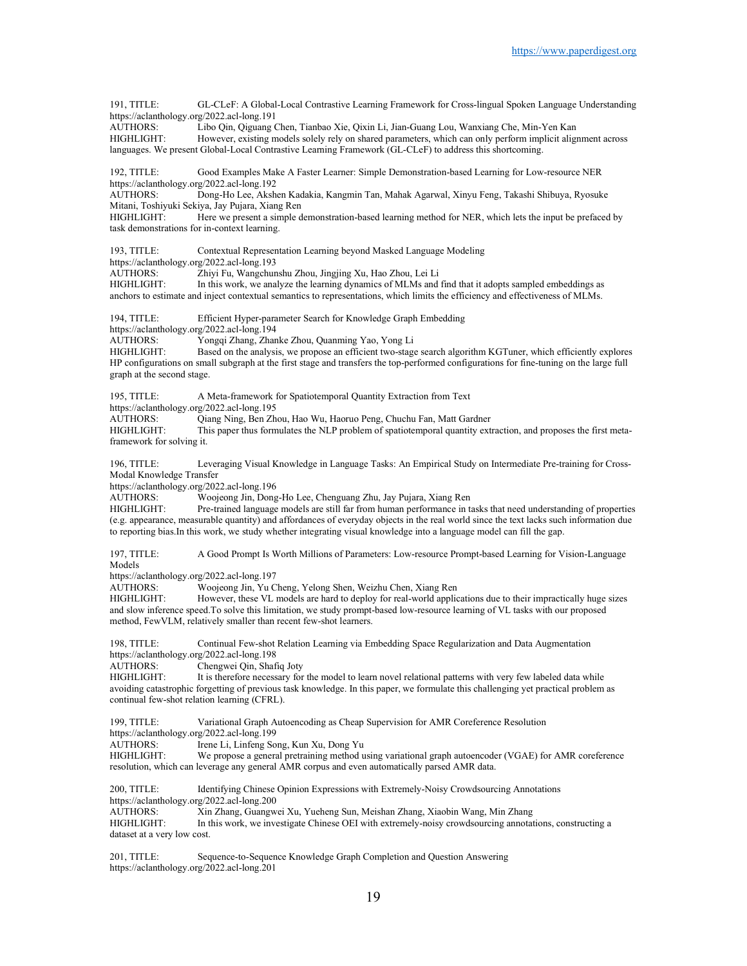191, TITLE: GL-CLeF: A Global-Local Contrastive Learning Framework for Cross-lingual Spoken Language Understanding https://aclanthology.org/2022.acl-long.191

AUTHORS: Libo Qin, Qiguang Chen, Tianbao Xie, Qixin Li, Jian-Guang Lou, Wanxiang Che, Min-Yen Kan HIGHLIGHT: However, existing models solely rely on shared parameters, which can only perform implicit alignment across languages. We present Global-Local Contrastive Learning Framework (GL-CLeF) to address this shortcoming.

192, TITLE: Good Examples Make A Faster Learner: Simple Demonstration-based Learning for Low-resource NER https://aclanthology.org/2022.acl-long.192<br>AUTHORS: Dong-Ho Lee, Aksh

Dong-Ho Lee, Akshen Kadakia, Kangmin Tan, Mahak Agarwal, Xinyu Feng, Takashi Shibuya, Ryosuke Mitani, Toshiyuki Sekiya, Jay Pujara, Xiang Ren

HIGHLIGHT: Here we present a simple demonstration-based learning method for NER, which lets the input be prefaced by task demonstrations for in-context learning.

193, TITLE: Contextual Representation Learning beyond Masked Language Modeling

https://aclanthology.org/2022.acl-long.193<br>AUTHORS: Zhiyi Fu, Wangchun

Zhiyi Fu, Wangchunshu Zhou, Jingjing Xu, Hao Zhou, Lei Li

HIGHLIGHT: In this work, we analyze the learning dynamics of MLMs and find that it adopts sampled embeddings as anchors to estimate and inject contextual semantics to representations, which limits the efficiency and effectiveness of MLMs.

194, TITLE: Efficient Hyper-parameter Search for Knowledge Graph Embedding

https://aclanthology.org/2022.acl-long.194

AUTHORS: Yongqi Zhang, Zhanke Zhou, Quanming Yao, Yong Li

HIGHLIGHT: Based on the analysis, we propose an efficient two-stage search algorithm KGTuner, which efficiently explores HP configurations on small subgraph at the first stage and transfers the top-performed configurations for fine-tuning on the large full graph at the second stage.

195, TITLE: A Meta-framework for Spatiotemporal Quantity Extraction from Text https://aclanthology.org/2022.acl-long.195 AUTHORS: Qiang Ning, Ben Zhou, Hao Wu, Haoruo Peng, Chuchu Fan, Matt Gardner

HIGHLIGHT: This paper thus formulates the NLP problem of spatiotemporal quantity extraction, and proposes the first metaframework for solving it.

196, TITLE: Leveraging Visual Knowledge in Language Tasks: An Empirical Study on Intermediate Pre-training for Cross-Modal Knowledge Transfer

https://aclanthology.org/2022.acl-long.196

AUTHORS: Woojeong Jin, Dong-Ho Lee, Chenguang Zhu, Jay Pujara, Xiang Ren

HIGHLIGHT: Pre-trained language models are still far from human performance in tasks that need understanding of properties (e.g. appearance, measurable quantity) and affordances of everyday objects in the real world since the text lacks such information due to reporting bias.In this work, we study whether integrating visual knowledge into a language model can fill the gap.

197, TITLE: A Good Prompt Is Worth Millions of Parameters: Low-resource Prompt-based Learning for Vision-Language Models

https://aclanthology.org/2022.acl-long.197<br>AUTHORS: Wooieong Jin. Yu C

Woojeong Jin, Yu Cheng, Yelong Shen, Weizhu Chen, Xiang Ren

HIGHLIGHT: However, these VL models are hard to deploy for real-world applications due to their impractically huge sizes and slow inference speed.To solve this limitation, we study prompt-based low-resource learning of VL tasks with our proposed method, FewVLM, relatively smaller than recent few-shot learners.

198, TITLE: Continual Few-shot Relation Learning via Embedding Space Regularization and Data Augmentation https://aclanthology.org/2022.acl-long.198

AUTHORS: Chengwei Qin, Shafiq Joty<br>HIGHLIGHT: It is therefore necessary for It is therefore necessary for the model to learn novel relational patterns with very few labeled data while avoiding catastrophic forgetting of previous task knowledge. In this paper, we formulate this challenging yet practical problem as continual few-shot relation learning (CFRL).

199, TITLE: Variational Graph Autoencoding as Cheap Supervision for AMR Coreference Resolution https://aclanthology.org/2022.acl-long.199<br>AUTHORS: Irene Li, Linfeng So Irene Li, Linfeng Song, Kun Xu, Dong Yu

HIGHLIGHT: We propose a general pretraining method using variational graph autoencoder (VGAE) for AMR coreference resolution, which can leverage any general AMR corpus and even automatically parsed AMR data.

200, TITLE: Identifying Chinese Opinion Expressions with Extremely-Noisy Crowdsourcing Annotations https://aclanthology.org/2022.acl-long.200 AUTHORS: Xin Zhang, Guangwei Xu, Yueheng Sun, Meishan Zhang, Xiaobin Wang, Min Zhang In this work, we investigate Chinese OEI with extremely-noisy crowdsourcing annotations, constructing a dataset at a very low cost.

201, TITLE: Sequence-to-Sequence Knowledge Graph Completion and Question Answering https://aclanthology.org/2022.acl-long.201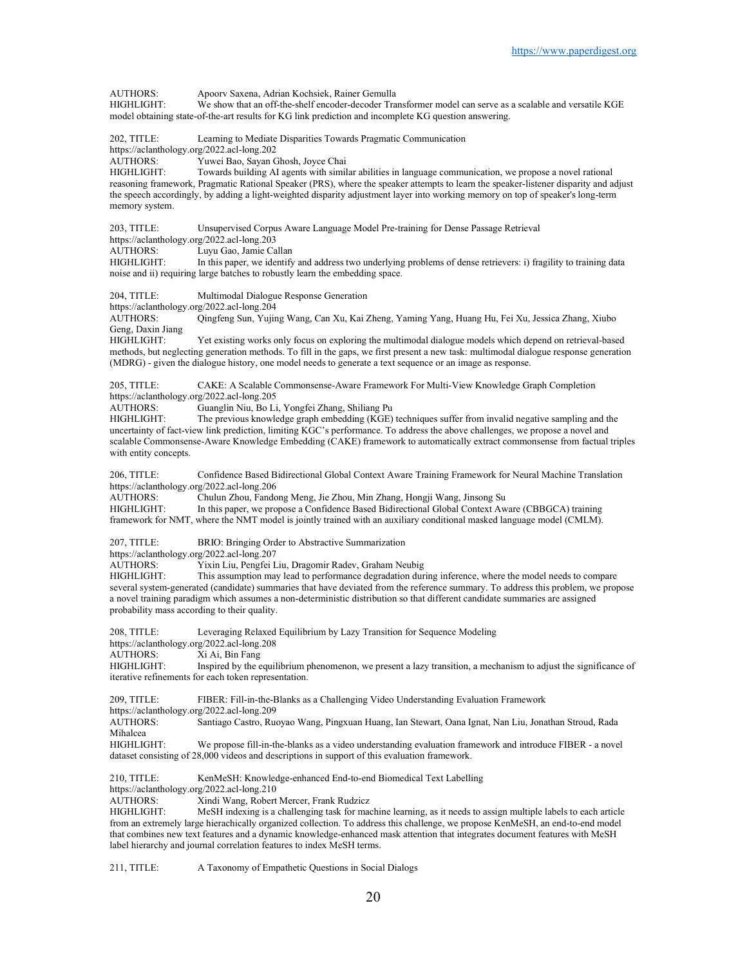AUTHORS: Apoorv Saxena, Adrian Kochsiek, Rainer Gemulla<br>HIGHLIGHT: We show that an off-the-shelf encoder-decoder Tra We show that an off-the-shelf encoder-decoder Transformer model can serve as a scalable and versatile KGE model obtaining state-of-the-art results for KG link prediction and incomplete KG question answering. 202, TITLE: Learning to Mediate Disparities Towards Pragmatic Communication https://aclanthology.org/2022.acl-long.202<br>AUTHORS: Yuwei Bao, Sayan ( Yuwei Bao, Sayan Ghosh, Joyce Chai HIGHLIGHT: Towards building AI agents with similar abilities in language communication, we propose a novel rational reasoning framework, Pragmatic Rational Speaker (PRS), where the speaker attempts to learn the speaker-listener disparity and adjust the speech accordingly, by adding a light-weighted disparity adjustment layer into working memory on top of speaker's long-term memory system. 203, TITLE: Unsupervised Corpus Aware Language Model Pre-training for Dense Passage Retrieval https://aclanthology.org/2022.acl-long.203 AUTHORS: Luyu Gao, Jamie Callan<br>HIGHLIGHT: In this paper, we identify In this paper, we identify and address two underlying problems of dense retrievers: i) fragility to training data noise and ii) requiring large batches to robustly learn the embedding space. 204, TITLE: Multimodal Dialogue Response Generation https://aclanthology.org/2022.acl-long.204 AUTHORS: Qingfeng Sun, Yujing Wang, Can Xu, Kai Zheng, Yaming Yang, Huang Hu, Fei Xu, Jessica Zhang, Xiubo Geng, Daxin Jiang HIGHLIGHT: Yet existing works only focus on exploring the multimodal dialogue models which depend on retrieval-based methods, but neglecting generation methods. To fill in the gaps, we first present a new task: multimodal dialogue response generation (MDRG) - given the dialogue history, one model needs to generate a text sequence or an image as response. 205, TITLE: CAKE: A Scalable Commonsense-Aware Framework For Multi-View Knowledge Graph Completion https://aclanthology.org/2022.acl-long.205<br>AUTHORS: Guanglin Niu, Bo Li Guanglin Niu, Bo Li, Yongfei Zhang, Shiliang Pu HIGHLIGHT: The previous knowledge graph embedding (KGE) techniques suffer from invalid negative sampling and the uncertainty of fact-view link prediction, limiting KGC's performance. To address the above challenges, we propose a novel and scalable Commonsense-Aware Knowledge Embedding (CAKE) framework to automatically extract commonsense from factual triples with entity concepts. 206, TITLE: Confidence Based Bidirectional Global Context Aware Training Framework for Neural Machine Translation https://aclanthology.org/2022.acl-long.206<br>AUTHORS: Chulun Zhou, Fando Chulun Zhou, Fandong Meng, Jie Zhou, Min Zhang, Hongji Wang, Jinsong Su HIGHLIGHT: In this paper, we propose a Confidence Based Bidirectional Global Context Aware (CBBGCA) training framework for NMT, where the NMT model is jointly trained with an auxiliary conditional masked language model (CMLM). 207, TITLE: BRIO: Bringing Order to Abstractive Summarization https://aclanthology.org/2022.acl-long.207<br>AUTHORS: Yixin Liu, Pengfei I AUTHORS: Yixin Liu, Pengfei Liu, Dragomir Radev, Graham Neubig This assumption may lead to performance degradation during inference, where the model needs to compare several system-generated (candidate) summaries that have deviated from the reference summary. To address this problem, we propose a novel training paradigm which assumes a non-deterministic distribution so that different candidate summaries are assigned probability mass according to their quality. 208, TITLE: Leveraging Relaxed Equilibrium by Lazy Transition for Sequence Modeling https://aclanthology.org/2022.acl-long.208<br>AUTHORS: Xi Ai. Bin Fang Xi Ai, Bin Fang HIGHLIGHT: Inspired by the equilibrium phenomenon, we present a lazy transition, a mechanism to adjust the significance of iterative refinements for each token representation. 209, TITLE: FIBER: Fill-in-the-Blanks as a Challenging Video Understanding Evaluation Framework https://aclanthology.org/2022.acl-long.209 AUTHORS: Santiago Castro, Ruoyao Wang, Pingxuan Huang, Ian Stewart, Oana Ignat, Nan Liu, Jonathan Stroud, Rada Mihalcea<br>HIGHLIGHT: We propose fill-in-the-blanks as a video understanding evaluation framework and introduce FIBER - a novel dataset consisting of 28,000 videos and descriptions in support of this evaluation framework. 210, TITLE: KenMeSH: Knowledge-enhanced End-to-end Biomedical Text Labelling https://aclanthology.org/2022.acl-long.210<br>AUTHORS: Xindi Wang, Robert Xindi Wang, Robert Mercer, Frank Rudzicz HIGHLIGHT: MeSH indexing is a challenging task for machine learning, as it needs to assign multiple labels to each article from an extremely large hierachically organized collection. To address this challenge, we propose KenMeSH, an end-to-end model that combines new text features and a dynamic knowledge-enhanced mask attention that integrates document features with MeSH label hierarchy and journal correlation features to index MeSH terms.

211, TITLE: A Taxonomy of Empathetic Questions in Social Dialogs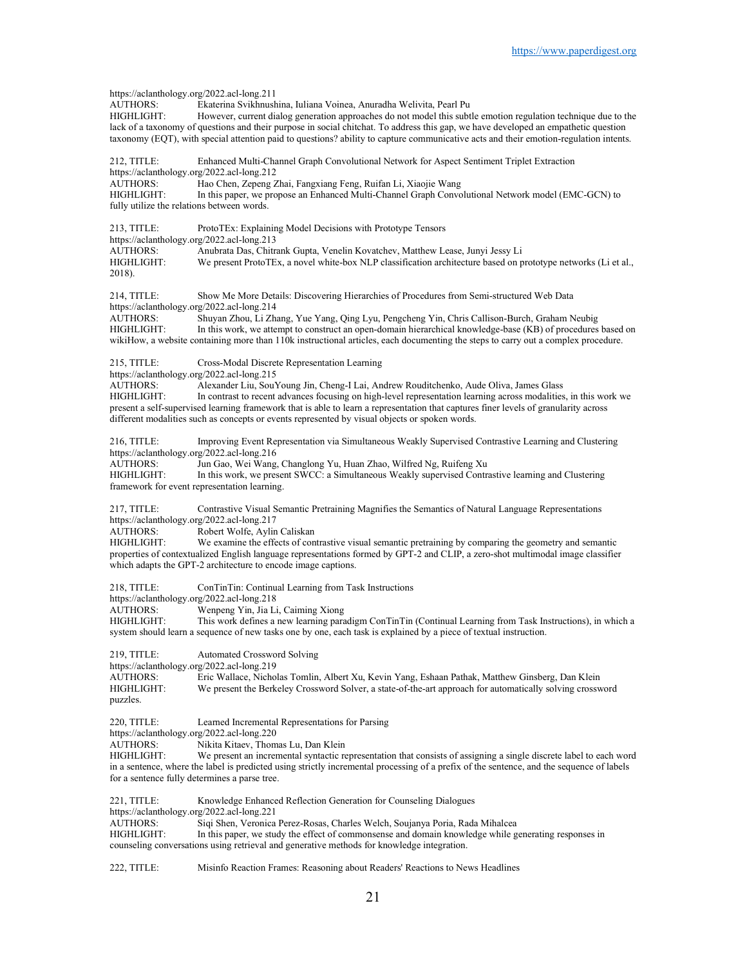https://aclanthology.org/2022.acl-long.211<br>AUTHORS: Ekaterina Svikhnush Ekaterina Svikhnushina, Iuliana Voinea, Anuradha Welivita, Pearl Pu HIGHLIGHT: However, current dialog generation approaches do not model this subtle emotion regulation technique due to the lack of a taxonomy of questions and their purpose in social chitchat. To address this gap, we have developed an empathetic question taxonomy (EQT), with special attention paid to questions? ability to capture communicative acts and their emotion-regulation intents. 212, TITLE: Enhanced Multi-Channel Graph Convolutional Network for Aspect Sentiment Triplet Extraction https://aclanthology.org/2022.acl-long.212 AUTHORS: Hao Chen, Zepeng Zhai, Fangxiang Feng, Ruifan Li, Xiaojie Wang<br>HIGHLIGHT: In this paper, we propose an Enhanced Multi-Channel Graph Convo In this paper, we propose an Enhanced Multi-Channel Graph Convolutional Network model (EMC-GCN) to fully utilize the relations between words. 213, TITLE: ProtoTEx: Explaining Model Decisions with Prototype Tensors https://aclanthology.org/2022.acl-long.213 AUTHORS: Anubrata Das, Chitrank Gupta, Venelin Kovatchev, Matthew Lease, Junyi Jessy Li We present ProtoTEx, a novel white-box NLP classification architecture based on prototype networks (Li et al., 2018). 214, TITLE: Show Me More Details: Discovering Hierarchies of Procedures from Semi-structured Web Data https://aclanthology.org/2022.acl-long.214<br>AUTHORS: Shuyan Zhou. Li Zha AUTHORS: Shuyan Zhou, Li Zhang, Yue Yang, Qing Lyu, Pengcheng Yin, Chris Callison-Burch, Graham Neubig<br>HIGHLIGHT: In this work, we attempt to construct an open-domain hierarchical knowledge-base (KB) of procedures In this work, we attempt to construct an open-domain hierarchical knowledge-base (KB) of procedures based on wikiHow, a website containing more than 110k instructional articles, each documenting the steps to carry out a complex procedure. 215, TITLE: Cross-Modal Discrete Representation Learning https://aclanthology.org/2022.acl-long.215 AUTHORS: Alexander Liu, SouYoung Jin, Cheng-I Lai, Andrew Rouditchenko, Aude Oliva, James Glass In contrast to recent advances focusing on high-level representation learning across modalities, in this work we present a self-supervised learning framework that is able to learn a representation that captures finer levels of granularity across different modalities such as concepts or events represented by visual objects or spoken words. 216, TITLE: Improving Event Representation via Simultaneous Weakly Supervised Contrastive Learning and Clustering https://aclanthology.org/2022.acl-long.216 AUTHORS: Jun Gao, Wei Wang, Changlong Yu, Huan Zhao, Wilfred Ng, Ruifeng Xu<br>HIGHLIGHT: In this work. we present SWCC: a Simultaneous Weakly supervised Contra In this work, we present SWCC: a Simultaneous Weakly supervised Contrastive learning and Clustering framework for event representation learning. 217, TITLE: Contrastive Visual Semantic Pretraining Magnifies the Semantics of Natural Language Representations https://aclanthology.org/2022.acl-long.217<br>AUTHORS: Robert Wolfe, Aylin AUTHORS: Robert Wolfe, Aylin Caliskan<br>HIGHLIGHT: We examine the effects of con We examine the effects of contrastive visual semantic pretraining by comparing the geometry and semantic properties of contextualized English language representations formed by GPT-2 and CLIP, a zero-shot multimodal image classifier which adapts the GPT-2 architecture to encode image captions. 218, TITLE: ConTinTin: Continual Learning from Task Instructions https://aclanthology.org/2022.acl-long.218<br>AUTHORS: Wenpeng Yin. Jia L Wenpeng Yin, Jia Li, Caiming Xiong HIGHLIGHT: This work defines a new learning paradigm ConTinTin (Continual Learning from Task Instructions), in which a system should learn a sequence of new tasks one by one, each task is explained by a piece of textual instruction. 219, TITLE: Automated Crossword Solving https://aclanthology.org/2022.acl-long.219<br>AUTHORS: Eric Wallace. Nichol Eric Wallace, Nicholas Tomlin, Albert Xu, Kevin Yang, Eshaan Pathak, Matthew Ginsberg, Dan Klein HIGHLIGHT: We present the Berkeley Crossword Solver, a state-of-the-art approach for automatically solving crossword puzzles. 220, TITLE: Learned Incremental Representations for Parsing https://aclanthology.org/2022.acl-long.220<br>AUTHORS: Nikita Kitaev Thom Nikita Kitaev, Thomas Lu, Dan Klein HIGHLIGHT: We present an incremental syntactic representation that consists of assigning a single discrete label to each word in a sentence, where the label is predicted using strictly incremental processing of a prefix of the sentence, and the sequence of labels for a sentence fully determines a parse tree. 221, TITLE: Knowledge Enhanced Reflection Generation for Counseling Dialogues https://aclanthology.org/2022.acl-long.221<br>AUTHORS: Sigi Shen Veronica Siqi Shen, Veronica Perez-Rosas, Charles Welch, Soujanya Poria, Rada Mihalcea HIGHLIGHT: In this paper, we study the effect of commonsense and domain knowledge while generating responses in counseling conversations using retrieval and generative methods for knowledge integration.

222, TITLE: Misinfo Reaction Frames: Reasoning about Readers' Reactions to News Headlines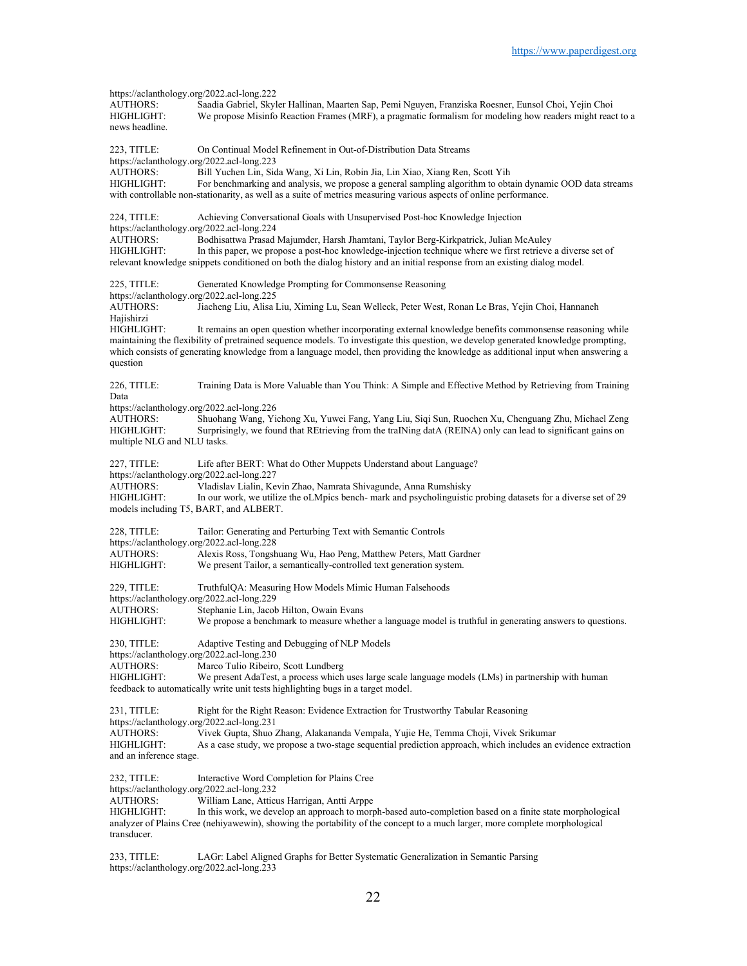https://aclanthology.org/2022.acl-long.222<br>AUTHORS: Saadia Gabriel. Skvl AUTHORS: Saadia Gabriel, Skyler Hallinan, Maarten Sap, Pemi Nguyen, Franziska Roesner, Eunsol Choi, Yejin Choi We propose Misinfo Reaction Frames (MRF), a pragmatic formalism for modeling how readers might react to a news headline. 223, TITLE: On Continual Model Refinement in Out-of-Distribution Data Streams https://aclanthology.org/2022.acl-long.223 AUTHORS: Bill Yuchen Lin, Sida Wang, Xi Lin, Robin Jia, Lin Xiao, Xiang Ren, Scott Yih HIGHLIGHT: For benchmarking and analysis, we propose a general sampling algorithm to obtain dynamic OOD data streams with controllable non-stationarity, as well as a suite of metrics measuring various aspects of online performance. 224, TITLE: Achieving Conversational Goals with Unsupervised Post-hoc Knowledge Injection https://aclanthology.org/2022.acl-long.224<br>AUTHORS: Bodhisattwa Prasad Bodhisattwa Prasad Majumder, Harsh Jhamtani, Taylor Berg-Kirkpatrick, Julian McAuley HIGHLIGHT: In this paper, we propose a post-hoc knowledge-injection technique where we first retrieve a diverse set of relevant knowledge snippets conditioned on both the dialog history and an initial response from an existing dialog model. 225, TITLE: Generated Knowledge Prompting for Commonsense Reasoning https://aclanthology.org/2022.acl-long.225 AUTHORS: Jiacheng Liu, Alisa Liu, Ximing Lu, Sean Welleck, Peter West, Ronan Le Bras, Yejin Choi, Hannaneh Hajishirzi<br>HIGHLIGHT: It remains an open question whether incorporating external knowledge benefits commonsense reasoning while maintaining the flexibility of pretrained sequence models. To investigate this question, we develop generated knowledge prompting, which consists of generating knowledge from a language model, then providing the knowledge as additional input when answering a question 226, TITLE: Training Data is More Valuable than You Think: A Simple and Effective Method by Retrieving from Training Data https://aclanthology.org/2022.acl-long.226 AUTHORS: Shuohang Wang, Yichong Xu, Yuwei Fang, Yang Liu, Siqi Sun, Ruochen Xu, Chenguang Zhu, Michael Zeng HIGHLIGHT: Surprisingly, we found that REtrieving from the traINing datA (REINA) only can lead to significant gains on multiple NLG and NLU tasks. 227, TITLE: Life after BERT: What do Other Muppets Understand about Language? https://aclanthology.org/2022.acl-long.227<br>AUTHORS: Vladislav Lialin. Ke AUTHORS: Vladislav Lialin, Kevin Zhao, Namrata Shivagunde, Anna Rumshisky<br>HIGHLIGHT: In our work, we utilize the oLMpics bench- mark and psycholinguistic In our work, we utilize the oLMpics bench- mark and psycholinguistic probing datasets for a diverse set of 29 models including T5, BART, and ALBERT. 228, TITLE: Tailor: Generating and Perturbing Text with Semantic Controls https://aclanthology.org/2022.acl-long.228 AUTHORS: Alexis Ross, Tongshuang Wu, Hao Peng, Matthew Peters, Matt Gardner<br>HIGHLIGHT: We present Tailor, a semantically-controlled text generation system We present Tailor, a semantically-controlled text generation system. 229, TITLE: TruthfulQA: Measuring How Models Mimic Human Falsehoods https://aclanthology.org/2022.acl-long.229<br>AUTHORS: Stephanie Lin, Jacob Stephanie Lin, Jacob Hilton, Owain Evans HIGHLIGHT: We propose a benchmark to measure whether a language model is truthful in generating answers to questions. 230, TITLE: Adaptive Testing and Debugging of NLP Models https://aclanthology.org/2022.acl-long.230 AUTHORS: Marco Tulio Ribeiro, Scott Lundberg<br>HIGHLIGHT: We present AdaTest. a process which We present AdaTest, a process which uses large scale language models (LMs) in partnership with human feedback to automatically write unit tests highlighting bugs in a target model. 231, TITLE: Right for the Right Reason: Evidence Extraction for Trustworthy Tabular Reasoning https://aclanthology.org/2022.acl-long.231 AUTHORS: Vivek Gupta, Shuo Zhang, Alakananda Vempala, Yujie He, Temma Choji, Vivek Srikumar As a case study, we propose a two-stage sequential prediction approach, which includes an evidence extraction and an inference stage. 232, TITLE: Interactive Word Completion for Plains Cree https://aclanthology.org/2022.acl-long.232<br>AUTHORS: William Lane, Attice William Lane, Atticus Harrigan, Antti Arppe HIGHLIGHT: In this work, we develop an approach to morph-based auto-completion based on a finite state morphological analyzer of Plains Cree (nehiyawewin), showing the portability of the concept to a much larger, more complete morphological transducer.

233, TITLE: LAGr: Label Aligned Graphs for Better Systematic Generalization in Semantic Parsing https://aclanthology.org/2022.acl-long.233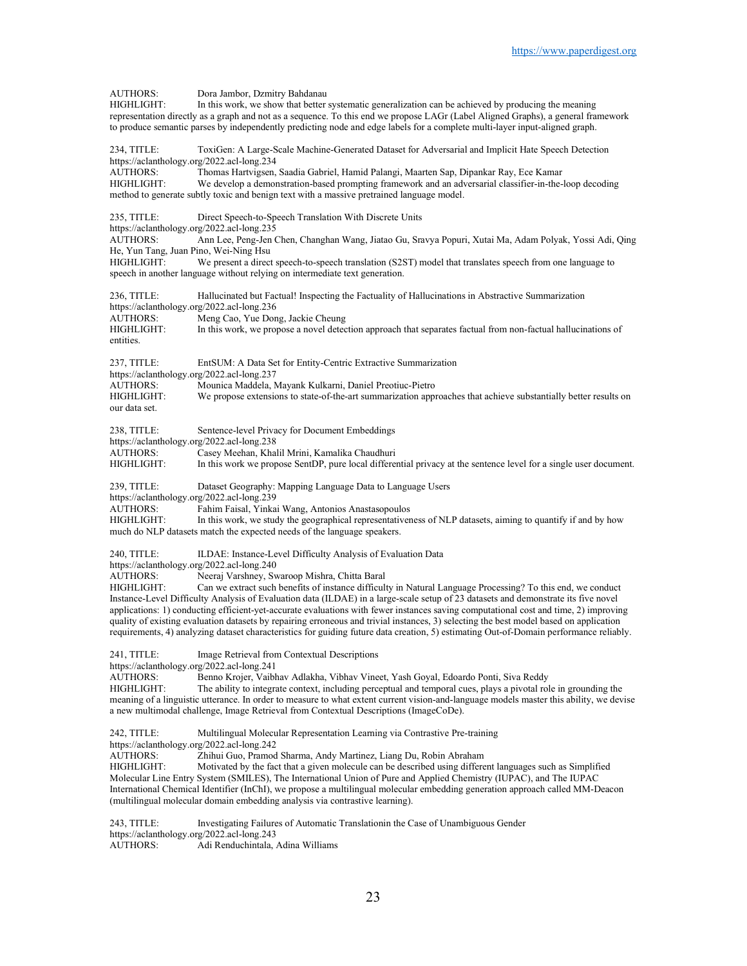AUTHORS: Dora Jambor, Dzmitry Bahdanau In this work, we show that better systematic generalization can be achieved by producing the meaning representation directly as a graph and not as a sequence. To this end we propose LAGr (Label Aligned Graphs), a general framework to produce semantic parses by independently predicting node and edge labels for a complete multi-layer input-aligned graph. 234, TITLE: ToxiGen: A Large-Scale Machine-Generated Dataset for Adversarial and Implicit Hate Speech Detection https://aclanthology.org/2022.acl-long.234<br>AUTHORS: Thomas Hartvissen. Thomas Hartvigsen, Saadia Gabriel, Hamid Palangi, Maarten Sap, Dipankar Ray, Ece Kamar HIGHLIGHT: We develop a demonstration-based prompting framework and an adversarial classifier-in-the-loop decoding method to generate subtly toxic and benign text with a massive pretrained language model. 235, TITLE: Direct Speech-to-Speech Translation With Discrete Units https://aclanthology.org/2022.acl-long.235<br>AUTHORS: Ann Lee, Peng-Jen ( Ann Lee, Peng-Jen Chen, Changhan Wang, Jiatao Gu, Sravya Popuri, Xutai Ma, Adam Polyak, Yossi Adi, Qing He, Yun Tang, Juan Pino, Wei-Ning Hsu HIGHLIGHT: We present a direct speech-to-speech translation (S2ST) model that translates speech from one language to speech in another language without relying on intermediate text generation. 236, TITLE: Hallucinated but Factual! Inspecting the Factuality of Hallucinations in Abstractive Summarization https://aclanthology.org/2022.acl-long.236 AUTHORS: Meng Cao, Yue Dong, Jackie Cheung<br>HIGHLIGHT: In this work, we propose a novel detec In this work, we propose a novel detection approach that separates factual from non-factual hallucinations of entities. 237, TITLE: EntSUM: A Data Set for Entity-Centric Extractive Summarization https://aclanthology.org/2022.acl-long.237 AUTHORS: Mounica Maddela, Mayank Kulkarni, Daniel Preotiuc-Pietro<br>HIGHLIGHT: We propose extensions to state-of-the-art summarization appr We propose extensions to state-of-the-art summarization approaches that achieve substantially better results on our data set. 238, TITLE: Sentence-level Privacy for Document Embeddings https://aclanthology.org/2022.acl-long.238<br>AUTHORS: Casey Meehan, Kha Casey Meehan, Khalil Mrini, Kamalika Chaudhuri HIGHLIGHT: In this work we propose SentDP, pure local differential privacy at the sentence level for a single user document. 239, TITLE: Dataset Geography: Mapping Language Data to Language Users https://aclanthology.org/2022.acl-long.239 AUTHORS: Fahim Faisal, Yinkai Wang, Antonios Anastasopoulos HIGHLIGHT: In this work, we study the geographical representativeness of NLP datasets, aiming to quantify if and by how much do NLP datasets match the expected needs of the language speakers. 240, TITLE: ILDAE: Instance-Level Difficulty Analysis of Evaluation Data https://aclanthology.org/2022.acl-long.240<br>AUTHORS: Neeraj Varshney, Sw Neeraj Varshney, Swaroop Mishra, Chitta Baral HIGHLIGHT: Can we extract such benefits of instance difficulty in Natural Language Processing? To this end, we conduct Instance-Level Difficulty Analysis of Evaluation data (ILDAE) in a large-scale setup of 23 datasets and demonstrate its five novel applications: 1) conducting efficient-yet-accurate evaluations with fewer instances saving computational cost and time, 2) improving quality of existing evaluation datasets by repairing erroneous and trivial instances, 3) selecting the best model based on application requirements, 4) analyzing dataset characteristics for guiding future data creation, 5) estimating Out-of-Domain performance reliably. 241, TITLE: Image Retrieval from Contextual Descriptions https://aclanthology.org/2022.acl-long.241<br>AUTHORS: Benno Kroier, Vaibl Benno Krojer, Vaibhav Adlakha, Vibhav Vineet, Yash Goyal, Edoardo Ponti, Siva Reddy HIGHLIGHT: The ability to integrate context, including perceptual and temporal cues, plays a pivotal role in grounding the meaning of a linguistic utterance. In order to measure to what extent current vision-and-language models master this ability, we devise a new multimodal challenge, Image Retrieval from Contextual Descriptions (ImageCoDe). 242, TITLE: Multilingual Molecular Representation Learning via Contrastive Pre-training https://aclanthology.org/2022.acl-long.242 AUTHORS: Zhihui Guo, Pramod Sharma, Andy Martinez, Liang Du, Robin Abraham HIGHLIGHT: Motivated by the fact that a given molecule can be described using different languages such as Simplified Molecular Line Entry System (SMILES), The International Union of Pure and Applied Chemistry (IUPAC), and The IUPAC International Chemical Identifier (InChI), we propose a multilingual molecular embedding generation approach called MM-Deacon (multilingual molecular domain embedding analysis via contrastive learning). 243, TITLE: Investigating Failures of Automatic Translationin the Case of Unambiguous Gender https://aclanthology.org/2022.acl-long.243

AUTHORS: Adi Renduchintala, Adina Williams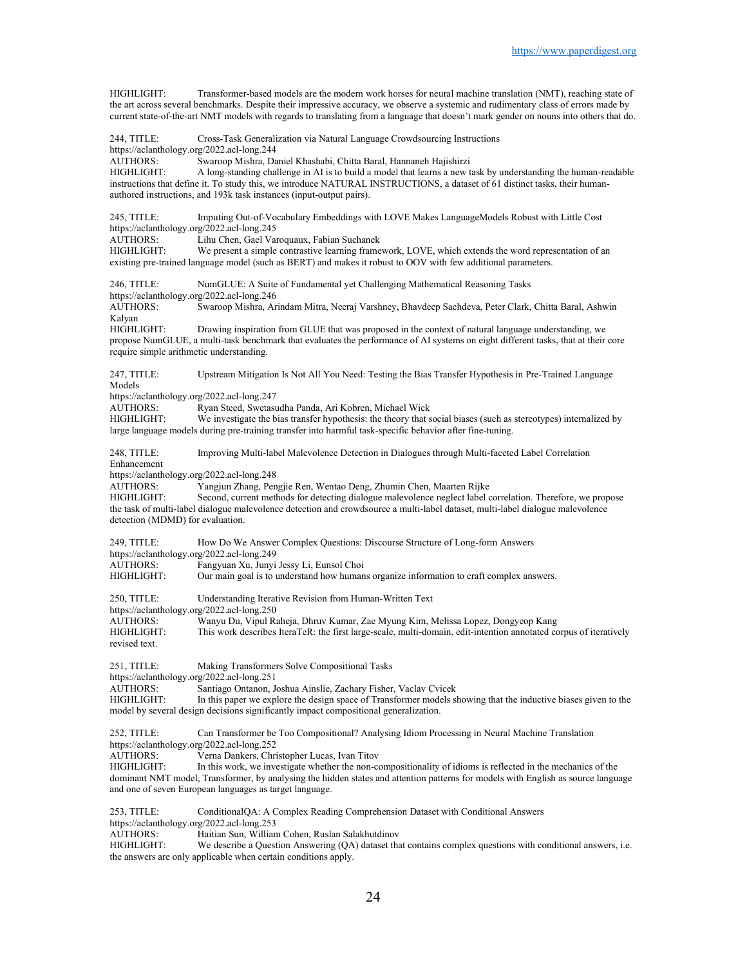HIGHLIGHT: Transformer-based models are the modern work horses for neural machine translation (NMT), reaching state of the art across several benchmarks. Despite their impressive accuracy, we observe a systemic and rudimentary class of errors made by current state-of-the-art NMT models with regards to translating from a language that doesn't mark gender on nouns into others that do.

244, TITLE: Cross-Task Generalization via Natural Language Crowdsourcing Instructions https://aclanthology.org/2022.acl-long.244<br>AUTHORS: Swaroop Mishra, Da Swaroop Mishra, Daniel Khashabi, Chitta Baral, Hannaneh Hajishirzi HIGHLIGHT: A long-standing challenge in AI is to build a model that learns a new task by understanding the human-readable instructions that define it. To study this, we introduce NATURAL INSTRUCTIONS, a dataset of 61 distinct tasks, their humanauthored instructions, and 193k task instances (input-output pairs). 245, TITLE: Imputing Out-of-Vocabulary Embeddings with LOVE Makes LanguageModels Robust with Little Cost https://aclanthology.org/2022.acl-long.245<br>AUTHORS: Lihu Chen. Gael Va Lihu Chen, Gael Varoquaux, Fabian Suchanek HIGHLIGHT: We present a simple contrastive learning framework, LOVE, which extends the word representation of an existing pre-trained language model (such as BERT) and makes it robust to OOV with few additional parameters. 246, TITLE: NumGLUE: A Suite of Fundamental yet Challenging Mathematical Reasoning Tasks https://aclanthology.org/2022.acl-long.246<br>AUTHORS: Swaroop Mishra, Ar Swaroop Mishra, Arindam Mitra, Neeraj Varshney, Bhavdeep Sachdeva, Peter Clark, Chitta Baral, Ashwin Kalyan HIGHLIGHT: Drawing inspiration from GLUE that was proposed in the context of natural language understanding, we propose NumGLUE, a multi-task benchmark that evaluates the performance of AI systems on eight different tasks, that at their core require simple arithmetic understanding. 247, TITLE: Upstream Mitigation Is Not All You Need: Testing the Bias Transfer Hypothesis in Pre-Trained Language Models https://aclanthology.org/2022.acl-long.247<br>AUTHORS: Ryan Steed. Swetasu Ryan Steed, Swetasudha Panda, Ari Kobren, Michael Wick HIGHLIGHT: We investigate the bias transfer hypothesis: the theory that social biases (such as stereotypes) internalized by large language models during pre-training transfer into harmful task-specific behavior after fine-tuning. 248, TITLE: Improving Multi-label Malevolence Detection in Dialogues through Multi-faceted Label Correlation Enhancement https://aclanthology.org/2022.acl-long.248<br>AUTHORS: Yangiun Zhang, Pen Yangjun Zhang, Pengjie Ren, Wentao Deng, Zhumin Chen, Maarten Rijke HIGHLIGHT: Second, current methods for detecting dialogue malevolence neglect label correlation. Therefore, we propose the task of multi-label dialogue malevolence detection and crowdsource a multi-label dataset, multi-label dialogue malevolence detection (MDMD) for evaluation. 249, TITLE: How Do We Answer Complex Questions: Discourse Structure of Long-form Answers https://aclanthology.org/2022.acl-long.249 AUTHORS: Fangyuan Xu, Junyi Jessy Li, Eunsol Choi Our main goal is to understand how humans organize information to craft complex answers. 250, TITLE: Understanding Iterative Revision from Human-Written Text https://aclanthology.org/2022.acl-long.250 AUTHORS: Wanyu Du, Vipul Raheja, Dhruv Kumar, Zae Myung Kim, Melissa Lopez, Dongyeop Kang This work describes IteraTeR: the first large-scale, multi-domain, edit-intention annotated corpus of iteratively revised text. 251, TITLE: Making Transformers Solve Compositional Tasks https://aclanthology.org/2022.acl-long.251 AUTHORS: Santiago Ontanon, Joshua Ainslie, Zachary Fisher, Vaclav Cvicek In this paper we explore the design space of Transformer models showing that the inductive biases given to the model by several design decisions significantly impact compositional generalization. 252, TITLE: Can Transformer be Too Compositional? Analysing Idiom Processing in Neural Machine Translation https://aclanthology.org/2022.acl-long.252 Verna Dankers, Christopher Lucas, Ivan Titov HIGHLIGHT: In this work, we investigate whether the non-compositionality of idioms is reflected in the mechanics of the dominant NMT model, Transformer, by analysing the hidden states and attention patterns for models with English as source language and one of seven European languages as target language. 253, TITLE: ConditionalQA: A Complex Reading Comprehension Dataset with Conditional Answers https://aclanthology.org/2022.acl-long.253 AUTHORS: Haitian Sun, William Cohen, Ruslan Salakhutdinov HIGHLIGHT: We describe a Question Answering (QA) dataset that contains complex questions with conditional answers, i.e.

the answers are only applicable when certain conditions apply.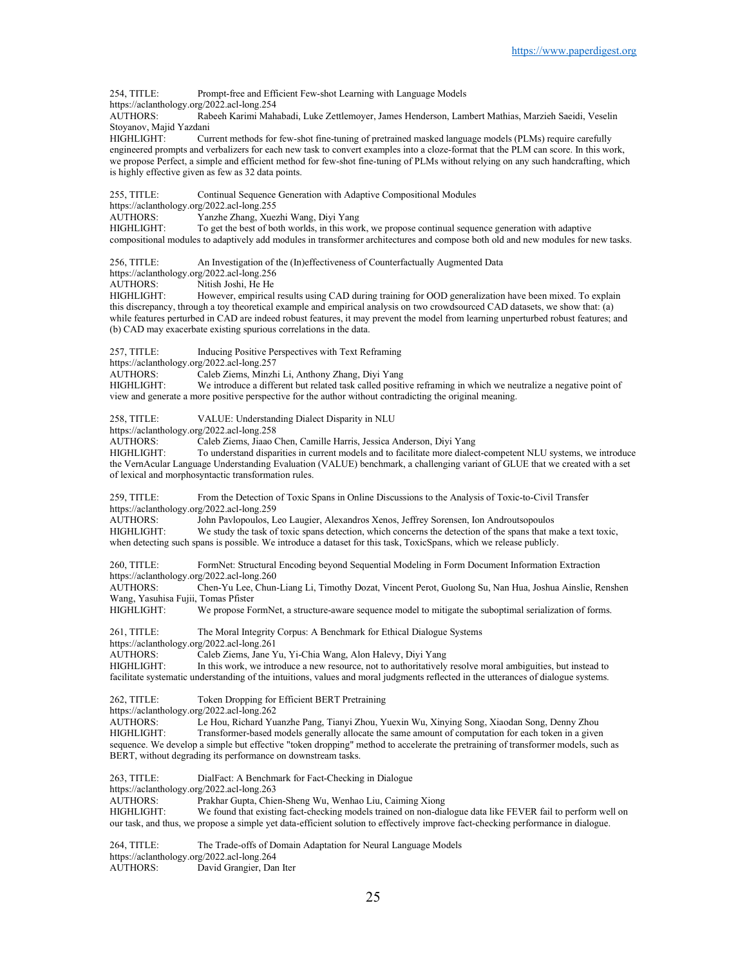254, TITLE: Prompt-free and Efficient Few-shot Learning with Language Models

https://aclanthology.org/2022.acl-long.254

AUTHORS: Rabeeh Karimi Mahabadi, Luke Zettlemoyer, James Henderson, Lambert Mathias, Marzieh Saeidi, Veselin Stoyanov, Majid Yazdani

HIGHLIGHT: Current methods for few-shot fine-tuning of pretrained masked language models (PLMs) require carefully engineered prompts and verbalizers for each new task to convert examples into a cloze-format that the PLM can score. In this work, we propose Perfect, a simple and efficient method for few-shot fine-tuning of PLMs without relying on any such handcrafting, which is highly effective given as few as 32 data points.

255, TITLE: Continual Sequence Generation with Adaptive Compositional Modules

https://aclanthology.org/2022.acl-long.255<br>AUTHORS: Yanzhe Zhang, Xue

AUTHORS: Yanzhe Zhang, Xuezhi Wang, Diyi Yang<br>HIGHLIGHT: To get the best of both worlds, in this wor

To get the best of both worlds, in this work, we propose continual sequence generation with adaptive compositional modules to adaptively add modules in transformer architectures and compose both old and new modules for new tasks.

256, TITLE: An Investigation of the (In)effectiveness of Counterfactually Augmented Data

https://aclanthology.org/2022.acl-long.256<br>AUTHORS: Nitish Joshi, He He

Nitish Joshi, He He

HIGHLIGHT: However, empirical results using CAD during training for OOD generalization have been mixed. To explain this discrepancy, through a toy theoretical example and empirical analysis on two crowdsourced CAD datasets, we show that: (a) while features perturbed in CAD are indeed robust features, it may prevent the model from learning unperturbed robust features; and (b) CAD may exacerbate existing spurious correlations in the data.

257, TITLE: Inducing Positive Perspectives with Text Reframing

https://aclanthology.org/2022.acl-long.257<br>AUTHORS: Caleb Ziems, Minzh

Caleb Ziems, Minzhi Li, Anthony Zhang, Diyi Yang

HIGHLIGHT: We introduce a different but related task called positive reframing in which we neutralize a negative point of view and generate a more positive perspective for the author without contradicting the original meaning.

258, TITLE: VALUE: Understanding Dialect Disparity in NLU

https://aclanthology.org/2022.acl-long.258<br>AUTHORS: Caleb Ziems, Jiaao

Caleb Ziems, Jiaao Chen, Camille Harris, Jessica Anderson, Diyi Yang

HIGHLIGHT: To understand disparities in current models and to facilitate more dialect-competent NLU systems, we introduce the VernAcular Language Understanding Evaluation (VALUE) benchmark, a challenging variant of GLUE that we created with a set of lexical and morphosyntactic transformation rules.

259, TITLE: From the Detection of Toxic Spans in Online Discussions to the Analysis of Toxic-to-Civil Transfer https://aclanthology.org/2022.acl-long.259

AUTHORS: John Pavlopoulos, Leo Laugier, Alexandros Xenos, Jeffrey Sorensen, Ion Androutsopoulos<br>HIGHLIGHT: We study the task of toxic spans detection, which concerns the detection of the spans that m We study the task of toxic spans detection, which concerns the detection of the spans that make a text toxic, when detecting such spans is possible. We introduce a dataset for this task, ToxicSpans, which we release publicly.

260, TITLE: FormNet: Structural Encoding beyond Sequential Modeling in Form Document Information Extraction https://aclanthology.org/2022.acl-long.260<br>AUTHORS: Chen-Yu Lee, Chun

Chen-Yu Lee, Chun-Liang Li, Timothy Dozat, Vincent Perot, Guolong Su, Nan Hua, Joshua Ainslie, Renshen Wang, Yasuhisa Fujii, Tomas Pfister<br>HIGHLIGHT: We propose Fo

We propose FormNet, a structure-aware sequence model to mitigate the suboptimal serialization of forms.

261, TITLE: The Moral Integrity Corpus: A Benchmark for Ethical Dialogue Systems https://aclanthology.org/2022.acl-long.261

AUTHORS: Caleb Ziems, Jane Yu, Yi-Chia Wang, Alon Halevy, Diyi Yang

HIGHLIGHT: In this work, we introduce a new resource, not to authoritatively resolve moral ambiguities, but instead to facilitate systematic understanding of the intuitions, values and moral judgments reflected in the utterances of dialogue systems.

262, TITLE: Token Dropping for Efficient BERT Pretraining

https://aclanthology.org/2022.acl-long.262

AUTHORS: Le Hou, Richard Yuanzhe Pang, Tianyi Zhou, Yuexin Wu, Xinying Song, Xiaodan Song, Denny Zhou HIGHLIGHT: Transformer-based models generally allocate the same amount of computation for each token in a given sequence. We develop a simple but effective "token dropping" method to accelerate the pretraining of transformer models, such as BERT, without degrading its performance on downstream tasks.

263, TITLE: DialFact: A Benchmark for Fact-Checking in Dialogue

https://aclanthology.org/2022.acl-long.263<br>AUTHORS: Prakhar Gupta, Chie

Prakhar Gupta, Chien-Sheng Wu, Wenhao Liu, Caiming Xiong

HIGHLIGHT: We found that existing fact-checking models trained on non-dialogue data like FEVER fail to perform well on our task, and thus, we propose a simple yet data-efficient solution to effectively improve fact-checking performance in dialogue.

264, TITLE: The Trade-offs of Domain Adaptation for Neural Language Models https://aclanthology.org/2022.acl-long.264<br>AUTHORS: David Grangier, Dar David Grangier, Dan Iter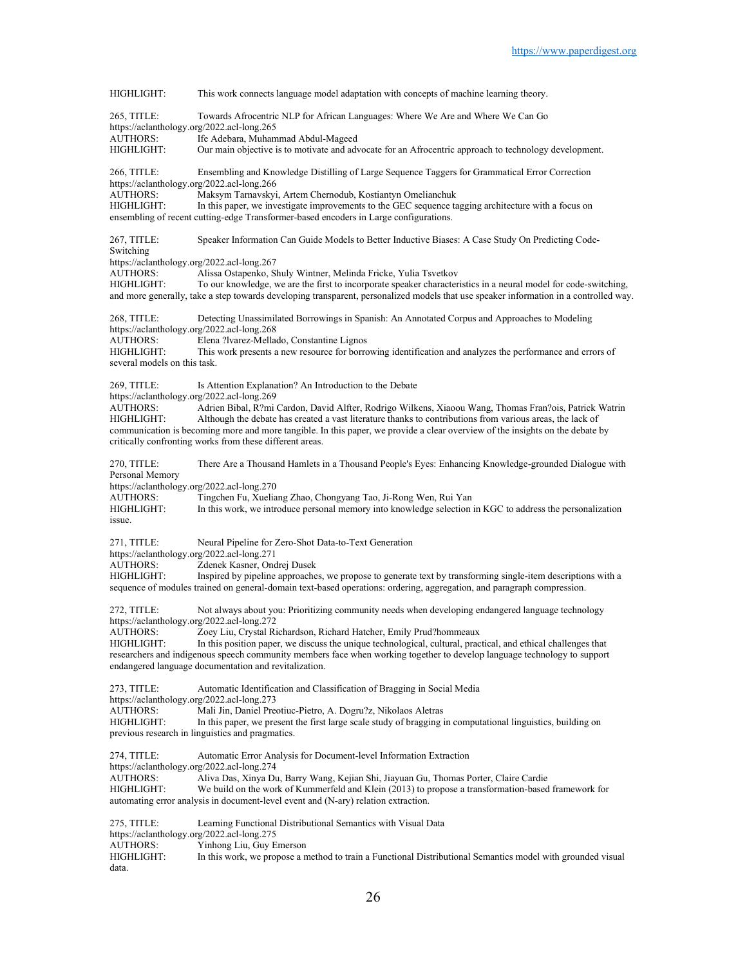HIGHLIGHT: This work connects language model adaptation with concepts of machine learning theory. 265, TITLE: Towards Afrocentric NLP for African Languages: Where We Are and Where We Can Go https://aclanthology.org/2022.acl-long.265<br>AUTHORS: Ife Adebara, Muham AUTHORS: Ife Adebara, Muhammad Abdul-Mageed<br>HIGHLIGHT: Our main objective is to motivate and adv Our main objective is to motivate and advocate for an Afrocentric approach to technology development. 266, TITLE: Ensembling and Knowledge Distilling of Large Sequence Taggers for Grammatical Error Correction https://aclanthology.org/2022.acl-long.266<br>AUTHORS: Maksym Tarnavskyi Maksym Tarnavskyi, Artem Chernodub, Kostiantyn Omelianchuk HIGHLIGHT: In this paper, we investigate improvements to the GEC sequence tagging architecture with a focus on ensembling of recent cutting-edge Transformer-based encoders in Large configurations. 267, TITLE: Speaker Information Can Guide Models to Better Inductive Biases: A Case Study On Predicting Code-Switching https://aclanthology.org/2022.acl-long.267<br>AUTHORS: Alissa Ostapenko, S AUTHORS: Alissa Ostapenko, Shuly Wintner, Melinda Fricke, Yulia Tsvetkov<br>HIGHLIGHT: To our knowledge, we are the first to incorporate speaker character To our knowledge, we are the first to incorporate speaker characteristics in a neural model for code-switching, and more generally, take a step towards developing transparent, personalized models that use speaker information in a controlled way. 268, TITLE: Detecting Unassimilated Borrowings in Spanish: An Annotated Corpus and Approaches to Modeling https://aclanthology.org/2022.acl-long.268 AUTHORS: Elena ?lvarez-Mellado, Constantine Lignos HIGHLIGHT: This work presents a new resource for borrowing identification and analyzes the performance and errors of several models on this task. 269, TITLE: Is Attention Explanation? An Introduction to the Debate https://aclanthology.org/2022.acl-long.269<br>AUTHORS: Adrien Bibal R?mi Adrien Bibal, R?mi Cardon, David Alfter, Rodrigo Wilkens, Xiaoou Wang, Thomas Fran?ois, Patrick Watrin HIGHLIGHT: Although the debate has created a vast literature thanks to contributions from various areas, the lack of communication is becoming more and more tangible. In this paper, we provide a clear overview of the insights on the debate by critically confronting works from these different areas. 270, TITLE: There Are a Thousand Hamlets in a Thousand People's Eyes: Enhancing Knowledge-grounded Dialogue with Personal Memory https://aclanthology.org/2022.acl-long.270<br>AUTHORS: Tingchen Fu, Xuelia AUTHORS: Tingchen Fu, Xueliang Zhao, Chongyang Tao, Ji-Rong Wen, Rui Yan<br>HIGHLIGHT: In this work, we introduce personal memory into knowledge selection In this work, we introduce personal memory into knowledge selection in KGC to address the personalization issue. 271, TITLE: Neural Pipeline for Zero-Shot Data-to-Text Generation https://aclanthology.org/2022.acl-long.271<br>AUTHORS: Zdenek Kasner, Ond AUTHORS: Zdenek Kasner, Ondrej Dusek<br>HIGHLIGHT: Inspired by pipeline approache Inspired by pipeline approaches, we propose to generate text by transforming single-item descriptions with a sequence of modules trained on general-domain text-based operations: ordering, aggregation, and paragraph compression. 272, TITLE: Not always about you: Prioritizing community needs when developing endangered language technology https://aclanthology.org/2022.acl-long.272<br>AUTHORS: Zoey Liu, Crystal Ri Zoey Liu, Crystal Richardson, Richard Hatcher, Emily Prud?hommeaux HIGHLIGHT: In this position paper, we discuss the unique technological, cultural, practical, and ethical challenges that researchers and indigenous speech community members face when working together to develop language technology to support endangered language documentation and revitalization. 273, TITLE: Automatic Identification and Classification of Bragging in Social Media https://aclanthology.org/2022.acl-long.273 AUTHORS: Mali Jin, Daniel Preotiuc-Pietro, A. Dogru?z, Nikolaos Aletras HIGHLIGHT: In this paper, we present the first large scale study of bragging in computational linguistics, building on previous research in linguistics and pragmatics. 274, TITLE: Automatic Error Analysis for Document-level Information Extraction https://aclanthology.org/2022.acl-long.274 AUTHORS: Aliva Das, Xinya Du, Barry Wang, Kejian Shi, Jiayuan Gu, Thomas Porter, Claire Cardie HIGHLIGHT: We build on the work of Kummerfeld and Klein (2013) to propose a transformation-based framework for automating error analysis in document-level event and (N-ary) relation extraction. 275, TITLE: Learning Functional Distributional Semantics with Visual Data https://aclanthology.org/2022.acl-long.275<br>AUTHORS: Yinhong Liu, Guy E AUTHORS: Yinhong Liu, Guy Emerson<br>HIGHLIGHT: In this work, we propose a n In this work, we propose a method to train a Functional Distributional Semantics model with grounded visual data.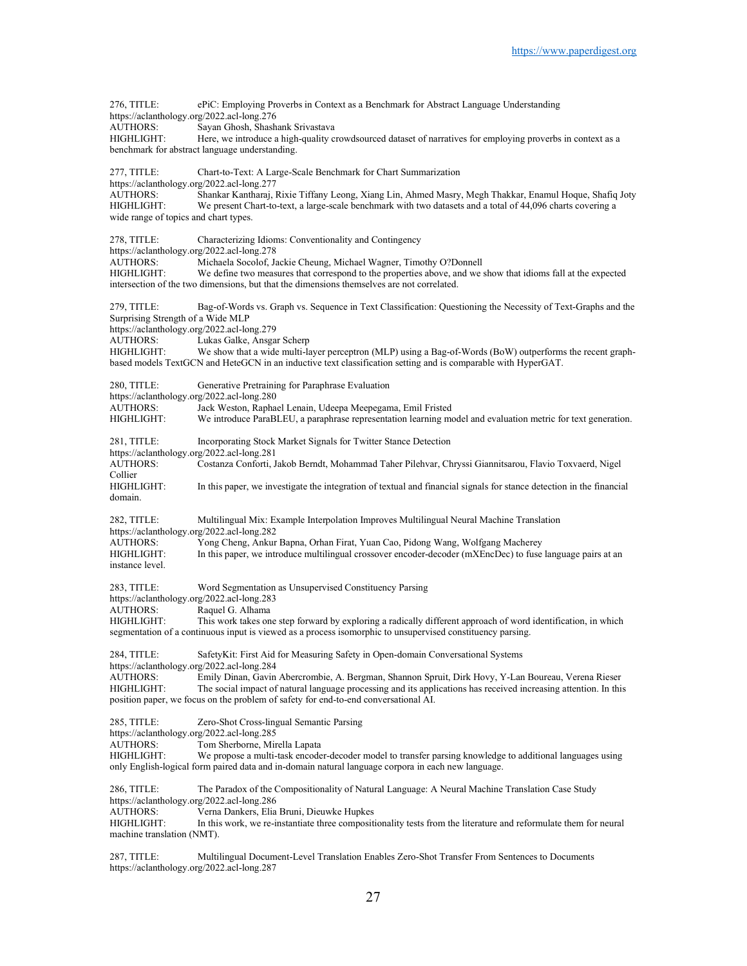276, TITLE: ePiC: Employing Proverbs in Context as a Benchmark for Abstract Language Understanding https://aclanthology.org/2022.acl-long.276 AUTHORS: Sayan Ghosh, Shashank Srivastava HIGHLIGHT: Here, we introduce a high-quality crowdsourced dataset of narratives for employing proverbs in context as a benchmark for abstract language understanding. 277, TITLE: Chart-to-Text: A Large-Scale Benchmark for Chart Summarization https://aclanthology.org/2022.acl-long.277<br>AUTHORS: Shankar Kantharaj, AUTHORS: Shankar Kantharaj, Rixie Tiffany Leong, Xiang Lin, Ahmed Masry, Megh Thakkar, Enamul Hoque, Shafiq Joty<br>HIGHLIGHT: We present Chart-to-text, a large-scale benchmark with two datasets and a total of 44,096 charts c We present Chart-to-text, a large-scale benchmark with two datasets and a total of 44,096 charts covering a wide range of topics and chart types. 278, TITLE: Characterizing Idioms: Conventionality and Contingency https://aclanthology.org/2022.acl-long.278 AUTHORS: Michaela Socolof, Jackie Cheung, Michael Wagner, Timothy O?Donnell<br>HIGHLIGHT: We define two measures that correspond to the properties above, and we We define two measures that correspond to the properties above, and we show that idioms fall at the expected intersection of the two dimensions, but that the dimensions themselves are not correlated. 279, TITLE: Bag-of-Words vs. Graph vs. Sequence in Text Classification: Questioning the Necessity of Text-Graphs and the Surprising Strength of a Wide MLP https://aclanthology.org/2022.acl-long.279 AUTHORS: Lukas Galke, Ansgar Scherp HIGHLIGHT: We show that a wide multi-layer perceptron (MLP) using a Bag-of-Words (BoW) outperforms the recent graphbased models TextGCN and HeteGCN in an inductive text classification setting and is comparable with HyperGAT. 280, TITLE: Generative Pretraining for Paraphrase Evaluation https://aclanthology.org/2022.acl-long.280<br>AUTHORS: Jack Weston, Rapha Jack Weston, Raphael Lenain, Udeepa Meepegama, Emil Fristed HIGHLIGHT: We introduce ParaBLEU, a paraphrase representation learning model and evaluation metric for text generation. 281, TITLE: Incorporating Stock Market Signals for Twitter Stance Detection https://aclanthology.org/2022.acl-long.281 AUTHORS: Costanza Conforti, Jakob Berndt, Mohammad Taher Pilehvar, Chryssi Giannitsarou, Flavio Toxvaerd, Nigel Collier<br>HIGHLIGHT: In this paper, we investigate the integration of textual and financial signals for stance detection in the financial domain. 282, TITLE: Multilingual Mix: Example Interpolation Improves Multilingual Neural Machine Translation https://aclanthology.org/2022.acl-long.282<br>AUTHORS: Yong Cheng, Ankur Yong Cheng, Ankur Bapna, Orhan Firat, Yuan Cao, Pidong Wang, Wolfgang Macherey HIGHLIGHT: In this paper, we introduce multilingual crossover encoder-decoder (mXEncDec) to fuse language pairs at an instance level. 283, TITLE: Word Segmentation as Unsupervised Constituency Parsing https://aclanthology.org/2022.acl-long.283<br>AUTHORS: Raquel G. Albama Raquel G. Alhama HIGHLIGHT: This work takes one step forward by exploring a radically different approach of word identification, in which segmentation of a continuous input is viewed as a process isomorphic to unsupervised constituency parsing. 284, TITLE: SafetyKit: First Aid for Measuring Safety in Open-domain Conversational Systems https://aclanthology.org/2022.acl-long.284<br>AUTHORS: Emily Dinan. Gavin Emily Dinan, Gavin Abercrombie, A. Bergman, Shannon Spruit, Dirk Hovy, Y-Lan Boureau, Verena Rieser HIGHLIGHT: The social impact of natural language processing and its applications has received increasing attention. In this position paper, we focus on the problem of safety for end-to-end conversational AI. 285, TITLE: Zero-Shot Cross-lingual Semantic Parsing https://aclanthology.org/2022.acl-long.285<br>AUTHORS: Tom Sherborne, Mir Tom Sherborne, Mirella Lapata HIGHLIGHT: We propose a multi-task encoder-decoder model to transfer parsing knowledge to additional languages using only English-logical form paired data and in-domain natural language corpora in each new language. 286, TITLE: The Paradox of the Compositionality of Natural Language: A Neural Machine Translation Case Study https://aclanthology.org/2022.acl-long.286 AUTHORS: Verna Dankers, Elia Bruni, Dieuwke Hupkes<br>HIGHLIGHT: In this work, we re-instantiate three compositi In this work, we re-instantiate three compositionality tests from the literature and reformulate them for neural machine translation (NMT).

287, TITLE: Multilingual Document-Level Translation Enables Zero-Shot Transfer From Sentences to Documents https://aclanthology.org/2022.acl-long.287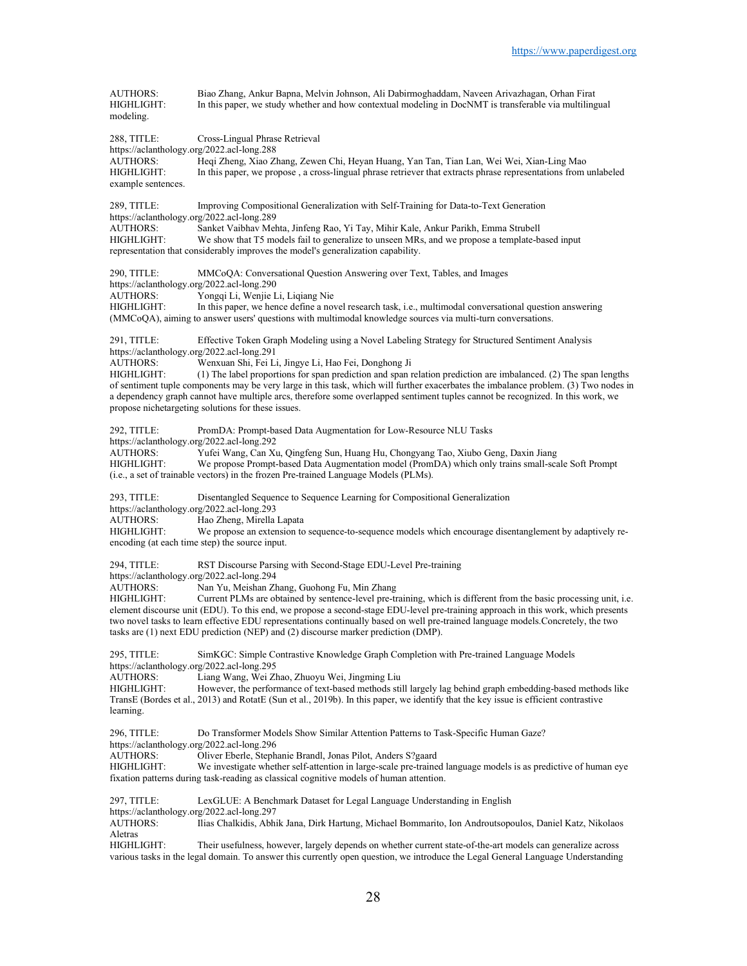| <b>AUTHORS:</b><br>HIGHLIGHT:<br>modeling.                                                                                                   | Biao Zhang, Ankur Bapna, Melvin Johnson, Ali Dabirmoghaddam, Naveen Arivazhagan, Orhan Firat<br>In this paper, we study whether and how contextual modeling in DocNMT is transferable via multilingual                                                                                                                                                                                                                                                                                                                                                                                                       |
|----------------------------------------------------------------------------------------------------------------------------------------------|--------------------------------------------------------------------------------------------------------------------------------------------------------------------------------------------------------------------------------------------------------------------------------------------------------------------------------------------------------------------------------------------------------------------------------------------------------------------------------------------------------------------------------------------------------------------------------------------------------------|
| 288, TITLE:<br>https://aclanthology.org/2022.acl-long.288<br>AUTHORS:<br>HIGHLIGHT:<br>example sentences.                                    | Cross-Lingual Phrase Retrieval<br>Heqi Zheng, Xiao Zhang, Zewen Chi, Heyan Huang, Yan Tan, Tian Lan, Wei Wei, Xian-Ling Mao<br>In this paper, we propose, a cross-lingual phrase retriever that extracts phrase representations from unlabeled                                                                                                                                                                                                                                                                                                                                                               |
| 289, TITLE:<br>https://aclanthology.org/2022.acl-long.289<br><b>AUTHORS:</b><br>HIGHLIGHT:                                                   | Improving Compositional Generalization with Self-Training for Data-to-Text Generation<br>Sanket Vaibhav Mehta, Jinfeng Rao, Yi Tay, Mihir Kale, Ankur Parikh, Emma Strubell<br>We show that T5 models fail to generalize to unseen MRs, and we propose a template-based input<br>representation that considerably improves the model's generalization capability.                                                                                                                                                                                                                                            |
| 290, TITLE:<br>https://aclanthology.org/2022.acl-long.290<br><b>AUTHORS:</b><br>HIGHLIGHT:                                                   | MMCoQA: Conversational Question Answering over Text, Tables, and Images<br>Yongqi Li, Wenjie Li, Liqiang Nie<br>In this paper, we hence define a novel research task, i.e., multimodal conversational question answering<br>(MMCoQA), aiming to answer users' questions with multimodal knowledge sources via multi-turn conversations.                                                                                                                                                                                                                                                                      |
| 291, TITLE:<br>https://aclanthology.org/2022.acl-long.291<br><b>AUTHORS:</b><br>HIGHLIGHT:                                                   | Effective Token Graph Modeling using a Novel Labeling Strategy for Structured Sentiment Analysis<br>Wenxuan Shi, Fei Li, Jingye Li, Hao Fei, Donghong Ji<br>(1) The label proportions for span prediction and span relation prediction are imbalanced. (2) The span lengths<br>of sentiment tuple components may be very large in this task, which will further exacerbates the imbalance problem. (3) Two nodes in<br>a dependency graph cannot have multiple arcs, therefore some overlapped sentiment tuples cannot be recognized. In this work, we<br>propose nichetargeting solutions for these issues. |
| 292, TITLE:<br>https://aclanthology.org/2022.acl-long.292<br><b>AUTHORS:</b><br>HIGHLIGHT:                                                   | PromDA: Prompt-based Data Augmentation for Low-Resource NLU Tasks<br>Yufei Wang, Can Xu, Qingfeng Sun, Huang Hu, Chongyang Tao, Xiubo Geng, Daxin Jiang<br>We propose Prompt-based Data Augmentation model (PromDA) which only trains small-scale Soft Prompt<br>(i.e., a set of trainable vectors) in the frozen Pre-trained Language Models (PLMs).                                                                                                                                                                                                                                                        |
| 293, TITLE:<br>https://aclanthology.org/2022.acl-long.293<br><b>AUTHORS:</b><br>HIGHLIGHT:<br>encoding (at each time step) the source input. | Disentangled Sequence to Sequence Learning for Compositional Generalization<br>Hao Zheng, Mirella Lapata<br>We propose an extension to sequence-to-sequence models which encourage disentanglement by adaptively re-                                                                                                                                                                                                                                                                                                                                                                                         |
| 294, TITLE:<br>https://aclanthology.org/2022.acl-long.294<br><b>AUTHORS:</b><br>HIGHLIGHT:                                                   | RST Discourse Parsing with Second-Stage EDU-Level Pre-training<br>Nan Yu, Meishan Zhang, Guohong Fu, Min Zhang<br>Current PLMs are obtained by sentence-level pre-training, which is different from the basic processing unit, i.e.<br>element discourse unit (EDU). To this end, we propose a second-stage EDU-level pre-training approach in this work, which presents<br>two novel tasks to learn effective EDU representations continually based on well pre-trained language models.Concretely, the two<br>tasks are (1) next EDU prediction (NEP) and (2) discourse marker prediction (DMP).           |
| 295, TITLE:<br>https://aclanthology.org/2022.acl-long.295<br><b>AUTHORS:</b><br>HIGHLIGHT:<br>learning.                                      | SimKGC: Simple Contrastive Knowledge Graph Completion with Pre-trained Language Models<br>Liang Wang, Wei Zhao, Zhuoyu Wei, Jingming Liu<br>However, the performance of text-based methods still largely lag behind graph embedding-based methods like<br>TransE (Bordes et al., 2013) and RotatE (Sun et al., 2019b). In this paper, we identify that the key issue is efficient contrastive                                                                                                                                                                                                                |
| 296, TITLE:<br>https://aclanthology.org/2022.acl-long.296<br>AUTHORS:<br>HIGHLIGHT:                                                          | Do Transformer Models Show Similar Attention Patterns to Task-Specific Human Gaze?<br>Oliver Eberle, Stephanie Brandl, Jonas Pilot, Anders S?gaard<br>We investigate whether self-attention in large-scale pre-trained language models is as predictive of human eye<br>fixation patterns during task-reading as classical cognitive models of human attention.                                                                                                                                                                                                                                              |
| 297, TITLE:<br>https://aclanthology.org/2022.acl-long.297<br><b>AUTHORS:</b><br>Aletras<br>HIGHLIGHT:                                        | LexGLUE: A Benchmark Dataset for Legal Language Understanding in English<br>Ilias Chalkidis, Abhik Jana, Dirk Hartung, Michael Bommarito, Ion Androutsopoulos, Daniel Katz, Nikolaos<br>Their usefulness, however, largely depends on whether current state-of-the-art models can generalize across<br>various tasks in the legal domain. To answer this currently open question, we introduce the Legal General Language Understanding                                                                                                                                                                      |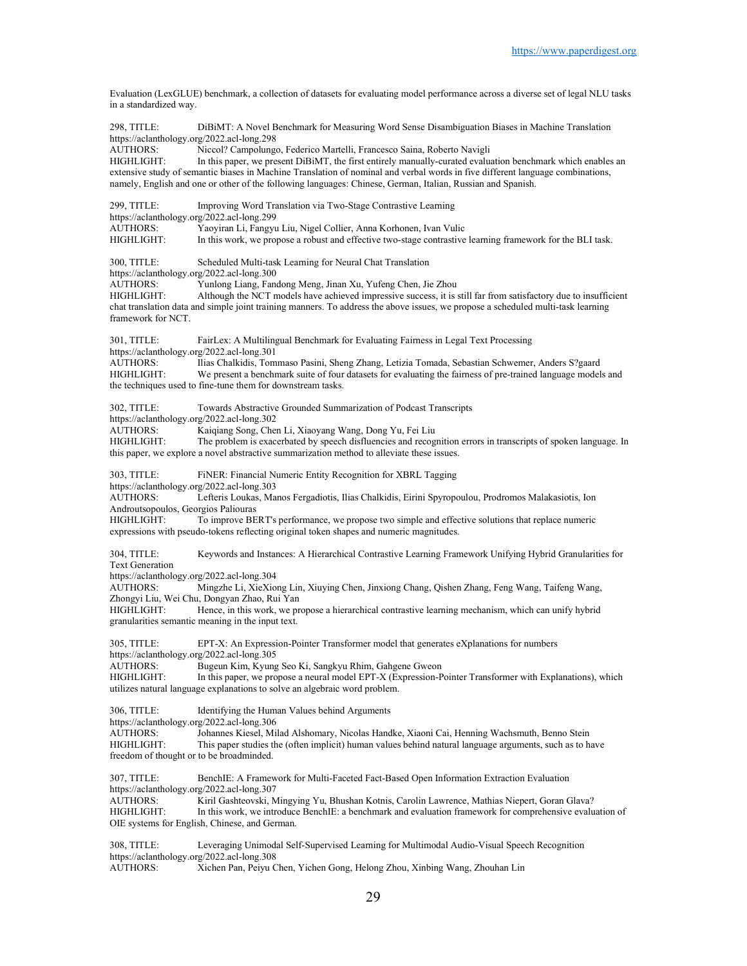Evaluation (LexGLUE) benchmark, a collection of datasets for evaluating model performance across a diverse set of legal NLU tasks in a standardized way. 298, TITLE: DiBiMT: A Novel Benchmark for Measuring Word Sense Disambiguation Biases in Machine Translation https://aclanthology.org/2022.acl-long.298<br>AUTHORS: Niccol? Campolung Niccol? Campolungo, Federico Martelli, Francesco Saina, Roberto Navigli HIGHLIGHT: In this paper, we present DiBiMT, the first entirely manually-curated evaluation benchmark which enables an extensive study of semantic biases in Machine Translation of nominal and verbal words in five different language combinations, namely, English and one or other of the following languages: Chinese, German, Italian, Russian and Spanish. 299, TITLE: Improving Word Translation via Two-Stage Contrastive Learning https://aclanthology.org/2022.acl-long.299<br>AUTHORS: Yaoyiran Li, Fangyu AUTHORS: Yaoyiran Li, Fangyu Liu, Nigel Collier, Anna Korhonen, Ivan Vulic In this work, we propose a robust and effective two-stage contrastive learning framework for the BLI task. 300, TITLE: Scheduled Multi-task Learning for Neural Chat Translation https://aclanthology.org/2022.acl-long.300<br>AUTHORS: Yunlong Liang, Fanc Yunlong Liang, Fandong Meng, Jinan Xu, Yufeng Chen, Jie Zhou HIGHLIGHT: Although the NCT models have achieved impressive success, it is still far from satisfactory due to insufficient chat translation data and simple joint training manners. To address the above issues, we propose a scheduled multi-task learning framework for NCT. 301, TITLE: FairLex: A Multilingual Benchmark for Evaluating Fairness in Legal Text Processing https://aclanthology.org/2022.acl-long.301<br>AUTHORS: Ilias Chalkidis, Tom AUTHORS: Ilias Chalkidis, Tommaso Pasini, Sheng Zhang, Letizia Tomada, Sebastian Schwemer, Anders S?gaard<br>HIGHLIGHT: We present a benchmark suite of four datasets for evaluating the fairness of pre-trained language model We present a benchmark suite of four datasets for evaluating the fairness of pre-trained language models and the techniques used to fine-tune them for downstream tasks. 302, TITLE: Towards Abstractive Grounded Summarization of Podcast Transcripts https://aclanthology.org/2022.acl-long.302 AUTHORS: Kaiqiang Song, Chen Li, Xiaoyang Wang, Dong Yu, Fei Liu<br>HIGHLIGHT: The problem is exacerbated by speech disfluencies and recog The problem is exacerbated by speech disfluencies and recognition errors in transcripts of spoken language. In this paper, we explore a novel abstractive summarization method to alleviate these issues. 303, TITLE: FiNER: Financial Numeric Entity Recognition for XBRL Tagging https://aclanthology.org/2022.acl-long.303 AUTHORS: Lefteris Loukas, Manos Fergadiotis, Ilias Chalkidis, Eirini Spyropoulou, Prodromos Malakasiotis, Ion Androutsopoulos, Georgios Paliouras HIGHLIGHT: To improve BERT's performance, we propose two simple and effective solutions that replace numeric expressions with pseudo-tokens reflecting original token shapes and numeric magnitudes. 304, TITLE: Keywords and Instances: A Hierarchical Contrastive Learning Framework Unifying Hybrid Granularities for Text Generation https://aclanthology.org/2022.acl-long.304 AUTHORS: Mingzhe Li, XieXiong Lin, Xiuying Chen, Jinxiong Chang, Qishen Zhang, Feng Wang, Taifeng Wang, Zhongyi Liu, Wei Chu, Dongyan Zhao, Rui Yan Hence, in this work, we propose a hierarchical contrastive learning mechanism, which can unify hybrid granularities semantic meaning in the input text. 305, TITLE: EPT-X: An Expression-Pointer Transformer model that generates eXplanations for numbers https://aclanthology.org/2022.acl-long.305 AUTHORS: Bugeun Kim, Kyung Seo Ki, Sangkyu Rhim, Gahgene Gweon<br>HIGHLIGHT: In this paper, we propose a neural model EPT-X (Expression-P In this paper, we propose a neural model EPT-X (Expression-Pointer Transformer with Explanations), which utilizes natural language explanations to solve an algebraic word problem. 306, TITLE: Identifying the Human Values behind Arguments https://aclanthology.org/2022.acl-long.306 AUTHORS: Johannes Kiesel, Milad Alshomary, Nicolas Handke, Xiaoni Cai, Henning Wachsmuth, Benno Stein This paper studies the (often implicit) human values behind natural language arguments, such as to have freedom of thought or to be broadminded. 307, TITLE: BenchIE: A Framework for Multi-Faceted Fact-Based Open Information Extraction Evaluation https://aclanthology.org/2022.acl-long.307<br>AUTHORS: Kiril Gashteovski, M Kiril Gashteovski, Mingying Yu, Bhushan Kotnis, Carolin Lawrence, Mathias Niepert, Goran Glava? HIGHLIGHT: In this work, we introduce BenchIE: a benchmark and evaluation framework for comprehensive evaluation of OIE systems for English, Chinese, and German. 308, TITLE: Leveraging Unimodal Self-Supervised Learning for Multimodal Audio-Visual Speech Recognition https://aclanthology.org/2022.acl-long.308<br>AUTHORS: Xichen Pan, Peiyu C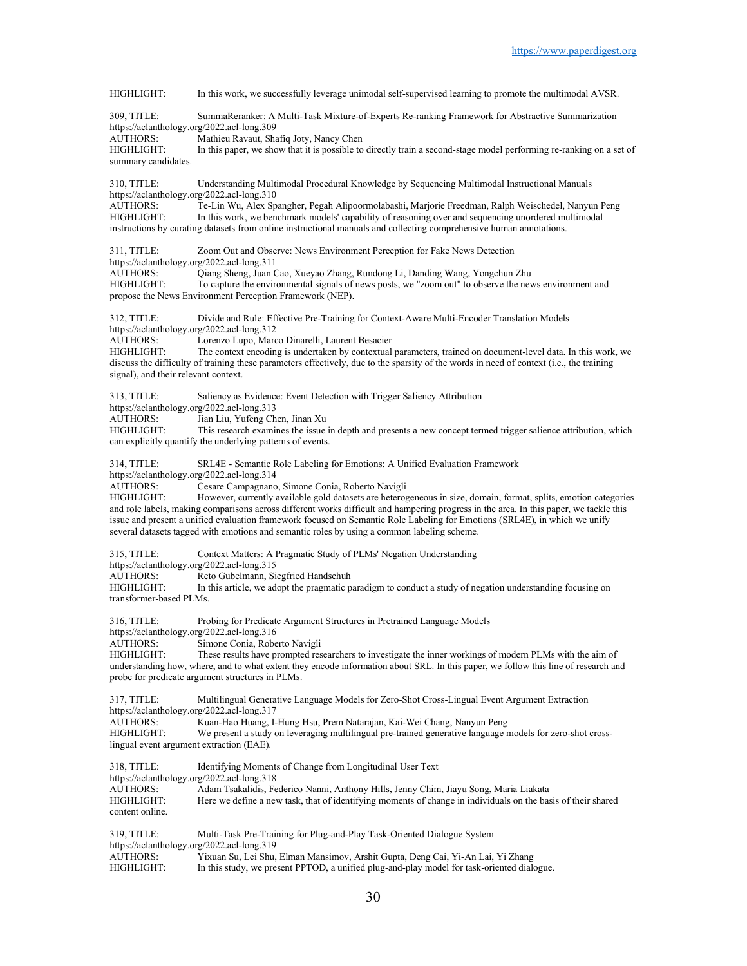HIGHLIGHT: In this work, we successfully leverage unimodal self-supervised learning to promote the multimodal AVSR. 309, TITLE: SummaReranker: A Multi-Task Mixture-of-Experts Re-ranking Framework for Abstractive Summarization https://aclanthology.org/2022.acl-long.309<br>AUTHORS: Mathieu Ravaut, Sha AUTHORS: Mathieu Ravaut, Shafiq Joty, Nancy Chen<br>HIGHLIGHT: In this paper, we show that it is possible to In this paper, we show that it is possible to directly train a second-stage model performing re-ranking on a set of summary candidates. 310, TITLE: Understanding Multimodal Procedural Knowledge by Sequencing Multimodal Instructional Manuals https://aclanthology.org/2022.acl-long.310 AUTHORS: Te-Lin Wu, Alex Spangher, Pegah Alipoormolabashi, Marjorie Freedman, Ralph Weischedel, Nanyun Peng<br>HIGHLIGHT: In this work, we benchmark models' capability of reasoning over and sequencing unordered multimodal In this work, we benchmark models' capability of reasoning over and sequencing unordered multimodal instructions by curating datasets from online instructional manuals and collecting comprehensive human annotations. 311, TITLE: Zoom Out and Observe: News Environment Perception for Fake News Detection https://aclanthology.org/2022.acl-long.311<br>AUTHORS: Qiang Sheng, Juan C AUTHORS: Qiang Sheng, Juan Cao, Xueyao Zhang, Rundong Li, Danding Wang, Yongchun Zhu To capture the environmental signals of news posts, we "zoom out" to observe the news environment and propose the News Environment Perception Framework (NEP). 312, TITLE: Divide and Rule: Effective Pre-Training for Context-Aware Multi-Encoder Translation Models https://aclanthology.org/2022.acl-long.312 AUTHORS: Lorenzo Lupo, Marco Dinarelli, Laurent Besacier HIGHLIGHT: The context encoding is undertaken by contextual parameters, trained on document-level data. In this work, we discuss the difficulty of training these parameters effectively, due to the sparsity of the words in need of context (i.e., the training signal), and their relevant context. 313, TITLE: Saliency as Evidence: Event Detection with Trigger Saliency Attribution https://aclanthology.org/2022.acl-long.313 AUTHORS: Jian Liu, Yufeng Chen, Jinan Xu HIGHLIGHT: This research examines the issue in depth and presents a new concept termed trigger salience attribution, which can explicitly quantify the underlying patterns of events. 314, TITLE: SRL4E - Semantic Role Labeling for Emotions: A Unified Evaluation Framework https://aclanthology.org/2022.acl-long.314<br>AUTHORS: Cesare Campagnano AUTHORS: Cesare Campagnano, Simone Conia, Roberto Navigli<br>HIGHLIGHT: However, currently available gold datasets are heteros However, currently available gold datasets are heterogeneous in size, domain, format, splits, emotion categories and role labels, making comparisons across different works difficult and hampering progress in the area. In this paper, we tackle this issue and present a unified evaluation framework focused on Semantic Role Labeling for Emotions (SRL4E), in which we unify several datasets tagged with emotions and semantic roles by using a common labeling scheme. 315, TITLE: Context Matters: A Pragmatic Study of PLMs' Negation Understanding https://aclanthology.org/2022.acl-long.315<br>AUTHORS: Reto Gubelmann, Si AUTHORS: Reto Gubelmann, Siegfried Handschuh<br>HIGHLIGHT: In this article, we adont the pragmatic p In this article, we adopt the pragmatic paradigm to conduct a study of negation understanding focusing on transformer-based PLMs. 316, TITLE: Probing for Predicate Argument Structures in Pretrained Language Models https://aclanthology.org/2022.acl-long.316 AUTHORS: Simone Conia, Roberto Navigli<br>HIGHLIGHT: These results have prompted res These results have prompted researchers to investigate the inner workings of modern PLMs with the aim of understanding how, where, and to what extent they encode information about SRL. In this paper, we follow this line of research and probe for predicate argument structures in PLMs. 317, TITLE: Multilingual Generative Language Models for Zero-Shot Cross-Lingual Event Argument Extraction https://aclanthology.org/2022.acl-long.317 AUTHORS: Kuan-Hao Huang, I-Hung Hsu, Prem Natarajan, Kai-Wei Chang, Nanyun Peng We present a study on leveraging multilingual pre-trained generative language models for zero-shot crosslingual event argument extraction (EAE). 318, TITLE: Identifying Moments of Change from Longitudinal User Text https://aclanthology.org/2022.acl-long.318 AUTHORS: Adam Tsakalidis, Federico Nanni, Anthony Hills, Jenny Chim, Jiayu Song, Maria Liakata HIGHLIGHT: Here we define a new task, that of identifying moments of change in individuals on the basis of their shared content online. 319, TITLE: Multi-Task Pre-Training for Plug-and-Play Task-Oriented Dialogue System https://aclanthology.org/2022.acl-long.319 AUTHORS: Yixuan Su, Lei Shu, Elman Mansimov, Arshit Gupta, Deng Cai, Yi-An Lai, Yi Zhang In this study, we present PPTOD, a unified plug-and-play model for task-oriented dialogue.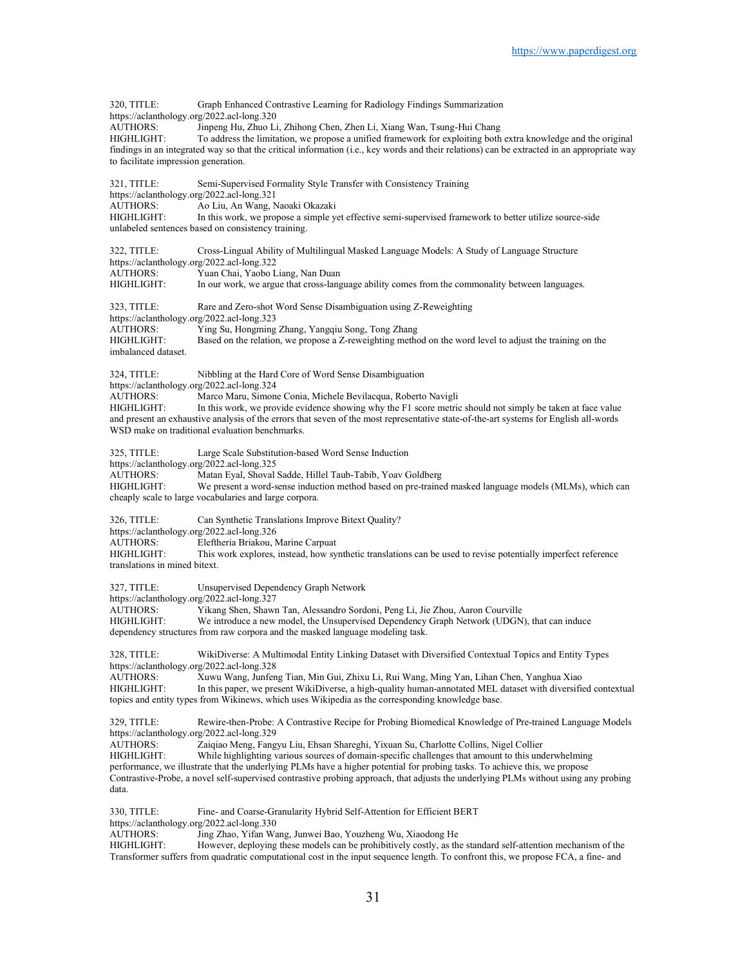| 320, TITLE:<br>https://aclanthology.org/2022.acl-long.320     | Graph Enhanced Contrastive Learning for Radiology Findings Summarization                                                                                                                                                                          |
|---------------------------------------------------------------|---------------------------------------------------------------------------------------------------------------------------------------------------------------------------------------------------------------------------------------------------|
| AUTHORS:                                                      | Jinpeng Hu, Zhuo Li, Zhihong Chen, Zhen Li, Xiang Wan, Tsung-Hui Chang                                                                                                                                                                            |
| HIGHLIGHT:                                                    | To address the limitation, we propose a unified framework for exploiting both extra knowledge and the original                                                                                                                                    |
| to facilitate impression generation.                          | findings in an integrated way so that the critical information (i.e., key words and their relations) can be extracted in an appropriate way                                                                                                       |
| 321, TITLE:                                                   | Semi-Supervised Formality Style Transfer with Consistency Training                                                                                                                                                                                |
| https://aclanthology.org/2022.acl-long.321<br><b>AUTHORS:</b> | Ao Liu, An Wang, Naoaki Okazaki                                                                                                                                                                                                                   |
| HIGHLIGHT:                                                    | In this work, we propose a simple yet effective semi-supervised framework to better utilize source-side                                                                                                                                           |
|                                                               | unlabeled sentences based on consistency training.                                                                                                                                                                                                |
| 322, TITLE:                                                   | Cross-Lingual Ability of Multilingual Masked Language Models: A Study of Language Structure                                                                                                                                                       |
| https://aclanthology.org/2022.acl-long.322<br>AUTHORS:        | Yuan Chai, Yaobo Liang, Nan Duan                                                                                                                                                                                                                  |
| HIGHLIGHT:                                                    | In our work, we argue that cross-language ability comes from the commonality between languages.                                                                                                                                                   |
| 323, TITLE:<br>https://aclanthology.org/2022.acl-long.323     | Rare and Zero-shot Word Sense Disambiguation using Z-Reweighting                                                                                                                                                                                  |
| <b>AUTHORS:</b>                                               | Ying Su, Hongming Zhang, Yangqiu Song, Tong Zhang                                                                                                                                                                                                 |
| HIGHLIGHT:<br>imbalanced dataset.                             | Based on the relation, we propose a Z-reweighting method on the word level to adjust the training on the                                                                                                                                          |
| 324, TITLE:<br>https://aclanthology.org/2022.acl-long.324     | Nibbling at the Hard Core of Word Sense Disambiguation                                                                                                                                                                                            |
| <b>AUTHORS:</b>                                               | Marco Maru, Simone Conia, Michele Bevilacqua, Roberto Navigli                                                                                                                                                                                     |
| HIGHLIGHT:                                                    | In this work, we provide evidence showing why the F1 score metric should not simply be taken at face value                                                                                                                                        |
|                                                               | and present an exhaustive analysis of the errors that seven of the most representative state-of-the-art systems for English all-words<br>WSD make on traditional evaluation benchmarks.                                                           |
| 325, TITLE:<br>https://aclanthology.org/2022.acl-long.325     | Large Scale Substitution-based Word Sense Induction                                                                                                                                                                                               |
| <b>AUTHORS:</b>                                               | Matan Eyal, Shoval Sadde, Hillel Taub-Tabib, Yoav Goldberg                                                                                                                                                                                        |
| HIGHLIGHT:                                                    | We present a word-sense induction method based on pre-trained masked language models (MLMs), which can<br>cheaply scale to large vocabularies and large corpora.                                                                                  |
| 326, TITLE:                                                   | Can Synthetic Translations Improve Bitext Quality?                                                                                                                                                                                                |
| https://aclanthology.org/2022.acl-long.326                    |                                                                                                                                                                                                                                                   |
| <b>AUTHORS:</b><br>HIGHLIGHT:                                 | Eleftheria Briakou, Marine Carpuat<br>This work explores, instead, how synthetic translations can be used to revise potentially imperfect reference                                                                                               |
| translations in mined bitext.                                 |                                                                                                                                                                                                                                                   |
| 327, TITLE:<br>https://aclanthology.org/2022.acl-long.327     | Unsupervised Dependency Graph Network                                                                                                                                                                                                             |
| AUTHORS:                                                      | Yikang Shen, Shawn Tan, Alessandro Sordoni, Peng Li, Jie Zhou, Aaron Courville                                                                                                                                                                    |
| HIGHLIGHT:                                                    | We introduce a new model, the Unsupervised Dependency Graph Network (UDGN), that can induce<br>dependency structures from raw corpora and the masked language modeling task.                                                                      |
| 328, TITLE:<br>https://aclanthology.org/2022.acl-long.328     | WikiDiverse: A Multimodal Entity Linking Dataset with Diversified Contextual Topics and Entity Types                                                                                                                                              |
| AUTHORS:                                                      | Xuwu Wang, Junfeng Tian, Min Gui, Zhixu Li, Rui Wang, Ming Yan, Lihan Chen, Yanghua Xiao                                                                                                                                                          |
| HIGHLIGHT:                                                    | In this paper, we present WikiDiverse, a high-quality human-annotated MEL dataset with diversified contextual<br>topics and entity types from Wikinews, which uses Wikipedia as the corresponding knowledge base.                                 |
| 329, TITLE:<br>https://aclanthology.org/2022.acl-long.329     | Rewire-then-Probe: A Contrastive Recipe for Probing Biomedical Knowledge of Pre-trained Language Models                                                                                                                                           |
| AUTHORS:                                                      | Zaiqiao Meng, Fangyu Liu, Ehsan Shareghi, Yixuan Su, Charlotte Collins, Nigel Collier                                                                                                                                                             |
| <b>HIGHLIGHT:</b>                                             | While highlighting various sources of domain-specific challenges that amount to this underwhelming<br>performance, we illustrate that the underlying PLMs have a higher potential for probing tasks. To achieve this, we propose                  |
| data.                                                         | Contrastive-Probe, a novel self-supervised contrastive probing approach, that adjusts the underlying PLMs without using any probing                                                                                                               |
|                                                               |                                                                                                                                                                                                                                                   |
| 330, TITLE:<br>https://aclanthology.org/2022.acl-long.330     | Fine- and Coarse-Granularity Hybrid Self-Attention for Efficient BERT                                                                                                                                                                             |
| AUTHORS:                                                      | Jing Zhao, Yifan Wang, Junwei Bao, Youzheng Wu, Xiaodong He                                                                                                                                                                                       |
| HIGHLIGHT:                                                    | However, deploying these models can be prohibitively costly, as the standard self-attention mechanism of the<br>Transformer suffers from quadratic computational cost in the input sequence length. To confront this, we propose FCA, a fine- and |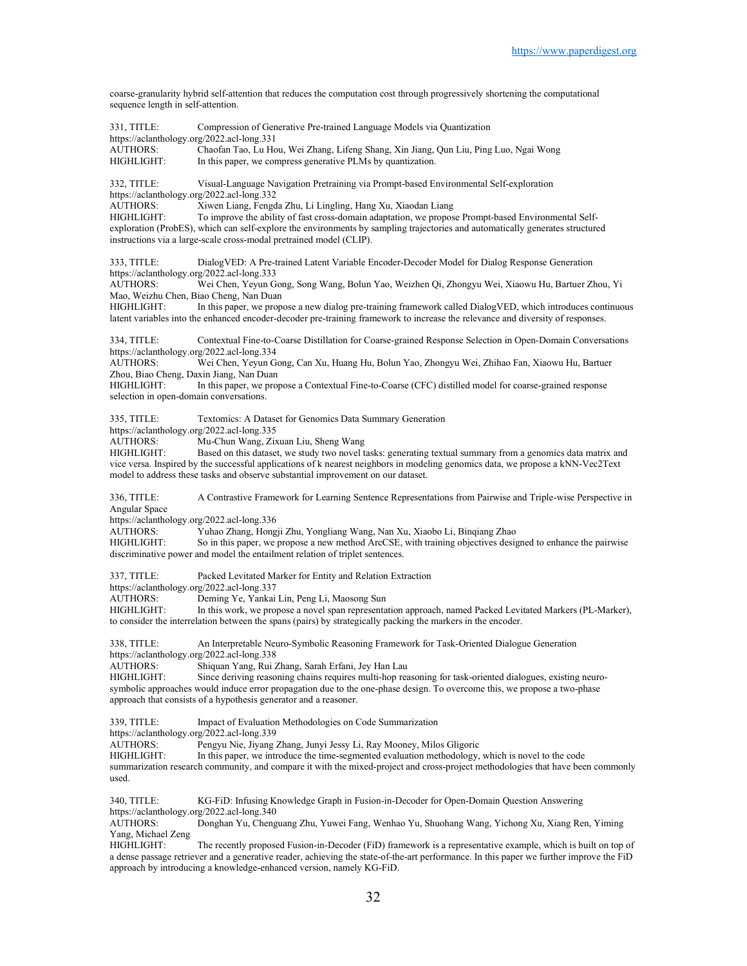coarse-granularity hybrid self-attention that reduces the computation cost through progressively shortening the computational sequence length in self-attention.

| 331, TITLE:<br>https://aclanthology.org/2022.acl-long.331<br><b>AUTHORS:</b><br>HIGHLIGHT:                                                                                       | Compression of Generative Pre-trained Language Models via Quantization<br>Chaofan Tao, Lu Hou, Wei Zhang, Lifeng Shang, Xin Jiang, Qun Liu, Ping Luo, Ngai Wong<br>In this paper, we compress generative PLMs by quantization.                                                                                                                                                                                                                                                                                                 |
|----------------------------------------------------------------------------------------------------------------------------------------------------------------------------------|--------------------------------------------------------------------------------------------------------------------------------------------------------------------------------------------------------------------------------------------------------------------------------------------------------------------------------------------------------------------------------------------------------------------------------------------------------------------------------------------------------------------------------|
| 332, TITLE:<br>https://aclanthology.org/2022.acl-long.332<br><b>AUTHORS:</b><br>HIGHLIGHT:                                                                                       | Visual-Language Navigation Pretraining via Prompt-based Environmental Self-exploration<br>Xiwen Liang, Fengda Zhu, Li Lingling, Hang Xu, Xiaodan Liang<br>To improve the ability of fast cross-domain adaptation, we propose Prompt-based Environmental Self-<br>exploration (ProbES), which can self-explore the environments by sampling trajectories and automatically generates structured<br>instructions via a large-scale cross-modal pretrained model (CLIP).                                                          |
| 333, TITLE:<br>https://aclanthology.org/2022.acl-long.333<br><b>AUTHORS:</b><br>Mao, Weizhu Chen, Biao Cheng, Nan Duan<br>HIGHLIGHT:                                             | DialogVED: A Pre-trained Latent Variable Encoder-Decoder Model for Dialog Response Generation<br>Wei Chen, Yeyun Gong, Song Wang, Bolun Yao, Weizhen Qi, Zhongyu Wei, Xiaowu Hu, Bartuer Zhou, Yi<br>In this paper, we propose a new dialog pre-training framework called DialogVED, which introduces continuous<br>latent variables into the enhanced encoder-decoder pre-training framework to increase the relevance and diversity of responses.                                                                            |
| 334, TITLE:<br>https://aclanthology.org/2022.acl-long.334<br><b>AUTHORS:</b><br>Zhou, Biao Cheng, Daxin Jiang, Nan Duan<br>HIGHLIGHT:<br>selection in open-domain conversations. | Contextual Fine-to-Coarse Distillation for Coarse-grained Response Selection in Open-Domain Conversations<br>Wei Chen, Yeyun Gong, Can Xu, Huang Hu, Bolun Yao, Zhongyu Wei, Zhihao Fan, Xiaowu Hu, Bartuer<br>In this paper, we propose a Contextual Fine-to-Coarse (CFC) distilled model for coarse-grained response                                                                                                                                                                                                         |
| 335, TITLE:<br>https://aclanthology.org/2022.acl-long.335<br>AUTHORS:<br>HIGHLIGHT:                                                                                              | Textomics: A Dataset for Genomics Data Summary Generation<br>Mu-Chun Wang, Zixuan Liu, Sheng Wang<br>Based on this dataset, we study two novel tasks: generating textual summary from a genomics data matrix and<br>vice versa. Inspired by the successful applications of k nearest neighbors in modeling genomics data, we propose a kNN-Vec2Text<br>model to address these tasks and observe substantial improvement on our dataset.                                                                                        |
| 336, TITLE:<br>Angular Space<br>https://aclanthology.org/2022.acl-long.336<br><b>AUTHORS:</b><br>HIGHLIGHT:                                                                      | A Contrastive Framework for Learning Sentence Representations from Pairwise and Triple-wise Perspective in<br>Yuhao Zhang, Hongji Zhu, Yongliang Wang, Nan Xu, Xiaobo Li, Binqiang Zhao<br>So in this paper, we propose a new method ArcCSE, with training objectives designed to enhance the pairwise                                                                                                                                                                                                                         |
| 337, TITLE:<br>https://aclanthology.org/2022.acl-long.337<br>AUTHORS:<br>HIGHLIGHT:                                                                                              | discriminative power and model the entailment relation of triplet sentences.<br>Packed Levitated Marker for Entity and Relation Extraction<br>Deming Ye, Yankai Lin, Peng Li, Maosong Sun<br>In this work, we propose a novel span representation approach, named Packed Levitated Markers (PL-Marker),<br>to consider the interrelation between the spans (pairs) by strategically packing the markers in the encoder.                                                                                                        |
| 338, TITLE:<br>https://aclanthology.org/2022.acl-long.338<br>HIGHLIGHT:                                                                                                          | An Interpretable Neuro-Symbolic Reasoning Framework for Task-Oriented Dialogue Generation<br>AUTHORS: Shiquan Yang, Rui Zhang, Sarah Erfani, Jey Han Lau<br>Since deriving reasoning chains requires multi-hop reasoning for task-oriented dialogues, existing neuro-<br>symbolic approaches would induce error propagation due to the one-phase design. To overcome this, we propose a two-phase<br>approach that consists of a hypothesis generator and a reasoner.                                                          |
| 339. TITLE:<br>https://aclanthology.org/2022.acl-long.339<br><b>AUTHORS:</b><br>HIGHLIGHT:<br>used.                                                                              | Impact of Evaluation Methodologies on Code Summarization<br>Pengyu Nie, Jiyang Zhang, Junyi Jessy Li, Ray Mooney, Milos Gligoric<br>In this paper, we introduce the time-segmented evaluation methodology, which is novel to the code<br>summarization research community, and compare it with the mixed-project and cross-project methodologies that have been commonly                                                                                                                                                       |
| 340, TITLE:<br>https://aclanthology.org/2022.acl-long.340<br><b>AUTHORS:</b><br>Yang, Michael Zeng<br>HIGHLIGHT:                                                                 | KG-FiD: Infusing Knowledge Graph in Fusion-in-Decoder for Open-Domain Question Answering<br>Donghan Yu, Chenguang Zhu, Yuwei Fang, Wenhao Yu, Shuohang Wang, Yichong Xu, Xiang Ren, Yiming<br>The recently proposed Fusion-in-Decoder (FiD) framework is a representative example, which is built on top of<br>a dense passage retriever and a generative reader, achieving the state-of-the-art performance. In this paper we further improve the FiD<br>approach by introducing a knowledge-enhanced version, namely KG-FiD. |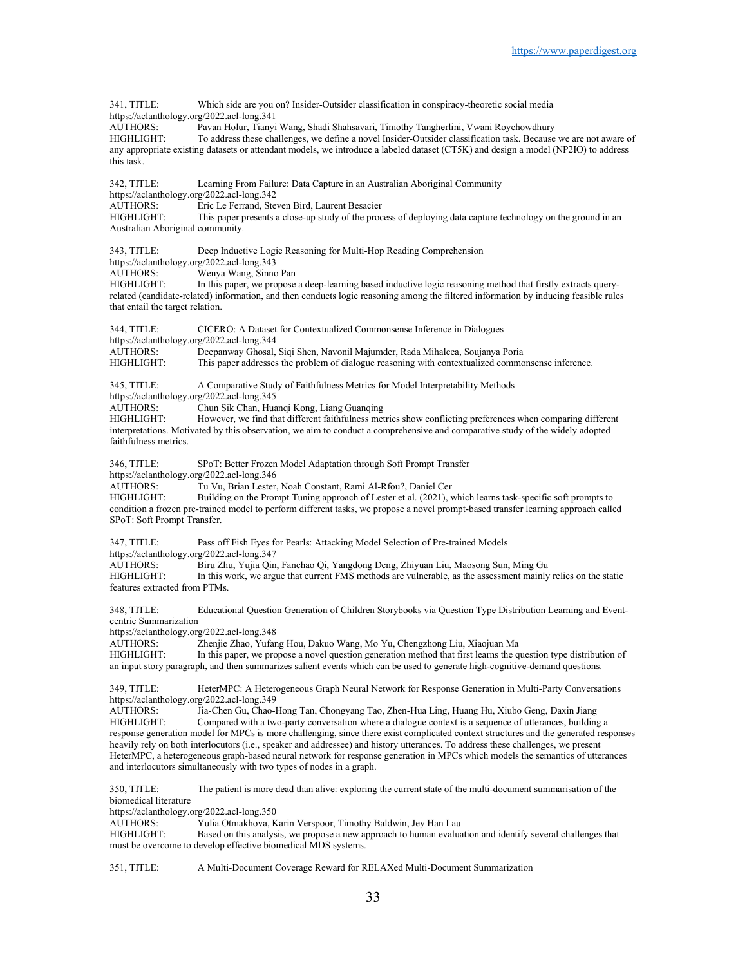341, TITLE: Which side are you on? Insider-Outsider classification in conspiracy-theoretic social media https://aclanthology.org/2022.acl-long.341 AUTHORS: Pavan Holur, Tianyi Wang, Shadi Shahsavari, Timothy Tangherlini, Vwani Roychowdhury HIGHLIGHT: To address these challenges, we define a novel Insider-Outsider classification task. Because we are not aware of any appropriate existing datasets or attendant models, we introduce a labeled dataset (CT5K) and design a model (NP2IO) to address this task. 342, TITLE: Learning From Failure: Data Capture in an Australian Aboriginal Community https://aclanthology.org/2022.acl-long.342 AUTHORS: Eric Le Ferrand, Steven Bird, Laurent Besacier HIGHLIGHT: This paper presents a close-up study of the process of deploying data capture technology on the ground in an Australian Aboriginal community. 343, TITLE: Deep Inductive Logic Reasoning for Multi-Hop Reading Comprehension https://aclanthology.org/2022.acl-long.343<br>AUTHORS: Wenya Wang, Sinne AUTHORS: Wenya Wang, Sinno Pan<br>HIGHLIGHT: In this paper, we propose In this paper, we propose a deep-learning based inductive logic reasoning method that firstly extracts queryrelated (candidate-related) information, and then conducts logic reasoning among the filtered information by inducing feasible rules that entail the target relation. 344, TITLE: CICERO: A Dataset for Contextualized Commonsense Inference in Dialogues https://aclanthology.org/2022.acl-long.344 AUTHORS: Deepanway Ghosal, Siqi Shen, Navonil Majumder, Rada Mihalcea, Soujanya Poria This paper addresses the problem of dialogue reasoning with contextualized commonsense inference. 345, TITLE: A Comparative Study of Faithfulness Metrics for Model Interpretability Methods https://aclanthology.org/2022.acl-long.345<br>AUTHORS: Chun Sik Chan. Hua Chun Sik Chan, Huanqi Kong, Liang Guanqing HIGHLIGHT: However, we find that different faithfulness metrics show conflicting preferences when comparing different interpretations. Motivated by this observation, we aim to conduct a comprehensive and comparative study of the widely adopted faithfulness metrics. 346, TITLE: SPoT: Better Frozen Model Adaptation through Soft Prompt Transfer https://aclanthology.org/2022.acl-long.346<br>AUTHORS: Tu Vu. Brian Lester. Tu Vu, Brian Lester, Noah Constant, Rami Al-Rfou?, Daniel Cer HIGHLIGHT: Building on the Prompt Tuning approach of Lester et al. (2021), which learns task-specific soft prompts to condition a frozen pre-trained model to perform different tasks, we propose a novel prompt-based transfer learning approach called SPoT: Soft Prompt Transfer. 347, TITLE: Pass off Fish Eyes for Pearls: Attacking Model Selection of Pre-trained Models https://aclanthology.org/2022.acl-long.347<br>AUTHORS: Biru Zhu. Yuija Oin AUTHORS: Biru Zhu, Yujia Qin, Fanchao Qi, Yangdong Deng, Zhiyuan Liu, Maosong Sun, Ming Gu In this work, we argue that current FMS methods are vulnerable, as the assessment mainly relies on the static features extracted from PTMs. 348, TITLE: Educational Question Generation of Children Storybooks via Question Type Distribution Learning and Eventcentric Summarization https://aclanthology.org/2022.acl-long.348 AUTHORS: Zhenjie Zhao, Yufang Hou, Dakuo Wang, Mo Yu, Chengzhong Liu, Xiaojuan Ma In this paper, we propose a novel question generation method that first learns the question type distribution of an input story paragraph, and then summarizes salient events which can be used to generate high-cognitive-demand questions. 349, TITLE: HeterMPC: A Heterogeneous Graph Neural Network for Response Generation in Multi-Party Conversations https://aclanthology.org/2022.acl-long.349 AUTHORS: Jia-Chen Gu, Chao-Hong Tan, Chongyang Tao, Zhen-Hua Ling, Huang Hu, Xiubo Geng, Daxin Jiang HIGHLIGHT: Compared with a two-party conversation where a dialogue context is a sequence of utterances, building a response generation model for MPCs is more challenging, since there exist complicated context structures and the generated responses heavily rely on both interlocutors (i.e., speaker and addressee) and history utterances. To address these challenges, we present HeterMPC, a heterogeneous graph-based neural network for response generation in MPCs which models the semantics of utterances and interlocutors simultaneously with two types of nodes in a graph. 350, TITLE: The patient is more dead than alive: exploring the current state of the multi-document summarisation of the biomedical literature https://aclanthology.org/2022.acl-long.350<br>AUTHORS Vulia Otmakhova K Yulia Otmakhova, Karin Verspoor, Timothy Baldwin, Jey Han Lau HIGHLIGHT: Based on this analysis, we propose a new approach to human evaluation and identify several challenges that must be overcome to develop effective biomedical MDS systems.

351, TITLE: A Multi-Document Coverage Reward for RELAXed Multi-Document Summarization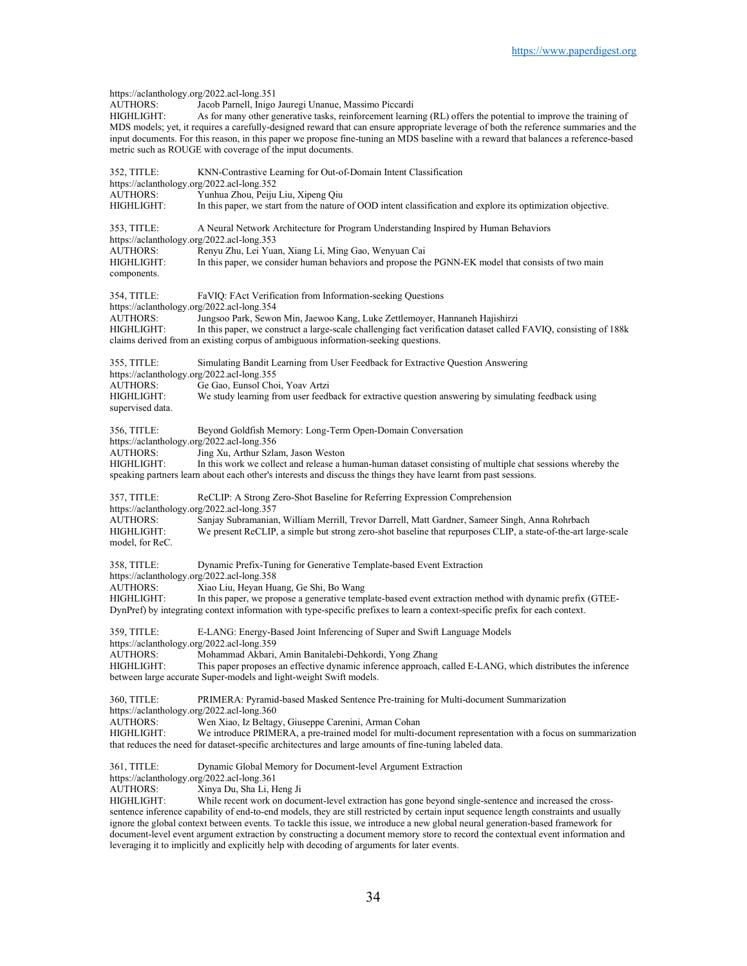https://aclanthology.org/2022.acl-long.351<br>AUTHORS: Jacob Parnell. Inigo AUTHORS: Jacob Parnell, Inigo Jauregi Unanue, Massimo Piccardi<br>HIGHLIGHT: As for many other generative tasks, reinforcement learn As for many other generative tasks, reinforcement learning (RL) offers the potential to improve the training of MDS models; yet, it requires a carefully-designed reward that can ensure appropriate leverage of both the reference summaries and the input documents. For this reason, in this paper we propose fine-tuning an MDS baseline with a reward that balances a reference-based metric such as ROUGE with coverage of the input documents. 352, TITLE: KNN-Contrastive Learning for Out-of-Domain Intent Classification https://aclanthology.org/2022.acl-long.352<br>AUTHORS: Yunhua Zhou, Peiju Yunhua Zhou, Peiju Liu, Xipeng Qiu HIGHLIGHT: In this paper, we start from the nature of OOD intent classification and explore its optimization objective. 353, TITLE: A Neural Network Architecture for Program Understanding Inspired by Human Behaviors https://aclanthology.org/2022.acl-long.353 AUTHORS: Renyu Zhu, Lei Yuan, Xiang Li, Ming Gao, Wenyuan Cai HIGHLIGHT: In this paper, we consider human behaviors and propose the PGNN-EK model that consists of two main components. 354, TITLE: FaVIQ: FAct Verification from Information-seeking Questions https://aclanthology.org/2022.acl-long.354 AUTHORS: Jungsoo Park, Sewon Min, Jaewoo Kang, Luke Zettlemoyer, Hannaneh Hajishirzi In this paper, we construct a large-scale challenging fact verification dataset called FAVIQ, consisting of 188k claims derived from an existing corpus of ambiguous information-seeking questions. 355, TITLE: Simulating Bandit Learning from User Feedback for Extractive Question Answering https://aclanthology.org/2022.acl-long.355 AUTHORS: Ge Gao, Eunsol Choi, Yoav Artzi We study learning from user feedback for extractive question answering by simulating feedback using supervised data. 356, TITLE: Beyond Goldfish Memory: Long-Term Open-Domain Conversation https://aclanthology.org/2022.acl-long.356<br>AUTHORS: Jing Xu, Arthur Szla Jing Xu, Arthur Szlam, Jason Weston HIGHLIGHT: In this work we collect and release a human-human dataset consisting of multiple chat sessions whereby the speaking partners learn about each other's interests and discuss the things they have learnt from past sessions. 357, TITLE: ReCLIP: A Strong Zero-Shot Baseline for Referring Expression Comprehension https://aclanthology.org/2022.acl-long.357 AUTHORS: Sanjay Subramanian, William Merrill, Trevor Darrell, Matt Gardner, Sameer Singh, Anna Rohrbach<br>HIGHLIGHT: We present ReCLIP, a simple but strong zero-shot baseline that repurposes CLIP, a state-of-the-art la We present ReCLIP, a simple but strong zero-shot baseline that repurposes CLIP, a state-of-the-art large-scale model, for ReC. 358, TITLE: Dynamic Prefix-Tuning for Generative Template-based Event Extraction https://aclanthology.org/2022.acl-long.358 AUTHORS: Xiao Liu, Heyan Huang, Ge Shi, Bo Wang HIGHLIGHT: In this paper, we propose a generative template-based event extraction method with dynamic prefix (GTEE-DynPref) by integrating context information with type-specific prefixes to learn a context-specific prefix for each context. 359, TITLE: E-LANG: Energy-Based Joint Inferencing of Super and Swift Language Models https://aclanthology.org/2022.acl-long.359<br>AUTHORS: Mohammad Akbari. Mohammad Akbari, Amin Banitalebi-Dehkordi, Yong Zhang HIGHLIGHT: This paper proposes an effective dynamic inference approach, called E-LANG, which distributes the inference between large accurate Super-models and light-weight Swift models. 360, TITLE: PRIMERA: Pyramid-based Masked Sentence Pre-training for Multi-document Summarization https://aclanthology.org/2022.acl-long.360 AUTHORS: Wen Xiao, Iz Beltagy, Giuseppe Carenini, Arman Cohan HIGHLIGHT: We introduce PRIMERA, a pre-trained model for multi-document representation with a focus on summarization that reduces the need for dataset-specific architectures and large amounts of fine-tuning labeled data. 361, TITLE: Dynamic Global Memory for Document-level Argument Extraction https://aclanthology.org/2022.acl-long.361 AUTHORS: Xinya Du, Sha Li, Heng Ji HIGHLIGHT: While recent work on document-level extraction has gone beyond single-sentence and increased the crosssentence inference capability of end-to-end models, they are still restricted by certain input sequence length constraints and usually ignore the global context between events. To tackle this issue, we introduce a new global neural generation-based framework for document-level event argument extraction by constructing a document memory store to record the contextual event information and

leveraging it to implicitly and explicitly help with decoding of arguments for later events.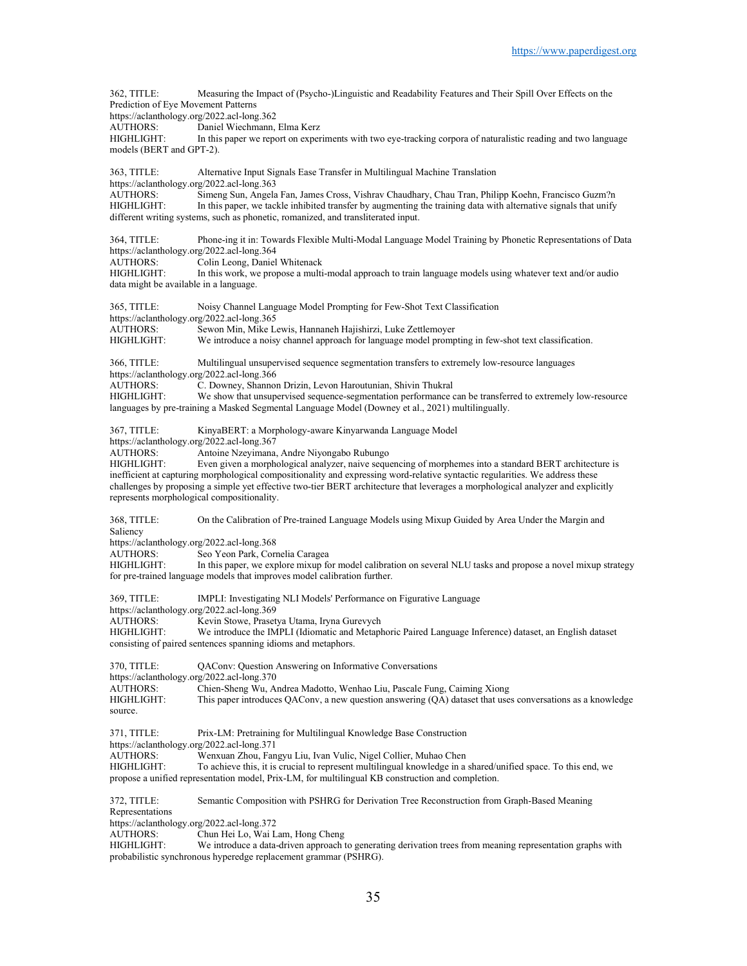362, TITLE: Measuring the Impact of (Psycho-)Linguistic and Readability Features and Their Spill Over Effects on the Prediction of Eye Movement Patterns https://aclanthology.org/2022.acl-long.362<br>AUTHORS: Daniel Wiechmann, Daniel Wiechmann, Elma Kerz HIGHLIGHT: In this paper we report on experiments with two eye-tracking corpora of naturalistic reading and two language models (BERT and GPT-2). 363, TITLE: Alternative Input Signals Ease Transfer in Multilingual Machine Translation https://aclanthology.org/2022.acl-long.363<br>AUTHORS: Simeng Sun. Angela Simeng Sun, Angela Fan, James Cross, Vishrav Chaudhary, Chau Tran, Philipp Koehn, Francisco Guzm?n HIGHLIGHT: In this paper, we tackle inhibited transfer by augmenting the training data with alternative signals that unify different writing systems, such as phonetic, romanized, and transliterated input. 364, TITLE: Phone-ing it in: Towards Flexible Multi-Modal Language Model Training by Phonetic Representations of Data https://aclanthology.org/2022.acl-long.364 AUTHORS: Colin Leong, Daniel Whitenack<br>HIGHLIGHT: In this work, we propose a multi In this work, we propose a multi-modal approach to train language models using whatever text and/or audio data might be available in a language. 365, TITLE: Noisy Channel Language Model Prompting for Few-Shot Text Classification https://aclanthology.org/2022.acl-long.365<br>AUTHORS: Sewon Min, Mike L Sewon Min, Mike Lewis, Hannaneh Hajishirzi, Luke Zettlemoyer HIGHLIGHT: We introduce a noisy channel approach for language model prompting in few-shot text classification. 366, TITLE: Multilingual unsupervised sequence segmentation transfers to extremely low-resource languages https://aclanthology.org/2022.acl-long.366 AUTHORS: C. Downey, Shannon Drizin, Levon Haroutunian, Shivin Thukral<br>HIGHLIGHT: We show that unsupervised sequence-segmentation performance of We show that unsupervised sequence-segmentation performance can be transferred to extremely low-resource languages by pre-training a Masked Segmental Language Model (Downey et al., 2021) multilingually. 367, TITLE: KinyaBERT: a Morphology-aware Kinyarwanda Language Model https://aclanthology.org/2022.acl-long.367<br>AUTHORS: Antoine Nzeyimana Antoine Nzeyimana, Andre Niyongabo Rubungo HIGHLIGHT: Even given a morphological analyzer, naive sequencing of morphemes into a standard BERT architecture is inefficient at capturing morphological compositionality and expressing word-relative syntactic regularities. We address these challenges by proposing a simple yet effective two-tier BERT architecture that leverages a morphological analyzer and explicitly represents morphological compositionality. 368, TITLE: On the Calibration of Pre-trained Language Models using Mixup Guided by Area Under the Margin and Saliency https://aclanthology.org/2022.acl-long.368 AUTHORS: Seo Yeon Park, Cornelia Caragea<br>HIGHLIGHT: In this paper, we explore mixup for In this paper, we explore mixup for model calibration on several NLU tasks and propose a novel mixup strategy for pre-trained language models that improves model calibration further. 369, TITLE: IMPLI: Investigating NLI Models' Performance on Figurative Language https://aclanthology.org/2022.acl-long.369 AUTHORS: Kevin Stowe, Prasetya Utama, Iryna Gurevych HIGHLIGHT: We introduce the IMPLI (Idiomatic and Metaphoric Paired Language Inference) dataset, an English dataset consisting of paired sentences spanning idioms and metaphors. 370, TITLE: QAConv: Question Answering on Informative Conversations https://aclanthology.org/2022.acl-long.370 AUTHORS: Chien-Sheng Wu, Andrea Madotto, Wenhao Liu, Pascale Fung, Caiming Xiong<br>HIGHLIGHT: This paper introduces OAConv, a new question answering (OA) dataset that use This paper introduces QAConv, a new question answering  $(QA)$  dataset that uses conversations as a knowledge source. 371, TITLE: Prix-LM: Pretraining for Multilingual Knowledge Base Construction https://aclanthology.org/2022.acl-long.371 AUTHORS: Wenxuan Zhou, Fangyu Liu, Ivan Vulic, Nigel Collier, Muhao Chen HIGHLIGHT: To achieve this, it is crucial to represent multilingual knowledge in a shared/unified space. To this end, we propose a unified representation model, Prix-LM, for multilingual KB construction and completion. 372, TITLE: Semantic Composition with PSHRG for Derivation Tree Reconstruction from Graph-Based Meaning Representations https://aclanthology.org/2022.acl-long.372 AUTHORS: Chun Hei Lo, Wai Lam, Hong Cheng HIGHLIGHT: We introduce a data-driven approach to generating derivation trees from meaning representation graphs with probabilistic synchronous hyperedge replacement grammar (PSHRG).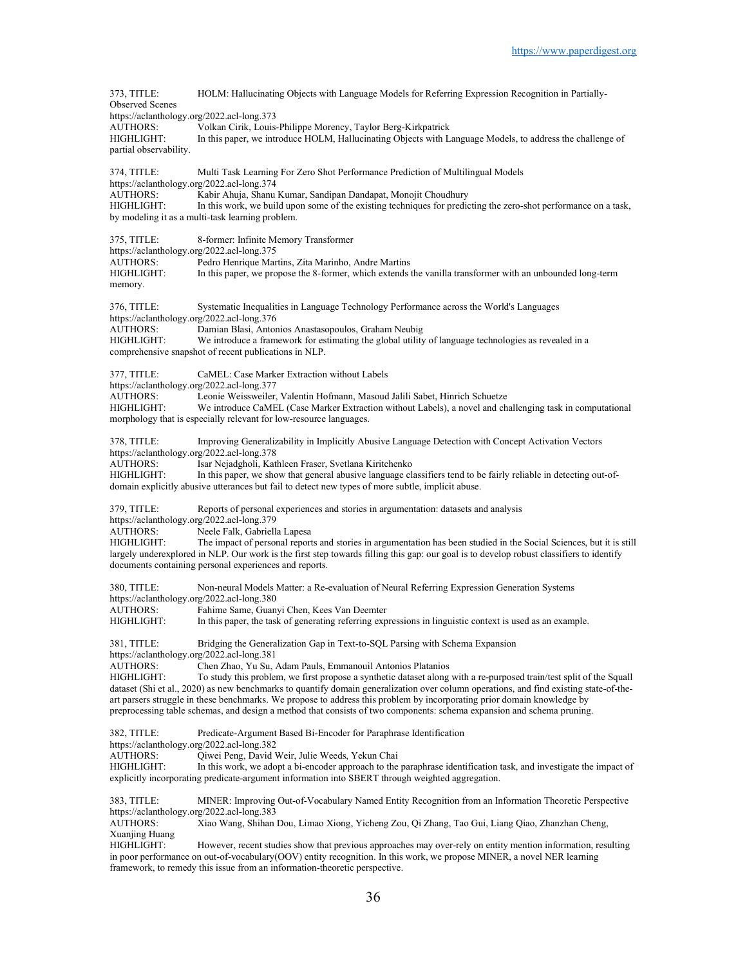| 373, TITLE:<br><b>Observed Scenes</b> | HOLM: Hallucinating Objects with Language Models for Referring Expression Recognition in Partially-                                                                                                                                    |
|---------------------------------------|----------------------------------------------------------------------------------------------------------------------------------------------------------------------------------------------------------------------------------------|
|                                       | https://aclanthology.org/2022.acl-long.373                                                                                                                                                                                             |
| AUTHORS:                              | Volkan Cirik, Louis-Philippe Morency, Taylor Berg-Kirkpatrick                                                                                                                                                                          |
| HIGHLIGHT:<br>partial observability.  | In this paper, we introduce HOLM, Hallucinating Objects with Language Models, to address the challenge of                                                                                                                              |
|                                       |                                                                                                                                                                                                                                        |
| 374, TITLE:                           | Multi Task Learning For Zero Shot Performance Prediction of Multilingual Models                                                                                                                                                        |
| <b>AUTHORS:</b>                       | https://aclanthology.org/2022.acl-long.374                                                                                                                                                                                             |
| HIGHLIGHT:                            | Kabir Ahuja, Shanu Kumar, Sandipan Dandapat, Monojit Choudhury<br>In this work, we build upon some of the existing techniques for predicting the zero-shot performance on a task,                                                      |
|                                       | by modeling it as a multi-task learning problem.                                                                                                                                                                                       |
|                                       |                                                                                                                                                                                                                                        |
| 375, TITLE:                           | 8-former: Infinite Memory Transformer<br>https://aclanthology.org/2022.acl-long.375                                                                                                                                                    |
| <b>AUTHORS:</b>                       | Pedro Henrique Martins, Zita Marinho, Andre Martins                                                                                                                                                                                    |
| HIGHLIGHT:                            | In this paper, we propose the 8-former, which extends the vanilla transformer with an unbounded long-term                                                                                                                              |
| memory.                               |                                                                                                                                                                                                                                        |
| 376, TITLE:                           | Systematic Inequalities in Language Technology Performance across the World's Languages                                                                                                                                                |
|                                       | https://aclanthology.org/2022.acl-long.376                                                                                                                                                                                             |
| <b>AUTHORS:</b>                       | Damian Blasi, Antonios Anastasopoulos, Graham Neubig                                                                                                                                                                                   |
| HIGHLIGHT:                            | We introduce a framework for estimating the global utility of language technologies as revealed in a<br>comprehensive snapshot of recent publications in NLP.                                                                          |
|                                       |                                                                                                                                                                                                                                        |
| 377, TITLE:                           | CaMEL: Case Marker Extraction without Labels                                                                                                                                                                                           |
| <b>AUTHORS:</b>                       | https://aclanthology.org/2022.acl-long.377<br>Leonie Weissweiler, Valentin Hofmann, Masoud Jalili Sabet, Hinrich Schuetze                                                                                                              |
| HIGHLIGHT:                            | We introduce CaMEL (Case Marker Extraction without Labels), a novel and challenging task in computational                                                                                                                              |
|                                       | morphology that is especially relevant for low-resource languages.                                                                                                                                                                     |
| 378, TITLE:                           | Improving Generalizability in Implicitly Abusive Language Detection with Concept Activation Vectors                                                                                                                                    |
|                                       | https://aclanthology.org/2022.acl-long.378                                                                                                                                                                                             |
| <b>AUTHORS:</b>                       | Isar Nejadgholi, Kathleen Fraser, Svetlana Kiritchenko                                                                                                                                                                                 |
| HIGHLIGHT:                            | In this paper, we show that general abusive language classifiers tend to be fairly reliable in detecting out-of-                                                                                                                       |
|                                       | domain explicitly abusive utterances but fail to detect new types of more subtle, implicit abuse.                                                                                                                                      |
| 379, TITLE:                           | Reports of personal experiences and stories in argumentation: datasets and analysis                                                                                                                                                    |
| <b>AUTHORS:</b>                       | https://aclanthology.org/2022.acl-long.379<br>Neele Falk, Gabriella Lapesa                                                                                                                                                             |
| HIGHLIGHT:                            | The impact of personal reports and stories in argumentation has been studied in the Social Sciences, but it is still                                                                                                                   |
|                                       | largely underexplored in NLP. Our work is the first step towards filling this gap: our goal is to develop robust classifiers to identify                                                                                               |
|                                       | documents containing personal experiences and reports.                                                                                                                                                                                 |
| 380, TITLE:                           | Non-neural Models Matter: a Re-evaluation of Neural Referring Expression Generation Systems                                                                                                                                            |
|                                       | https://aclanthology.org/2022.acl-long.380                                                                                                                                                                                             |
| <b>AUTHORS:</b><br>HIGHLIGHT:         | Fahime Same, Guanyi Chen, Kees Van Deemter<br>In this paper, the task of generating referring expressions in linguistic context is used as an example.                                                                                 |
|                                       |                                                                                                                                                                                                                                        |
| 381, TITLE:                           | Bridging the Generalization Gap in Text-to-SQL Parsing with Schema Expansion                                                                                                                                                           |
|                                       | https://aclanthology.org/2022.acl-long.381<br>Chen Zhao, Yu Su, Adam Pauls, Emmanouil Antonios Platanios                                                                                                                               |
| AUTHORS:<br>HIGHLIGHT:                | To study this problem, we first propose a synthetic dataset along with a re-purposed train/test split of the Squall                                                                                                                    |
|                                       | dataset (Shi et al., 2020) as new benchmarks to quantify domain generalization over column operations, and find existing state-of-the-                                                                                                 |
|                                       | art parsers struggle in these benchmarks. We propose to address this problem by incorporating prior domain knowledge by                                                                                                                |
|                                       | preprocessing table schemas, and design a method that consists of two components: schema expansion and schema pruning.                                                                                                                 |
| 382, TITLE:                           | Predicate-Argument Based Bi-Encoder for Paraphrase Identification                                                                                                                                                                      |
|                                       | https://aclanthology.org/2022.acl-long.382                                                                                                                                                                                             |
| <b>AUTHORS:</b><br>HIGHLIGHT:         | Oiwei Peng, David Weir, Julie Weeds, Yekun Chai<br>In this work, we adopt a bi-encoder approach to the paraphrase identification task, and investigate the impact of                                                                   |
|                                       | explicitly incorporating predicate-argument information into SBERT through weighted aggregation.                                                                                                                                       |
|                                       |                                                                                                                                                                                                                                        |
| 383, TITLE:                           | MINER: Improving Out-of-Vocabulary Named Entity Recognition from an Information Theoretic Perspective<br>https://aclanthology.org/2022.acl-long.383                                                                                    |
| <b>AUTHORS:</b>                       | Xiao Wang, Shihan Dou, Limao Xiong, Yicheng Zou, Qi Zhang, Tao Gui, Liang Qiao, Zhanzhan Cheng,                                                                                                                                        |
| Xuanjing Huang                        |                                                                                                                                                                                                                                        |
| HIGHLIGHT:                            | However, recent studies show that previous approaches may over-rely on entity mention information, resulting<br>in poor performance on out-of-vocabulary(OOV) entity recognition. In this work, we propose MINER, a novel NER learning |
|                                       | framework, to remedy this issue from an information-theoretic perspective.                                                                                                                                                             |
|                                       |                                                                                                                                                                                                                                        |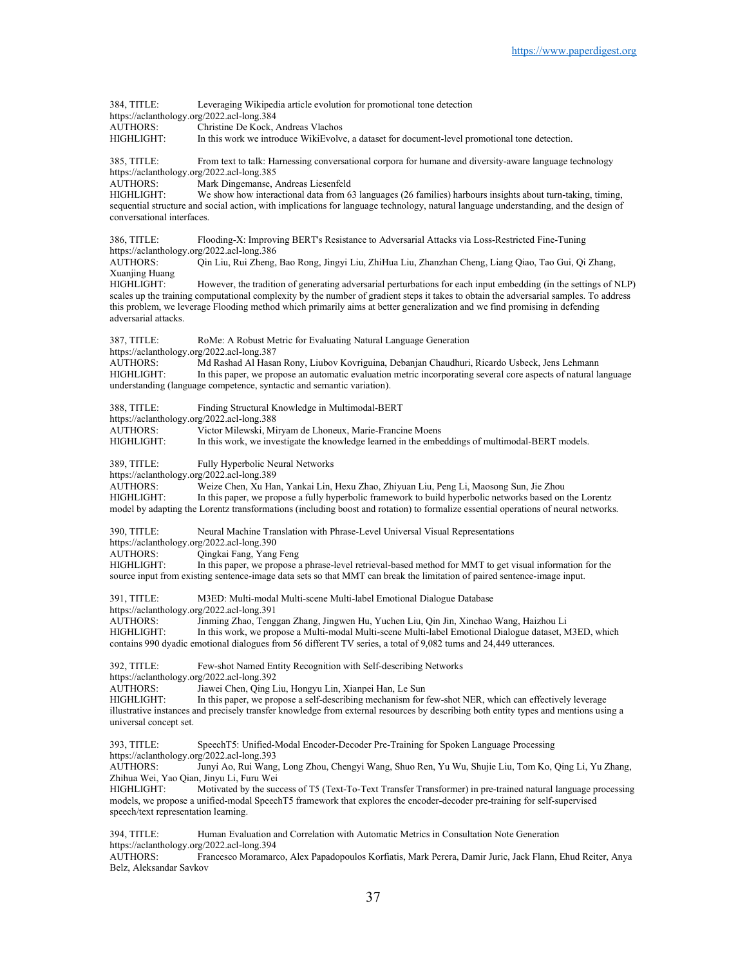384, TITLE: Leveraging Wikipedia article evolution for promotional tone detection https://aclanthology.org/2022.acl-long.384 AUTHORS: Christine De Kock, Andreas Vlachos HIGHLIGHT: In this work we introduce WikiEvolve, a dataset for document-level promotional tone detection. 385, TITLE: From text to talk: Harnessing conversational corpora for humane and diversity-aware language technology https://aclanthology.org/2022.acl-long.385 AUTHORS: Mark Dingemanse, Andreas Liesenfeld<br>HIGHLIGHT: We show how interactional data from 6 We show how interactional data from 63 languages (26 families) harbours insights about turn-taking, timing, sequential structure and social action, with implications for language technology, natural language understanding, and the design of conversational interfaces. 386, TITLE: Flooding-X: Improving BERT's Resistance to Adversarial Attacks via Loss-Restricted Fine-Tuning https://aclanthology.org/2022.acl-long.386 AUTHORS: Qin Liu, Rui Zheng, Bao Rong, Jingyi Liu, ZhiHua Liu, Zhanzhan Cheng, Liang Qiao, Tao Gui, Qi Zhang, Xuanjing Huang HIGHLIGHT: However, the tradition of generating adversarial perturbations for each input embedding (in the settings of NLP) scales up the training computational complexity by the number of gradient steps it takes to obtain the adversarial samples. To address this problem, we leverage Flooding method which primarily aims at better generalization and we find promising in defending adversarial attacks. 387, TITLE: RoMe: A Robust Metric for Evaluating Natural Language Generation https://aclanthology.org/2022.acl-long.387<br>AUTHORS: Md Rashad Al Hasa AUTHORS: Md Rashad Al Hasan Rony, Liubov Kovriguina, Debanjan Chaudhuri, Ricardo Usbeck, Jens Lehmann In this paper, we propose an automatic evaluation metric incorporating several core aspects of natural language understanding (language competence, syntactic and semantic variation). 388, TITLE: Finding Structural Knowledge in Multimodal-BERT https://aclanthology.org/2022.acl-long.388 AUTHORS: Victor Milewski, Miryam de Lhoneux, Marie-Francine Moens<br>HIGHLIGHT: In this work, we investigate the knowledge learned in the embe In this work, we investigate the knowledge learned in the embeddings of multimodal-BERT models. 389, TITLE: Fully Hyperbolic Neural Networks https://aclanthology.org/2022.acl-long.389 AUTHORS: Weize Chen, Xu Han, Yankai Lin, Hexu Zhao, Zhiyuan Liu, Peng Li, Maosong Sun, Jie Zhou HIGHLIGHT: In this paper, we propose a fully hyperbolic framework to build hyperbolic networks based on the Lorentz model by adapting the Lorentz transformations (including boost and rotation) to formalize essential operations of neural networks. 390, TITLE: Neural Machine Translation with Phrase-Level Universal Visual Representations https://aclanthology.org/2022.acl-long.390 AUTHORS: Qingkai Fang, Yang Feng<br>HIGHLIGHT: In this paper, we propose a In this paper, we propose a phrase-level retrieval-based method for MMT to get visual information for the source input from existing sentence-image data sets so that MMT can break the limitation of paired sentence-image input. 391, TITLE: M3ED: Multi-modal Multi-scene Multi-label Emotional Dialogue Database https://aclanthology.org/2022.acl-long.391 AUTHORS: Jinming Zhao, Tenggan Zhang, Jingwen Hu, Yuchen Liu, Qin Jin, Xinchao Wang, Haizhou Li HIGHLIGHT: In this work, we propose a Multi-modal Multi-scene Multi-label Emotional Dialogue dataset, M3ED, which contains 990 dyadic emotional dialogues from 56 different TV series, a total of 9,082 turns and 24,449 utterances. 392, TITLE: Few-shot Named Entity Recognition with Self-describing Networks https://aclanthology.org/2022.acl-long.392 AUTHORS: Jiawei Chen, Qing Liu, Hongyu Lin, Xianpei Han, Le Sun<br>HIGHLIGHT: In this paper, we propose a self-describing mechanism for In this paper, we propose a self-describing mechanism for few-shot NER, which can effectively leverage illustrative instances and precisely transfer knowledge from external resources by describing both entity types and mentions using a universal concept set. 393, TITLE: SpeechT5: Unified-Modal Encoder-Decoder Pre-Training for Spoken Language Processing https://aclanthology.org/2022.acl-long.393 AUTHORS: Junyi Ao, Rui Wang, Long Zhou, Chengyi Wang, Shuo Ren, Yu Wu, Shujie Liu, Tom Ko, Qing Li, Yu Zhang, Zhihua Wei, Yao Qian, Jinyu Li, Furu Wei HIGHLIGHT: Motivated by the success of T5 (Text-To-Text Transfer Transformer) in pre-trained natural language processing models, we propose a unified-modal SpeechT5 framework that explores the encoder-decoder pre-training for self-supervised speech/text representation learning. 394, TITLE: Human Evaluation and Correlation with Automatic Metrics in Consultation Note Generation https://aclanthology.org/2022.acl-long.394 AUTHORS: Francesco Moramarco, Alex Papadopoulos Korfiatis, Mark Perera, Damir Juric, Jack Flann, Ehud Reiter, Anya Belz, Aleksandar Savkov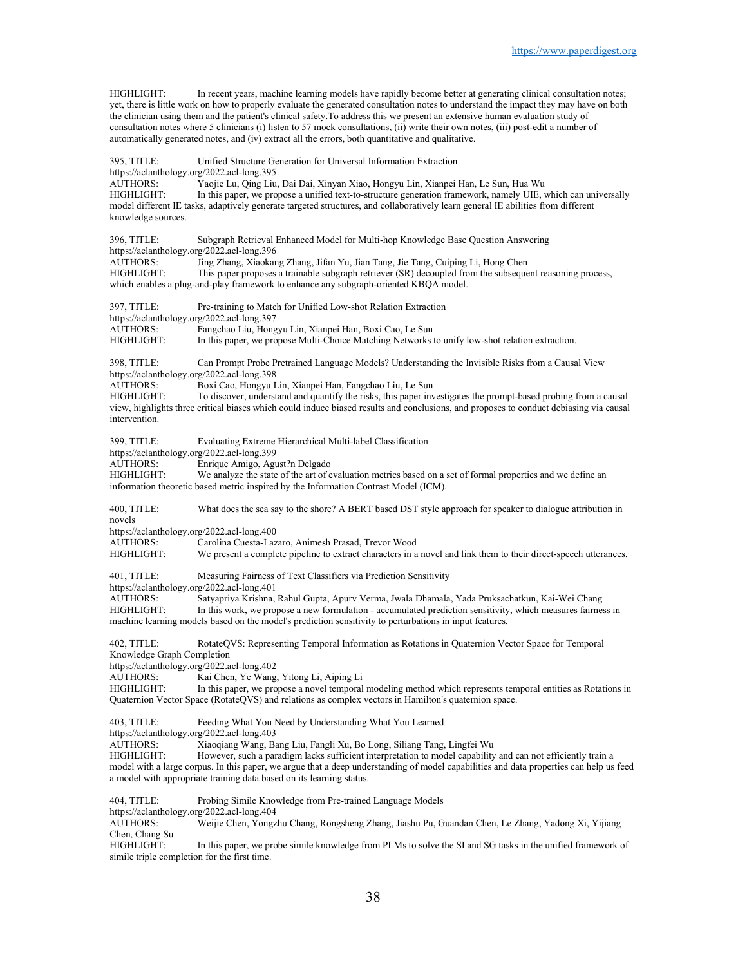HIGHLIGHT: In recent years, machine learning models have rapidly become better at generating clinical consultation notes; yet, there is little work on how to properly evaluate the generated consultation notes to understand the impact they may have on both the clinician using them and the patient's clinical safety.To address this we present an extensive human evaluation study of consultation notes where 5 clinicians (i) listen to 57 mock consultations, (ii) write their own notes, (iii) post-edit a number of automatically generated notes, and (iv) extract all the errors, both quantitative and qualitative.

395, TITLE: Unified Structure Generation for Universal Information Extraction https://aclanthology.org/2022.acl-long.395 AUTHORS: Yaojie Lu, Qing Liu, Dai Dai, Xinyan Xiao, Hongyu Lin, Xianpei Han, Le Sun, Hua Wu In this paper, we propose a unified text-to-structure generation framework, namely UIE, which can universally model different IE tasks, adaptively generate targeted structures, and collaboratively learn general IE abilities from different knowledge sources. 396, TITLE: Subgraph Retrieval Enhanced Model for Multi-hop Knowledge Base Question Answering https://aclanthology.org/2022.acl-long.396 AUTHORS: Jing Zhang, Xiaokang Zhang, Jifan Yu, Jian Tang, Jie Tang, Cuiping Li, Hong Chen<br>HIGHLIGHT: This paper proposes a trainable subgraph retriever (SR) decoupled from the subseque This paper proposes a trainable subgraph retriever (SR) decoupled from the subsequent reasoning process, which enables a plug-and-play framework to enhance any subgraph-oriented KBQA model. 397, TITLE: Pre-training to Match for Unified Low-shot Relation Extraction https://aclanthology.org/2022.acl-long.397<br>AUTHORS: Fangchao Liu, Hong Fangchao Liu, Hongyu Lin, Xianpei Han, Boxi Cao, Le Sun HIGHLIGHT: In this paper, we propose Multi-Choice Matching Networks to unify low-shot relation extraction. 398, TITLE: Can Prompt Probe Pretrained Language Models? Understanding the Invisible Risks from a Causal View https://aclanthology.org/2022.acl-long.398 AUTHORS: Boxi Cao, Hongyu Lin, Xianpei Han, Fangchao Liu, Le Sun<br>HIGHLIGHT: To discover, understand and quantify the risks, this paper inv To discover, understand and quantify the risks, this paper investigates the prompt-based probing from a causal view, highlights three critical biases which could induce biased results and conclusions, and proposes to conduct debiasing via causal intervention. 399, TITLE: Evaluating Extreme Hierarchical Multi-label Classification https://aclanthology.org/2022.acl-long.399 AUTHORS: Enrique Amigo, Agust?n Delgado HIGHLIGHT: We analyze the state of the art of evaluation metrics based on a set of formal properties and we define an information theoretic based metric inspired by the Information Contrast Model (ICM). 400, TITLE: What does the sea say to the shore? A BERT based DST style approach for speaker to dialogue attribution in novels https://aclanthology.org/2022.acl-long.400<br>AUTHORS: Carolina Cuesta-Laz Carolina Cuesta-Lazaro, Animesh Prasad, Trevor Wood HIGHLIGHT: We present a complete pipeline to extract characters in a novel and link them to their direct-speech utterances. 401, TITLE: Measuring Fairness of Text Classifiers via Prediction Sensitivity https://aclanthology.org/2022.acl-long.401 AUTHORS: Satyapriya Krishna, Rahul Gupta, Apurv Verma, Jwala Dhamala, Yada Pruksachatkun, Kai-Wei Chang In this work, we propose a new formulation - accumulated prediction sensitivity, which measures fairness in machine learning models based on the model's prediction sensitivity to perturbations in input features. 402, TITLE: RotateQVS: Representing Temporal Information as Rotations in Quaternion Vector Space for Temporal Knowledge Graph Completion https://aclanthology.org/2022.acl-long.402<br>AUTHORS: Kai Chen, Ye Wang Kai Chen, Ye Wang, Yitong Li, Aiping Li HIGHLIGHT: In this paper, we propose a novel temporal modeling method which represents temporal entities as Rotations in Quaternion Vector Space (RotateQVS) and relations as complex vectors in Hamilton's quaternion space. 403, TITLE: Feeding What You Need by Understanding What You Learned https://aclanthology.org/2022.acl-long.403<br>AUTHORS: Xiaoqiang Wang, Ba Xiaoqiang Wang, Bang Liu, Fangli Xu, Bo Long, Siliang Tang, Lingfei Wu HIGHLIGHT: However, such a paradigm lacks sufficient interpretation to model capability and can not efficiently train a model with a large corpus. In this paper, we argue that a deep understanding of model capabilities and data properties can help us feed a model with appropriate training data based on its learning status. 404, TITLE: Probing Simile Knowledge from Pre-trained Language Models https://aclanthology.org/2022.acl-long.404<br>AUTHORS: Weijie Chen, Yongz Weijie Chen, Yongzhu Chang, Rongsheng Zhang, Jiashu Pu, Guandan Chen, Le Zhang, Yadong Xi, Yijiang Chen, Chang Su HIGHLIGHT: In this paper, we probe simile knowledge from PLMs to solve the SI and SG tasks in the unified framework of simile triple completion for the first time.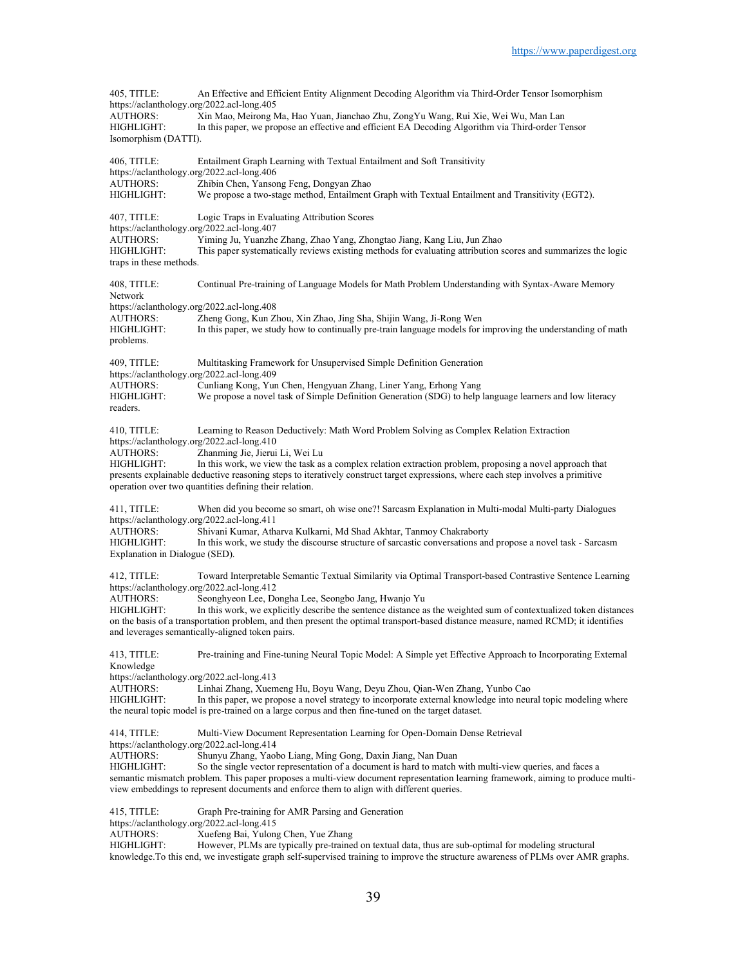405, TITLE: An Effective and Efficient Entity Alignment Decoding Algorithm via Third-Order Tensor Isomorphism https://aclanthology.org/2022.acl-long.405 AUTHORS: Xin Mao, Meirong Ma, Hao Yuan, Jianchao Zhu, ZongYu Wang, Rui Xie, Wei Wu, Man Lan HIGHLIGHT: In this paper, we propose an effective and efficient EA Decoding Algorithm via Third-order Tensor Isomorphism (DATTI). 406, TITLE: Entailment Graph Learning with Textual Entailment and Soft Transitivity https://aclanthology.org/2022.acl-long.406 AUTHORS: Zhibin Chen, Yansong Feng, Dongyan Zhao<br>HIGHLIGHT: We propose a two-stage method. Entailment We propose a two-stage method, Entailment Graph with Textual Entailment and Transitivity (EGT2). 407, TITLE: Logic Traps in Evaluating Attribution Scores https://aclanthology.org/2022.acl-long.407<br>AUTHORS: Yiming Ju. Yuanzhe Yiming Ju, Yuanzhe Zhang, Zhao Yang, Zhongtao Jiang, Kang Liu, Jun Zhao HIGHLIGHT: This paper systematically reviews existing methods for evaluating attribution scores and summarizes the logic traps in these methods. 408, TITLE: Continual Pre-training of Language Models for Math Problem Understanding with Syntax-Aware Memory Network https://aclanthology.org/2022.acl-long.408 AUTHORS: Zheng Gong, Kun Zhou, Xin Zhao, Jing Sha, Shijin Wang, Ji-Rong Wen HIGHLIGHT: In this paper, we study how to continually pre-train language models for i In this paper, we study how to continually pre-train language models for improving the understanding of math problems. 409, TITLE: Multitasking Framework for Unsupervised Simple Definition Generation https://aclanthology.org/2022.acl-long.409 AUTHORS: Cunliang Kong, Yun Chen, Hengyuan Zhang, Liner Yang, Erhong Yang<br>HIGHLIGHT: We propose a novel task of Simple Definition Generation (SDG) to help We propose a novel task of Simple Definition Generation (SDG) to help language learners and low literacy readers. 410, TITLE: Learning to Reason Deductively: Math Word Problem Solving as Complex Relation Extraction https://aclanthology.org/2022.acl-long.410<br>AUTHORS: Zhanming Jie, Jierui Zhanming Jie, Jierui Li, Wei Lu HIGHLIGHT: In this work, we view the task as a complex relation extraction problem, proposing a novel approach that presents explainable deductive reasoning steps to iteratively construct target expressions, where each step involves a primitive operation over two quantities defining their relation. 411, TITLE: When did you become so smart, oh wise one?! Sarcasm Explanation in Multi-modal Multi-party Dialogues https://aclanthology.org/2022.acl-long.411<br>AUTHORS: Shivani Kumar, Ath AUTHORS: Shivani Kumar, Atharva Kulkarni, Md Shad Akhtar, Tanmoy Chakraborty In this work, we study the discourse structure of sarcastic conversations and propose a novel task - Sarcasm Explanation in Dialogue (SED). 412, TITLE: Toward Interpretable Semantic Textual Similarity via Optimal Transport-based Contrastive Sentence Learning https://aclanthology.org/2022.acl-long.412 AUTHORS: Seonghyeon Lee, Dongha Lee, Seongbo Jang, Hwanjo Yu<br>HIGHLIGHT: In this work, we explicitly describe the sentence distance a In this work, we explicitly describe the sentence distance as the weighted sum of contextualized token distances on the basis of a transportation problem, and then present the optimal transport-based distance measure, named RCMD; it identifies and leverages semantically-aligned token pairs. 413, TITLE: Pre-training and Fine-tuning Neural Topic Model: A Simple yet Effective Approach to Incorporating External Knowledge https://aclanthology.org/2022.acl-long.413 AUTHORS: Linhai Zhang, Xuemeng Hu, Boyu Wang, Deyu Zhou, Qian-Wen Zhang, Yunbo Cao In this paper, we propose a novel strategy to incorporate external knowledge into neural topic modeling where the neural topic model is pre-trained on a large corpus and then fine-tuned on the target dataset. 414, TITLE: Multi-View Document Representation Learning for Open-Domain Dense Retrieval https://aclanthology.org/2022.acl-long.414<br>AUTHORS: Shunyu Zhang, Yaol Shunyu Zhang, Yaobo Liang, Ming Gong, Daxin Jiang, Nan Duan HIGHLIGHT: So the single vector representation of a document is hard to match with multi-view queries, and faces a semantic mismatch problem. This paper proposes a multi-view document representation learning framework, aiming to produce multiview embeddings to represent documents and enforce them to align with different queries. 415, TITLE: Graph Pre-training for AMR Parsing and Generation https://aclanthology.org/2022.acl-long.415 AUTHORS: Xuefeng Bai, Yulong Chen, Yue Zhang HIGHLIGHT: However, PLMs are typically pre-trained on textual data, thus are sub-optimal for modeling structural

knowledge.To this end, we investigate graph self-supervised training to improve the structure awareness of PLMs over AMR graphs.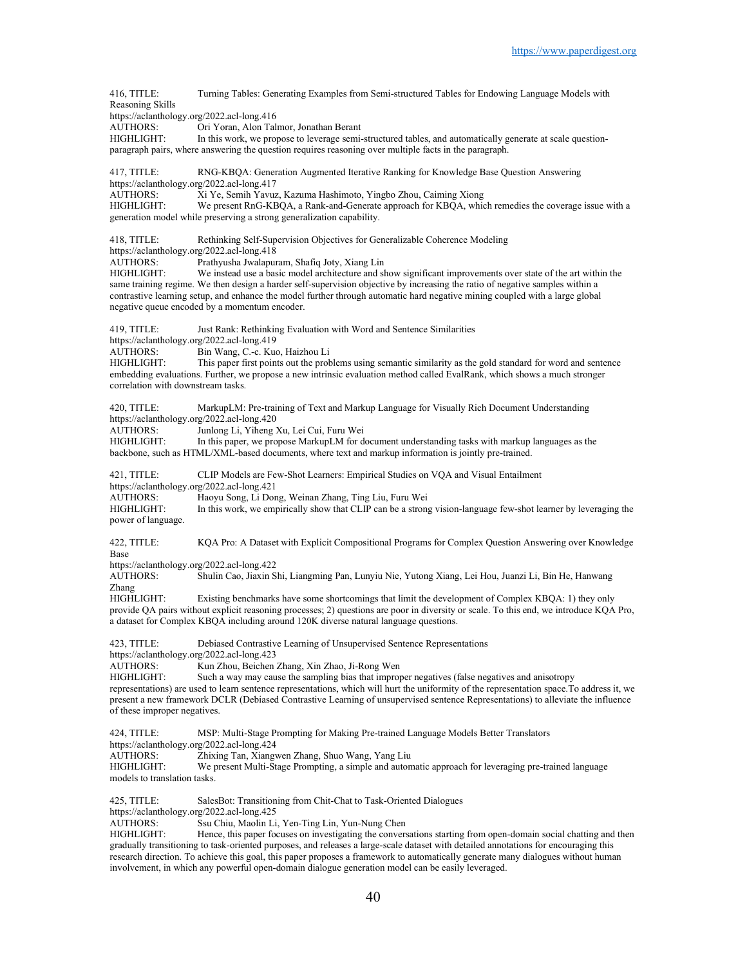416, TITLE: Turning Tables: Generating Examples from Semi-structured Tables for Endowing Language Models with Reasoning Skills https://aclanthology.org/2022.acl-long.416 AUTHORS: Ori Yoran, Alon Talmor, Jonathan Berant HIGHLIGHT: In this work, we propose to leverage semi-structured tables, and automatically generate at scale questionparagraph pairs, where answering the question requires reasoning over multiple facts in the paragraph. 417, TITLE: RNG-KBQA: Generation Augmented Iterative Ranking for Knowledge Base Question Answering https://aclanthology.org/2022.acl-long.417<br>AUTHORS: Xi Ye, Semih Yavuz Xi Ye, Semih Yavuz, Kazuma Hashimoto, Yingbo Zhou, Caiming Xiong HIGHLIGHT: We present RnG-KBQA, a Rank-and-Generate approach for KBQA, which remedies the coverage issue with a generation model while preserving a strong generalization capability. 418, TITLE: Rethinking Self-Supervision Objectives for Generalizable Coherence Modeling https://aclanthology.org/2022.acl-long.418 AUTHORS: Prathyusha Jwalapuram, Shafiq Joty, Xiang Lin We instead use a basic model architecture and show significant improvements over state of the art within the same training regime. We then design a harder self-supervision objective by increasing the ratio of negative samples within a contrastive learning setup, and enhance the model further through automatic hard negative mining coupled with a large global negative queue encoded by a momentum encoder. 419, TITLE: Just Rank: Rethinking Evaluation with Word and Sentence Similarities https://aclanthology.org/2022.acl-long.419 AUTHORS: Bin Wang, C.-c. Kuo, Haizhou Li<br>HIGHLIGHT: This paper first points out the prob This paper first points out the problems using semantic similarity as the gold standard for word and sentence embedding evaluations. Further, we propose a new intrinsic evaluation method called EvalRank, which shows a much stronger correlation with downstream tasks. 420, TITLE: MarkupLM: Pre-training of Text and Markup Language for Visually Rich Document Understanding https://aclanthology.org/2022.acl-long.420<br>AUTHORS: Junlong Li, Yiheng AUTHORS: Junlong Li, Yiheng Xu, Lei Cui, Furu Wei<br>HIGHLIGHT: In this paper, we propose MarkupLM for d In this paper, we propose MarkupLM for document understanding tasks with markup languages as the backbone, such as HTML/XML-based documents, where text and markup information is jointly pre-trained. 421, TITLE: CLIP Models are Few-Shot Learners: Empirical Studies on VQA and Visual Entailment https://aclanthology.org/2022.acl-long.421<br>AUTHORS: Haoyu Song, Li Dor AUTHORS: Haoyu Song, Li Dong, Weinan Zhang, Ting Liu, Furu Wei In this work, we empirically show that CLIP can be a strong vision-language few-shot learner by leveraging the power of language. 422, TITLE: KQA Pro: A Dataset with Explicit Compositional Programs for Complex Question Answering over Knowledge Base https://aclanthology.org/2022.acl-long.422<br>AUTHORS: Shulin Cao, Jiaxin S Shulin Cao, Jiaxin Shi, Liangming Pan, Lunyiu Nie, Yutong Xiang, Lei Hou, Juanzi Li, Bin He, Hanwang Zhang HIGHLIGHT: Existing benchmarks have some shortcomings that limit the development of Complex KBQA: 1) they only provide QA pairs without explicit reasoning processes; 2) questions are poor in diversity or scale. To this end, we introduce KQA Pro, a dataset for Complex KBQA including around 120K diverse natural language questions. 423, TITLE: Debiased Contrastive Learning of Unsupervised Sentence Representations https://aclanthology.org/2022.acl-long.423 AUTHORS: Kun Zhou, Beichen Zhang, Xin Zhao, Ji-Rong Wen Such a way may cause the sampling bias that improper negatives (false negatives and anisotropy representations) are used to learn sentence representations, which will hurt the uniformity of the representation space.To address it, we present a new framework DCLR (Debiased Contrastive Learning of unsupervised sentence Representations) to alleviate the influence of these improper negatives. 424, TITLE: MSP: Multi-Stage Prompting for Making Pre-trained Language Models Better Translators https://aclanthology.org/2022.acl-long.424 AUTHORS: Zhixing Tan, Xiangwen Zhang, Shuo Wang, Yang Liu HIGHLIGHT: We present Multi-Stage Prompting, a simple and automatic approach for leveraging pre-trained language models to translation tasks. 425, TITLE: SalesBot: Transitioning from Chit-Chat to Task-Oriented Dialogues https://aclanthology.org/2022.acl-long.425<br>AUTHORS: Ssu Chiu Maolin Li Ssu Chiu, Maolin Li, Yen-Ting Lin, Yun-Nung Chen HIGHLIGHT: Hence, this paper focuses on investigating the conversations starting from open-domain social chatting and then gradually transitioning to task-oriented purposes, and releases a large-scale dataset with detailed annotations for encouraging this research direction. To achieve this goal, this paper proposes a framework to automatically generate many dialogues without human involvement, in which any powerful open-domain dialogue generation model can be easily leveraged.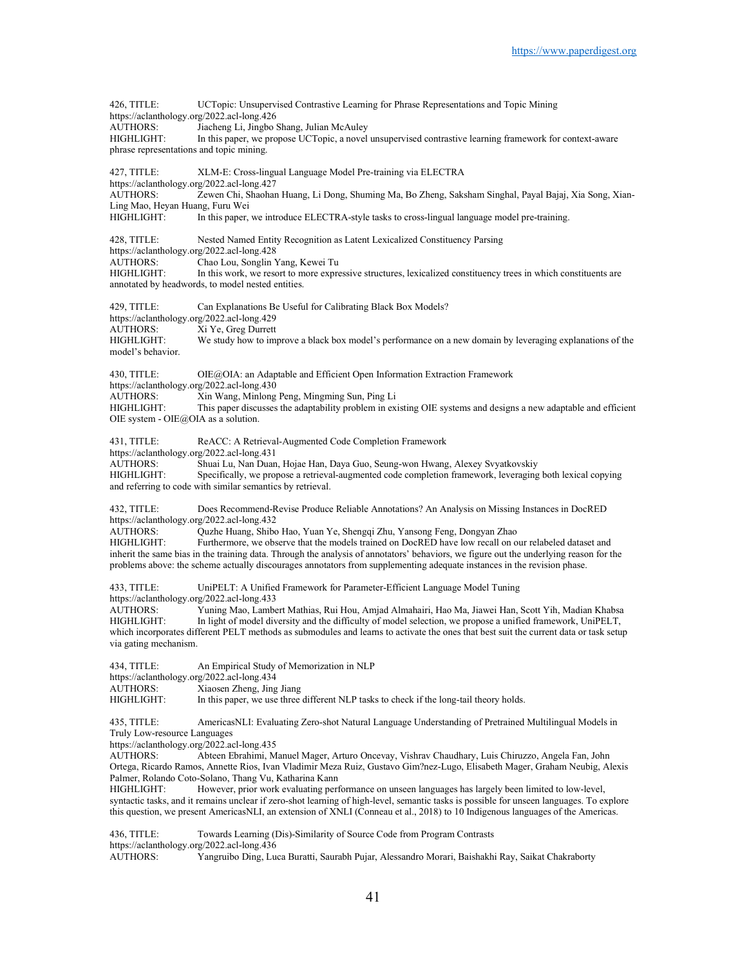426, TITLE: UCTopic: Unsupervised Contrastive Learning for Phrase Representations and Topic Mining https://aclanthology.org/2022.acl-long.426 AUTHORS: Jiacheng Li, Jingbo Shang, Julian McAuley HIGHLIGHT: In this paper, we propose UCTopic, a novel unsupervised contrastive learning framework for context-aware phrase representations and topic mining. 427, TITLE: XLM-E: Cross-lingual Language Model Pre-training via ELECTRA https://aclanthology.org/2022.acl-long.427<br>AUTHORS: Zewen Chi, Shaohar Zewen Chi, Shaohan Huang, Li Dong, Shuming Ma, Bo Zheng, Saksham Singhal, Payal Bajaj, Xia Song, Xian-Ling Mao, Heyan Huang, Furu Wei HIGHLIGHT: In this paper, we introduce ELECTRA-style tasks to cross-lingual language model pre-training. 428, TITLE: Nested Named Entity Recognition as Latent Lexicalized Constituency Parsing https://aclanthology.org/2022.acl-long.428 AUTHORS: Chao Lou, Songlin Yang, Kewei Tu<br>HIGHLIGHT: In this work, we resort to more expre In this work, we resort to more expressive structures, lexicalized constituency trees in which constituents are annotated by headwords, to model nested entities. 429, TITLE: Can Explanations Be Useful for Calibrating Black Box Models? https://aclanthology.org/2022.acl-long.429<br>AUTHORS: Xi Ye, Greg Durrett Xi Ye, Greg Durrett HIGHLIGHT: We study how to improve a black box model's performance on a new domain by leveraging explanations of the model's behavior. 430, TITLE: OIE@OIA: an Adaptable and Efficient Open Information Extraction Framework https://aclanthology.org/2022.acl-long.430<br>AUTHORS: Xin Wang, Minlong AUTHORS: Xin Wang, Minlong Peng, Mingming Sun, Ping Li<br>HIGHLIGHT: This paper discusses the adaptability problem in ex This paper discusses the adaptability problem in existing OIE systems and designs a new adaptable and efficient OIE system - OIE@OIA as a solution. 431, TITLE: ReACC: A Retrieval-Augmented Code Completion Framework https://aclanthology.org/2022.acl-long.431 AUTHORS: Shuai Lu, Nan Duan, Hojae Han, Daya Guo, Seung-won Hwang, Alexey Svyatkovskiy HIGHLIGHT: Specifically, we propose a retrieval-augmented code completion framework, leveraging both lexical copying and referring to code with similar semantics by retrieval. 432, TITLE: Does Recommend-Revise Produce Reliable Annotations? An Analysis on Missing Instances in DocRED https://aclanthology.org/2022.acl-long.432<br>AUTHORS: Ouzhe Huang, Shibo AUTHORS: Quzhe Huang, Shibo Hao, Yuan Ye, Shengqi Zhu, Yansong Feng, Dongyan Zhao Furthermore, we observe that the models trained on DocRED have low recall on our relabeled dataset and inherit the same bias in the training data. Through the analysis of annotators' behaviors, we figure out the underlying reason for the problems above: the scheme actually discourages annotators from supplementing adequate instances in the revision phase. 433, TITLE: UniPELT: A Unified Framework for Parameter-Efficient Language Model Tuning https://aclanthology.org/2022.acl-long.433 Yuning Mao, Lambert Mathias, Rui Hou, Amjad Almahairi, Hao Ma, Jiawei Han, Scott Yih, Madian Khabsa HIGHLIGHT: In light of model diversity and the difficulty of model selection, we propose a unified framework, UniPELT, which incorporates different PELT methods as submodules and learns to activate the ones that best suit the current data or task setup via gating mechanism. 434, TITLE: An Empirical Study of Memorization in NLP https://aclanthology.org/2022.acl-long.434 AUTHORS: Xiaosen Zheng, Jing Jiang<br>HIGHLIGHT: In this paper, we use three In this paper, we use three different NLP tasks to check if the long-tail theory holds. 435, TITLE: AmericasNLI: Evaluating Zero-shot Natural Language Understanding of Pretrained Multilingual Models in Truly Low-resource Languages https://aclanthology.org/2022.acl-long.435 AUTHORS: Abteen Ebrahimi, Manuel Mager, Arturo Oncevay, Vishrav Chaudhary, Luis Chiruzzo, Angela Fan, John Ortega, Ricardo Ramos, Annette Rios, Ivan Vladimir Meza Ruiz, Gustavo Gim?nez-Lugo, Elisabeth Mager, Graham Neubig, Alexis Palmer, Rolando Coto-Solano, Thang Vu, Katharina Kann HIGHLIGHT: However, prior work evaluating performance on unseen languages has largely been limited to low-level, syntactic tasks, and it remains unclear if zero-shot learning of high-level, semantic tasks is possible for unseen languages. To explore this question, we present AmericasNLI, an extension of XNLI (Conneau et al., 2018) to 10 Indigenous languages of the Americas. 436, TITLE: Towards Learning (Dis)-Similarity of Source Code from Program Contrasts https://aclanthology.org/2022.acl-long.436

AUTHORS: Yangruibo Ding, Luca Buratti, Saurabh Pujar, Alessandro Morari, Baishakhi Ray, Saikat Chakraborty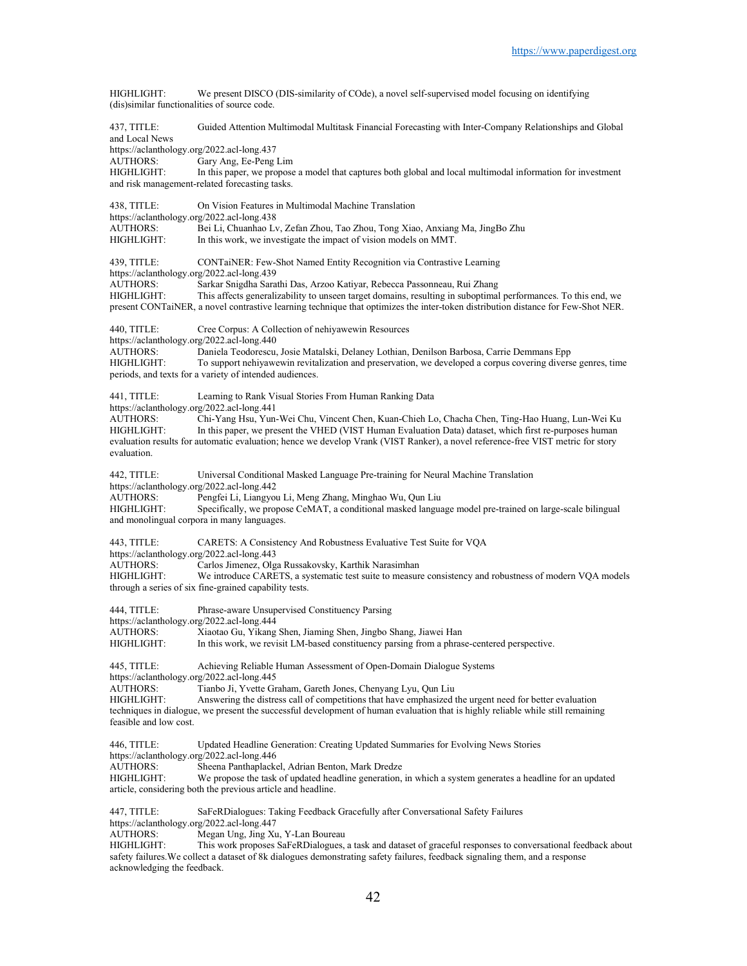HIGHLIGHT: We present DISCO (DIS-similarity of COde), a novel self-supervised model focusing on identifying (dis)similar functionalities of source code.

437, TITLE: Guided Attention Multimodal Multitask Financial Forecasting with Inter-Company Relationships and Global and Local News https://aclanthology.org/2022.acl-long.437<br>AUTHORS: Gary Ang, Ee-Peng Gary Ang, Ee-Peng Lim HIGHLIGHT: In this paper, we propose a model that captures both global and local multimodal information for investment and risk management-related forecasting tasks. 438, TITLE: On Vision Features in Multimodal Machine Translation https://aclanthology.org/2022.acl-long.438<br>AUTHORS: Bei Li, Chuanhao Ly AUTHORS: Bei Li, Chuanhao Lv, Zefan Zhou, Tao Zhou, Tong Xiao, Anxiang Ma, JingBo Zhu In this work, we investigate the impact of vision models on MMT. 439, TITLE: CONTaiNER: Few-Shot Named Entity Recognition via Contrastive Learning https://aclanthology.org/2022.acl-long.439<br>AUTHORS: Sarkar Snigdha Sara Sarkar Snigdha Sarathi Das, Arzoo Katiyar, Rebecca Passonneau, Rui Zhang HIGHLIGHT: This affects generalizability to unseen target domains, resulting in suboptimal performances. To this end, we present CONTaiNER, a novel contrastive learning technique that optimizes the inter-token distribution distance for Few-Shot NER. 440, TITLE: Cree Corpus: A Collection of nehiyawewin Resources https://aclanthology.org/2022.acl-long.440 AUTHORS: Daniela Teodorescu, Josie Matalski, Delaney Lothian, Denilson Barbosa, Carrie Demmans Epp<br>HIGHLIGHT: To support nehiyawewin revitalization and preservation, we developed a corpus covering divers To support nehiyawewin revitalization and preservation, we developed a corpus covering diverse genres, time periods, and texts for a variety of intended audiences. 441, TITLE: Learning to Rank Visual Stories From Human Ranking Data https://aclanthology.org/2022.acl-long.441 AUTHORS: Chi-Yang Hsu, Yun-Wei Chu, Vincent Chen, Kuan-Chieh Lo, Chacha Chen, Ting-Hao Huang, Lun-Wei Ku HIGHLIGHT: In this paper, we present the VHED (VIST Human Evaluation Data) dataset, which first re-purposes human evaluation results for automatic evaluation; hence we develop Vrank (VIST Ranker), a novel reference-free VIST metric for story evaluation. 442, TITLE: Universal Conditional Masked Language Pre-training for Neural Machine Translation https://aclanthology.org/2022.acl-long.442<br>AUTHORS: Pengfei Li, Liangyo Pengfei Li, Liangyou Li, Meng Zhang, Minghao Wu, Qun Liu HIGHLIGHT: Specifically, we propose CeMAT, a conditional masked language model pre-trained on large-scale bilingual and monolingual corpora in many languages. 443, TITLE: CARETS: A Consistency And Robustness Evaluative Test Suite for VQA https://aclanthology.org/2022.acl-long.443<br>AUTHORS: Carlos Jimenez, Olø AUTHORS: Carlos Jimenez, Olga Russakovsky, Karthik Narasimhan We introduce CARETS, a systematic test suite to measure consistency and robustness of modern VQA models through a series of six fine-grained capability tests. 444, TITLE: Phrase-aware Unsupervised Constituency Parsing https://aclanthology.org/2022.acl-long.444<br>AUTHORS: Xiaotao Gu, Yikang Xiaotao Gu, Yikang Shen, Jiaming Shen, Jingbo Shang, Jiawei Han HIGHLIGHT: In this work, we revisit LM-based constituency parsing from a phrase-centered perspective. 445, TITLE: Achieving Reliable Human Assessment of Open-Domain Dialogue Systems https://aclanthology.org/2022.acl-long.445 AUTHORS: Tianbo Ji, Yvette Graham, Gareth Jones, Chenyang Lyu, Qun Liu<br>HIGHLIGHT: Answering the distress call of competitions that have emphasized Answering the distress call of competitions that have emphasized the urgent need for better evaluation techniques in dialogue, we present the successful development of human evaluation that is highly reliable while still remaining feasible and low cost. 446, TITLE: Updated Headline Generation: Creating Updated Summaries for Evolving News Stories https://aclanthology.org/2022.acl-long.446 AUTHORS: Sheena Panthaplackel, Adrian Benton, Mark Dredze<br>HIGHLIGHT: We propose the task of updated headline generation, We propose the task of updated headline generation, in which a system generates a headline for an updated article, considering both the previous article and headline. 447, TITLE: SaFeRDialogues: Taking Feedback Gracefully after Conversational Safety Failures https://aclanthology.org/2022.acl-long.447 AUTHORS: Megan Ung, Jing Xu, Y-Lan Boureau

HIGHLIGHT: This work proposes SaFeRDialogues, a task and dataset of graceful responses to conversational feedback about safety failures.We collect a dataset of 8k dialogues demonstrating safety failures, feedback signaling them, and a response acknowledging the feedback.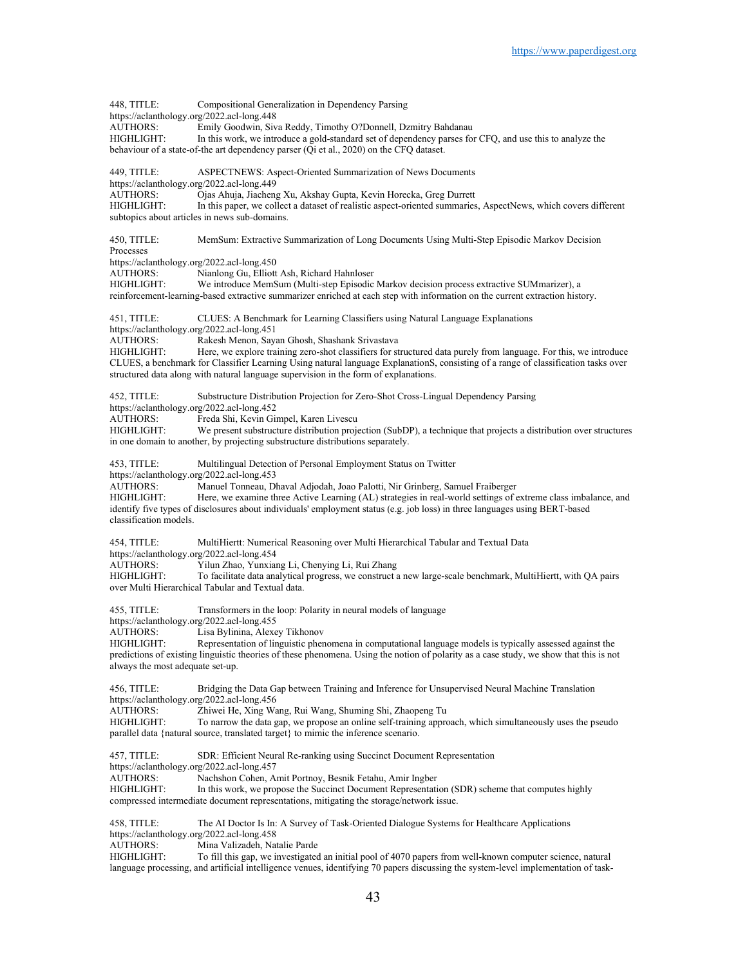448, TITLE: Compositional Generalization in Dependency Parsing https://aclanthology.org/2022.acl-long.448<br>AUTHORS: Emily Goodwin, Siv Emily Goodwin, Siva Reddy, Timothy O?Donnell, Dzmitry Bahdanau HIGHLIGHT: In this work, we introduce a gold-standard set of dependency parses for CFQ, and use this to analyze the behaviour of a state-of-the art dependency parser (Qi et al., 2020) on the CFQ dataset. 449, TITLE: ASPECTNEWS: Aspect-Oriented Summarization of News Documents https://aclanthology.org/2022.acl-long.449<br>AUTHORS: Ojas Ahuja, Jiachen; Ojas Ahuja, Jiacheng Xu, Akshay Gupta, Kevin Horecka, Greg Durrett HIGHLIGHT: In this paper, we collect a dataset of realistic aspect-oriented summaries, AspectNews, which covers different subtopics about articles in news sub-domains. 450, TITLE: MemSum: Extractive Summarization of Long Documents Using Multi-Step Episodic Markov Decision Processes https://aclanthology.org/2022.acl-long.450<br>AUTHORS: Nianlong Gu, Elliott AUTHORS: Nianlong Gu, Elliott Ash, Richard Hahnloser We introduce MemSum (Multi-step Episodic Markov decision process extractive SUMmarizer), a reinforcement-learning-based extractive summarizer enriched at each step with information on the current extraction history. 451, TITLE: CLUES: A Benchmark for Learning Classifiers using Natural Language Explanations https://aclanthology.org/2022.acl-long.451 AUTHORS: Rakesh Menon, Sayan Ghosh, Shashank Srivastava HIGHLIGHT: Here, we explore training zero-shot classifiers for structured data purely from language. For this, we introduce CLUES, a benchmark for Classifier Learning Using natural language ExplanationS, consisting of a range of classification tasks over structured data along with natural language supervision in the form of explanations. 452, TITLE: Substructure Distribution Projection for Zero-Shot Cross-Lingual Dependency Parsing https://aclanthology.org/2022.acl-long.452 AUTHORS: Freda Shi, Kevin Gimpel, Karen Livescu HIGHLIGHT: We present substructure distribution projection (SubDP), a technique that projects a distribution over structures in one domain to another, by projecting substructure distributions separately. 453, TITLE: Multilingual Detection of Personal Employment Status on Twitter https://aclanthology.org/2022.acl-long.453<br>AUTHORS: Manuel Tonneau. D AUTHORS: Manuel Tonneau, Dhaval Adjodah, Joao Palotti, Nir Grinberg, Samuel Fraiberger Here, we examine three Active Learning (AL) strategies in real-world settings of extreme class imbalance, and identify five types of disclosures about individuals' employment status (e.g. job loss) in three languages using BERT-based classification models. 454, TITLE: MultiHiertt: Numerical Reasoning over Multi Hierarchical Tabular and Textual Data https://aclanthology.org/2022.acl-long.454<br>AUTHORS: Yilun Zhao, Yunxiai AUTHORS: Yilun Zhao, Yunxiang Li, Chenying Li, Rui Zhang To facilitate data analytical progress, we construct a new large-scale benchmark, MultiHiertt, with QA pairs over Multi Hierarchical Tabular and Textual data. 455, TITLE: Transformers in the loop: Polarity in neural models of language https://aclanthology.org/2022.acl-long.455<br>AUTHORS: Lisa Bylinina, Alexe Lisa Bylinina, Alexey Tikhonov HIGHLIGHT: Representation of linguistic phenomena in computational language models is typically assessed against the predictions of existing linguistic theories of these phenomena. Using the notion of polarity as a case study, we show that this is not always the most adequate set-up. 456, TITLE: Bridging the Data Gap between Training and Inference for Unsupervised Neural Machine Translation https://aclanthology.org/2022.acl-long.456 AUTHORS: Zhiwei He, Xing Wang, Rui Wang, Shuming Shi, Zhaopeng Tu HIGHLIGHT: To narrow the data gap, we propose an online self-training approach, which simultaneously uses the pseudo parallel data {natural source, translated target} to mimic the inference scenario. 457, TITLE: SDR: Efficient Neural Re-ranking using Succinct Document Representation https://aclanthology.org/2022.acl-long.457<br>AUTHORS: Nachshon Cohen, A Nachshon Cohen, Amit Portnoy, Besnik Fetahu, Amir Ingber HIGHLIGHT: In this work, we propose the Succinct Document Representation (SDR) scheme that computes highly compressed intermediate document representations, mitigating the storage/network issue. 458, TITLE: The AI Doctor Is In: A Survey of Task-Oriented Dialogue Systems for Healthcare Applications https://aclanthology.org/2022.acl-long.458<br>AUTHORS: Mina Valizadeh, Na Mina Valizadeh, Natalie Parde HIGHLIGHT: To fill this gap, we investigated an initial pool of 4070 papers from well-known computer science, natural language processing, and artificial intelligence venues, identifying 70 papers discussing the system-level implementation of task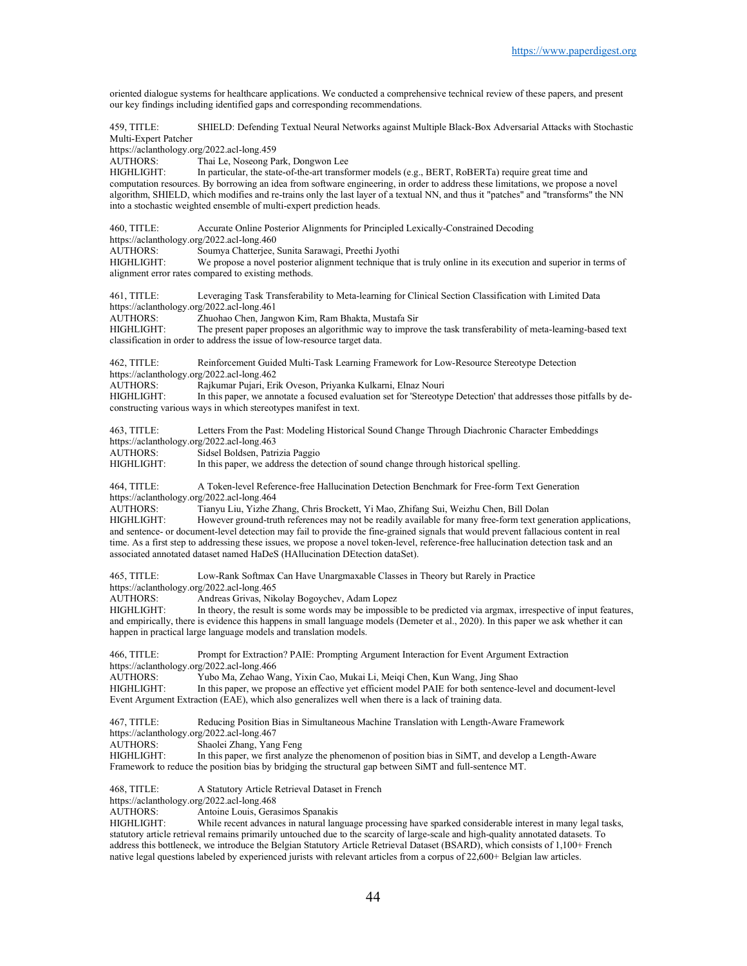oriented dialogue systems for healthcare applications. We conducted a comprehensive technical review of these papers, and present our key findings including identified gaps and corresponding recommendations.

459, TITLE: SHIELD: Defending Textual Neural Networks against Multiple Black-Box Adversarial Attacks with Stochastic Multi-Expert Patcher

https://aclanthology.org/2022.acl-long.459<br>AUTHORS: Thai Le, Noseong Pa

AUTHORS: Thai Le, Noseong Park, Dongwon Lee<br>HIGHLIGHT: In particular, the state-of-the-art transfe

In particular, the state-of-the-art transformer models (e.g., BERT, RoBERTa) require great time and computation resources. By borrowing an idea from software engineering, in order to address these limitations, we propose a novel algorithm, SHIELD, which modifies and re-trains only the last layer of a textual NN, and thus it "patches" and "transforms" the NN into a stochastic weighted ensemble of multi-expert prediction heads.

460, TITLE: Accurate Online Posterior Alignments for Principled Lexically-Constrained Decoding https://aclanthology.org/2022.acl-long.460 AUTHORS: Soumya Chatterjee, Sunita Sarawagi, Preethi Jyothi We propose a novel posterior alignment technique that is truly online in its execution and superior in terms of alignment error rates compared to existing methods. 461, TITLE: Leveraging Task Transferability to Meta-learning for Clinical Section Classification with Limited Data https://aclanthology.org/2022.acl-long.461<br>AUTHORS: Zhuohao Chen. Jang AUTHORS: Zhuohao Chen, Jangwon Kim, Ram Bhakta, Mustafa Sir The present paper proposes an algorithmic way to improve the task transferability of meta-learning-based text classification in order to address the issue of low-resource target data. 462, TITLE: Reinforcement Guided Multi-Task Learning Framework for Low-Resource Stereotype Detection https://aclanthology.org/2022.acl-long.462 AUTHORS: Rajkumar Pujari, Erik Oveson, Priyanka Kulkarni, Elnaz Nouri<br>HIGHLIGHT: In this paper, we annotate a focused evaluation set for 'Stereotyp In this paper, we annotate a focused evaluation set for 'Stereotype Detection' that addresses those pitfalls by deconstructing various ways in which stereotypes manifest in text.

463, TITLE: Letters From the Past: Modeling Historical Sound Change Through Diachronic Character Embeddings https://aclanthology.org/2022.acl-long.463<br>AUTHORS: Sidsel Boldsen, Patr.

AUTHORS: Sidsel Boldsen, Patrizia Paggio<br>HIGHLIGHT: In this paper, we address the de

In this paper, we address the detection of sound change through historical spelling.

464, TITLE: A Token-level Reference-free Hallucination Detection Benchmark for Free-form Text Generation https://aclanthology.org/2022.acl-long.464<br>AUTHORS: Tianvu Liu, Yizhe Z

Tianyu Liu, Yizhe Zhang, Chris Brockett, Yi Mao, Zhifang Sui, Weizhu Chen, Bill Dolan HIGHLIGHT: However ground-truth references may not be readily available for many free-form text generation applications, and sentence- or document-level detection may fail to provide the fine-grained signals that would prevent fallacious content in real time. As a first step to addressing these issues, we propose a novel token-level, reference-free hallucination detection task and an associated annotated dataset named HaDeS (HAllucination DEtection dataSet).

465, TITLE: Low-Rank Softmax Can Have Unargmaxable Classes in Theory but Rarely in Practice https://aclanthology.org/2022.acl-long.465

AUTHORS: Andreas Grivas, Nikolay Bogoychev, Adam Lopez<br>HIGHLIGHT: In theory, the result is some words may be impossible.

In theory, the result is some words may be impossible to be predicted via argmax, irrespective of input features, and empirically, there is evidence this happens in small language models (Demeter et al., 2020). In this paper we ask whether it can happen in practical large language models and translation models.

466, TITLE: Prompt for Extraction? PAIE: Prompting Argument Interaction for Event Argument Extraction https://aclanthology.org/2022.acl-long.466<br>AUTHORS: Yubo Ma. Zehao Wa Yubo Ma, Zehao Wang, Yixin Cao, Mukai Li, Meiqi Chen, Kun Wang, Jing Shao HIGHLIGHT: In this paper, we propose an effective yet efficient model PAIE for both sentence-level and document-level Event Argument Extraction (EAE), which also generalizes well when there is a lack of training data.

467, TITLE: Reducing Position Bias in Simultaneous Machine Translation with Length-Aware Framework https://aclanthology.org/2022.acl-long.467<br>AUTHORS: Shaolei Zhang. Yang Shaolei Zhang, Yang Feng HIGHLIGHT: In this paper, we first analyze the phenomenon of position bias in SiMT, and develop a Length-Aware Framework to reduce the position bias by bridging the structural gap between SiMT and full-sentence MT.

468, TITLE: A Statutory Article Retrieval Dataset in French

https://aclanthology.org/2022.acl-long.468

AUTHORS: Antoine Louis, Gerasimos Spanakis<br>HIGHLIGHT: While recent advances in natural lan

While recent advances in natural language processing have sparked considerable interest in many legal tasks, statutory article retrieval remains primarily untouched due to the scarcity of large-scale and high-quality annotated datasets. To address this bottleneck, we introduce the Belgian Statutory Article Retrieval Dataset (BSARD), which consists of 1,100+ French native legal questions labeled by experienced jurists with relevant articles from a corpus of 22,600+ Belgian law articles.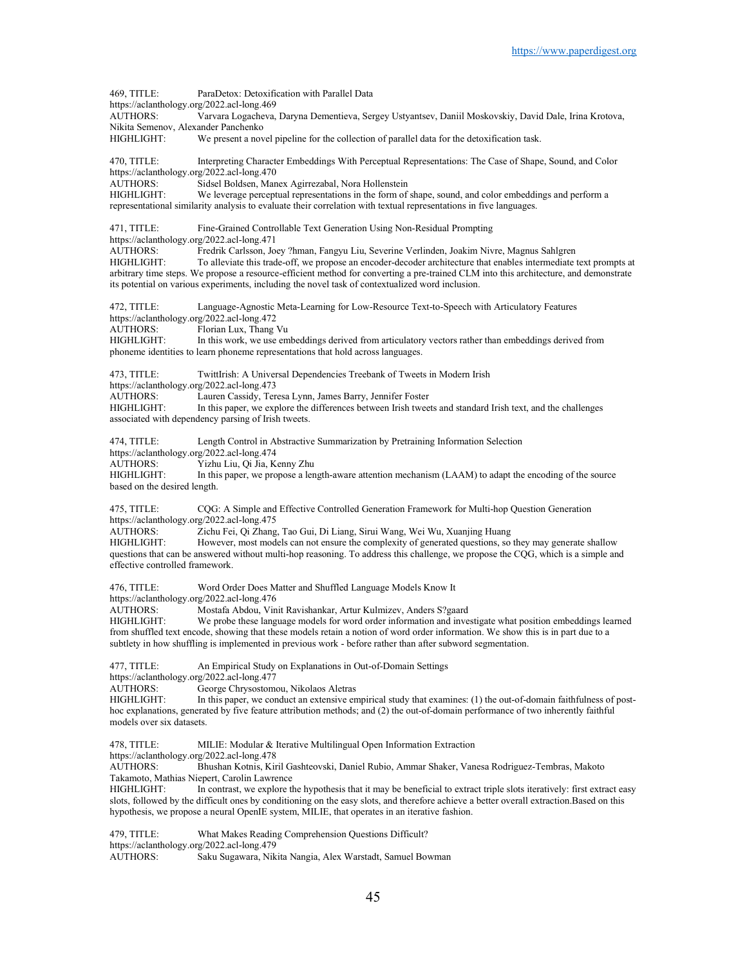469, TITLE: ParaDetox: Detoxification with Parallel Data https://aclanthology.org/2022.acl-long.469 AUTHORS: Varvara Logacheva, Daryna Dementieva, Sergey Ustyantsev, Daniil Moskovskiy, David Dale, Irina Krotova, Nikita Semenov, Alexander Panchenko HIGHLIGHT: We present a novel pipeline for the collection of parallel data for the detoxification task. 470, TITLE: Interpreting Character Embeddings With Perceptual Representations: The Case of Shape, Sound, and Color https://aclanthology.org/2022.acl-long.470 AUTHORS:<br>
HIGHLIGHT: We leverage perceptual representations in the form of We leverage perceptual representations in the form of shape, sound, and color embeddings and perform a representational similarity analysis to evaluate their correlation with textual representations in five languages. 471, TITLE: Fine-Grained Controllable Text Generation Using Non-Residual Prompting https://aclanthology.org/2022.acl-long.471 AUTHORS: Fredrik Carlsson, Joey ?hman, Fangyu Liu, Severine Verlinden, Joakim Nivre, Magnus Sahlgren HIGHLIGHT: To alleviate this trade-off, we propose an encoder-decoder architecture that enables intermediate text prompts at arbitrary time steps. We propose a resource-efficient method for converting a pre-trained CLM into this architecture, and demonstrate its potential on various experiments, including the novel task of contextualized word inclusion. 472, TITLE: Language-Agnostic Meta-Learning for Low-Resource Text-to-Speech with Articulatory Features https://aclanthology.org/2022.acl-long.472<br>AUTHORS: Florian Lux, Thang Florian Lux, Thang Vu HIGHLIGHT: In this work, we use embeddings derived from articulatory vectors rather than embeddings derived from phoneme identities to learn phoneme representations that hold across languages. 473, TITLE: TwittIrish: A Universal Dependencies Treebank of Tweets in Modern Irish https://aclanthology.org/2022.acl-long.473<br>AUTHORS: Lauren Cassidy, Ter AUTHORS: Lauren Cassidy, Teresa Lynn, James Barry, Jennifer Foster<br>HIGHLIGHT: In this paper, we explore the differences between Irish twee In this paper, we explore the differences between Irish tweets and standard Irish text, and the challenges associated with dependency parsing of Irish tweets. 474, TITLE: Length Control in Abstractive Summarization by Pretraining Information Selection https://aclanthology.org/2022.acl-long.474 AUTHORS: Yizhu Liu, Qi Jia, Kenny Zhu<br>HIGHLIGHT: In this paper, we propose a len In this paper, we propose a length-aware attention mechanism (LAAM) to adapt the encoding of the source based on the desired length. 475, TITLE: CQG: A Simple and Effective Controlled Generation Framework for Multi-hop Question Generation https://aclanthology.org/2022.acl-long.475<br>AUTHORS: Zichu Fei, Qi Zhang AUTHORS: Zichu Fei, Qi Zhang, Tao Gui, Di Liang, Sirui Wang, Wei Wu, Xuanjing Huang However, most models can not ensure the complexity of generated questions, so they may generate shallow questions that can be answered without multi-hop reasoning. To address this challenge, we propose the CQG, which is a simple and effective controlled framework. 476, TITLE: Word Order Does Matter and Shuffled Language Models Know It https://aclanthology.org/2022.acl-long.476<br>AUTHORS: Mostafa Abdou, Vin Mostafa Abdou, Vinit Ravishankar, Artur Kulmizev, Anders S?gaard HIGHLIGHT: We probe these language models for word order information and investigate what position embeddings learned from shuffled text encode, showing that these models retain a notion of word order information. We show this is in part due to a subtlety in how shuffling is implemented in previous work - before rather than after subword segmentation. 477, TITLE: An Empirical Study on Explanations in Out-of-Domain Settings https://aclanthology.org/2022.acl-long.477 AUTHORS: George Chrysostomou, Nikolaos Aletras<br>HIGHLIGHT: In this paper, we conduct an extensive er In this paper, we conduct an extensive empirical study that examines: (1) the out-of-domain faithfulness of posthoc explanations, generated by five feature attribution methods; and (2) the out-of-domain performance of two inherently faithful models over six datasets. 478, TITLE: MILIE: Modular & Iterative Multilingual Open Information Extraction https://aclanthology.org/2022.acl-long.478 AUTHORS: Bhushan Kotnis, Kiril Gashteovski, Daniel Rubio, Ammar Shaker, Vanesa Rodriguez-Tembras, Makoto Takamoto, Mathias Niepert, Carolin Lawrence HIGHLIGHT: In contrast, we explore the hypothesis that it may be beneficial to extract triple slots iteratively: first extract easy slots, followed by the difficult ones by conditioning on the easy slots, and therefore achieve a better overall extraction.Based on this hypothesis, we propose a neural OpenIE system, MILIE, that operates in an iterative fashion. 479, TITLE: What Makes Reading Comprehension Questions Difficult? https://aclanthology.org/2022.acl-long.479

AUTHORS: Saku Sugawara, Nikita Nangia, Alex Warstadt, Samuel Bowman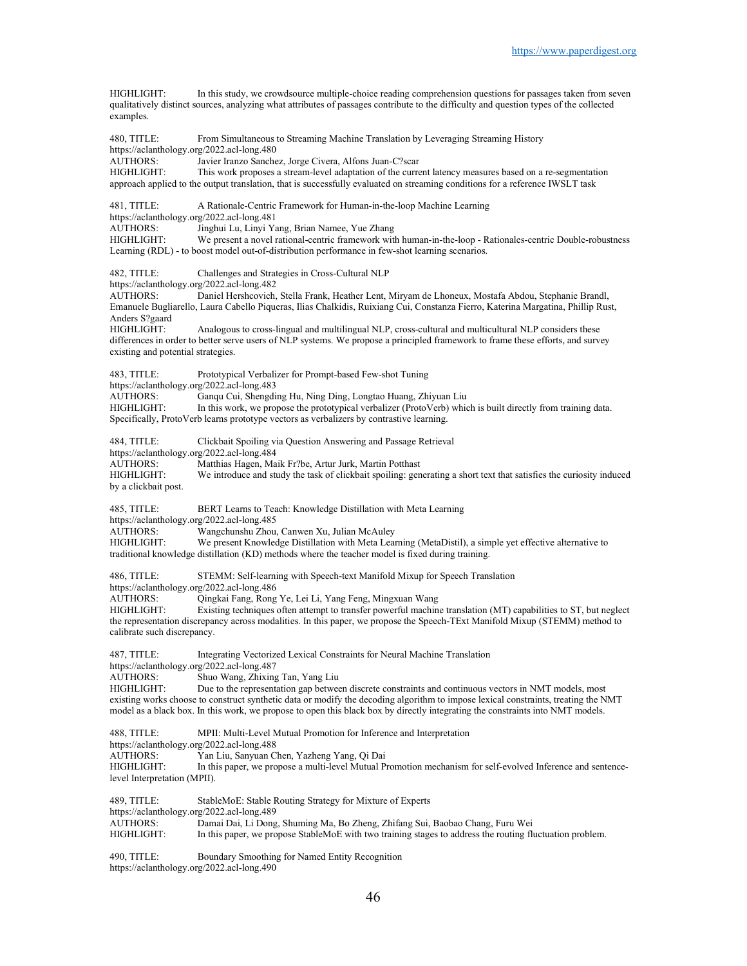HIGHLIGHT: In this study, we crowdsource multiple-choice reading comprehension questions for passages taken from seven qualitatively distinct sources, analyzing what attributes of passages contribute to the difficulty and question types of the collected examples. 480, TITLE: From Simultaneous to Streaming Machine Translation by Leveraging Streaming History https://aclanthology.org/2022.acl-long.480<br>AUTHORS: Javier Iranzo Sanche Javier Iranzo Sanchez, Jorge Civera, Alfons Juan-C?scar HIGHLIGHT: This work proposes a stream-level adaptation of the current latency measures based on a re-segmentation approach applied to the output translation, that is successfully evaluated on streaming conditions for a reference IWSLT task 481, TITLE: A Rationale-Centric Framework for Human-in-the-loop Machine Learning https://aclanthology.org/2022.acl-long.481<br>AUTHORS: Jinghui Lu, Linyi Ya AUTHORS: Jinghui Lu, Linyi Yang, Brian Namee, Yue Zhang<br>HIGHLIGHT: We present a novel rational-centric framework with We present a novel rational-centric framework with human-in-the-loop - Rationales-centric Double-robustness Learning (RDL) - to boost model out-of-distribution performance in few-shot learning scenarios. 482, TITLE: Challenges and Strategies in Cross-Cultural NLP https://aclanthology.org/2022.acl-long.482 AUTHORS: Daniel Hershcovich, Stella Frank, Heather Lent, Miryam de Lhoneux, Mostafa Abdou, Stephanie Brandl, Emanuele Bugliarello, Laura Cabello Piqueras, Ilias Chalkidis, Ruixiang Cui, Constanza Fierro, Katerina Margatina, Phillip Rust, Anders S?gaard Analogous to cross-lingual and multilingual NLP, cross-cultural and multicultural NLP considers these differences in order to better serve users of NLP systems. We propose a principled framework to frame these efforts, and survey existing and potential strategies. 483, TITLE: Prototypical Verbalizer for Prompt-based Few-shot Tuning https://aclanthology.org/2022.acl-long.483<br>AUTHORS: Ganqu Cui, Shengdi AUTHORS: Ganqu Cui, Shengding Hu, Ning Ding, Longtao Huang, Zhiyuan Liu In this work, we propose the prototypical verbalizer (ProtoVerb) which is built directly from training data. Specifically, ProtoVerb learns prototype vectors as verbalizers by contrastive learning. 484, TITLE: Clickbait Spoiling via Question Answering and Passage Retrieval https://aclanthology.org/2022.acl-long.484 AUTHORS: Matthias Hagen, Maik Fr?be, Artur Jurk, Martin Potthast HIGHLIGHT: We introduce and study the task of clickbait spoiling: generating a short text that satisfies the curiosity induced by a clickbait post. 485, TITLE: BERT Learns to Teach: Knowledge Distillation with Meta Learning https://aclanthology.org/2022.acl-long.485<br>AUTHORS: Wangchunshu Zhou. AUTHORS: Wangchunshu Zhou, Canwen Xu, Julian McAuley<br>HIGHLIGHT: We present Knowledge Distillation with Meta Lea We present Knowledge Distillation with Meta Learning (MetaDistil), a simple yet effective alternative to traditional knowledge distillation (KD) methods where the teacher model is fixed during training. 486, TITLE: STEMM: Self-learning with Speech-text Manifold Mixup for Speech Translation https://aclanthology.org/2022.acl-long.486 AUTHORS: Qingkai Fang, Rong Ye, Lei Li, Yang Feng, Mingxuan Wang Existing techniques often attempt to transfer powerful machine translation (MT) capabilities to ST, but neglect the representation discrepancy across modalities. In this paper, we propose the Speech-TExt Manifold Mixup (STEMM) method to calibrate such discrepancy. 487, TITLE: Integrating Vectorized Lexical Constraints for Neural Machine Translation https://aclanthology.org/2022.acl-long.487<br>AUTHORS: Shuo Wang, Zhixing Shuo Wang, Zhixing Tan, Yang Liu HIGHLIGHT: Due to the representation gap between discrete constraints and continuous vectors in NMT models, most existing works choose to construct synthetic data or modify the decoding algorithm to impose lexical constraints, treating the NMT model as a black box. In this work, we propose to open this black box by directly integrating the constraints into NMT models. 488, TITLE: MPII: Multi-Level Mutual Promotion for Inference and Interpretation https://aclanthology.org/2022.acl-long.488 AUTHORS: Yan Liu, Sanyuan Chen, Yazheng Yang, Qi Dai HIGHLIGHT: In this paper, we propose a multi-level Mutual Promotion mechanism for self-evolved Inference and sentencelevel Interpretation (MPII). 489, TITLE: StableMoE: Stable Routing Strategy for Mixture of Experts https://aclanthology.org/2022.acl-long.489<br>AUTHORS: Damai Dai Li Dong Damai Dai, Li Dong, Shuming Ma, Bo Zheng, Zhifang Sui, Baobao Chang, Furu Wei HIGHLIGHT: In this paper, we propose StableMoE with two training stages to address the routing fluctuation problem. 490, TITLE: Boundary Smoothing for Named Entity Recognition

https://aclanthology.org/2022.acl-long.490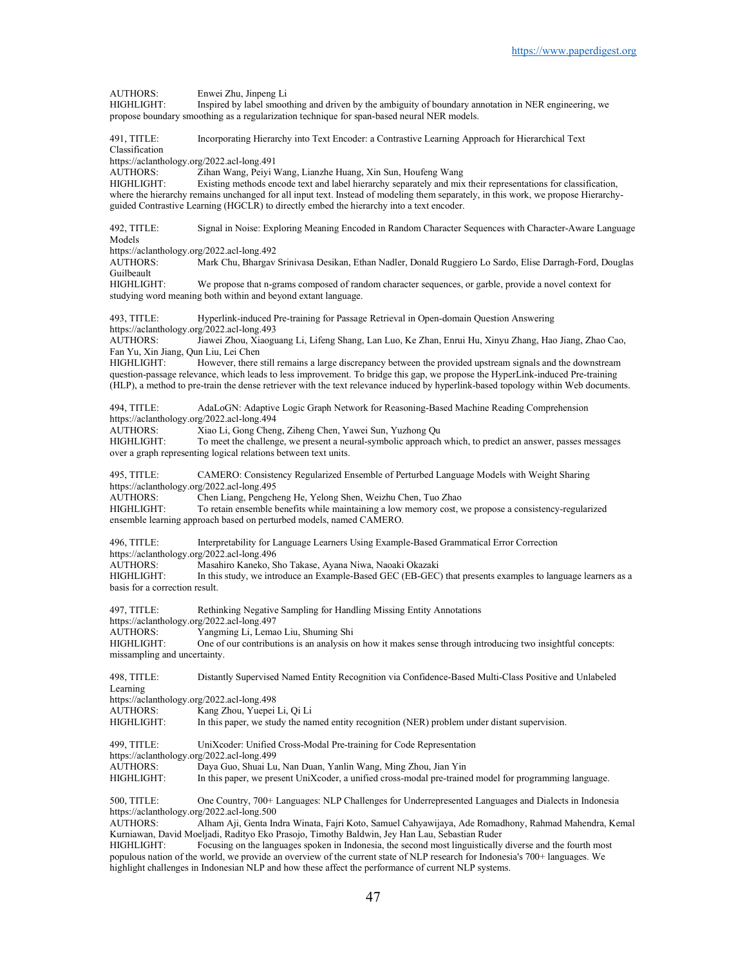AUTHORS: Enwei Zhu, Jinpeng Li<br>HIGHLIGHT: Inspired by label smoot Inspired by label smoothing and driven by the ambiguity of boundary annotation in NER engineering, we propose boundary smoothing as a regularization technique for span-based neural NER models. 491, TITLE: Incorporating Hierarchy into Text Encoder: a Contrastive Learning Approach for Hierarchical Text Classification https://aclanthology.org/2022.acl-long.491 AUTHORS: Zihan Wang, Peiyi Wang, Lianzhe Huang, Xin Sun, Houfeng Wang HIGHLIGHT: Existing methods encode text and label hierarchy separately and mix their representations for classification, where the hierarchy remains unchanged for all input text. Instead of modeling them separately, in this work, we propose Hierarchyguided Contrastive Learning (HGCLR) to directly embed the hierarchy into a text encoder. 492, TITLE: Signal in Noise: Exploring Meaning Encoded in Random Character Sequences with Character-Aware Language Models https://aclanthology.org/2022.acl-long.492<br>AUTHORS: Mark Chu, Bhargav Mark Chu, Bhargav Srinivasa Desikan, Ethan Nadler, Donald Ruggiero Lo Sardo, Elise Darragh-Ford, Douglas Guilbeault<br>HIGHLIGHT: We propose that n-grams composed of random character sequences, or garble, provide a novel context for studying word meaning both within and beyond extant language. 493, TITLE: Hyperlink-induced Pre-training for Passage Retrieval in Open-domain Question Answering https://aclanthology.org/2022.acl-long.493<br>AUTHORS: Jiawei Zhou, Xiaogu Jiawei Zhou, Xiaoguang Li, Lifeng Shang, Lan Luo, Ke Zhan, Enrui Hu, Xinyu Zhang, Hao Jiang, Zhao Cao, Fan Yu, Xin Jiang, Qun Liu, Lei Chen However, there still remains a large discrepancy between the provided upstream signals and the downstream question-passage relevance, which leads to less improvement. To bridge this gap, we propose the HyperLink-induced Pre-training (HLP), a method to pre-train the dense retriever with the text relevance induced by hyperlink-based topology within Web documents. 494, TITLE: AdaLoGN: Adaptive Logic Graph Network for Reasoning-Based Machine Reading Comprehension https://aclanthology.org/2022.acl-long.494 AUTHORS: Xiao Li, Gong Cheng, Ziheng Chen, Yawei Sun, Yuzhong Qu To meet the challenge, we present a neural-symbolic approach which, to predict an answer, passes messages over a graph representing logical relations between text units. 495, TITLE: CAMERO: Consistency Regularized Ensemble of Perturbed Language Models with Weight Sharing https://aclanthology.org/2022.acl-long.495<br>AUTHORS: Chen Liang, Pengch AUTHORS: Chen Liang, Pengcheng He, Yelong Shen, Weizhu Chen, Tuo Zhao To retain ensemble benefits while maintaining a low memory cost, we propose a consistency-regularized ensemble learning approach based on perturbed models, named CAMERO. 496, TITLE: Interpretability for Language Learners Using Example-Based Grammatical Error Correction https://aclanthology.org/2022.acl-long.496<br>AUTHORS: Masahiro Kaneko, S AUTHORS: Masahiro Kaneko, Sho Takase, Ayana Niwa, Naoaki Okazaki In this study, we introduce an Example-Based GEC (EB-GEC) that presents examples to language learners as a basis for a correction result. 497, TITLE: Rethinking Negative Sampling for Handling Missing Entity Annotations https://aclanthology.org/2022.acl-long.497<br>AUTHORS: Yangming Li, Lema Yangming Li, Lemao Liu, Shuming Shi HIGHLIGHT: One of our contributions is an analysis on how it makes sense through introducing two insightful concepts: missampling and uncertainty. 498, TITLE: Distantly Supervised Named Entity Recognition via Confidence-Based Multi-Class Positive and Unlabeled Learning https://aclanthology.org/2022.acl-long.498 AUTHORS: Kang Zhou, Yuepei Li, Qi Li HIGHLIGHT: In this paper, we study the named entity recognition (NER) problem under distant supervision. 499, TITLE: UniXcoder: Unified Cross-Modal Pre-training for Code Representation https://aclanthology.org/2022.acl-long.499 AUTHORS: Daya Guo, Shuai Lu, Nan Duan, Yanlin Wang, Ming Zhou, Jian Yin In this paper, we present UniXcoder, a unified cross-modal pre-trained model for programming language. 500, TITLE: One Country, 700+ Languages: NLP Challenges for Underrepresented Languages and Dialects in Indonesia https://aclanthology.org/2022.acl-long.500<br>ALITHORS: Albam Aii Genta In Alham Aji, Genta Indra Winata, Fajri Koto, Samuel Cahyawijaya, Ade Romadhony, Rahmad Mahendra, Kemal Kurniawan, David Moeljadi, Radityo Eko Prasojo, Timothy Baldwin, Jey Han Lau, Sebastian Ruder HIGHLIGHT: Focusing on the languages spoken in Indonesia, the second most linguistically diverse and the fourth most populous nation of the world, we provide an overview of the current state of NLP research for Indonesia's 700+ languages. We

highlight challenges in Indonesian NLP and how these affect the performance of current NLP systems.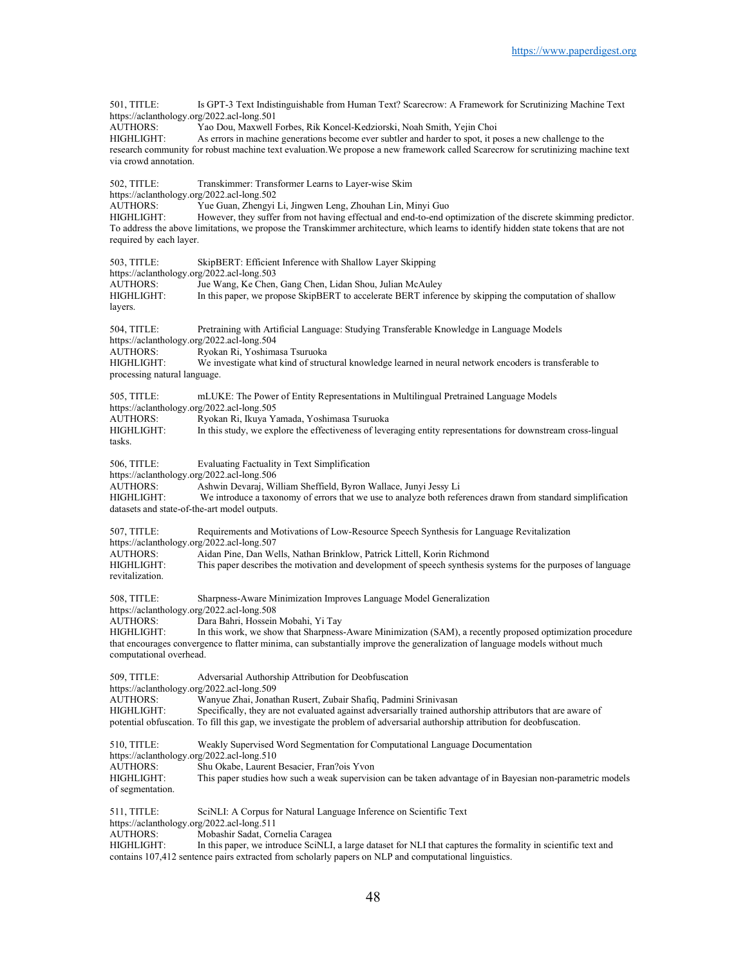501, TITLE: Is GPT-3 Text Indistinguishable from Human Text? Scarecrow: A Framework for Scrutinizing Machine Text https://aclanthology.org/2022.acl-long.501 AUTHORS: Yao Dou, Maxwell Forbes, Rik Koncel-Kedziorski, Noah Smith, Yejin Choi As errors in machine generations become ever subtler and harder to spot, it poses a new challenge to the research community for robust machine text evaluation.We propose a new framework called Scarecrow for scrutinizing machine text via crowd annotation. 502, TITLE: Transkimmer: Transformer Learns to Layer-wise Skim https://aclanthology.org/2022.acl-long.502 AUTHORS: Yue Guan, Zhengyi Li, Jingwen Leng, Zhouhan Lin, Minyi Guo However, they suffer from not having effectual and end-to-end optimization of the discrete skimming predictor. To address the above limitations, we propose the Transkimmer architecture, which learns to identify hidden state tokens that are not required by each layer. 503, TITLE: SkipBERT: Efficient Inference with Shallow Layer Skipping https://aclanthology.org/2022.acl-long.503<br>AUTHORS: Jue Wang. Ke Chen. Jue Wang, Ke Chen, Gang Chen, Lidan Shou, Julian McAuley HIGHLIGHT: In this paper, we propose SkipBERT to accelerate BERT inference by skipping the computation of shallow layers. 504, TITLE: Pretraining with Artificial Language: Studying Transferable Knowledge in Language Models https://aclanthology.org/2022.acl-long.504 AUTHORS: Ryokan Ri, Yoshimasa Tsuruoka HIGHLIGHT: We investigate what kind of structural knowledge learned in neural network encoders is transferable to processing natural language. 505, TITLE: mLUKE: The Power of Entity Representations in Multilingual Pretrained Language Models https://aclanthology.org/2022.acl-long.505 AUTHORS: Ryokan Ri, Ikuya Yamada, Yoshimasa Tsuruoka HIGHLIGHT: In this study, we explore the effectiveness of leveraging entity representations for downstream cross-lingual tasks. 506, TITLE: Evaluating Factuality in Text Simplification https://aclanthology.org/2022.acl-long.506<br>AUTHORS: Ashwin Devarai. Wi AUTHORS: Ashwin Devaraj, William Sheffield, Byron Wallace, Junyi Jessy Li We introduce a taxonomy of errors that we use to analyze both references drawn from standard simplification datasets and state-of-the-art model outputs. 507, TITLE: Requirements and Motivations of Low-Resource Speech Synthesis for Language Revitalization https://aclanthology.org/2022.acl-long.507 AUTHORS: Aidan Pine, Dan Wells, Nathan Brinklow, Patrick Littell, Korin Richmond This paper describes the motivation and development of speech synthesis systems for the purposes of language revitalization. 508, TITLE: Sharpness-Aware Minimization Improves Language Model Generalization https://aclanthology.org/2022.acl-long.508 AUTHORS: Dara Bahri, Hossein Mobahi, Yi Tay HIGHLIGHT: In this work, we show that Sharpness-Aware Minimization (SAM), a recently proposed optimization procedure that encourages convergence to flatter minima, can substantially improve the generalization of language models without much computational overhead. 509, TITLE: Adversarial Authorship Attribution for Deobfuscation https://aclanthology.org/2022.acl-long.509<br>AUTHORS: Wanyue Zhai, Jonatl Wanyue Zhai, Jonathan Rusert, Zubair Shafiq, Padmini Srinivasan HIGHLIGHT: Specifically, they are not evaluated against adversarially trained authorship attributors that are aware of potential obfuscation. To fill this gap, we investigate the problem of adversarial authorship attribution for deobfuscation. 510, TITLE: Weakly Supervised Word Segmentation for Computational Language Documentation https://aclanthology.org/2022.acl-long.510 AUTHORS: Shu Okabe, Laurent Besacier, Fran?ois Yvon<br>HIGHLIGHT: This paper studies how such a weak supervisi This paper studies how such a weak supervision can be taken advantage of in Bayesian non-parametric models of segmentation. 511, TITLE: SciNLI: A Corpus for Natural Language Inference on Scientific Text https://aclanthology.org/2022.acl-long.511 AUTHORS: Mobashir Sadat, Cornelia Caragea HIGHLIGHT: In this paper, we introduce SciNLI, a large dataset for NLI that captures the formality in scientific text and contains 107,412 sentence pairs extracted from scholarly papers on NLP and computational linguistics.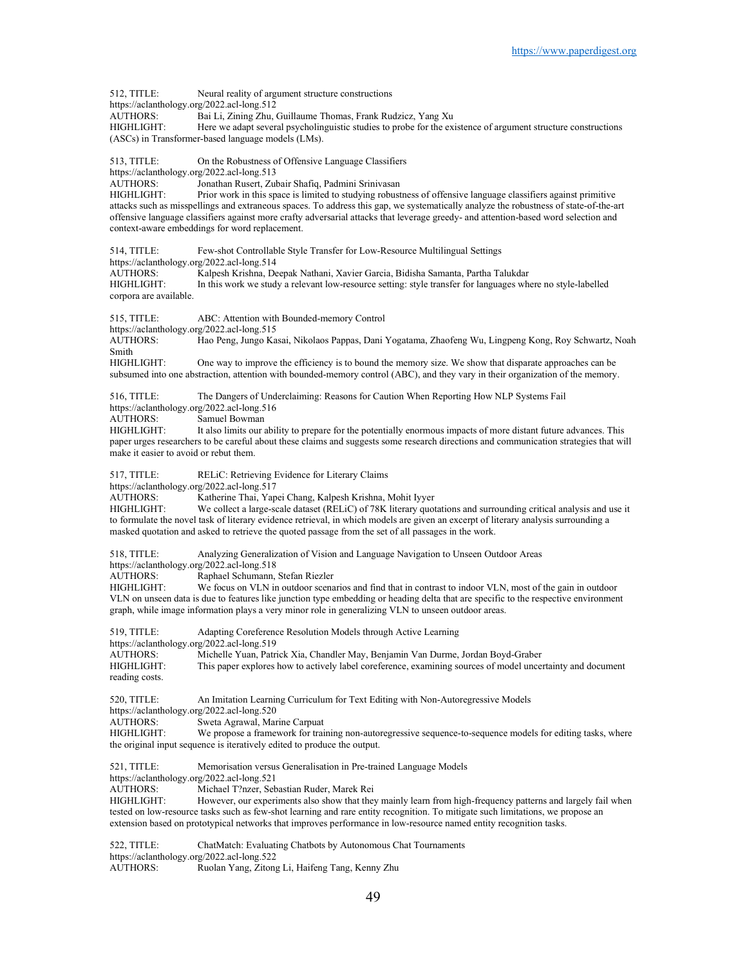512, TITLE: Neural reality of argument structure constructions https://aclanthology.org/2022.acl-long.512 AUTHORS: Bai Li, Zining Zhu, Guillaume Thomas, Frank Rudzicz, Yang Xu HIGHLIGHT: Here we adapt several psycholinguistic studies to probe for the existence of argument structure constructions (ASCs) in Transformer-based language models (LMs). 513, TITLE: On the Robustness of Offensive Language Classifiers https://aclanthology.org/2022.acl-long.513 AUTHORS: Jonathan Rusert, Zubair Shafiq, Padmini Srinivasan<br>HIGHLIGHT: Prior work in this space is limited to studying robust Prior work in this space is limited to studying robustness of offensive language classifiers against primitive attacks such as misspellings and extraneous spaces. To address this gap, we systematically analyze the robustness of state-of-the-art offensive language classifiers against more crafty adversarial attacks that leverage greedy- and attention-based word selection and context-aware embeddings for word replacement. 514, TITLE: Few-shot Controllable Style Transfer for Low-Resource Multilingual Settings https://aclanthology.org/2022.acl-long.514<br>AUTHORS: Kalpesh Krishna, De AUTHORS: Kalpesh Krishna, Deepak Nathani, Xavier Garcia, Bidisha Samanta, Partha Talukdar In this work we study a relevant low-resource setting: style transfer for languages where no style-labelled corpora are available. 515, TITLE: ABC: Attention with Bounded-memory Control https://aclanthology.org/2022.acl-long.515 AUTHORS: Hao Peng, Jungo Kasai, Nikolaos Pappas, Dani Yogatama, Zhaofeng Wu, Lingpeng Kong, Roy Schwartz, Noah Smith<br>HIGHLIGHT: One way to improve the efficiency is to bound the memory size. We show that disparate approaches can be subsumed into one abstraction, attention with bounded-memory control (ABC), and they vary in their organization of the memory. 516, TITLE: The Dangers of Underclaiming: Reasons for Caution When Reporting How NLP Systems Fail https://aclanthology.org/2022.acl-long.516 AUTHORS: Samuel Bowman HIGHLIGHT: It also limits our ability to prepare for the potentially enormous impacts of more distant future advances. This paper urges researchers to be careful about these claims and suggests some research directions and communication strategies that will make it easier to avoid or rebut them. 517, TITLE: RELiC: Retrieving Evidence for Literary Claims https://aclanthology.org/2022.acl-long.517 AUTHORS: Katherine Thai, Yapei Chang, Kalpesh Krishna, Mohit Iyyer HIGHLIGHT: We collect a large-scale dataset (RELiC) of 78K literary quotations and surrounding critical analysis and use it to formulate the novel task of literary evidence retrieval, in which models are given an excerpt of literary analysis surrounding a masked quotation and asked to retrieve the quoted passage from the set of all passages in the work. 518, TITLE: Analyzing Generalization of Vision and Language Navigation to Unseen Outdoor Areas https://aclanthology.org/2022.acl-long.518<br>AUTHORS: Raphael Schumann, AUTHORS: Raphael Schumann, Stefan Riezler<br>HIGHLIGHT: We focus on VLN in outdoor scena We focus on VLN in outdoor scenarios and find that in contrast to indoor VLN, most of the gain in outdoor VLN on unseen data is due to features like junction type embedding or heading delta that are specific to the respective environment graph, while image information plays a very minor role in generalizing VLN to unseen outdoor areas. 519, TITLE: Adapting Coreference Resolution Models through Active Learning https://aclanthology.org/2022.acl-long.519 AUTHORS: Michelle Yuan, Patrick Xia, Chandler May, Benjamin Van Durme, Jordan Boyd-Graber HIGHLIGHT: This paper explores how to actively label coreference, examining sources of model uncertainty and document reading costs. 520, TITLE: An Imitation Learning Curriculum for Text Editing with Non-Autoregressive Models https://aclanthology.org/2022.acl-long.520 AUTHORS: Sweta Agrawal, Marine Carpuat HIGHLIGHT: We propose a framework for training non-autoregressive sequence-to-sequence models for editing tasks, where the original input sequence is iteratively edited to produce the output. 521, TITLE: Memorisation versus Generalisation in Pre-trained Language Models https://aclanthology.org/2022.acl-long.521 AUTHORS: Michael T?nzer, Sebastian Ruder, Marek Rei HIGHLIGHT: However, our experiments also show that they mainly learn from high-frequency patterns and largely fail when tested on low-resource tasks such as few-shot learning and rare entity recognition. To mitigate such limitations, we propose an extension based on prototypical networks that improves performance in low-resource named entity recognition tasks. 522, TITLE: ChatMatch: Evaluating Chatbots by Autonomous Chat Tournaments https://aclanthology.org/2022.acl-long.522

AUTHORS: Ruolan Yang, Zitong Li, Haifeng Tang, Kenny Zhu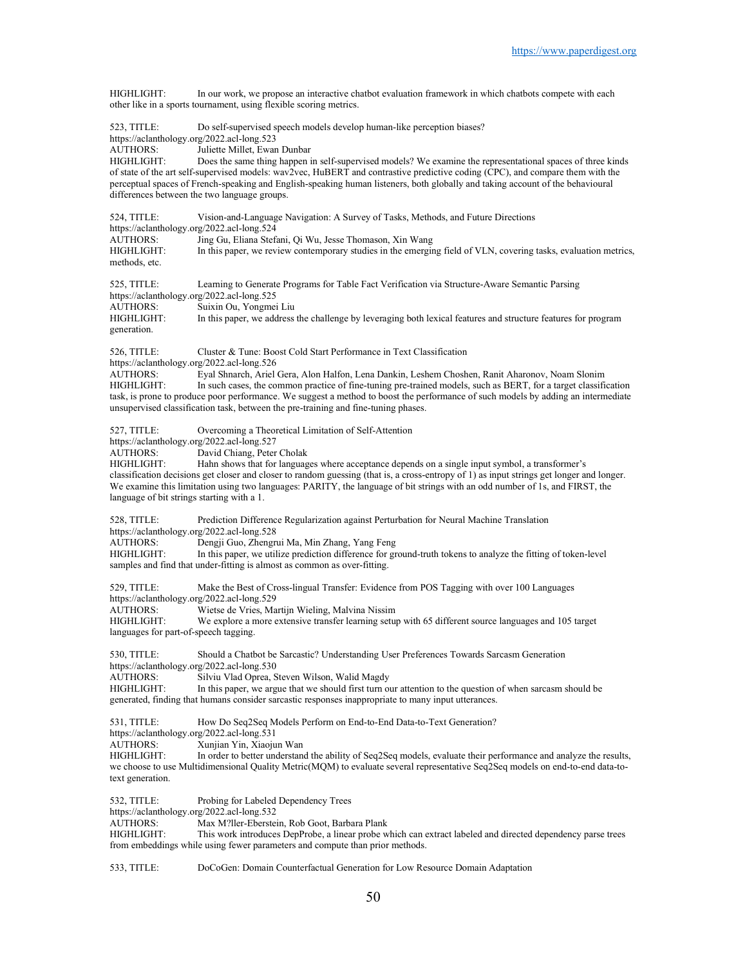HIGHLIGHT: In our work, we propose an interactive chatbot evaluation framework in which chatbots compete with each other like in a sports tournament, using flexible scoring metrics.

| 523, TITLE:<br>https://aclanthology.org/2022.acl-long.523<br><b>AUTHORS:</b><br>HIGHLIGHT:                                          | Do self-supervised speech models develop human-like perception biases?<br>Juliette Millet, Ewan Dunbar<br>Does the same thing happen in self-supervised models? We examine the representational spaces of three kinds<br>of state of the art self-supervised models: wav2vec, HuBERT and contrastive predictive coding (CPC), and compare them with the<br>perceptual spaces of French-speaking and English-speaking human listeners, both globally and taking account of the behavioural<br>differences between the two language groups. |
|-------------------------------------------------------------------------------------------------------------------------------------|-------------------------------------------------------------------------------------------------------------------------------------------------------------------------------------------------------------------------------------------------------------------------------------------------------------------------------------------------------------------------------------------------------------------------------------------------------------------------------------------------------------------------------------------|
| 524, TITLE:<br>https://aclanthology.org/2022.acl-long.524<br><b>AUTHORS:</b><br><b>HIGHLIGHT:</b><br>methods, etc.                  | Vision-and-Language Navigation: A Survey of Tasks, Methods, and Future Directions<br>Jing Gu, Eliana Stefani, Qi Wu, Jesse Thomason, Xin Wang<br>In this paper, we review contemporary studies in the emerging field of VLN, covering tasks, evaluation metrics,                                                                                                                                                                                                                                                                          |
| 525, TITLE:<br>https://aclanthology.org/2022.acl-long.525<br><b>AUTHORS:</b><br><b>HIGHLIGHT:</b><br>generation.                    | Learning to Generate Programs for Table Fact Verification via Structure-Aware Semantic Parsing<br>Suixin Ou, Yongmei Liu<br>In this paper, we address the challenge by leveraging both lexical features and structure features for program                                                                                                                                                                                                                                                                                                |
| 526, TITLE:<br>https://aclanthology.org/2022.acl-long.526<br><b>AUTHORS:</b><br>HIGHLIGHT:                                          | Cluster & Tune: Boost Cold Start Performance in Text Classification<br>Eyal Shnarch, Ariel Gera, Alon Halfon, Lena Dankin, Leshem Choshen, Ranit Aharonov, Noam Slonim<br>In such cases, the common practice of fine-tuning pre-trained models, such as BERT, for a target classification<br>task, is prone to produce poor performance. We suggest a method to boost the performance of such models by adding an intermediate<br>unsupervised classification task, between the pre-training and fine-tuning phases.                      |
| 527, TITLE:<br>https://aclanthology.org/2022.acl-long.527<br>AUTHORS:<br>HIGHLIGHT:<br>language of bit strings starting with a 1.   | Overcoming a Theoretical Limitation of Self-Attention<br>David Chiang, Peter Cholak<br>Hahn shows that for languages where acceptance depends on a single input symbol, a transformer's<br>classification decisions get closer and closer to random guessing (that is, a cross-entropy of 1) as input strings get longer and longer.<br>We examine this limitation using two languages: PARITY, the language of bit strings with an odd number of 1s, and FIRST, the                                                                      |
| 528, TITLE:<br>https://aclanthology.org/2022.acl-long.528<br>AUTHORS:<br>HIGHLIGHT:                                                 | Prediction Difference Regularization against Perturbation for Neural Machine Translation<br>Dengji Guo, Zhengrui Ma, Min Zhang, Yang Feng<br>In this paper, we utilize prediction difference for ground-truth tokens to analyze the fitting of token-level<br>samples and find that under-fitting is almost as common as over-fitting.                                                                                                                                                                                                    |
| 529, TITLE:<br>https://aclanthology.org/2022.acl-long.529<br><b>AUTHORS:</b><br>HIGHLIGHT:<br>languages for part-of-speech tagging. | Make the Best of Cross-lingual Transfer: Evidence from POS Tagging with over 100 Languages<br>Wietse de Vries, Martijn Wieling, Malvina Nissim<br>We explore a more extensive transfer learning setup with 65 different source languages and 105 target                                                                                                                                                                                                                                                                                   |
| 530, TITLE:<br>AUTHORS:<br>HIGHLIGHT:                                                                                               | Should a Chatbot be Sarcastic? Understanding User Preferences Towards Sarcasm Generation<br>https://aclanthology.org/2022.acl-long.530<br>Silviu Vlad Oprea, Steven Wilson, Walid Magdy<br>In this paper, we argue that we should first turn our attention to the question of when sarcasm should be<br>generated, finding that humans consider sarcastic responses inappropriate to many input utterances.                                                                                                                               |
| 531, TITLE:<br>https://aclanthology.org/2022.acl-long.531<br><b>AUTHORS:</b><br>HIGHLIGHT:<br>text generation.                      | How Do Seq2Seq Models Perform on End-to-End Data-to-Text Generation?<br>Xunjian Yin, Xiaojun Wan<br>In order to better understand the ability of Seq2Seq models, evaluate their performance and analyze the results,<br>we choose to use Multidimensional Quality Metric(MQM) to evaluate several representative Seq2Seq models on end-to-end data-to-                                                                                                                                                                                    |
| 532, TITLE:<br>https://aclanthology.org/2022.acl-long.532<br>AUTHORS:<br><b>HIGHLIGHT:</b>                                          | Probing for Labeled Dependency Trees<br>Max M?ller-Eberstein, Rob Goot, Barbara Plank<br>This work introduces DepProbe, a linear probe which can extract labeled and directed dependency parse trees<br>from embeddings while using fewer parameters and compute than prior methods.                                                                                                                                                                                                                                                      |
| 533, TITLE:                                                                                                                         | DoCoGen: Domain Counterfactual Generation for Low Resource Domain Adaptation                                                                                                                                                                                                                                                                                                                                                                                                                                                              |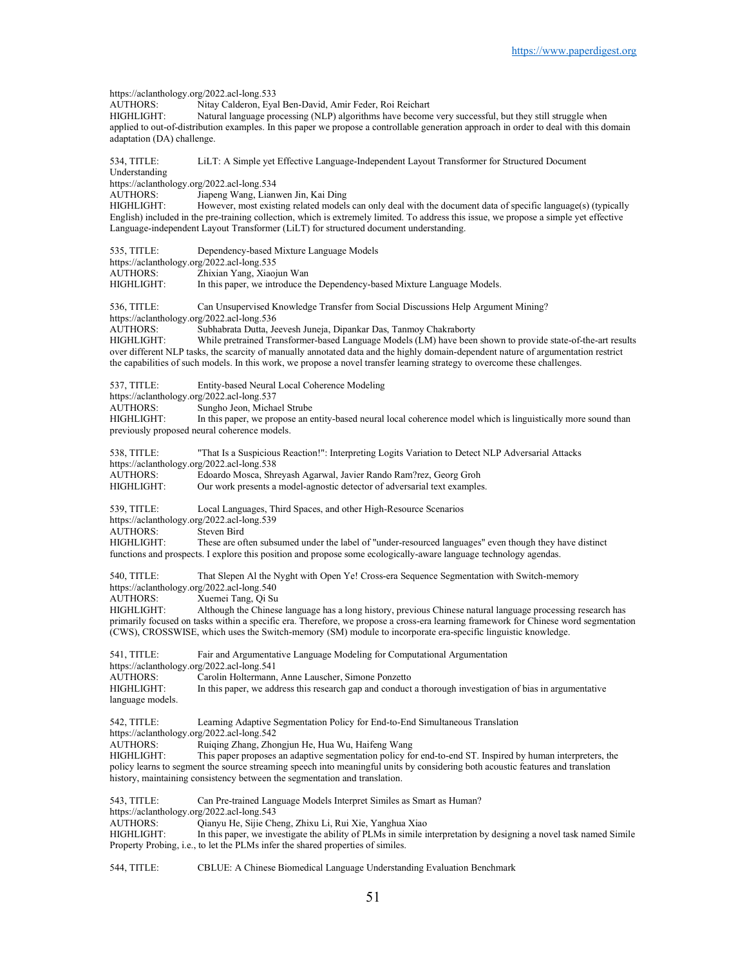https://aclanthology.org/2022.acl-long.533<br>AUTHORS: Nitay Calderon, Eva AUTHORS: Nitay Calderon, Eyal Ben-David, Amir Feder, Roi Reichart Natural language processing (NLP) algorithms have become very successful, but they still struggle when applied to out-of-distribution examples. In this paper we propose a controllable generation approach in order to deal with this domain adaptation (DA) challenge. 534, TITLE: LiLT: A Simple yet Effective Language-Independent Layout Transformer for Structured Document Understanding https://aclanthology.org/2022.acl-long.534<br>AUTHORS: Jiapeng Wang. Lian Jiapeng Wang, Lianwen Jin, Kai Ding HIGHLIGHT: However, most existing related models can only deal with the document data of specific language(s) (typically English) included in the pre-training collection, which is extremely limited. To address this issue, we propose a simple yet effective Language-independent Layout Transformer (LiLT) for structured document understanding. 535, TITLE: Dependency-based Mixture Language Models https://aclanthology.org/2022.acl-long.535<br>AUTHORS: Zhixian Yang, Xiaoj AUTHORS: Zhixian Yang, Xiaojun Wan<br>HIGHLIGHT: In this paper, we introduce the In this paper, we introduce the Dependency-based Mixture Language Models. 536, TITLE: Can Unsupervised Knowledge Transfer from Social Discussions Help Argument Mining? https://aclanthology.org/2022.acl-long.536<br>AUTHORS: Subhabrata Dutta, Je Subhabrata Dutta, Jeevesh Juneja, Dipankar Das, Tanmoy Chakraborty HIGHLIGHT: While pretrained Transformer-based Language Models (LM) have been shown to provide state-of-the-art results over different NLP tasks, the scarcity of manually annotated data and the highly domain-dependent nature of argumentation restrict the capabilities of such models. In this work, we propose a novel transfer learning strategy to overcome these challenges. 537, TITLE: Entity-based Neural Local Coherence Modeling https://aclanthology.org/2022.acl-long.537<br>AUTHORS: Sungho Jeon. Micha Sungho Jeon, Michael Strube HIGHLIGHT: In this paper, we propose an entity-based neural local coherence model which is linguistically more sound than previously proposed neural coherence models. 538, TITLE: "That Is a Suspicious Reaction!": Interpreting Logits Variation to Detect NLP Adversarial Attacks https://aclanthology.org/2022.acl-long.538<br>AUTHORS: Edoardo Mosca, Shr AUTHORS: Edoardo Mosca, Shreyash Agarwal, Javier Rando Ram?rez, Georg Groh Our work presents a model-agnostic detector of adversarial text examples. 539, TITLE: Local Languages, Third Spaces, and other High-Resource Scenarios https://aclanthology.org/2022.acl-long.539<br>AUTHORS: Steven Bird AUTHORS:<br>HIGHLIGHT: These are often subsumed under the label of "under-resourced languages" even though they have distinct functions and prospects. I explore this position and propose some ecologically-aware language technology agendas. 540, TITLE: That Slepen Al the Nyght with Open Ye! Cross-era Sequence Segmentation with Switch-memory https://aclanthology.org/2022.acl-long.540 AUTHORS: Xuemei Tang, Qi Su<br>HIGHLIGHT: Although the Chinese Although the Chinese language has a long history, previous Chinese natural language processing research has primarily focused on tasks within a specific era. Therefore, we propose a cross-era learning framework for Chinese word segmentation (CWS), CROSSWISE, which uses the Switch-memory (SM) module to incorporate era-specific linguistic knowledge. 541, TITLE: Fair and Argumentative Language Modeling for Computational Argumentation https://aclanthology.org/2022.acl-long.541<br>AUTHORS: Carolin Holtermann Carolin Holtermann, Anne Lauscher, Simone Ponzetto HIGHLIGHT: In this paper, we address this research gap and conduct a thorough investigation of bias in argumentative language models. 542, TITLE: Learning Adaptive Segmentation Policy for End-to-End Simultaneous Translation https://aclanthology.org/2022.acl-long.542<br>AUTHORS: Ruiging Zhang, Zho AUTHORS: Ruiqing Zhang, Zhongjun He, Hua Wu, Haifeng Wang<br>HIGHLIGHT: This paper proposes an adaptive segmentation policy fo This paper proposes an adaptive segmentation policy for end-to-end ST. Inspired by human interpreters, the policy learns to segment the source streaming speech into meaningful units by considering both acoustic features and translation history, maintaining consistency between the segmentation and translation. 543, TITLE: Can Pre-trained Language Models Interpret Similes as Smart as Human? https://aclanthology.org/2022.acl-long.543<br>AUTHORS: Oianyu He Sijie Ch Qianyu He, Sijie Cheng, Zhixu Li, Rui Xie, Yanghua Xiao HIGHLIGHT: In this paper, we investigate the ability of PLMs in simile interpretation by designing a novel task named Simile Property Probing, i.e., to let the PLMs infer the shared properties of similes.

544, TITLE: CBLUE: A Chinese Biomedical Language Understanding Evaluation Benchmark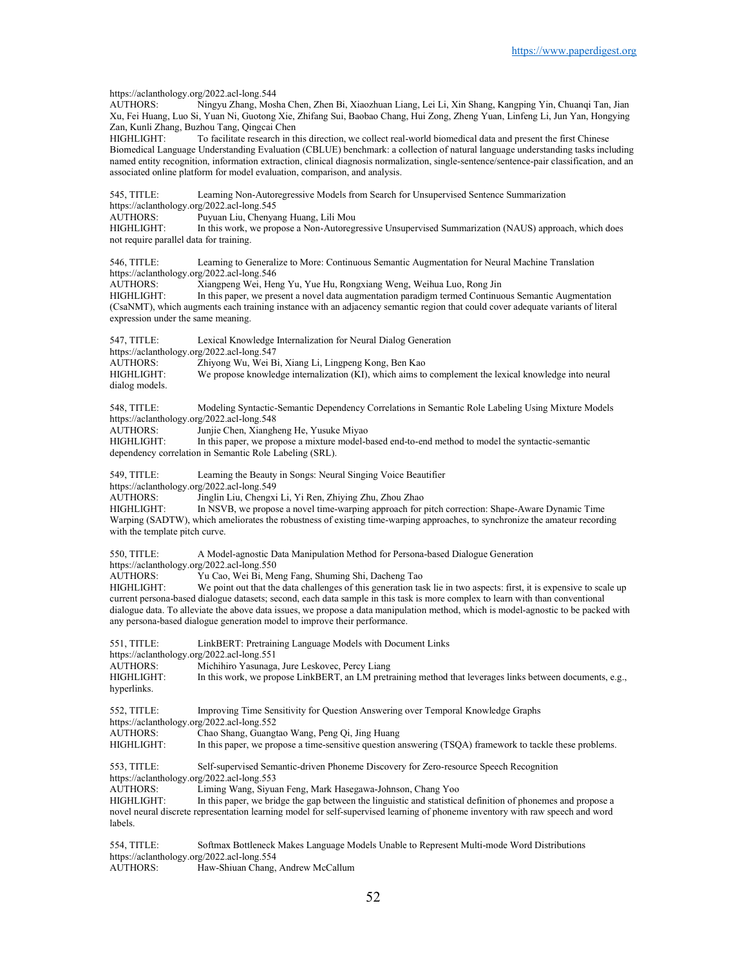https://aclanthology.org/2022.acl-long.544<br>AUTHORS: Ningvu Zhang, Mosl Ningyu Zhang, Mosha Chen, Zhen Bi, Xiaozhuan Liang, Lei Li, Xin Shang, Kangping Yin, Chuanqi Tan, Jian Xu, Fei Huang, Luo Si, Yuan Ni, Guotong Xie, Zhifang Sui, Baobao Chang, Hui Zong, Zheng Yuan, Linfeng Li, Jun Yan, Hongying Zan, Kunli Zhang, Buzhou Tang, Qingcai Chen HIGHLIGHT: To facilitate research in this direction, we collect real-world biomedical data and present the first Chinese Biomedical Language Understanding Evaluation (CBLUE) benchmark: a collection of natural language understanding tasks including named entity recognition, information extraction, clinical diagnosis normalization, single-sentence/sentence-pair classification, and an associated online platform for model evaluation, comparison, and analysis. 545, TITLE: Learning Non-Autoregressive Models from Search for Unsupervised Sentence Summarization https://aclanthology.org/2022.acl-long.545 AUTHORS: Puyuan Liu, Chenyang Huang, Lili Mou<br>HIGHLIGHT: In this work, we propose a Non-Autoregi In this work, we propose a Non-Autoregressive Unsupervised Summarization (NAUS) approach, which does not require parallel data for training. 546, TITLE: Learning to Generalize to More: Continuous Semantic Augmentation for Neural Machine Translation https://aclanthology.org/2022.acl-long.546<br>AUTHORS: Xiangpeng Wei, Her Xiangpeng Wei, Heng Yu, Yue Hu, Rongxiang Weng, Weihua Luo, Rong Jin HIGHLIGHT: In this paper, we present a novel data augmentation paradigm termed Continuous Semantic Augmentation (CsaNMT), which augments each training instance with an adjacency semantic region that could cover adequate variants of literal expression under the same meaning. 547, TITLE: Lexical Knowledge Internalization for Neural Dialog Generation https://aclanthology.org/2022.acl-long.547<br>AUTHORS: Zhiyong Wu, Wei B AUTHORS: Zhiyong Wu, Wei Bi, Xiang Li, Lingpeng Kong, Ben Kao<br>HIGHLIGHT: We propose knowledge internalization (KI), which aims to We propose knowledge internalization (KI), which aims to complement the lexical knowledge into neural dialog models. 548, TITLE: Modeling Syntactic-Semantic Dependency Correlations in Semantic Role Labeling Using Mixture Models https://aclanthology.org/2022.acl-long.548 AUTHORS: Junjie Chen, Xiangheng He, Yusuke Miyao<br>HIGHLIGHT: In this paper, we propose a mixture model-In this paper, we propose a mixture model-based end-to-end method to model the syntactic-semantic dependency correlation in Semantic Role Labeling (SRL). 549, TITLE: Learning the Beauty in Songs: Neural Singing Voice Beautifier https://aclanthology.org/2022.acl-long.549<br>AUTHORS: Jinglin Liu, Chengxi Jinglin Liu, Chengxi Li, Yi Ren, Zhiying Zhu, Zhou Zhao HIGHLIGHT: In NSVB, we propose a novel time-warping approach for pitch correction: Shape-Aware Dynamic Time Warping (SADTW), which ameliorates the robustness of existing time-warping approaches, to synchronize the amateur recording with the template pitch curve. 550, TITLE: A Model-agnostic Data Manipulation Method for Persona-based Dialogue Generation https://aclanthology.org/2022.acl-long.550<br>AUTHORS: Yu Cao, Wei Bi, Me AUTHORS: Yu Cao, Wei Bi, Meng Fang, Shuming Shi, Dacheng Tao HIGHLIGHT: We point out that the data challenges of this generation tas We point out that the data challenges of this generation task lie in two aspects: first, it is expensive to scale up current persona-based dialogue datasets; second, each data sample in this task is more complex to learn with than conventional dialogue data. To alleviate the above data issues, we propose a data manipulation method, which is model-agnostic to be packed with any persona-based dialogue generation model to improve their performance. 551, TITLE: LinkBERT: Pretraining Language Models with Document Links https://aclanthology.org/2022.acl-long.551 AUTHORS: Michihiro Yasunaga, Jure Leskovec, Percy Liang<br>HIGHLIGHT: In this work, we propose LinkBERT, an LM pretr In this work, we propose LinkBERT, an LM pretraining method that leverages links between documents, e.g., hyperlinks. 552, TITLE: Improving Time Sensitivity for Question Answering over Temporal Knowledge Graphs https://aclanthology.org/2022.acl-long.552 AUTHORS: Chao Shang, Guangtao Wang, Peng Qi, Jing Huang<br>HIGHLIGHT: In this paper, we propose a time-sensitive question a In this paper, we propose a time-sensitive question answering (TSQA) framework to tackle these problems. 553, TITLE: Self-supervised Semantic-driven Phoneme Discovery for Zero-resource Speech Recognition https://aclanthology.org/2022.acl-long.553 AUTHORS: Liming Wang, Siyuan Feng, Mark Hasegawa-Johnson, Chang Yoo HIGHLIGHT: In this paper, we bridge the gap between the linguistic and statistical definition of phonemes and propose a novel neural discrete representation learning model for self-supervised learning of phoneme inventory with raw speech and word labels. 554, TITLE: Softmax Bottleneck Makes Language Models Unable to Represent Multi-mode Word Distributions https://aclanthology.org/2022.acl-long.554<br>AUTHORS: Haw-Shiuan Chang, Haw-Shiuan Chang, Andrew McCallum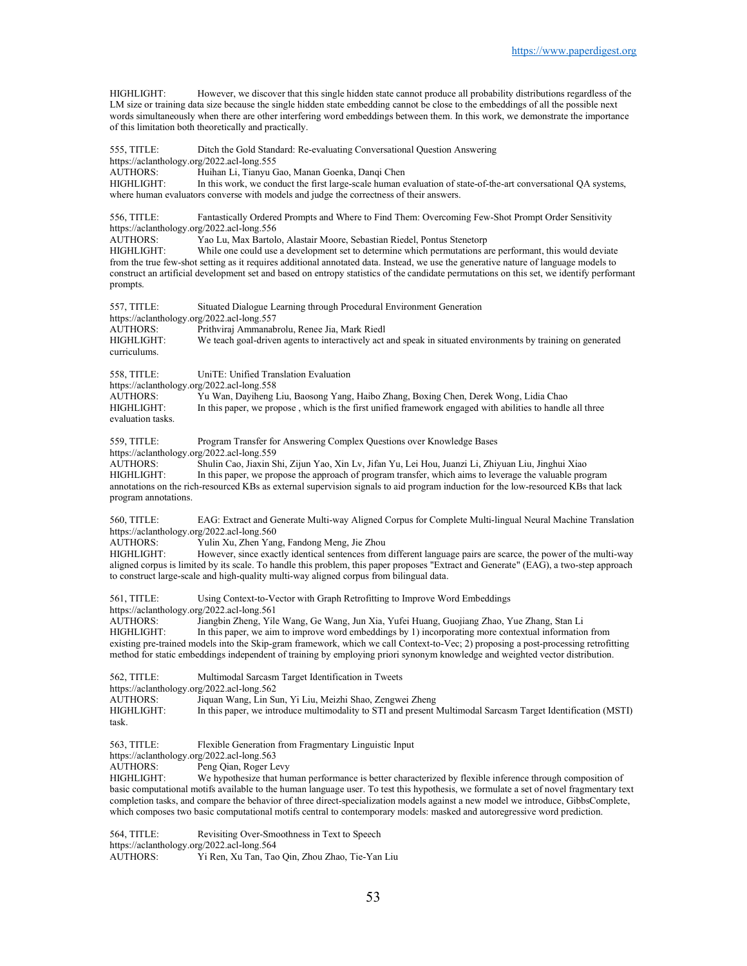HIGHLIGHT: However, we discover that this single hidden state cannot produce all probability distributions regardless of the LM size or training data size because the single hidden state embedding cannot be close to the embeddings of all the possible next words simultaneously when there are other interfering word embeddings between them. In this work, we demonstrate the importance of this limitation both theoretically and practically.

555, TITLE: Ditch the Gold Standard: Re-evaluating Conversational Question Answering https://aclanthology.org/2022.acl-long.555 AUTHORS: Huihan Li, Tianyu Gao, Manan Goenka, Danqi Chen HIGHLIGHT: In this work, we conduct the first large-scale human evaluation of state-of-the-art conversational QA systems, where human evaluators converse with models and judge the correctness of their answers.

556, TITLE: Fantastically Ordered Prompts and Where to Find Them: Overcoming Few-Shot Prompt Order Sensitivity https://aclanthology.org/2022.acl-long.556<br>AUTHORS: Yao Lu. Max Bartolo

Yao Lu, Max Bartolo, Alastair Moore, Sebastian Riedel, Pontus Stenetorp

HIGHLIGHT: While one could use a development set to determine which permutations are performant, this would deviate from the true few-shot setting as it requires additional annotated data. Instead, we use the generative nature of language models to construct an artificial development set and based on entropy statistics of the candidate permutations on this set, we identify performant prompts.

557, TITLE: Situated Dialogue Learning through Procedural Environment Generation https://aclanthology.org/2022.acl-long.557<br>AUTHORS: Prithviraj Ammanab Prithviraj Ammanabrolu, Renee Jia, Mark Riedl HIGHLIGHT: We teach goal-driven agents to interactively act and speak in situated environments by training on generated curriculums. 558, TITLE: UniTE: Unified Translation Evaluation https://aclanthology.org/2022.acl-long.558<br>AUTHORS: Yu Wan, Dayiheng l AUTHORS: Yu Wan, Dayiheng Liu, Baosong Yang, Haibo Zhang, Boxing Chen, Derek Wong, Lidia Chao In this paper, we propose, which is the first unified framework engaged with abilities to handle all three

evaluation tasks.

559, TITLE: Program Transfer for Answering Complex Questions over Knowledge Bases https://aclanthology.org/2022.acl-long.559

AUTHORS: Shulin Cao, Jiaxin Shi, Zijun Yao, Xin Lv, Jifan Yu, Lei Hou, Juanzi Li, Zhiyuan Liu, Jinghui Xiao HIGHLIGHT: In this paper, we propose the approach of program transfer, which aims to leverage the valuable program annotations on the rich-resourced KBs as external supervision signals to aid program induction for the low-resourced KBs that lack program annotations.

560, TITLE: EAG: Extract and Generate Multi-way Aligned Corpus for Complete Multi-lingual Neural Machine Translation https://aclanthology.org/2022.acl-long.560<br>AUTHORS: Yulin Xu, Zhen Yan

Yulin Xu, Zhen Yang, Fandong Meng, Jie Zhou

HIGHLIGHT: However, since exactly identical sentences from different language pairs are scarce, the power of the multi-way aligned corpus is limited by its scale. To handle this problem, this paper proposes "Extract and Generate" (EAG), a two-step approach to construct large-scale and high-quality multi-way aligned corpus from bilingual data.

561, TITLE: Using Context-to-Vector with Graph Retrofitting to Improve Word Embeddings https://aclanthology.org/2022.acl-long.561 AUTHORS: Jiangbin Zheng, Yile Wang, Ge Wang, Jun Xia, Yufei Huang, Guojiang Zhao, Yue Zhang, Stan Li

HIGHLIGHT: In this paper, we aim to improve word embeddings by 1) incorporating more contextual information from existing pre-trained models into the Skip-gram framework, which we call Context-to-Vec; 2) proposing a post-processing retrofitting method for static embeddings independent of training by employing priori synonym knowledge and weighted vector distribution.

562, TITLE: Multimodal Sarcasm Target Identification in Tweets https://aclanthology.org/2022.acl-long.562<br>AUTHORS: Jiquan Wang, Lin Su Jiquan Wang, Lin Sun, Yi Liu, Meizhi Shao, Zengwei Zheng HIGHLIGHT: In this paper, we introduce multimodality to STI and present Multimodal Sarcasm Target Identification (MSTI) task.

563, TITLE: Flexible Generation from Fragmentary Linguistic Input

https://aclanthology.org/2022.acl-long.563

AUTHORS: Peng Qian, Roger Levy<br>HIGHLIGHT: We hypothesize that hu

We hypothesize that human performance is better characterized by flexible inference through composition of basic computational motifs available to the human language user. To test this hypothesis, we formulate a set of novel fragmentary text completion tasks, and compare the behavior of three direct-specialization models against a new model we introduce, GibbsComplete, which composes two basic computational motifs central to contemporary models: masked and autoregressive word prediction.

564, TITLE: Revisiting Over-Smoothness in Text to Speech https://aclanthology.org/2022.acl-long.564 AUTHORS: Yi Ren, Xu Tan, Tao Qin, Zhou Zhao, Tie-Yan Liu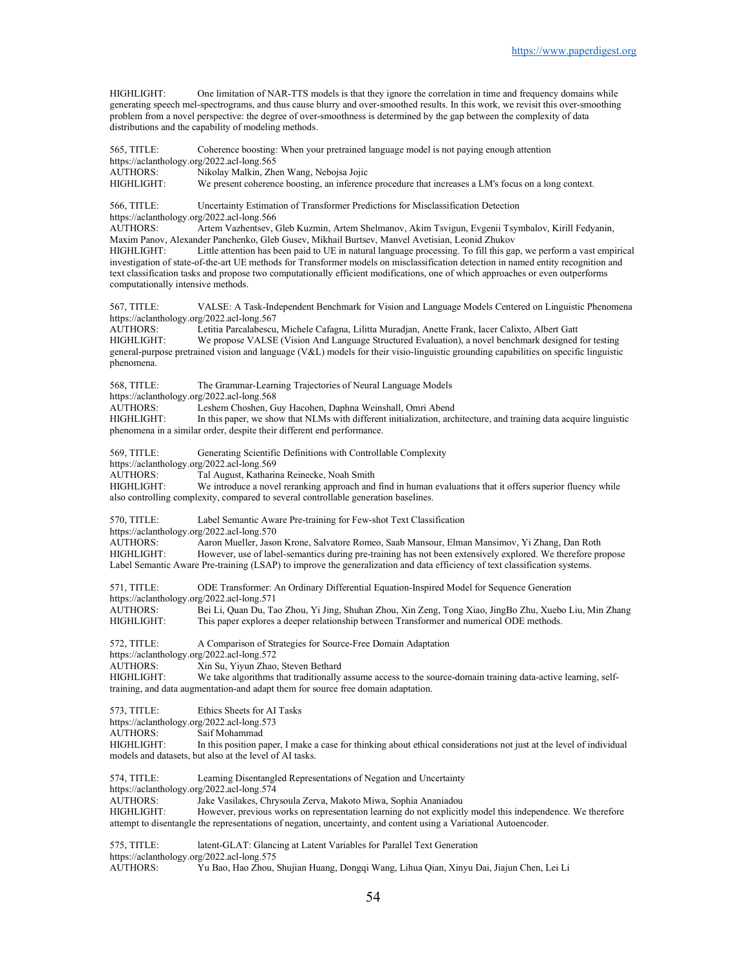HIGHLIGHT: One limitation of NAR-TTS models is that they ignore the correlation in time and frequency domains while generating speech mel-spectrograms, and thus cause blurry and over-smoothed results. In this work, we revisit this over-smoothing problem from a novel perspective: the degree of over-smoothness is determined by the gap between the complexity of data distributions and the capability of modeling methods.

565, TITLE: Coherence boosting: When your pretrained language model is not paying enough attention

| https://aclanthology.org/2022.acl-long.565                |                                                                                                                                                                                                                                                                                                                                                                                            |
|-----------------------------------------------------------|--------------------------------------------------------------------------------------------------------------------------------------------------------------------------------------------------------------------------------------------------------------------------------------------------------------------------------------------------------------------------------------------|
| AUTHORS:<br>HIGHLIGHT:                                    | Nikolay Malkin, Zhen Wang, Nebojsa Jojic<br>We present coherence boosting, an inference procedure that increases a LM's focus on a long context.                                                                                                                                                                                                                                           |
|                                                           |                                                                                                                                                                                                                                                                                                                                                                                            |
| 566, TITLE:                                               | Uncertainty Estimation of Transformer Predictions for Misclassification Detection<br>https://aclanthology.org/2022.acl-long.566                                                                                                                                                                                                                                                            |
| <b>AUTHORS:</b>                                           | Artem Vazhentsev, Gleb Kuzmin, Artem Shelmanov, Akim Tsvigun, Evgenii Tsymbalov, Kirill Fedyanin,<br>Maxim Panov, Alexander Panchenko, Gleb Gusev, Mikhail Burtsev, Manvel Avetisian, Leonid Zhukov                                                                                                                                                                                        |
| HIGHLIGHT:<br>computationally intensive methods.          | Little attention has been paid to UE in natural language processing. To fill this gap, we perform a vast empirical<br>investigation of state-of-the-art UE methods for Transformer models on misclassification detection in named entity recognition and<br>text classification tasks and propose two computationally efficient modifications, one of which approaches or even outperforms |
| 567, TITLE:<br>https://aclanthology.org/2022.acl-long.567 | VALSE: A Task-Independent Benchmark for Vision and Language Models Centered on Linguistic Phenomena                                                                                                                                                                                                                                                                                        |
| <b>AUTHORS:</b>                                           | Letitia Parcalabescu, Michele Cafagna, Lilitta Muradjan, Anette Frank, Iacer Calixto, Albert Gatt                                                                                                                                                                                                                                                                                          |
| HIGHLIGHT:<br>phenomena.                                  | We propose VALSE (Vision And Language Structured Evaluation), a novel benchmark designed for testing<br>general-purpose pretrained vision and language (V&L) models for their visio-linguistic grounding capabilities on specific linguistic                                                                                                                                               |
| 568, TITLE:<br>https://aclanthology.org/2022.acl-long.568 | The Grammar-Learning Trajectories of Neural Language Models                                                                                                                                                                                                                                                                                                                                |
| <b>AUTHORS:</b>                                           | Leshem Choshen, Guy Hacohen, Daphna Weinshall, Omri Abend                                                                                                                                                                                                                                                                                                                                  |
| HIGHLIGHT:                                                | In this paper, we show that NLMs with different initialization, architecture, and training data acquire linguistic<br>phenomena in a similar order, despite their different end performance.                                                                                                                                                                                               |
| 569, TITLE:<br>https://aclanthology.org/2022.acl-long.569 | Generating Scientific Definitions with Controllable Complexity                                                                                                                                                                                                                                                                                                                             |
| <b>AUTHORS:</b>                                           | Tal August, Katharina Reinecke, Noah Smith                                                                                                                                                                                                                                                                                                                                                 |
| <b>HIGHLIGHT:</b>                                         | We introduce a novel reranking approach and find in human evaluations that it offers superior fluency while<br>also controlling complexity, compared to several controllable generation baselines.                                                                                                                                                                                         |
| 570, TITLE:<br>https://aclanthology.org/2022.acl-long.570 | Label Semantic Aware Pre-training for Few-shot Text Classification                                                                                                                                                                                                                                                                                                                         |
| <b>AUTHORS:</b><br>HIGHLIGHT:                             | Aaron Mueller, Jason Krone, Salvatore Romeo, Saab Mansour, Elman Mansimov, Yi Zhang, Dan Roth<br>However, use of label-semantics during pre-training has not been extensively explored. We therefore propose<br>Label Semantic Aware Pre-training (LSAP) to improve the generalization and data efficiency of text classification systems.                                                 |
| 571, TITLE:<br>https://aclanthology.org/2022.acl-long.571 | ODE Transformer: An Ordinary Differential Equation-Inspired Model for Sequence Generation                                                                                                                                                                                                                                                                                                  |
| <b>AUTHORS:</b><br>HIGHLIGHT:                             | Bei Li, Quan Du, Tao Zhou, Yi Jing, Shuhan Zhou, Xin Zeng, Tong Xiao, JingBo Zhu, Xuebo Liu, Min Zhang<br>This paper explores a deeper relationship between Transformer and numerical ODE methods.                                                                                                                                                                                         |
| 572, TITLE:<br>https://aclanthology.org/2022.acl-long.572 | A Comparison of Strategies for Source-Free Domain Adaptation                                                                                                                                                                                                                                                                                                                               |
| <b>AUTHORS:</b>                                           | Xin Su, Yiyun Zhao, Steven Bethard                                                                                                                                                                                                                                                                                                                                                         |
| HIGHLIGHT:                                                | We take algorithms that traditionally assume access to the source-domain training data-active learning, self-<br>training, and data augmentation-and adapt them for source free domain adaptation.                                                                                                                                                                                         |
| 573, TITLE:<br>https://aclanthology.org/2022.acl-long.573 | Ethics Sheets for AI Tasks                                                                                                                                                                                                                                                                                                                                                                 |
| AUTHORS:<br>HIGHLIGHT:                                    | Saif Mohammad<br>In this position paper, I make a case for thinking about ethical considerations not just at the level of individual                                                                                                                                                                                                                                                       |
|                                                           | models and datasets, but also at the level of AI tasks.                                                                                                                                                                                                                                                                                                                                    |
| 574, TITLE:<br>https://aclanthology.org/2022.acl-long.574 | Learning Disentangled Representations of Negation and Uncertainty                                                                                                                                                                                                                                                                                                                          |
| AUTHORS:<br>HIGHLIGHT:                                    | Jake Vasilakes, Chrysoula Zerva, Makoto Miwa, Sophia Ananiadou                                                                                                                                                                                                                                                                                                                             |
|                                                           | However, previous works on representation learning do not explicitly model this independence. We therefore<br>attempt to disentangle the representations of negation, uncertainty, and content using a Variational Autoencoder.                                                                                                                                                            |
| 575, TITLE:                                               | latent-GLAT: Glancing at Latent Variables for Parallel Text Generation<br>https://aclanthology.org/2022.acl-long.575                                                                                                                                                                                                                                                                       |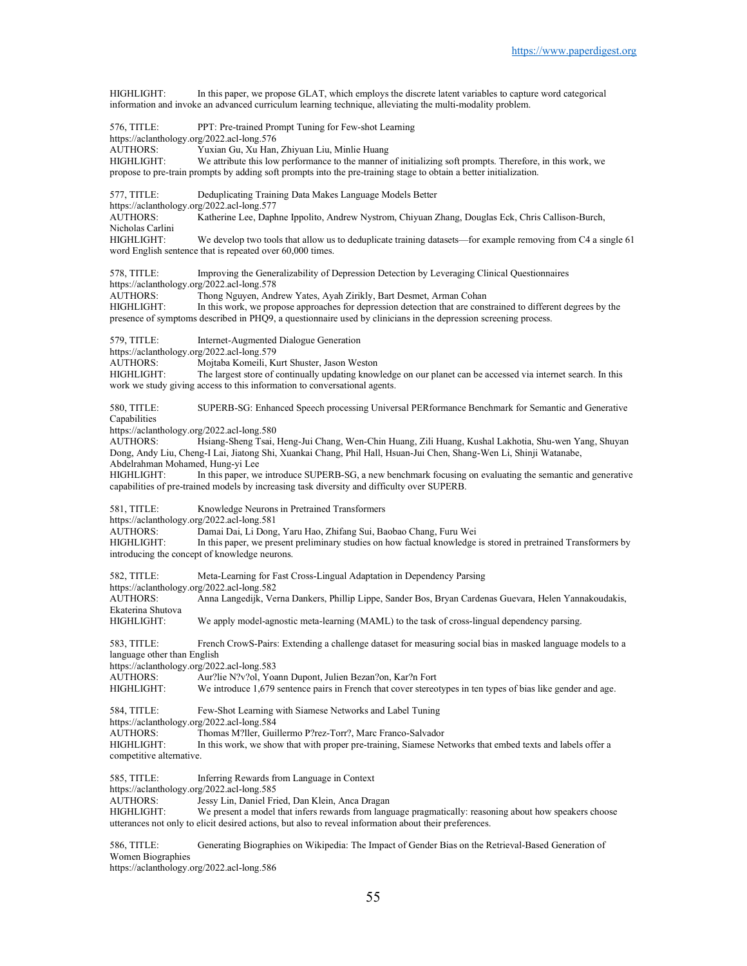HIGHLIGHT: In this paper, we propose GLAT, which employs the discrete latent variables to capture word categorical information and invoke an advanced curriculum learning technique, alleviating the multi-modality problem. 576, TITLE: PPT: Pre-trained Prompt Tuning for Few-shot Learning https://aclanthology.org/2022.acl-long.576<br>AUTHORS: Yuxian Gu, Xu Han, Yuxian Gu, Xu Han, Zhiyuan Liu, Minlie Huang HIGHLIGHT: We attribute this low performance to the manner of initializing soft prompts. Therefore, in this work, we propose to pre-train prompts by adding soft prompts into the pre-training stage to obtain a better initialization. 577, TITLE: Deduplicating Training Data Makes Language Models Better https://aclanthology.org/2022.acl-long.577 AUTHORS: Katherine Lee, Daphne Ippolito, Andrew Nystrom, Chiyuan Zhang, Douglas Eck, Chris Callison-Burch, Nicholas Carlini<br>HIGHLIGHT: We develop two tools that allow us to deduplicate training datasets—for example removing from C4 a single 61 word English sentence that is repeated over 60,000 times. 578, TITLE: Improving the Generalizability of Depression Detection by Leveraging Clinical Questionnaires https://aclanthology.org/2022.acl-long.578 AUTHORS: Thong Nguyen, Andrew Yates, Ayah Zirikly, Bart Desmet, Arman Cohan HIGHLIGHT: In this work, we propose approaches for depression detection that are constrained to different degrees by the presence of symptoms described in PHQ9, a questionnaire used by clinicians in the depression screening process. 579, TITLE: Internet-Augmented Dialogue Generation https://aclanthology.org/2022.acl-long.579<br>AUTHORS: Mojtaba Komeili, K AUTHORS: Mojtaba Komeili, Kurt Shuster, Jason Weston The largest store of continually updating knowledge on our planet can be accessed via internet search. In this work we study giving access to this information to conversational agents. 580, TITLE: SUPERB-SG: Enhanced Speech processing Universal PERformance Benchmark for Semantic and Generative Capabilities https://aclanthology.org/2022.acl-long.580<br>AUTHORS: Hsiang-Sheng Tsai, Hsiang-Sheng Tsai, Heng-Jui Chang, Wen-Chin Huang, Zili Huang, Kushal Lakhotia, Shu-wen Yang, Shuyan Dong, Andy Liu, Cheng-I Lai, Jiatong Shi, Xuankai Chang, Phil Hall, Hsuan-Jui Chen, Shang-Wen Li, Shinji Watanabe, Abdelrahman Mohamed, Hung-yi Lee HIGHLIGHT: In this paper, we introduce SUPERB-SG, a new benchmark focusing on evaluating the semantic and generative capabilities of pre-trained models by increasing task diversity and difficulty over SUPERB. 581, TITLE: Knowledge Neurons in Pretrained Transformers https://aclanthology.org/2022.acl-long.581<br>AUTHORS: Damai Dai, Li Dong Damai Dai, Li Dong, Yaru Hao, Zhifang Sui, Baobao Chang, Furu Wei HIGHLIGHT: In this paper, we present preliminary studies on how factual knowledge is stored in pretrained Transformers by introducing the concept of knowledge neurons. 582, TITLE: Meta-Learning for Fast Cross-Lingual Adaptation in Dependency Parsing https://aclanthology.org/2022.acl-long.582 AUTHORS: Anna Langedijk, Verna Dankers, Phillip Lippe, Sander Bos, Bryan Cardenas Guevara, Helen Yannakoudakis, Ekaterina Shutova HIGHLIGHT: We apply model-agnostic meta-learning (MAML) to the task of cross-lingual dependency parsing. 583, TITLE: French CrowS-Pairs: Extending a challenge dataset for measuring social bias in masked language models to a language other than English https://aclanthology.org/2022.acl-long.583<br>AUTHORS: Aur?lie N?v?ol. Yoa Aur?lie N?v?ol, Yoann Dupont, Julien Bezan?on, Kar?n Fort HIGHLIGHT: We introduce 1,679 sentence pairs in French that cover stereotypes in ten types of bias like gender and age. 584, TITLE: Few-Shot Learning with Siamese Networks and Label Tuning https://aclanthology.org/2022.acl-long.584 AUTHORS: Thomas M?ller, Guillermo P?rez-Torr?, Marc Franco-Salvador<br>HIGHLIGHT: In this work, we show that with proper pre-training, Siamese Ne In this work, we show that with proper pre-training, Siamese Networks that embed texts and labels offer a competitive alternative. 585, TITLE: Inferring Rewards from Language in Context https://aclanthology.org/2022.acl-long.585<br>AUTHORS: Jessy Lin, Daniel Fr Jessy Lin, Daniel Fried, Dan Klein, Anca Dragan HIGHLIGHT: We present a model that infers rewards from language pragmatically: reasoning about how speakers choose utterances not only to elicit desired actions, but also to reveal information about their preferences. 586, TITLE: Generating Biographies on Wikipedia: The Impact of Gender Bias on the Retrieval-Based Generation of Women Biographies

https://aclanthology.org/2022.acl-long.586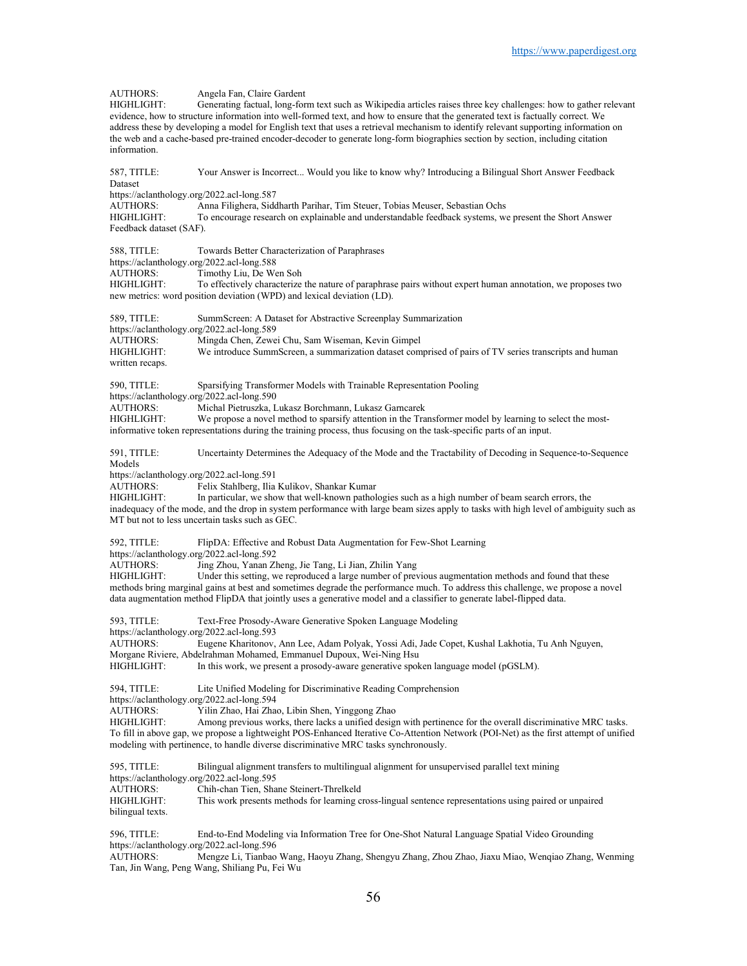AUTHORS: Angela Fan, Claire Gardent<br>HIGHLJGHT: Generating factual, long-for Generating factual, long-form text such as Wikipedia articles raises three key challenges: how to gather relevant evidence, how to structure information into well-formed text, and how to ensure that the generated text is factually correct. We address these by developing a model for English text that uses a retrieval mechanism to identify relevant supporting information on the web and a cache-based pre-trained encoder-decoder to generate long-form biographies section by section, including citation information. 587, TITLE: Your Answer is Incorrect... Would you like to know why? Introducing a Bilingual Short Answer Feedback Dataset https://aclanthology.org/2022.acl-long.587 AUTHORS: Anna Filighera, Siddharth Parihar, Tim Steuer, Tobias Meuser, Sebastian Ochs To encourage research on explainable and understandable feedback systems, we present the Short Answer Feedback dataset (SAF). 588, TITLE: Towards Better Characterization of Paraphrases https://aclanthology.org/2022.acl-long.588<br>AUTHORS: Timothy Liu, De We AUTHORS: Timothy Liu, De Wen Soh<br>HIGHLIGHT: To effectively characterize To effectively characterize the nature of paraphrase pairs without expert human annotation, we proposes two new metrics: word position deviation (WPD) and lexical deviation (LD). 589, TITLE: SummScreen: A Dataset for Abstractive Screenplay Summarization https://aclanthology.org/2022.acl-long.589 AUTHORS: Mingda Chen, Zewei Chu, Sam Wiseman, Kevin Gimpel HIGHLIGHT: We introduce SummScreen, a summarization dataset comprised of pairs of TV series transcripts and human written recaps. 590, TITLE: Sparsifying Transformer Models with Trainable Representation Pooling https://aclanthology.org/2022.acl-long.590<br>AUTHORS: Michal Pietruszka, I. Michal Pietruszka, Lukasz Borchmann, Lukasz Garncarek HIGHLIGHT: We propose a novel method to sparsify attention in the Transformer model by learning to select the mostinformative token representations during the training process, thus focusing on the task-specific parts of an input. 591, TITLE: Uncertainty Determines the Adequacy of the Mode and the Tractability of Decoding in Sequence-to-Sequence Models https://aclanthology.org/2022.acl-long.591<br>AUTHORS: Felix Stahlberg. Ilia AUTHORS: Felix Stahlberg, Ilia Kulikov, Shankar Kumar<br>HIGHLIGHT: In particular, we show that well-known pathol In particular, we show that well-known pathologies such as a high number of beam search errors, the inadequacy of the mode, and the drop in system performance with large beam sizes apply to tasks with high level of ambiguity such as MT but not to less uncertain tasks such as GEC. 592, TITLE: FlipDA: Effective and Robust Data Augmentation for Few-Shot Learning https://aclanthology.org/2022.acl-long.592<br>AUTHORS: Jing Zhou, Yanan Z AUTHORS: Jing Zhou, Yanan Zheng, Jie Tang, Li Jian, Zhilin Yang<br>HIGHLIGHT: Under this setting, we reproduced a large number of prev Under this setting, we reproduced a large number of previous augmentation methods and found that these methods bring marginal gains at best and sometimes degrade the performance much. To address this challenge, we propose a novel data augmentation method FlipDA that jointly uses a generative model and a classifier to generate label-flipped data. 593, TITLE: Text-Free Prosody-Aware Generative Spoken Language Modeling https://aclanthology.org/2022.acl-long.593 AUTHORS: Eugene Kharitonov, Ann Lee, Adam Polyak, Yossi Adi, Jade Copet, Kushal Lakhotia, Tu Anh Nguyen, Morgane Riviere, Abdelrahman Mohamed, Emmanuel Dupoux, Wei-Ning Hsu HIGHLIGHT: In this work, we present a prosody-aware generative spoken language model (pGSLM). 594, TITLE: Lite Unified Modeling for Discriminative Reading Comprehension https://aclanthology.org/2022.acl-long.594 AUTHORS: Yilin Zhao, Hai Zhao, Libin Shen, Yinggong Zhao HIGHLIGHT: Among previous works, there lacks a unified design with pertinence for the overall discriminative MRC tasks. To fill in above gap, we propose a lightweight POS-Enhanced Iterative Co-Attention Network (POI-Net) as the first attempt of unified modeling with pertinence, to handle diverse discriminative MRC tasks synchronously. 595, TITLE: Bilingual alignment transfers to multilingual alignment for unsupervised parallel text mining https://aclanthology.org/2022.acl-long.595 AUTHORS: Chih-chan Tien, Shane Steinert-Threlkeld HIGHLIGHT: This work presents methods for learning cross-lingual sentence representations using paired or unpaired bilingual texts. 596, TITLE: End-to-End Modeling via Information Tree for One-Shot Natural Language Spatial Video Grounding

https://aclanthology.org/2022.acl-long.596<br>AUTHORS: Mengze Li, Tianbao Mengze Li, Tianbao Wang, Haoyu Zhang, Shengyu Zhang, Zhou Zhao, Jiaxu Miao, Wenqiao Zhang, Wenming Tan, Jin Wang, Peng Wang, Shiliang Pu, Fei Wu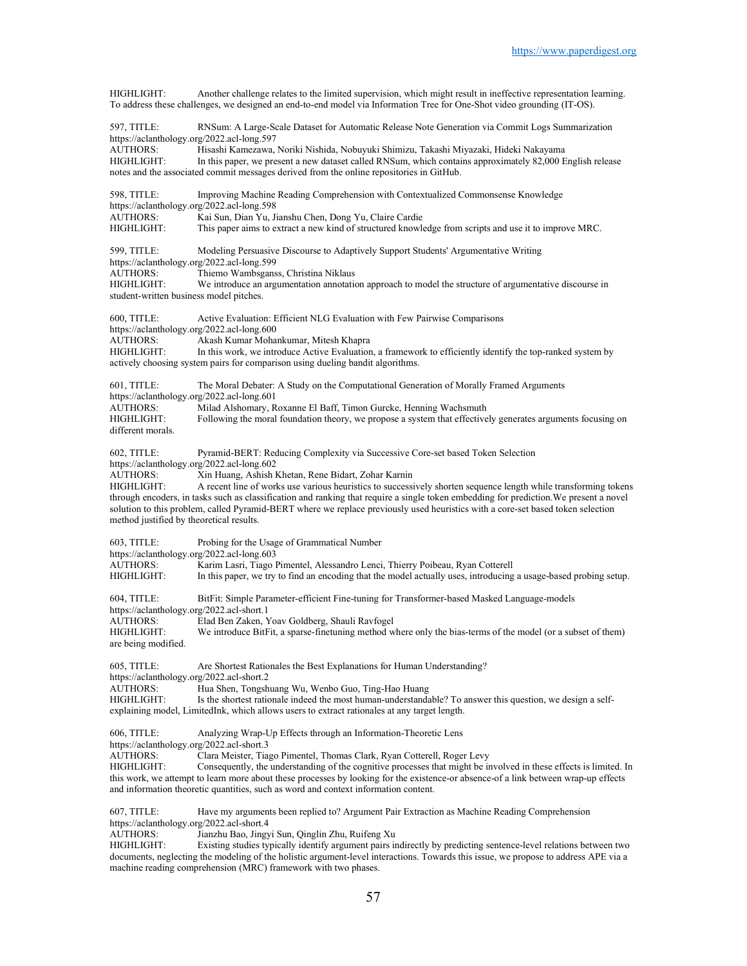HIGHLIGHT: Another challenge relates to the limited supervision, which might result in ineffective representation learning. To address these challenges, we designed an end-to-end model via Information Tree for One-Shot video grounding (IT-OS). 597, TITLE: RNSum: A Large-Scale Dataset for Automatic Release Note Generation via Commit Logs Summarization https://aclanthology.org/2022.acl-long.597<br>AUTHORS: Hisashi Kamezawa. AUTHORS: Hisashi Kamezawa, Noriki Nishida, Nobuyuki Shimizu, Takashi Miyazaki, Hideki Nakayama In this paper, we present a new dataset called RNSum, which contains approximately 82,000 English release notes and the associated commit messages derived from the online repositories in GitHub. 598, TITLE: Improving Machine Reading Comprehension with Contextualized Commonsense Knowledge https://aclanthology.org/2022.acl-long.598<br>AUTHORS: Kai Sun, Dian Yu, J AUTHORS: Kai Sun, Dian Yu, Jianshu Chen, Dong Yu, Claire Cardie This paper aims to extract a new kind of structured knowledge from scripts and use it to improve MRC. 599, TITLE: Modeling Persuasive Discourse to Adaptively Support Students' Argumentative Writing https://aclanthology.org/2022.acl-long.599<br>AUTHORS: Thiemo Wambsgans AUTHORS: Thiemo Wambsganss, Christina Niklaus<br>HIGHLIGHT: We introduce an argumentation annotation We introduce an argumentation annotation approach to model the structure of argumentative discourse in student-written business model pitches. 600, TITLE: Active Evaluation: Efficient NLG Evaluation with Few Pairwise Comparisons https://aclanthology.org/2022.acl-long.600 AUTHORS: Akash Kumar Mohankumar, Mitesh Khapra HIGHLIGHT: In this work, we introduce Active Evaluation, a framework to efficiently identify the top-ranked system by actively choosing system pairs for comparison using dueling bandit algorithms. 601, TITLE: The Moral Debater: A Study on the Computational Generation of Morally Framed Arguments https://aclanthology.org/2022.acl-long.601<br>AUTHORS: Milad Alshomary. R AUTHORS: Milad Alshomary, Roxanne El Baff, Timon Gurcke, Henning Wachsmuth HIGHLIGHT: Following the moral foundation theory, we propose a system that effective Following the moral foundation theory, we propose a system that effectively generates arguments focusing on different morals. 602, TITLE: Pyramid-BERT: Reducing Complexity via Successive Core-set based Token Selection https://aclanthology.org/2022.acl-long.602<br>AUTHORS: Xin Huang, Ashish I AUTHORS: Xin Huang, Ashish Khetan, Rene Bidart, Zohar Karnin<br>HIGHLIGHT: A recent line of works use various heuristics to successi A recent line of works use various heuristics to successively shorten sequence length while transforming tokens through encoders, in tasks such as classification and ranking that require a single token embedding for prediction.We present a novel solution to this problem, called Pyramid-BERT where we replace previously used heuristics with a core-set based token selection method justified by theoretical results. 603, TITLE: Probing for the Usage of Grammatical Number https://aclanthology.org/2022.acl-long.603<br>AUTHORS: Karim Lasri, Tiago I AUTHORS: Karim Lasri, Tiago Pimentel, Alessandro Lenci, Thierry Poibeau, Ryan Cotterell In this paper, we try to find an encoding that the model actually uses, introducing a usage-based probing setup. 604, TITLE: BitFit: Simple Parameter-efficient Fine-tuning for Transformer-based Masked Language-models https://aclanthology.org/2022.acl-short.1 AUTHORS: Elad Ben Zaken, Yoav Goldberg, Shauli Ravfogel We introduce BitFit, a sparse-finetuning method where only the bias-terms of the model (or a subset of them) are being modified. 605, TITLE: Are Shortest Rationales the Best Explanations for Human Understanding? https://aclanthology.org/2022.acl-short.2 AUTHORS: Hua Shen, Tongshuang Wu, Wenbo Guo, Ting-Hao Huang Is the shortest rationale indeed the most human-understandable? To answer this question, we design a selfexplaining model, LimitedInk, which allows users to extract rationales at any target length. 606, TITLE: Analyzing Wrap-Up Effects through an Information-Theoretic Lens https://aclanthology.org/2022.acl-short.3<br>AUTHORS: Clara Meister, Tia Clara Meister, Tiago Pimentel, Thomas Clark, Ryan Cotterell, Roger Levy HIGHLIGHT: Consequently, the understanding of the cognitive processes that might be involved in these effects is limited. In this work, we attempt to learn more about these processes by looking for the existence-or absence-of a link between wrap-up effects and information theoretic quantities, such as word and context information content. 607, TITLE: Have my arguments been replied to? Argument Pair Extraction as Machine Reading Comprehension https://aclanthology.org/2022.acl-short.4 AUTHORS: Jianzhu Bao, Jingyi Sun, Qinglin Zhu, Ruifeng Xu HIGHLIGHT: Existing studies typically identify argument pairs indirectly by predicting sentence-level relations between two documents, neglecting the modeling of the holistic argument-level interactions. Towards this issue, we propose to address APE via a

machine reading comprehension (MRC) framework with two phases.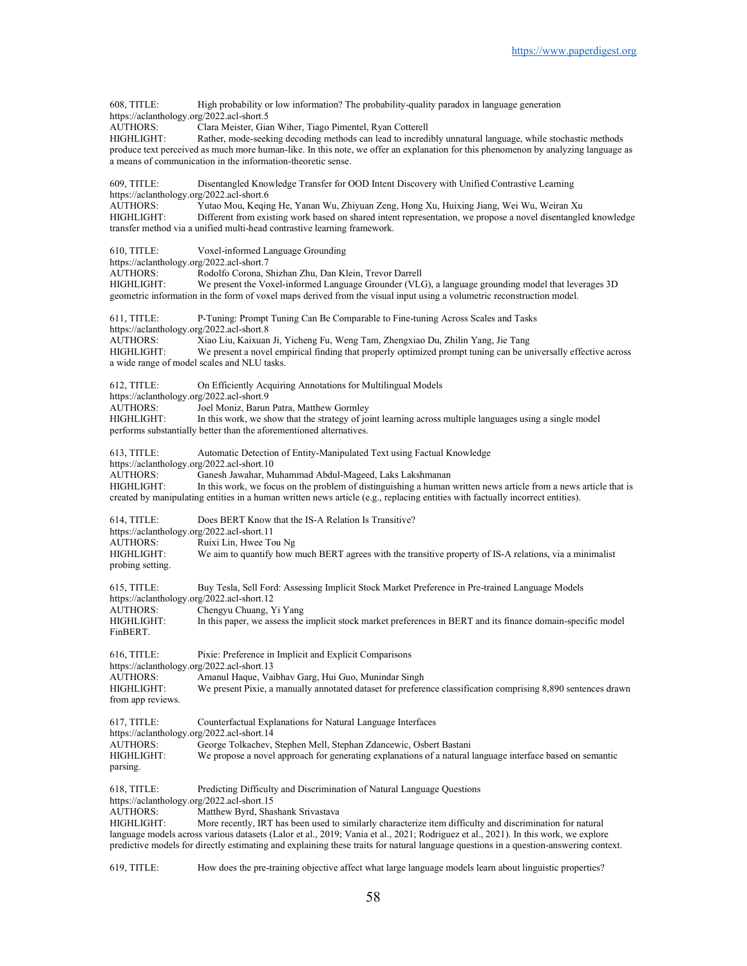| 608, TITLE:<br>https://aclanthology.org/2022.acl-short.5      | High probability or low information? The probability-quality paradox in language generation                                                                                                                                                                                 |
|---------------------------------------------------------------|-----------------------------------------------------------------------------------------------------------------------------------------------------------------------------------------------------------------------------------------------------------------------------|
| <b>AUTHORS:</b>                                               | Clara Meister, Gian Wiher, Tiago Pimentel, Ryan Cotterell                                                                                                                                                                                                                   |
| HIGHLIGHT:                                                    | Rather, mode-seeking decoding methods can lead to incredibly unnatural language, while stochastic methods<br>produce text perceived as much more human-like. In this note, we offer an explanation for this phenomenon by analyzing language as                             |
|                                                               | a means of communication in the information-theoretic sense.                                                                                                                                                                                                                |
| 609, TITLE:<br>https://aclanthology.org/2022.acl-short.6      | Disentangled Knowledge Transfer for OOD Intent Discovery with Unified Contrastive Learning                                                                                                                                                                                  |
| <b>AUTHORS:</b>                                               | Yutao Mou, Keqing He, Yanan Wu, Zhiyuan Zeng, Hong Xu, Huixing Jiang, Wei Wu, Weiran Xu                                                                                                                                                                                     |
| HIGHLIGHT:                                                    | Different from existing work based on shared intent representation, we propose a novel disentangled knowledge<br>transfer method via a unified multi-head contrastive learning framework.                                                                                   |
| 610, TITLE:<br>https://aclanthology.org/2022.acl-short.7      | Voxel-informed Language Grounding                                                                                                                                                                                                                                           |
| AUTHORS:                                                      | Rodolfo Corona, Shizhan Zhu, Dan Klein, Trevor Darrell                                                                                                                                                                                                                      |
| <b>HIGHLIGHT:</b>                                             | We present the Voxel-informed Language Grounder (VLG), a language grounding model that leverages 3D<br>geometric information in the form of voxel maps derived from the visual input using a volumetric reconstruction model.                                               |
| $611$ , TITLE:<br>https://aclanthology.org/2022.acl-short.8   | P-Tuning: Prompt Tuning Can Be Comparable to Fine-tuning Across Scales and Tasks                                                                                                                                                                                            |
| <b>AUTHORS:</b>                                               | Xiao Liu, Kaixuan Ji, Yicheng Fu, Weng Tam, Zhengxiao Du, Zhilin Yang, Jie Tang                                                                                                                                                                                             |
| HIGHLIGHT:                                                    | We present a novel empirical finding that properly optimized prompt tuning can be universally effective across<br>a wide range of model scales and NLU tasks.                                                                                                               |
| 612, TITLE:<br>https://aclanthology.org/2022.acl-short.9      | On Efficiently Acquiring Annotations for Multilingual Models                                                                                                                                                                                                                |
| <b>AUTHORS:</b><br>HIGHLIGHT:                                 | Joel Moniz, Barun Patra, Matthew Gormley<br>In this work, we show that the strategy of joint learning across multiple languages using a single model                                                                                                                        |
|                                                               | performs substantially better than the aforementioned alternatives.                                                                                                                                                                                                         |
| 613, TITLE:<br>https://aclanthology.org/2022.acl-short.10     | Automatic Detection of Entity-Manipulated Text using Factual Knowledge                                                                                                                                                                                                      |
| <b>AUTHORS:</b><br>HIGHLIGHT:                                 | Ganesh Jawahar, Muhammad Abdul-Mageed, Laks Lakshmanan<br>In this work, we focus on the problem of distinguishing a human written news article from a news article that is                                                                                                  |
|                                                               | created by manipulating entities in a human written news article (e.g., replacing entities with factually incorrect entities).                                                                                                                                              |
| 614, TITLE:<br>https://aclanthology.org/2022.acl-short.11     | Does BERT Know that the IS-A Relation Is Transitive?                                                                                                                                                                                                                        |
| <b>AUTHORS:</b><br>HIGHLIGHT:                                 | Ruixi Lin, Hwee Tou Ng<br>We aim to quantify how much BERT agrees with the transitive property of IS-A relations, via a minimalist                                                                                                                                          |
| probing setting.                                              |                                                                                                                                                                                                                                                                             |
| $615$ , TITLE:<br>https://aclanthology.org/2022.acl-short.12  | Buy Tesla, Sell Ford: Assessing Implicit Stock Market Preference in Pre-trained Language Models                                                                                                                                                                             |
| AUTHORS:<br>HIGHLIGHT:                                        | Chengyu Chuang, Yi Yang<br>In this paper, we assess the implicit stock market preferences in BERT and its finance domain-specific model                                                                                                                                     |
| FinBERT.                                                      |                                                                                                                                                                                                                                                                             |
| 616, TITLE:<br>https://aclanthology.org/2022.acl-short.13     | Pixie: Preference in Implicit and Explicit Comparisons                                                                                                                                                                                                                      |
| AUTHORS:                                                      | Amanul Haque, Vaibhav Garg, Hui Guo, Munindar Singh                                                                                                                                                                                                                         |
| HIGHLIGHT:<br>from app reviews.                               | We present Pixie, a manually annotated dataset for preference classification comprising 8,890 sentences drawn                                                                                                                                                               |
| 617, TITLE:<br>https://aclanthology.org/2022.acl-short.14     | Counterfactual Explanations for Natural Language Interfaces                                                                                                                                                                                                                 |
| <b>AUTHORS:</b>                                               | George Tolkachev, Stephen Mell, Stephan Zdancewic, Osbert Bastani                                                                                                                                                                                                           |
| HIGHLIGHT:<br>parsing.                                        | We propose a novel approach for generating explanations of a natural language interface based on semantic                                                                                                                                                                   |
| 618, TITLE:                                                   | Predicting Difficulty and Discrimination of Natural Language Questions                                                                                                                                                                                                      |
| https://aclanthology.org/2022.acl-short.15<br><b>AUTHORS:</b> | Matthew Byrd, Shashank Srivastava                                                                                                                                                                                                                                           |
| HIGHLIGHT:                                                    | More recently, IRT has been used to similarly characterize item difficulty and discrimination for natural                                                                                                                                                                   |
|                                                               | language models across various datasets (Lalor et al., 2019; Vania et al., 2021; Rodriguez et al., 2021). In this work, we explore<br>predictive models for directly estimating and explaining these traits for natural language questions in a question-answering context. |
|                                                               |                                                                                                                                                                                                                                                                             |

619, TITLE: How does the pre-training objective affect what large language models learn about linguistic properties?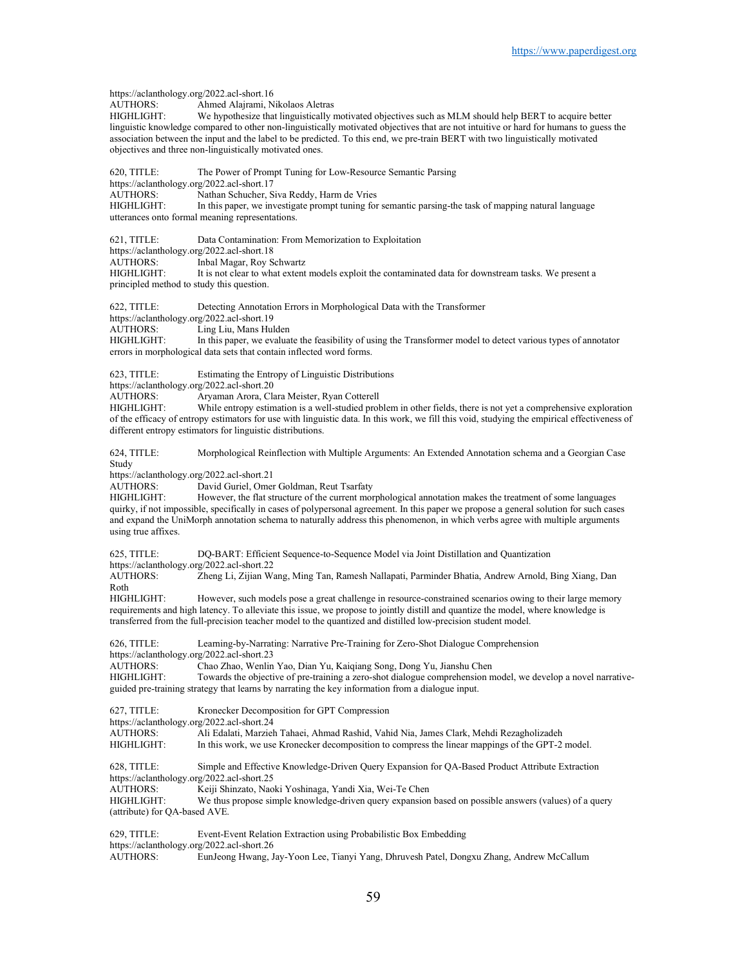https://aclanthology.org/2022.acl-short.16<br>AUTHORS: Ahmed Alairami. N Ahmed Alajrami, Nikolaos Aletras HIGHLIGHT: We hypothesize that linguistically motivated objectives such as MLM should help BERT to acquire better linguistic knowledge compared to other non-linguistically motivated objectives that are not intuitive or hard for humans to guess the association between the input and the label to be predicted. To this end, we pre-train BERT with two linguistically motivated objectives and three non-linguistically motivated ones. 620, TITLE: The Power of Prompt Tuning for Low-Resource Semantic Parsing https://aclanthology.org/2022.acl-short.17<br>AUTHORS: Nathan Schucher. S Nathan Schucher, Siva Reddy, Harm de Vries HIGHLIGHT: In this paper, we investigate prompt tuning for semantic parsing-the task of mapping natural language utterances onto formal meaning representations. 621, TITLE: Data Contamination: From Memorization to Exploitation https://aclanthology.org/2022.acl-short.18 AUTHORS: Inbal Magar, Roy Schwartz<br>HIGHLIGHT: It is not clear to what extent It is not clear to what extent models exploit the contaminated data for downstream tasks. We present a principled method to study this question. 622, TITLE: Detecting Annotation Errors in Morphological Data with the Transformer https://aclanthology.org/2022.acl-short.19<br>AUTHORS: Ling Liu, Mans Hul Ling Liu, Mans Hulden HIGHLIGHT: In this paper, we evaluate the feasibility of using the Transformer model to detect various types of annotator errors in morphological data sets that contain inflected word forms. 623, TITLE: Estimating the Entropy of Linguistic Distributions https://aclanthology.org/2022.acl-short.20 AUTHORS: Aryaman Arora, Clara Meister, Ryan Cotterell While entropy estimation is a well-studied problem in other fields, there is not yet a comprehensive exploration of the efficacy of entropy estimators for use with linguistic data. In this work, we fill this void, studying the empirical effectiveness of different entropy estimators for linguistic distributions. 624, TITLE: Morphological Reinflection with Multiple Arguments: An Extended Annotation schema and a Georgian Case Study https://aclanthology.org/2022.acl-short.21<br>AUTHORS: David Guriel. Ome David Guriel, Omer Goldman, Reut Tsarfaty HIGHLIGHT: However, the flat structure of the current morphological annotation makes the treatment of some languages quirky, if not impossible, specifically in cases of polypersonal agreement. In this paper we propose a general solution for such cases and expand the UniMorph annotation schema to naturally address this phenomenon, in which verbs agree with multiple arguments using true affixes. 625, TITLE: DQ-BART: Efficient Sequence-to-Sequence Model via Joint Distillation and Quantization https://aclanthology.org/2022.acl-short.22<br>AUTHORS: Zheng Li, Zijian W Zheng Li, Zijian Wang, Ming Tan, Ramesh Nallapati, Parminder Bhatia, Andrew Arnold, Bing Xiang, Dan Roth HIGHLIGHT: However, such models pose a great challenge in resource-constrained scenarios owing to their large memory requirements and high latency. To alleviate this issue, we propose to jointly distill and quantize the model, where knowledge is transferred from the full-precision teacher model to the quantized and distilled low-precision student model. 626, TITLE: Learning-by-Narrating: Narrative Pre-Training for Zero-Shot Dialogue Comprehension https://aclanthology.org/2022.acl-short.23 AUTHORS: Chao Zhao, Wenlin Yao, Dian Yu, Kaiqiang Song, Dong Yu, Jianshu Chen Towards the objective of pre-training a zero-shot dialogue comprehension model, we develop a novel narrativeguided pre-training strategy that learns by narrating the key information from a dialogue input. 627, TITLE: Kronecker Decomposition for GPT Compression https://aclanthology.org/2022.acl-short.24 AUTHORS: Ali Edalati, Marzieh Tahaei, Ahmad Rashid, Vahid Nia, James Clark, Mehdi Rezagholizadeh In this work, we use Kronecker decomposition to compress the linear mappings of the GPT-2 model. 628, TITLE: Simple and Effective Knowledge-Driven Query Expansion for QA-Based Product Attribute Extraction https://aclanthology.org/2022.acl-short.25 AUTHORS: Keiji Shinzato, Naoki Yoshinaga, Yandi Xia, Wei-Te Chen HIGHLIGHT: We thus propose simple knowledge-driven query expansion based on possible answers (values) of a query (attribute) for QA-based AVE. 629, TITLE: Event-Event Relation Extraction using Probabilistic Box Embedding https://aclanthology.org/2022.acl-short.26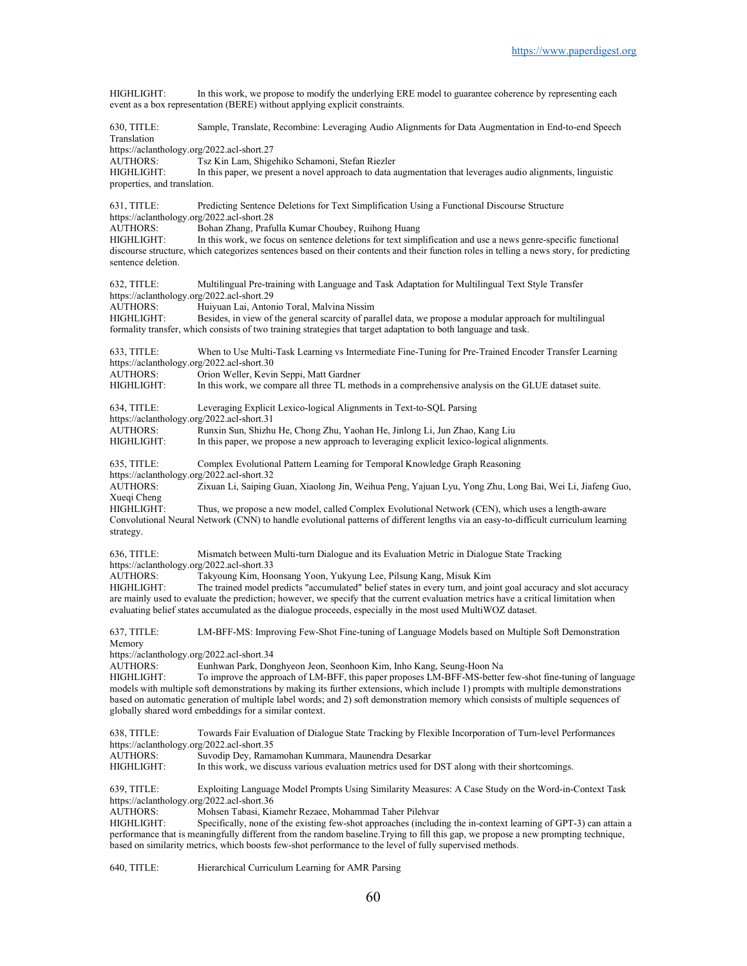HIGHLIGHT: In this work, we propose to modify the underlying ERE model to guarantee coherence by representing each event as a box representation (BERE) without applying explicit constraints. 630, TITLE: Sample, Translate, Recombine: Leveraging Audio Alignments for Data Augmentation in End-to-end Speech Translation https://aclanthology.org/2022.acl-short.27<br>AUTHORS: Tsz Kin Lam, Shigo Tsz Kin Lam, Shigehiko Schamoni, Stefan Riezler HIGHLIGHT: In this paper, we present a novel approach to data augmentation that leverages audio alignments, linguistic properties, and translation. 631, TITLE: Predicting Sentence Deletions for Text Simplification Using a Functional Discourse Structure https://aclanthology.org/2022.acl-short.28<br>AUTHORS: Bohan Zhang, Prafu AUTHORS: Bohan Zhang, Prafulla Kumar Choubey, Ruihong Huang In this work, we focus on sentence deletions for text simplification and use a news genre-specific functional discourse structure, which categorizes sentences based on their contents and their function roles in telling a news story, for predicting sentence deletion. 632, TITLE: Multilingual Pre-training with Language and Task Adaptation for Multilingual Text Style Transfer https://aclanthology.org/2022.acl-short.29 AUTHORS: Huiyuan Lai, Antonio Toral, Malvina Nissim Besides, in view of the general scarcity of parallel data, we propose a modular approach for multilingual formality transfer, which consists of two training strategies that target adaptation to both language and task. 633, TITLE: When to Use Multi-Task Learning vs Intermediate Fine-Tuning for Pre-Trained Encoder Transfer Learning https://aclanthology.org/2022.acl-short.30<br>AUTHORS: Orion Weller, Kevin Orion Weller, Kevin Seppi, Matt Gardner HIGHLIGHT: In this work, we compare all three TL methods in a comprehensive analysis on the GLUE dataset suite. 634, TITLE: Leveraging Explicit Lexico-logical Alignments in Text-to-SQL Parsing https://aclanthology.org/2022.acl-short.31 AUTHORS: Runxin Sun, Shizhu He, Chong Zhu, Yaohan He, Jinlong Li, Jun Zhao, Kang Liu In this paper, we propose a new approach to leveraging explicit lexico-logical alignments. 635, TITLE: Complex Evolutional Pattern Learning for Temporal Knowledge Graph Reasoning https://aclanthology.org/2022.acl-short.32<br>AUTHORS: Zixuan Li, Saiping Zixuan Li, Saiping Guan, Xiaolong Jin, Weihua Peng, Yajuan Lyu, Yong Zhu, Long Bai, Wei Li, Jiafeng Guo, Xueqi Cheng<br>HIGHLIGHT: Thus, we propose a new model, called Complex Evolutional Network (CEN), which uses a length-aware Convolutional Neural Network (CNN) to handle evolutional patterns of different lengths via an easy-to-difficult curriculum learning strategy. 636, TITLE: Mismatch between Multi-turn Dialogue and its Evaluation Metric in Dialogue State Tracking https://aclanthology.org/2022.acl-short.33<br>AUTHORS: Takyoung Kim, Ho Takyoung Kim, Hoonsang Yoon, Yukyung Lee, Pilsung Kang, Misuk Kim HIGHLIGHT: The trained model predicts "accumulated" belief states in every turn, and joint goal accuracy and slot accuracy are mainly used to evaluate the prediction; however, we specify that the current evaluation metrics have a critical limitation when evaluating belief states accumulated as the dialogue proceeds, especially in the most used MultiWOZ dataset. 637, TITLE: LM-BFF-MS: Improving Few-Shot Fine-tuning of Language Models based on Multiple Soft Demonstration Memory https://aclanthology.org/2022.acl-short.34 AUTHORS: Eunhwan Park, Donghyeon Jeon, Seonhoon Kim, Inho Kang, Seung-Hoon Na<br>HIGHLIGHT: To improve the approach of LM-BFF, this paper proposes LM-BFF-MS-better To improve the approach of LM-BFF, this paper proposes LM-BFF-MS-better few-shot fine-tuning of language models with multiple soft demonstrations by making its further extensions, which include 1) prompts with multiple demonstrations based on automatic generation of multiple label words; and 2) soft demonstration memory which consists of multiple sequences of globally shared word embeddings for a similar context. 638, TITLE: Towards Fair Evaluation of Dialogue State Tracking by Flexible Incorporation of Turn-level Performances https://aclanthology.org/2022.acl-short.35<br>AUTHORS: Suvodip Dev, Rama AUTHORS: Suvodip Dey, Ramamohan Kummara, Maunendra Desarkar In this work, we discuss various evaluation metrics used for DST along with their shortcomings. 639, TITLE: Exploiting Language Model Prompts Using Similarity Measures: A Case Study on the Word-in-Context Task https://aclanthology.org/2022.acl-short.36 AUTHORS: Mohsen Tabasi, Kiamehr Rezaee, Mohammad Taher Pilehvar Specifically, none of the existing few-shot approaches (including the in-context learning of GPT-3) can attain a performance that is meaningfully different from the random baseline.Trying to fill this gap, we propose a new prompting technique, based on similarity metrics, which boosts few-shot performance to the level of fully supervised methods.

640, TITLE: Hierarchical Curriculum Learning for AMR Parsing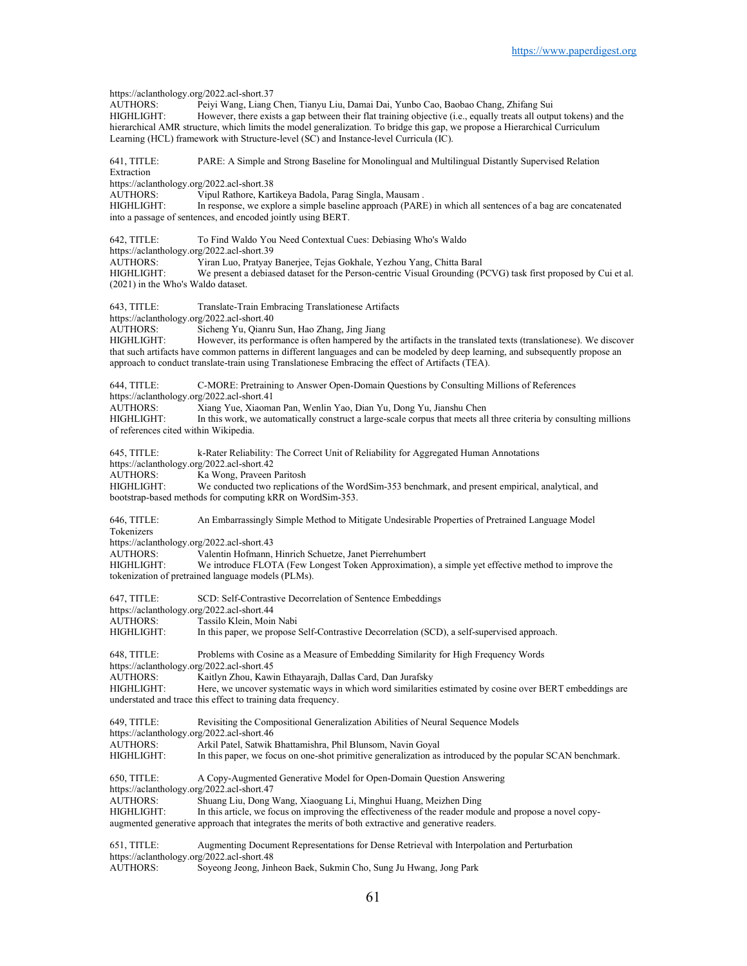https://aclanthology.org/2022.acl-short.37<br>AUTHORS: Peivi Wang. Liang Peiyi Wang, Liang Chen, Tianyu Liu, Damai Dai, Yunbo Cao, Baobao Chang, Zhifang Sui HIGHLIGHT: However, there exists a gap between their flat training objective (i.e., equally treats all output tokens) and the hierarchical AMR structure, which limits the model generalization. To bridge this gap, we propose a Hierarchical Curriculum Learning (HCL) framework with Structure-level (SC) and Instance-level Curricula (IC). 641, TITLE: PARE: A Simple and Strong Baseline for Monolingual and Multilingual Distantly Supervised Relation Extraction https://aclanthology.org/2022.acl-short.38<br>AUTHORS: Vipul Rathore, Kart AUTHORS: Vipul Rathore, Kartikeya Badola, Parag Singla, Mausam .<br>HIGHLIGHT: In response, we explore a simple baseline approach (PARI) In response, we explore a simple baseline approach (PARE) in which all sentences of a bag are concatenated into a passage of sentences, and encoded jointly using BERT. 642, TITLE: To Find Waldo You Need Contextual Cues: Debiasing Who's Waldo https://aclanthology.org/2022.acl-short.39 AUTHORS: Yiran Luo, Pratyay Banerjee, Tejas Gokhale, Yezhou Yang, Chitta Baral We present a debiased dataset for the Person-centric Visual Grounding (PCVG) task first proposed by Cui et al. (2021) in the Who's Waldo dataset. 643, TITLE: Translate-Train Embracing Translationese Artifacts https://aclanthology.org/2022.acl-short.40<br>AUTHORS: Sicheng Yu, Qianru Sicheng Yu, Qianru Sun, Hao Zhang, Jing Jiang HIGHLIGHT: However, its performance is often hampered by the artifacts in the translated texts (translationese). We discover that such artifacts have common patterns in different languages and can be modeled by deep learning, and subsequently propose an approach to conduct translate-train using Translationese Embracing the effect of Artifacts (TEA). 644, TITLE: C-MORE: Pretraining to Answer Open-Domain Questions by Consulting Millions of References https://aclanthology.org/2022.acl-short.41<br>AUTHORS: Xiang Yue. Xiaoma Xiang Yue, Xiaoman Pan, Wenlin Yao, Dian Yu, Dong Yu, Jianshu Chen HIGHLIGHT: In this work, we automatically construct a large-scale corpus that meets all three criteria by consulting millions of references cited within Wikipedia. 645, TITLE: k-Rater Reliability: The Correct Unit of Reliability for Aggregated Human Annotations https://aclanthology.org/2022.acl-short.42 AUTHORS: Ka Wong, Praveen Paritosh<br>HIGHLIGHT: We conducted two replication We conducted two replications of the WordSim-353 benchmark, and present empirical, analytical, and bootstrap-based methods for computing kRR on WordSim-353. 646, TITLE: An Embarrassingly Simple Method to Mitigate Undesirable Properties of Pretrained Language Model Tokenizers https://aclanthology.org/2022.acl-short.43 AUTHORS: Valentin Hofmann, Hinrich Schuetze, Janet Pierrehumbert We introduce FLOTA (Few Longest Token Approximation), a simple yet effective method to improve the tokenization of pretrained language models (PLMs). 647, TITLE: SCD: Self-Contrastive Decorrelation of Sentence Embeddings https://aclanthology.org/2022.acl-short.44 AUTHORS: Tassilo Klein, Moin Nabi<br>HIGHLIGHT: In this paper, we propose In this paper, we propose Self-Contrastive Decorrelation (SCD), a self-supervised approach. 648, TITLE: Problems with Cosine as a Measure of Embedding Similarity for High Frequency Words https://aclanthology.org/2022.acl-short.45<br>AUTHORS: Kaitlyn Zhou, Kawi Kaitlyn Zhou, Kawin Ethayarajh, Dallas Card, Dan Jurafsky HIGHLIGHT: Here, we uncover systematic ways in which word similarities estimated by cosine over BERT embeddings are understated and trace this effect to training data frequency. 649, TITLE: Revisiting the Compositional Generalization Abilities of Neural Sequence Models https://aclanthology.org/2022.acl-short.46<br>AUTHORS: Arkil Patel Satwik Arkil Patel, Satwik Bhattamishra, Phil Blunsom, Navin Goyal HIGHLIGHT: In this paper, we focus on one-shot primitive generalization as introduced by the popular SCAN benchmark. 650, TITLE: A Copy-Augmented Generative Model for Open-Domain Question Answering https://aclanthology.org/2022.acl-short.47<br>AUTHORS: Shuang Liu, Dong Shuang Liu, Dong Wang, Xiaoguang Li, Minghui Huang, Meizhen Ding HIGHLIGHT: In this article, we focus on improving the effectiveness of the reader module and propose a novel copyaugmented generative approach that integrates the merits of both extractive and generative readers. 651, TITLE: Augmenting Document Representations for Dense Retrieval with Interpolation and Perturbation https://aclanthology.org/2022.acl-short.48<br>AUTHORS: Soyeong Jeong, Jinl Soyeong Jeong, Jinheon Baek, Sukmin Cho, Sung Ju Hwang, Jong Park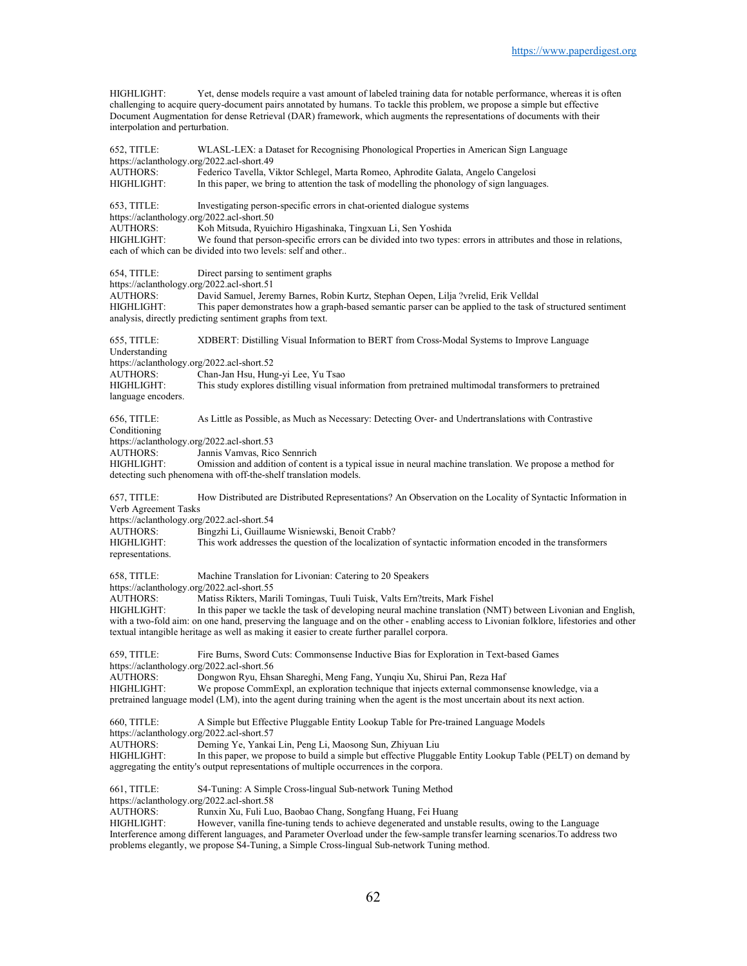HIGHLIGHT: Yet, dense models require a vast amount of labeled training data for notable performance, whereas it is often challenging to acquire query-document pairs annotated by humans. To tackle this problem, we propose a simple but effective Document Augmentation for dense Retrieval (DAR) framework, which augments the representations of documents with their interpolation and perturbation.

652, TITLE: WLASL-LEX: a Dataset for Recognising Phonological Properties in American Sign Language https://aclanthology.org/2022.acl-short.49<br>AUTHORS: Federico Tavella. Federico Tavella, Viktor Schlegel, Marta Romeo, Aphrodite Galata, Angelo Cangelosi HIGHLIGHT: In this paper, we bring to attention the task of modelling the phonology of sign languages. 653, TITLE: Investigating person-specific errors in chat-oriented dialogue systems https://aclanthology.org/2022.acl-short.50<br>AUTHORS: Koh Mitsuda, Ryuic AUTHORS: Koh Mitsuda, Ryuichiro Higashinaka, Tingxuan Li, Sen Yoshida We found that person-specific errors can be divided into two types: errors in attributes and those in relations, each of which can be divided into two levels: self and other.. 654, TITLE: Direct parsing to sentiment graphs https://aclanthology.org/2022.acl-short.51 AUTHORS: David Samuel, Jeremy Barnes, Robin Kurtz, Stephan Oepen, Lilja ?vrelid, Erik Velldal HIGHLIGHT: This paper demonstrates how a graph-based semantic parser can be applied to the task of structured sentiment analysis, directly predicting sentiment graphs from text. 655, TITLE: XDBERT: Distilling Visual Information to BERT from Cross-Modal Systems to Improve Language Understanding https://aclanthology.org/2022.acl-short.52 Chan-Jan Hsu, Hung-yi Lee, Yu Tsao HIGHLIGHT: This study explores distilling visual information from pretrained multimodal transformers to pretrained language encoders. 656, TITLE: As Little as Possible, as Much as Necessary: Detecting Over- and Undertranslations with Contrastive Conditioning https://aclanthology.org/2022.acl-short.53 AUTHORS: Jannis Vamvas, Rico Sennrich HIGHLIGHT: Omission and addition of content is a typical issue in neural machine translation. We propose a method for detecting such phenomena with off-the-shelf translation models. 657, TITLE: How Distributed are Distributed Representations? An Observation on the Locality of Syntactic Information in Verb Agreement Tasks https://aclanthology.org/2022.acl-short.54<br>AUTHORS: Bingzhi Li, Guillau Bingzhi Li, Guillaume Wisniewski, Benoit Crabb? HIGHLIGHT: This work addresses the question of the localization of syntactic information encoded in the transformers representations. 658, TITLE: Machine Translation for Livonian: Catering to 20 Speakers https://aclanthology.org/2022.acl-short.55 AUTHORS: Matiss Rikters, Marili Tomingas, Tuuli Tuisk, Valts Ern?treits, Mark Fishel<br>HIGHLIGHT: In this paper we tackle the task of developing neural machine translation (N) In this paper we tackle the task of developing neural machine translation (NMT) between Livonian and English, with a two-fold aim: on one hand, preserving the language and on the other - enabling access to Livonian folklore, lifestories and other textual intangible heritage as well as making it easier to create further parallel corpora. 659, TITLE: Fire Burns, Sword Cuts: Commonsense Inductive Bias for Exploration in Text-based Games https://aclanthology.org/2022.acl-short.56<br>AUTHORS: Dongwon Ryu, Ehs Dongwon Ryu, Ehsan Shareghi, Meng Fang, Yunqiu Xu, Shirui Pan, Reza Haf HIGHLIGHT: We propose CommExpl, an exploration technique that injects external commonsense knowledge, via a pretrained language model (LM), into the agent during training when the agent is the most uncertain about its next action. 660, TITLE: A Simple but Effective Pluggable Entity Lookup Table for Pre-trained Language Models https://aclanthology.org/2022.acl-short.57<br>AUTHORS: Deming Ye, Yanka Deming Ye, Yankai Lin, Peng Li, Maosong Sun, Zhiyuan Liu HIGHLIGHT: In this paper, we propose to build a simple but effective Pluggable Entity Lookup Table (PELT) on demand by aggregating the entity's output representations of multiple occurrences in the corpora. 661, TITLE: S4-Tuning: A Simple Cross-lingual Sub-network Tuning Method https://aclanthology.org/2022.acl-short.58 AUTHORS: Runxin Xu, Fuli Luo, Baobao Chang, Songfang Huang, Fei Huang<br>HIGHLIGHT: However vanilla fine-tuning tends to achieve degenerated and unst However, vanilla fine-tuning tends to achieve degenerated and unstable results, owing to the Language Interference among different languages, and Parameter Overload under the few-sample transfer learning scenarios.To address two problems elegantly, we propose S4-Tuning, a Simple Cross-lingual Sub-network Tuning method.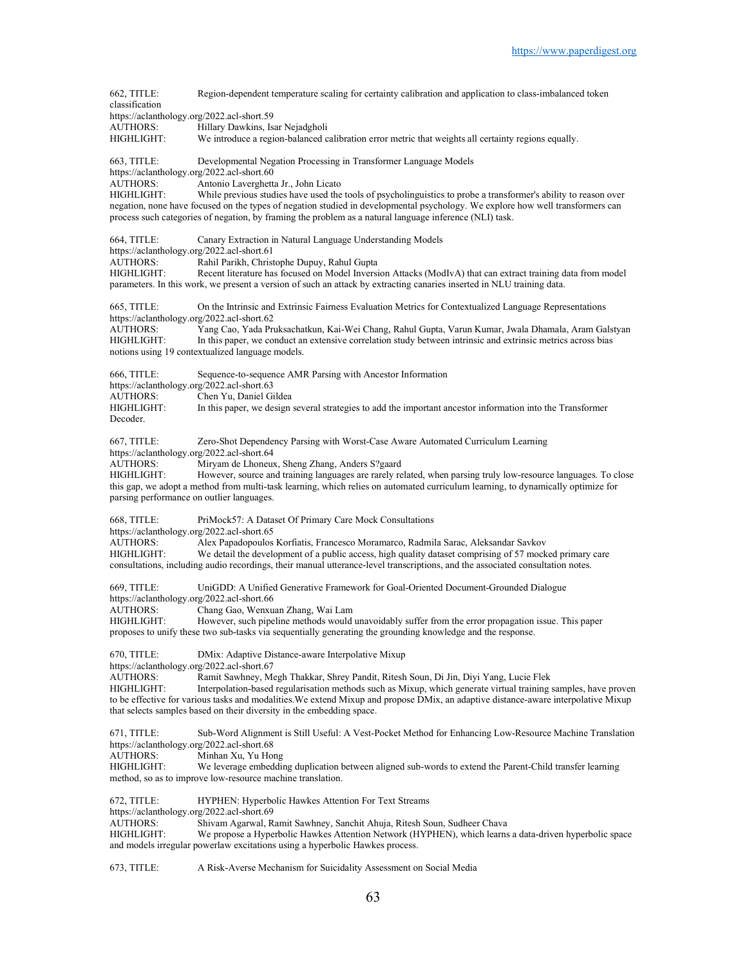662, TITLE: Region-dependent temperature scaling for certainty calibration and application to class-imbalanced token classification https://aclanthology.org/2022.acl-short.59<br>AUTHORS: Hillary Dawkins, Is Hillary Dawkins, Isar Nejadgholi HIGHLIGHT: We introduce a region-balanced calibration error metric that weights all certainty regions equally. 663, TITLE: Developmental Negation Processing in Transformer Language Models https://aclanthology.org/2022.acl-short.60 AUTHORS: Antonio Laverghetta Jr., John Licato<br>HIGHLIGHT: While previous studies have used the While previous studies have used the tools of psycholinguistics to probe a transformer's ability to reason over negation, none have focused on the types of negation studied in developmental psychology. We explore how well transformers can process such categories of negation, by framing the problem as a natural language inference (NLI) task. 664, TITLE: Canary Extraction in Natural Language Understanding Models https://aclanthology.org/2022.acl-short.61<br>AUTHORS: Rahil Parikh. Christ AUTHORS: Rahil Parikh, Christophe Dupuy, Rahul Gupta<br>HIGHLIGHT: Recent literature has focused on Model Inversi Recent literature has focused on Model Inversion Attacks (ModIvA) that can extract training data from model parameters. In this work, we present a version of such an attack by extracting canaries inserted in NLU training data. 665, TITLE: On the Intrinsic and Extrinsic Fairness Evaluation Metrics for Contextualized Language Representations https://aclanthology.org/2022.acl-short.62<br>AUTHORS: Yang Cao, Yada Pru Yang Cao, Yada Pruksachatkun, Kai-Wei Chang, Rahul Gupta, Varun Kumar, Jwala Dhamala, Aram Galstyan HIGHLIGHT: In this paper, we conduct an extensive correlation study between intrinsic and extrinsic metrics across bias notions using 19 contextualized language models. 666, TITLE: Sequence-to-sequence AMR Parsing with Ancestor Information https://aclanthology.org/2022.acl-short.63<br>AUTHORS: Chen Yu, Daniel Gi AUTHORS: Chen Yu, Daniel Gildea<br>HIGHLIGHT: In this paper, we design In this paper, we design several strategies to add the important ancestor information into the Transformer Decoder. 667, TITLE: Zero-Shot Dependency Parsing with Worst-Case Aware Automated Curriculum Learning https://aclanthology.org/2022.acl-short.64 AUTHORS: Miryam de Lhoneux, Sheng Zhang, Anders S?gaard HIGHLIGHT: However, source and training languages are rarely related, when parsing truly low-resource languages. To close this gap, we adopt a method from multi-task learning, which relies on automated curriculum learning, to dynamically optimize for parsing performance on outlier languages. 668, TITLE: PriMock57: A Dataset Of Primary Care Mock Consultations https://aclanthology.org/2022.acl-short.65<br>AUTHORS: Alex Papadopoulos Alex Papadopoulos Korfiatis, Francesco Moramarco, Radmila Sarac, Aleksandar Savkov HIGHLIGHT: We detail the development of a public access, high quality dataset comprising of 57 mocked primary care consultations, including audio recordings, their manual utterance-level transcriptions, and the associated consultation notes. 669, TITLE: UniGDD: A Unified Generative Framework for Goal-Oriented Document-Grounded Dialogue https://aclanthology.org/2022.acl-short.66<br>AUTHORS: Chang Gao, Wenxu Chang Gao, Wenxuan Zhang, Wai Lam HIGHLIGHT: However, such pipeline methods would unavoidably suffer from the error propagation issue. This paper proposes to unify these two sub-tasks via sequentially generating the grounding knowledge and the response. 670, TITLE: DMix: Adaptive Distance-aware Interpolative Mixup https://aclanthology.org/2022.acl-short.67<br>AUTHORS: Ramit Sawhnev. Me Ramit Sawhney, Megh Thakkar, Shrey Pandit, Ritesh Soun, Di Jin, Diyi Yang, Lucie Flek HIGHLIGHT: Interpolation-based regularisation methods such as Mixup, which generate virtual training samples, have proven to be effective for various tasks and modalities.We extend Mixup and propose DMix, an adaptive distance-aware interpolative Mixup that selects samples based on their diversity in the embedding space. 671, TITLE: Sub-Word Alignment is Still Useful: A Vest-Pocket Method for Enhancing Low-Resource Machine Translation https://aclanthology.org/2022.acl-short.68<br>AUTHORS: Minhan Xu, Yu Hor Minhan Xu, Yu Hong HIGHLIGHT: We leverage embedding duplication between aligned sub-words to extend the Parent-Child transfer learning method, so as to improve low-resource machine translation. 672, TITLE: HYPHEN: Hyperbolic Hawkes Attention For Text Streams https://aclanthology.org/2022.acl-short.69<br>AUTHORS: Shivam Agarwal R Shivam Agarwal, Ramit Sawhney, Sanchit Ahuja, Ritesh Soun, Sudheer Chava HIGHLIGHT: We propose a Hyperbolic Hawkes Attention Network (HYPHEN), which learns a data-driven hyperbolic space and models irregular powerlaw excitations using a hyperbolic Hawkes process.

673, TITLE: A Risk-Averse Mechanism for Suicidality Assessment on Social Media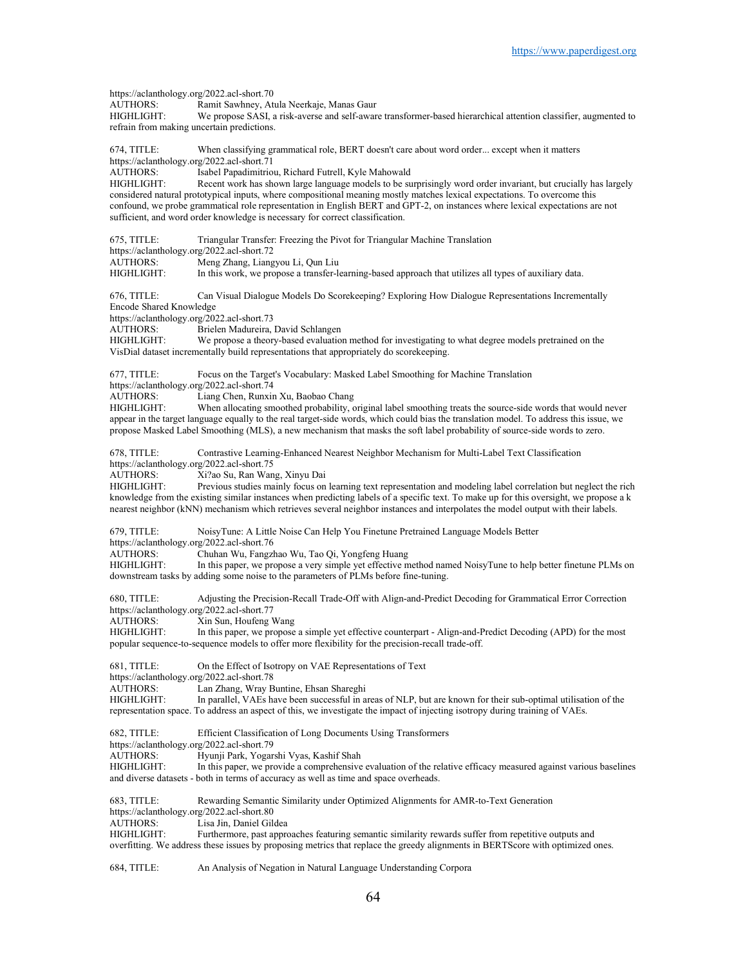https://aclanthology.org/2022.acl-short.70<br>AUTHORS: Ramit Sawhnev. At AUTHORS: Ramit Sawhney, Atula Neerkaje, Manas Gaur We propose SASI, a risk-averse and self-aware transformer-based hierarchical attention classifier, augmented to refrain from making uncertain predictions. 674, TITLE: When classifying grammatical role, BERT doesn't care about word order... except when it matters https://aclanthology.org/2022.acl-short.71<br>AUTHORS: Isabel Panadimitrio Isabel Papadimitriou, Richard Futrell, Kyle Mahowald HIGHLIGHT: Recent work has shown large language models to be surprisingly word order invariant, but crucially has largely considered natural prototypical inputs, where compositional meaning mostly matches lexical expectations. To overcome this confound, we probe grammatical role representation in English BERT and GPT-2, on instances where lexical expectations are not sufficient, and word order knowledge is necessary for correct classification. 675, TITLE: Triangular Transfer: Freezing the Pivot for Triangular Machine Translation https://aclanthology.org/2022.acl-short.72 AUTHORS: Meng Zhang, Liangyou Li, Qun Liu<br>HIGHLIGHT: In this work, we propose a transfer-le In this work, we propose a transfer-learning-based approach that utilizes all types of auxiliary data. 676, TITLE: Can Visual Dialogue Models Do Scorekeeping? Exploring How Dialogue Representations Incrementally Encode Shared Knowledge https://aclanthology.org/2022.acl-short.73<br>AUTHORS: Brielen Madureira, Brielen Madureira, David Schlangen HIGHLIGHT: We propose a theory-based evaluation method for investigating to what degree models pretrained on the VisDial dataset incrementally build representations that appropriately do scorekeeping. 677, TITLE: Focus on the Target's Vocabulary: Masked Label Smoothing for Machine Translation https://aclanthology.org/2022.acl-short.74<br>AUTHORS: Liang Chen, Runxin AUTHORS: Liang Chen, Runxin Xu, Baobao Chang<br>HIGHLIGHT: When allocating smoothed probability, c When allocating smoothed probability, original label smoothing treats the source-side words that would never appear in the target language equally to the real target-side words, which could bias the translation model. To address this issue, we propose Masked Label Smoothing (MLS), a new mechanism that masks the soft label probability of source-side words to zero. 678, TITLE: Contrastive Learning-Enhanced Nearest Neighbor Mechanism for Multi-Label Text Classification https://aclanthology.org/2022.acl-short.75<br>AUTHORS: Xi?ao Su, Ran Wan AUTHORS: Xi?ao Su, Ran Wang, Xinyu Dai Previous studies mainly focus on learning text representation and modeling label correlation but neglect the rich knowledge from the existing similar instances when predicting labels of a specific text. To make up for this oversight, we propose a k nearest neighbor (kNN) mechanism which retrieves several neighbor instances and interpolates the model output with their labels. 679, TITLE: NoisyTune: A Little Noise Can Help You Finetune Pretrained Language Models Better https://aclanthology.org/2022.acl-short.76 AUTHORS: Chuhan Wu, Fangzhao Wu, Tao Qi, Yongfeng Huang<br>HIGHLIGHT: In this paper, we propose a very simple vet effective m In this paper, we propose a very simple yet effective method named NoisyTune to help better finetune PLMs on downstream tasks by adding some noise to the parameters of PLMs before fine-tuning. 680, TITLE: Adjusting the Precision-Recall Trade-Off with Align-and-Predict Decoding for Grammatical Error Correction https://aclanthology.org/2022.acl-short.77 AUTHORS: Xin Sun, Houfeng Wang<br>HIGHLIGHT: In this paper, we propose In this paper, we propose a simple yet effective counterpart - Align-and-Predict Decoding (APD) for the most popular sequence-to-sequence models to offer more flexibility for the precision-recall trade-off. 681, TITLE: On the Effect of Isotropy on VAE Representations of Text https://aclanthology.org/2022.acl-short.78 AUTHORS: Lan Zhang, Wray Buntine, Ehsan Shareghi<br>HIGHLIGHT: In parallel, VAEs have been successful in a In parallel, VAEs have been successful in areas of NLP, but are known for their sub-optimal utilisation of the representation space. To address an aspect of this, we investigate the impact of injecting isotropy during training of VAEs. 682, TITLE: Efficient Classification of Long Documents Using Transformers https://aclanthology.org/2022.acl-short.79<br>AUTHORS: Hyunji Park, Yogar Hyunji Park, Yogarshi Vyas, Kashif Shah HIGHLIGHT: In this paper, we provide a comprehensive evaluation of the relative efficacy measured against various baselines and diverse datasets - both in terms of accuracy as well as time and space overheads. 683, TITLE: Rewarding Semantic Similarity under Optimized Alignments for AMR-to-Text Generation https://aclanthology.org/2022.acl-short.80<br>AUTHORS: Lisa Jin Daniel Gile Lisa Jin, Daniel Gildea HIGHLIGHT: Furthermore, past approaches featuring semantic similarity rewards suffer from repetitive outputs and overfitting. We address these issues by proposing metrics that replace the greedy alignments in BERTScore with optimized ones.

684, TITLE: An Analysis of Negation in Natural Language Understanding Corpora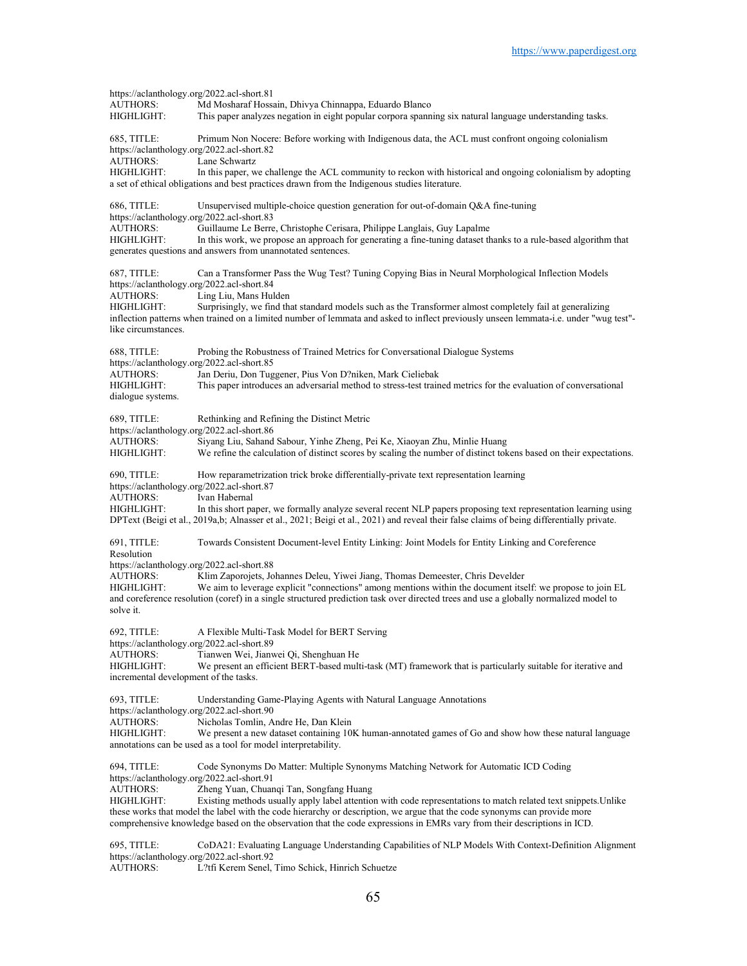| https://aclanthology.org/2022.acl-short.81<br><b>AUTHORS:</b>                | Md Mosharaf Hossain, Dhivya Chinnappa, Eduardo Blanco                                                                                                                                                                                                                                                                                                                                                              |
|------------------------------------------------------------------------------|--------------------------------------------------------------------------------------------------------------------------------------------------------------------------------------------------------------------------------------------------------------------------------------------------------------------------------------------------------------------------------------------------------------------|
| HIGHLIGHT:                                                                   | This paper analyzes negation in eight popular corpora spanning six natural language understanding tasks.                                                                                                                                                                                                                                                                                                           |
| 685, TITLE:<br>https://aclanthology.org/2022.acl-short.82<br>AUTHORS:        | Primum Non Nocere: Before working with Indigenous data, the ACL must confront ongoing colonialism<br>Lane Schwartz                                                                                                                                                                                                                                                                                                 |
| HIGHLIGHT:                                                                   | In this paper, we challenge the ACL community to reckon with historical and ongoing colonialism by adopting<br>a set of ethical obligations and best practices drawn from the Indigenous studies literature.                                                                                                                                                                                                       |
| 686, TITLE:<br>https://aclanthology.org/2022.acl-short.83                    | Unsupervised multiple-choice question generation for out-of-domain $Q\&A$ fine-tuning                                                                                                                                                                                                                                                                                                                              |
| <b>AUTHORS:</b><br>HIGHLIGHT:                                                | Guillaume Le Berre, Christophe Cerisara, Philippe Langlais, Guy Lapalme<br>In this work, we propose an approach for generating a fine-tuning dataset thanks to a rule-based algorithm that<br>generates questions and answers from unannotated sentences.                                                                                                                                                          |
| 687, TITLE:<br>https://aclanthology.org/2022.acl-short.84                    | Can a Transformer Pass the Wug Test? Tuning Copying Bias in Neural Morphological Inflection Models                                                                                                                                                                                                                                                                                                                 |
| <b>AUTHORS:</b><br>HIGHLIGHT:<br>like circumstances.                         | Ling Liu, Mans Hulden<br>Surprisingly, we find that standard models such as the Transformer almost completely fail at generalizing<br>inflection patterns when trained on a limited number of lemmata and asked to inflect previously unseen lemmata-i.e. under "wug test"-                                                                                                                                        |
| 688, TITLE:<br>https://aclanthology.org/2022.acl-short.85                    | Probing the Robustness of Trained Metrics for Conversational Dialogue Systems                                                                                                                                                                                                                                                                                                                                      |
| <b>AUTHORS:</b><br>HIGHLIGHT:<br>dialogue systems.                           | Jan Deriu, Don Tuggener, Pius Von D?niken, Mark Cieliebak<br>This paper introduces an adversarial method to stress-test trained metrics for the evaluation of conversational                                                                                                                                                                                                                                       |
| 689, TITLE:<br>https://aclanthology.org/2022.acl-short.86                    | Rethinking and Refining the Distinct Metric                                                                                                                                                                                                                                                                                                                                                                        |
| <b>AUTHORS:</b><br>HIGHLIGHT:                                                | Siyang Liu, Sahand Sabour, Yinhe Zheng, Pei Ke, Xiaoyan Zhu, Minlie Huang<br>We refine the calculation of distinct scores by scaling the number of distinct tokens based on their expectations.                                                                                                                                                                                                                    |
| 690, TITLE:<br>https://aclanthology.org/2022.acl-short.87<br>AUTHORS:        | How reparametrization trick broke differentially-private text representation learning<br>Ivan Habernal                                                                                                                                                                                                                                                                                                             |
| HIGHLIGHT:                                                                   | In this short paper, we formally analyze several recent NLP papers proposing text representation learning using<br>DPText (Beigi et al., 2019a,b; Alnasser et al., 2021; Beigi et al., 2021) and reveal their false claims of being differentially private.                                                                                                                                                        |
| 691, TITLE:<br>Resolution                                                    | Towards Consistent Document-level Entity Linking: Joint Models for Entity Linking and Coreference                                                                                                                                                                                                                                                                                                                  |
| https://aclanthology.org/2022.acl-short.88<br><b>AUTHORS:</b>                | Klim Zaporojets, Johannes Deleu, Yiwei Jiang, Thomas Demeester, Chris Develder                                                                                                                                                                                                                                                                                                                                     |
| HIGHLIGHT:<br>solve it.                                                      | We aim to leverage explicit "connections" among mentions within the document itself: we propose to join EL<br>and coreference resolution (coref) in a single structured prediction task over directed trees and use a globally normalized model to                                                                                                                                                                 |
| 692, TITLE:<br>https://aclanthology.org/2022.acl-short.89                    | A Flexible Multi-Task Model for BERT Serving                                                                                                                                                                                                                                                                                                                                                                       |
| <b>AUTHORS:</b><br>HIGHLIGHT:<br>incremental development of the tasks.       | Tianwen Wei, Jianwei Qi, Shenghuan He<br>We present an efficient BERT-based multi-task (MT) framework that is particularly suitable for iterative and                                                                                                                                                                                                                                                              |
| 693, TITLE:<br>https://aclanthology.org/2022.acl-short.90                    | Understanding Game-Playing Agents with Natural Language Annotations                                                                                                                                                                                                                                                                                                                                                |
| <b>AUTHORS:</b><br>HIGHLIGHT:                                                | Nicholas Tomlin, Andre He, Dan Klein<br>We present a new dataset containing 10K human-annotated games of Go and show how these natural language<br>annotations can be used as a tool for model interpretability.                                                                                                                                                                                                   |
| 694, TITLE:<br>https://aclanthology.org/2022.acl-short.91                    | Code Synonyms Do Matter: Multiple Synonyms Matching Network for Automatic ICD Coding                                                                                                                                                                                                                                                                                                                               |
| <b>AUTHORS:</b><br>HIGHLIGHT:                                                | Zheng Yuan, Chuanqi Tan, Songfang Huang<br>Existing methods usually apply label attention with code representations to match related text snippets. Unlike<br>these works that model the label with the code hierarchy or description, we argue that the code synonyms can provide more<br>comprehensive knowledge based on the observation that the code expressions in EMRs vary from their descriptions in ICD. |
| 695, TITLE:<br>https://aclanthology.org/2022.acl-short.92<br><b>AUTHORS:</b> | CoDA21: Evaluating Language Understanding Capabilities of NLP Models With Context-Definition Alignment<br>L?tfi Kerem Senel, Timo Schick, Hinrich Schuetze                                                                                                                                                                                                                                                         |